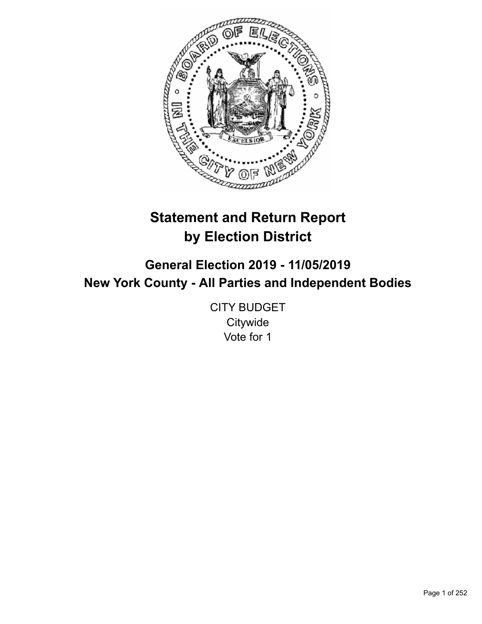

# **Statement and Return Report by Election District**

**General Election 2019 - 11/05/2019 New York County - All Parties and Independent Bodies**

> CITY BUDGET **Citywide** Vote for 1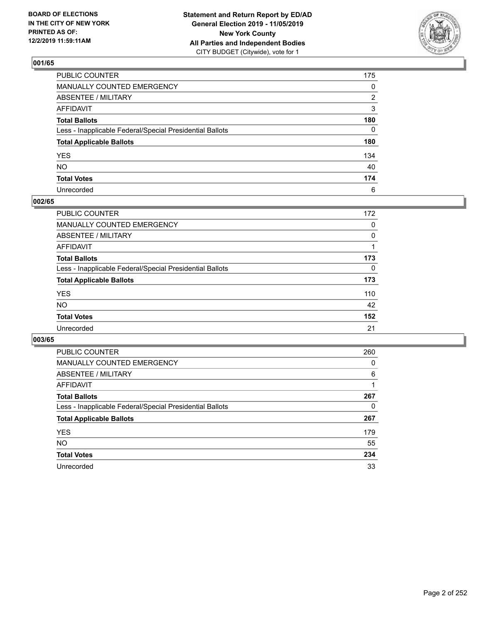

| PUBLIC COUNTER                                           | 175 |
|----------------------------------------------------------|-----|
| MANUALLY COUNTED EMERGENCY                               | 0   |
| ABSENTEE / MILITARY                                      | 2   |
| AFFIDAVIT                                                | 3   |
| Total Ballots                                            | 180 |
| Less - Inapplicable Federal/Special Presidential Ballots | 0   |
| <b>Total Applicable Ballots</b>                          | 180 |
| YES                                                      | 134 |
| NO.                                                      | 40  |
| <b>Total Votes</b>                                       | 174 |
| Unrecorded                                               | 6   |

### **002/65**

| <b>PUBLIC COUNTER</b>                                    | 172      |
|----------------------------------------------------------|----------|
| <b>MANUALLY COUNTED EMERGENCY</b>                        | 0        |
| ABSENTEE / MILITARY                                      | 0        |
| AFFIDAVIT                                                |          |
| <b>Total Ballots</b>                                     | 173      |
| Less - Inapplicable Federal/Special Presidential Ballots | $\Omega$ |
| <b>Total Applicable Ballots</b>                          | 173      |
| <b>YES</b>                                               | 110      |
| <b>NO</b>                                                | 42       |
| <b>Total Votes</b>                                       | 152      |
| Unrecorded                                               | 21       |

| <b>PUBLIC COUNTER</b>                                    | 260      |
|----------------------------------------------------------|----------|
| MANUALLY COUNTED EMERGENCY                               | 0        |
| ABSENTEE / MILITARY                                      | 6        |
| AFFIDAVIT                                                |          |
| <b>Total Ballots</b>                                     | 267      |
| Less - Inapplicable Federal/Special Presidential Ballots | $\Omega$ |
| <b>Total Applicable Ballots</b>                          | 267      |
| <b>YES</b>                                               | 179      |
| NO.                                                      | 55       |
| <b>Total Votes</b>                                       | 234      |
| Unrecorded                                               | 33       |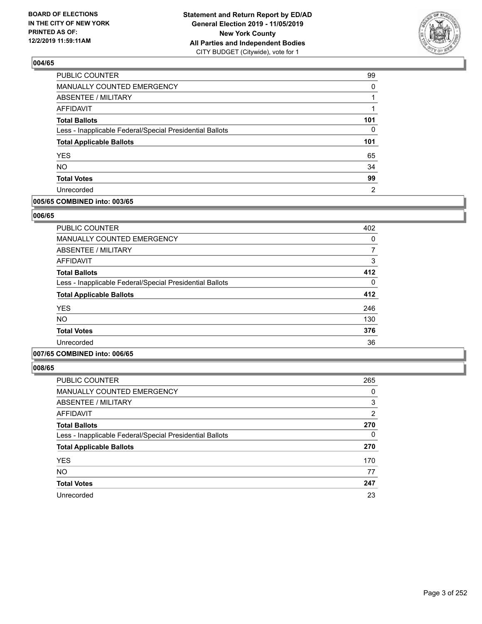

| PUBLIC COUNTER                                           | 99       |
|----------------------------------------------------------|----------|
| MANUALLY COUNTED EMERGENCY                               | $\Omega$ |
| <b>ABSENTEE / MILITARY</b>                               |          |
| <b>AFFIDAVIT</b>                                         |          |
| <b>Total Ballots</b>                                     | 101      |
| Less - Inapplicable Federal/Special Presidential Ballots | $\Omega$ |
| <b>Total Applicable Ballots</b>                          | 101      |
| <b>YES</b>                                               | 65       |
| <b>NO</b>                                                | 34       |
| <b>Total Votes</b>                                       | 99       |
| Unrecorded                                               | 2        |

#### **005/65 COMBINED into: 003/65**

#### **006/65**

| <b>PUBLIC COUNTER</b>                                    | 402 |
|----------------------------------------------------------|-----|
| <b>MANUALLY COUNTED EMERGENCY</b>                        | 0   |
| ABSENTEE / MILITARY                                      |     |
| <b>AFFIDAVIT</b>                                         | 3   |
| <b>Total Ballots</b>                                     | 412 |
| Less - Inapplicable Federal/Special Presidential Ballots | 0   |
| <b>Total Applicable Ballots</b>                          | 412 |
| <b>YES</b>                                               | 246 |
| <b>NO</b>                                                | 130 |
| <b>Total Votes</b>                                       | 376 |
| Unrecorded                                               | 36  |
|                                                          |     |

### **007/65 COMBINED into: 006/65**

| PUBLIC COUNTER                                           | 265            |
|----------------------------------------------------------|----------------|
| <b>MANUALLY COUNTED EMERGENCY</b>                        | 0              |
| ABSENTEE / MILITARY                                      | 3              |
| <b>AFFIDAVIT</b>                                         | $\overline{2}$ |
| <b>Total Ballots</b>                                     | 270            |
| Less - Inapplicable Federal/Special Presidential Ballots | 0              |
| <b>Total Applicable Ballots</b>                          | 270            |
| <b>YES</b>                                               | 170            |
| <b>NO</b>                                                | 77             |
| <b>Total Votes</b>                                       | 247            |
| Unrecorded                                               | 23             |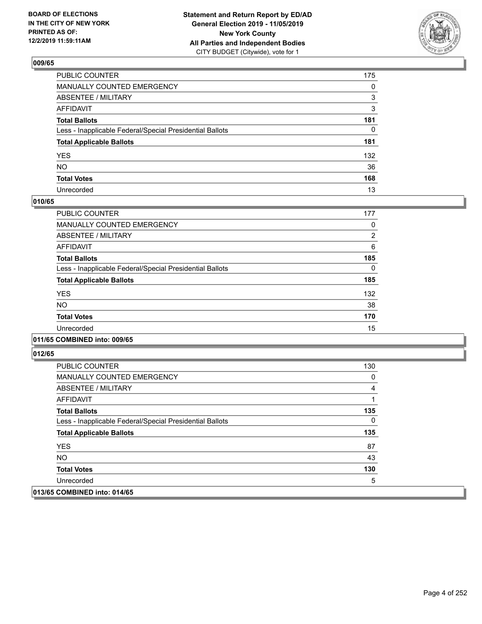

| PUBLIC COUNTER                                           | 175 |
|----------------------------------------------------------|-----|
| MANUALLY COUNTED EMERGENCY                               | 0   |
| ABSENTEE / MILITARY                                      | 3   |
| AFFIDAVIT                                                | 3   |
| Total Ballots                                            | 181 |
| Less - Inapplicable Federal/Special Presidential Ballots | 0   |
| <b>Total Applicable Ballots</b>                          | 181 |
| YES                                                      | 132 |
| NO.                                                      | 36  |
| <b>Total Votes</b>                                       | 168 |
| Unrecorded                                               | 13  |

### **010/65**

| PUBLIC COUNTER                                           | 177            |
|----------------------------------------------------------|----------------|
| <b>MANUALLY COUNTED EMERGENCY</b>                        | 0              |
| ABSENTEE / MILITARY                                      | $\overline{2}$ |
| <b>AFFIDAVIT</b>                                         | 6              |
| <b>Total Ballots</b>                                     | 185            |
| Less - Inapplicable Federal/Special Presidential Ballots | $\Omega$       |
| <b>Total Applicable Ballots</b>                          | 185            |
| <b>YES</b>                                               | 132            |
| <b>NO</b>                                                | 38             |
| <b>Total Votes</b>                                       | 170            |
| Unrecorded                                               | 15             |
|                                                          |                |

#### **011/65 COMBINED into: 009/65**

| PUBLIC COUNTER                                           | 130 |
|----------------------------------------------------------|-----|
| <b>MANUALLY COUNTED EMERGENCY</b>                        | 0   |
| ABSENTEE / MILITARY                                      | 4   |
| AFFIDAVIT                                                |     |
| <b>Total Ballots</b>                                     | 135 |
| Less - Inapplicable Federal/Special Presidential Ballots | 0   |
| <b>Total Applicable Ballots</b>                          | 135 |
| <b>YES</b>                                               | 87  |
| NO.                                                      | 43  |
| <b>Total Votes</b>                                       | 130 |
| Unrecorded                                               | 5   |
| 013/65 COMBINED into: 014/65                             |     |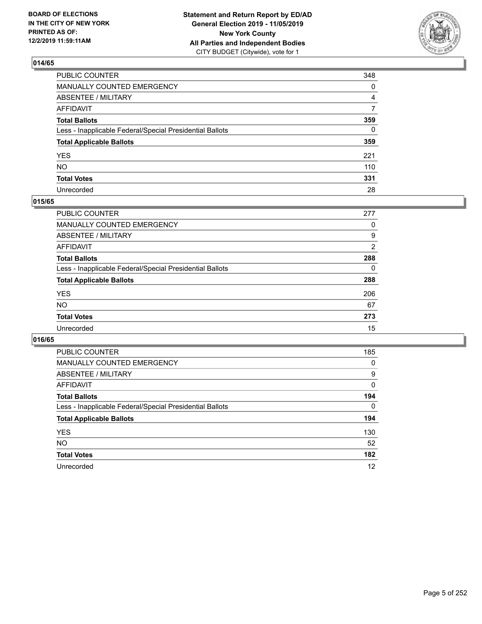

| PUBLIC COUNTER                                           | 348 |
|----------------------------------------------------------|-----|
| MANUALLY COUNTED EMERGENCY                               | 0   |
| ABSENTEE / MILITARY                                      | 4   |
| AFFIDAVIT                                                | 7   |
| Total Ballots                                            | 359 |
| Less - Inapplicable Federal/Special Presidential Ballots | 0   |
| <b>Total Applicable Ballots</b>                          | 359 |
| YES                                                      | 221 |
| NO.                                                      | 110 |
| <b>Total Votes</b>                                       | 331 |
| Unrecorded                                               | 28  |

#### **015/65**

| <b>PUBLIC COUNTER</b>                                    | 277 |
|----------------------------------------------------------|-----|
| MANUALLY COUNTED EMERGENCY                               | 0   |
| ABSENTEE / MILITARY                                      | 9   |
| AFFIDAVIT                                                | 2   |
| <b>Total Ballots</b>                                     | 288 |
| Less - Inapplicable Federal/Special Presidential Ballots | 0   |
| <b>Total Applicable Ballots</b>                          | 288 |
| <b>YES</b>                                               | 206 |
| <b>NO</b>                                                | 67  |
| <b>Total Votes</b>                                       | 273 |
| Unrecorded                                               | 15  |

| <b>PUBLIC COUNTER</b>                                    | 185      |
|----------------------------------------------------------|----------|
| MANUALLY COUNTED EMERGENCY                               | 0        |
| ABSENTEE / MILITARY                                      | 9        |
| AFFIDAVIT                                                | 0        |
| <b>Total Ballots</b>                                     | 194      |
| Less - Inapplicable Federal/Special Presidential Ballots | $\Omega$ |
| <b>Total Applicable Ballots</b>                          | 194      |
| <b>YES</b>                                               | 130      |
| NO.                                                      | 52       |
| <b>Total Votes</b>                                       | 182      |
| Unrecorded                                               | 12       |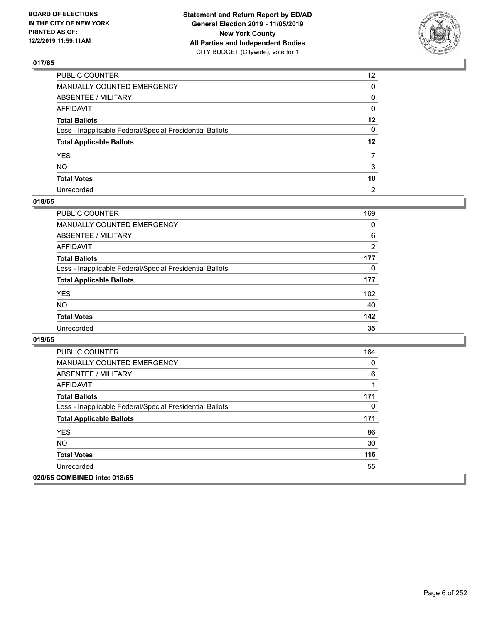

| PUBLIC COUNTER                                           | 12 <sup>2</sup> |
|----------------------------------------------------------|-----------------|
| MANUALLY COUNTED EMERGENCY                               | 0               |
| ABSENTEE / MILITARY                                      | 0               |
| AFFIDAVIT                                                | 0               |
| Total Ballots                                            | $12 \,$         |
| Less - Inapplicable Federal/Special Presidential Ballots | 0               |
| <b>Total Applicable Ballots</b>                          | $12 \,$         |
| YES                                                      |                 |
| NO.                                                      | 3               |
| <b>Total Votes</b>                                       | 10              |
| Unrecorded                                               | $\overline{2}$  |

#### **018/65**

| <b>PUBLIC COUNTER</b>                                    | 169 |
|----------------------------------------------------------|-----|
| MANUALLY COUNTED EMERGENCY                               | 0   |
| ABSENTEE / MILITARY                                      | 6   |
| AFFIDAVIT                                                | 2   |
| <b>Total Ballots</b>                                     | 177 |
| Less - Inapplicable Federal/Special Presidential Ballots | 0   |
| <b>Total Applicable Ballots</b>                          | 177 |
| <b>YES</b>                                               | 102 |
| <b>NO</b>                                                | 40  |
| <b>Total Votes</b>                                       | 142 |
| Unrecorded                                               | 35  |

| <b>PUBLIC COUNTER</b>                                    | 164 |
|----------------------------------------------------------|-----|
| <b>MANUALLY COUNTED EMERGENCY</b>                        | 0   |
| ABSENTEE / MILITARY                                      | 6   |
| AFFIDAVIT                                                | 1   |
| <b>Total Ballots</b>                                     | 171 |
| Less - Inapplicable Federal/Special Presidential Ballots | 0   |
| <b>Total Applicable Ballots</b>                          | 171 |
| <b>YES</b>                                               | 86  |
| <b>NO</b>                                                | 30  |
| <b>Total Votes</b>                                       | 116 |
| Unrecorded                                               | 55  |
| 020/65 COMBINED into: 018/65                             |     |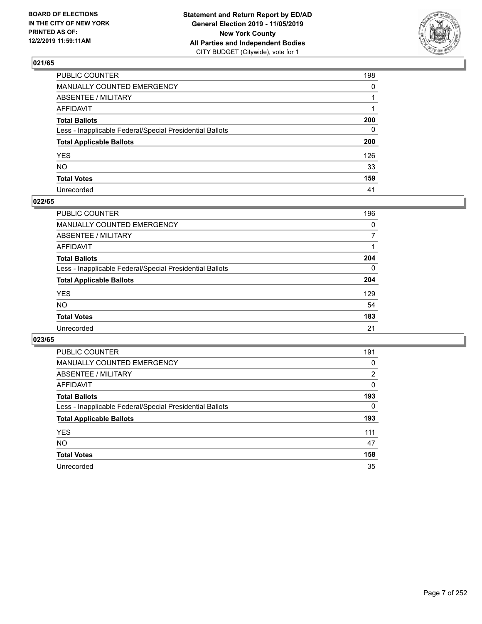

| PUBLIC COUNTER                                           | 198          |
|----------------------------------------------------------|--------------|
| MANUALLY COUNTED EMERGENCY                               | $\mathbf{0}$ |
| ABSENTEE / MILITARY                                      |              |
| AFFIDAVIT                                                |              |
| Total Ballots                                            | 200          |
| Less - Inapplicable Federal/Special Presidential Ballots | 0            |
| <b>Total Applicable Ballots</b>                          | 200          |
| YES                                                      | 126          |
| NO.                                                      | 33           |
| <b>Total Votes</b>                                       | 159          |
| Unrecorded                                               | 41           |

#### **022/65**

| PUBLIC COUNTER                                           | 196      |
|----------------------------------------------------------|----------|
| MANUALLY COUNTED EMERGENCY                               | $\Omega$ |
| ABSENTEE / MILITARY                                      |          |
| AFFIDAVIT                                                |          |
| <b>Total Ballots</b>                                     | 204      |
| Less - Inapplicable Federal/Special Presidential Ballots | $\Omega$ |
| <b>Total Applicable Ballots</b>                          | 204      |
| <b>YES</b>                                               | 129      |
| <b>NO</b>                                                | 54       |
| <b>Total Votes</b>                                       | 183      |
| Unrecorded                                               | 21       |

| <b>PUBLIC COUNTER</b>                                    | 191      |
|----------------------------------------------------------|----------|
| MANUALLY COUNTED EMERGENCY                               | 0        |
| ABSENTEE / MILITARY                                      | 2        |
| AFFIDAVIT                                                | $\Omega$ |
| <b>Total Ballots</b>                                     | 193      |
| Less - Inapplicable Federal/Special Presidential Ballots | $\Omega$ |
| <b>Total Applicable Ballots</b>                          | 193      |
| <b>YES</b>                                               | 111      |
| <b>NO</b>                                                | 47       |
| <b>Total Votes</b>                                       | 158      |
| Unrecorded                                               | 35       |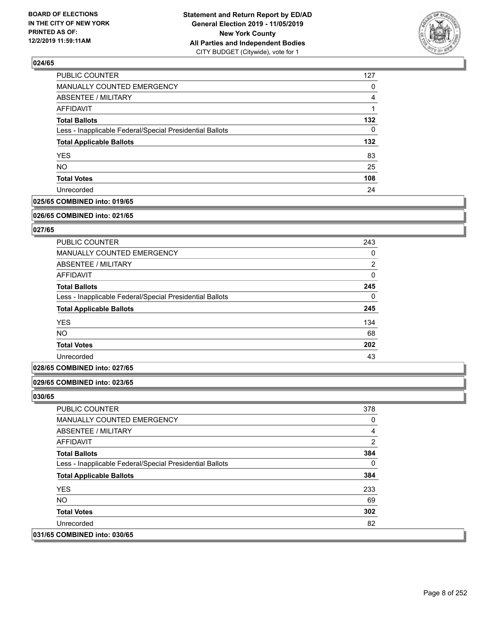

| 127 |
|-----|
| 0   |
| 4   |
|     |
| 132 |
| 0   |
| 132 |
| 83  |
| 25  |
| 108 |
| 24  |
|     |

### **025/65 COMBINED into: 019/65**

#### **026/65 COMBINED into: 021/65**

### **027/65**

| PUBLIC COUNTER                                           | 243            |
|----------------------------------------------------------|----------------|
| <b>MANUALLY COUNTED EMERGENCY</b>                        | 0              |
| ABSENTEE / MILITARY                                      | $\overline{2}$ |
| AFFIDAVIT                                                | $\Omega$       |
| <b>Total Ballots</b>                                     | 245            |
| Less - Inapplicable Federal/Special Presidential Ballots | $\Omega$       |
| <b>Total Applicable Ballots</b>                          | 245            |
| <b>YES</b>                                               | 134            |
| <b>NO</b>                                                | 68             |
| <b>Total Votes</b>                                       | 202            |
| Unrecorded                                               | 43             |

#### **028/65 COMBINED into: 027/65**

#### **029/65 COMBINED into: 023/65**

| <b>PUBLIC COUNTER</b>                                    | 378 |
|----------------------------------------------------------|-----|
| <b>MANUALLY COUNTED EMERGENCY</b>                        | 0   |
| ABSENTEE / MILITARY                                      | 4   |
| AFFIDAVIT                                                | 2   |
| <b>Total Ballots</b>                                     | 384 |
| Less - Inapplicable Federal/Special Presidential Ballots | 0   |
| <b>Total Applicable Ballots</b>                          | 384 |
| <b>YES</b>                                               | 233 |
| NO.                                                      | 69  |
| <b>Total Votes</b>                                       | 302 |
| Unrecorded                                               | 82  |
| 031/65 COMBINED into: 030/65                             |     |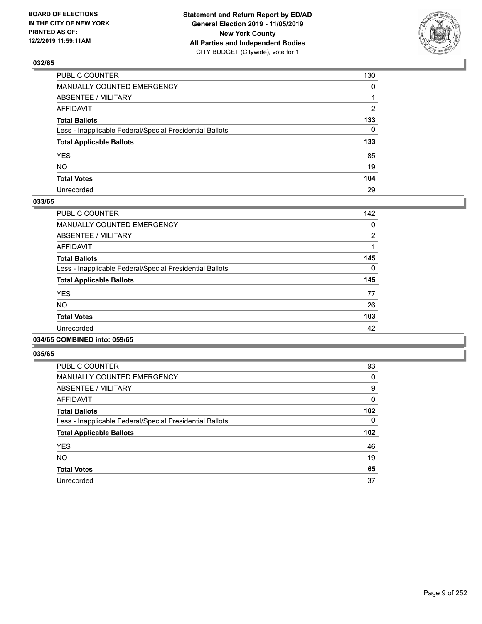

| PUBLIC COUNTER                                           | 130          |
|----------------------------------------------------------|--------------|
| MANUALLY COUNTED EMERGENCY                               | $\mathbf{0}$ |
| ABSENTEE / MILITARY                                      |              |
| AFFIDAVIT                                                | 2            |
| Total Ballots                                            | 133          |
| Less - Inapplicable Federal/Special Presidential Ballots | $\mathbf{0}$ |
| <b>Total Applicable Ballots</b>                          | 133          |
| YES                                                      | 85           |
| NO.                                                      | 19           |
| <b>Total Votes</b>                                       | 104          |
| Unrecorded                                               | 29           |

#### **033/65**

| <b>PUBLIC COUNTER</b>                                    | 142      |
|----------------------------------------------------------|----------|
| MANUALLY COUNTED EMERGENCY                               | 0        |
| ABSENTEE / MILITARY                                      | 2        |
| AFFIDAVIT                                                |          |
| <b>Total Ballots</b>                                     | 145      |
| Less - Inapplicable Federal/Special Presidential Ballots | $\Omega$ |
| <b>Total Applicable Ballots</b>                          | 145      |
| <b>YES</b>                                               | 77       |
| <b>NO</b>                                                | 26       |
| <b>Total Votes</b>                                       | 103      |
| Unrecorded                                               | 42       |
|                                                          |          |

#### **034/65 COMBINED into: 059/65**

| <b>PUBLIC COUNTER</b>                                    | 93  |
|----------------------------------------------------------|-----|
| <b>MANUALLY COUNTED EMERGENCY</b>                        | 0   |
| ABSENTEE / MILITARY                                      | 9   |
| <b>AFFIDAVIT</b>                                         | 0   |
| <b>Total Ballots</b>                                     | 102 |
| Less - Inapplicable Federal/Special Presidential Ballots | 0   |
| <b>Total Applicable Ballots</b>                          | 102 |
| <b>YES</b>                                               | 46  |
| <b>NO</b>                                                | 19  |
| <b>Total Votes</b>                                       | 65  |
| Unrecorded                                               | 37  |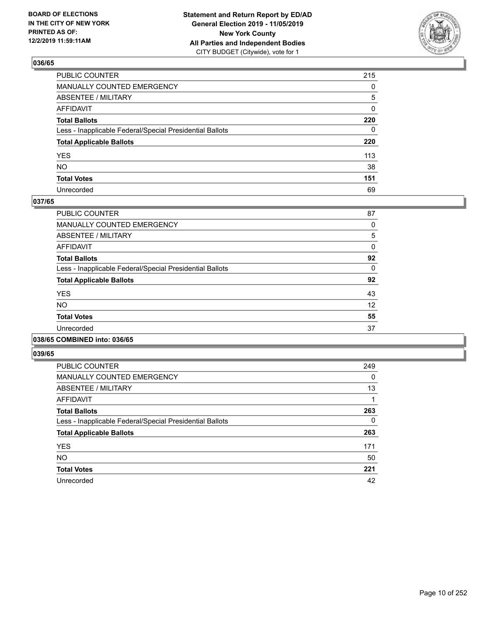

| PUBLIC COUNTER                                           | 215          |
|----------------------------------------------------------|--------------|
| MANUALLY COUNTED EMERGENCY                               | $\mathbf{0}$ |
| ABSENTEE / MILITARY                                      | 5            |
| AFFIDAVIT                                                | 0            |
| Total Ballots                                            | 220          |
| Less - Inapplicable Federal/Special Presidential Ballots | $\mathbf{0}$ |
| <b>Total Applicable Ballots</b>                          | 220          |
| YES                                                      | 113          |
| NΟ                                                       | 38           |
| <b>Total Votes</b>                                       | 151          |
| Unrecorded                                               | 69           |

#### **037/65**

| <b>PUBLIC COUNTER</b>                                    | 87       |
|----------------------------------------------------------|----------|
| <b>MANUALLY COUNTED EMERGENCY</b>                        | 0        |
| ABSENTEE / MILITARY                                      | 5        |
| AFFIDAVIT                                                | 0        |
| <b>Total Ballots</b>                                     | 92       |
| Less - Inapplicable Federal/Special Presidential Ballots | $\Omega$ |
| <b>Total Applicable Ballots</b>                          | 92       |
| <b>YES</b>                                               | 43       |
| <b>NO</b>                                                | 12       |
| <b>Total Votes</b>                                       | 55       |
| Unrecorded                                               | 37       |
|                                                          |          |

#### **038/65 COMBINED into: 036/65**

| <b>PUBLIC COUNTER</b>                                    | 249 |
|----------------------------------------------------------|-----|
| <b>MANUALLY COUNTED EMERGENCY</b>                        | 0   |
| ABSENTEE / MILITARY                                      | 13  |
| <b>AFFIDAVIT</b>                                         |     |
| <b>Total Ballots</b>                                     | 263 |
| Less - Inapplicable Federal/Special Presidential Ballots | 0   |
| <b>Total Applicable Ballots</b>                          | 263 |
| <b>YES</b>                                               | 171 |
| <b>NO</b>                                                | 50  |
| <b>Total Votes</b>                                       | 221 |
| Unrecorded                                               | 42  |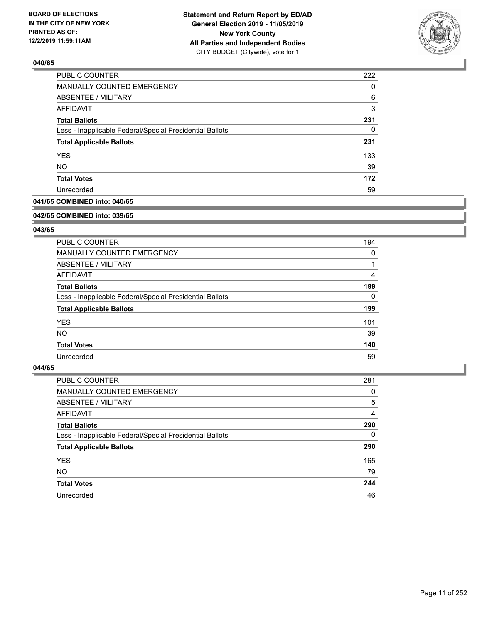

| <b>PUBLIC COUNTER</b>                                    | 222 |
|----------------------------------------------------------|-----|
| MANUALLY COUNTED EMERGENCY                               | 0   |
| <b>ABSENTEE / MILITARY</b>                               | 6   |
| AFFIDAVIT                                                | 3   |
| <b>Total Ballots</b>                                     | 231 |
| Less - Inapplicable Federal/Special Presidential Ballots | 0   |
| <b>Total Applicable Ballots</b>                          | 231 |
| <b>YES</b>                                               | 133 |
| <b>NO</b>                                                | 39  |
| <b>Total Votes</b>                                       | 172 |
| Unrecorded                                               | 59  |

### **041/65 COMBINED into: 040/65**

#### **042/65 COMBINED into: 039/65**

### **043/65**

| PUBLIC COUNTER                                           | 194      |
|----------------------------------------------------------|----------|
| <b>MANUALLY COUNTED EMERGENCY</b>                        | $\Omega$ |
| ABSENTEE / MILITARY                                      |          |
| AFFIDAVIT                                                | 4        |
| <b>Total Ballots</b>                                     | 199      |
| Less - Inapplicable Federal/Special Presidential Ballots | 0        |
| <b>Total Applicable Ballots</b>                          | 199      |
| <b>YES</b>                                               | 101      |
| NO.                                                      | 39       |
| <b>Total Votes</b>                                       | 140      |
| Unrecorded                                               | 59       |

| PUBLIC COUNTER                                           | 281      |
|----------------------------------------------------------|----------|
| <b>MANUALLY COUNTED EMERGENCY</b>                        | 0        |
| ABSENTEE / MILITARY                                      | 5        |
| AFFIDAVIT                                                | 4        |
| <b>Total Ballots</b>                                     | 290      |
| Less - Inapplicable Federal/Special Presidential Ballots | $\Omega$ |
| <b>Total Applicable Ballots</b>                          | 290      |
| <b>YES</b>                                               | 165      |
| <b>NO</b>                                                | 79       |
| <b>Total Votes</b>                                       | 244      |
| Unrecorded                                               | 46       |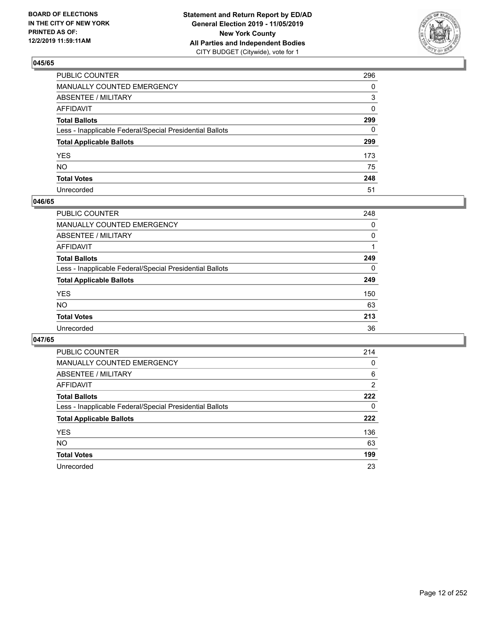

| PUBLIC COUNTER                                           | 296          |
|----------------------------------------------------------|--------------|
| MANUALLY COUNTED EMERGENCY                               | $\mathbf{0}$ |
| ABSENTEE / MILITARY                                      | 3            |
| AFFIDAVIT                                                | 0            |
| Total Ballots                                            | 299          |
| Less - Inapplicable Federal/Special Presidential Ballots | 0            |
| <b>Total Applicable Ballots</b>                          | 299          |
| YES                                                      | 173          |
| NO.                                                      | 75           |
| <b>Total Votes</b>                                       | 248          |
| Unrecorded                                               | 51           |

#### **046/65**

| PUBLIC COUNTER                                           | 248      |
|----------------------------------------------------------|----------|
| MANUALLY COUNTED EMERGENCY                               | 0        |
| ABSENTEE / MILITARY                                      | $\Omega$ |
| AFFIDAVIT                                                |          |
| <b>Total Ballots</b>                                     | 249      |
| Less - Inapplicable Federal/Special Presidential Ballots | $\Omega$ |
| <b>Total Applicable Ballots</b>                          | 249      |
| <b>YES</b>                                               | 150      |
| <b>NO</b>                                                | 63       |
| <b>Total Votes</b>                                       | 213      |
| Unrecorded                                               | 36       |

| <b>PUBLIC COUNTER</b>                                    | 214            |
|----------------------------------------------------------|----------------|
| <b>MANUALLY COUNTED EMERGENCY</b>                        | 0              |
| ABSENTEE / MILITARY                                      | 6              |
| AFFIDAVIT                                                | $\overline{2}$ |
| <b>Total Ballots</b>                                     | 222            |
| Less - Inapplicable Federal/Special Presidential Ballots | 0              |
| <b>Total Applicable Ballots</b>                          | 222            |
| <b>YES</b>                                               | 136            |
| NO.                                                      | 63             |
| <b>Total Votes</b>                                       | 199            |
| Unrecorded                                               | 23             |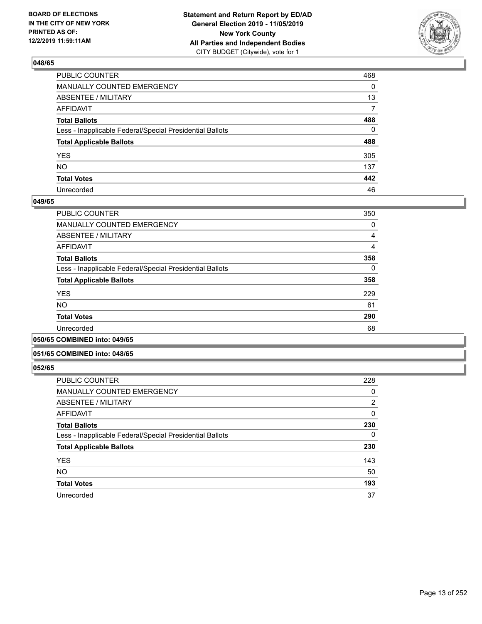

| PUBLIC COUNTER                                           | 468          |
|----------------------------------------------------------|--------------|
| MANUALLY COUNTED EMERGENCY                               | $\mathbf{0}$ |
| ABSENTEE / MILITARY                                      | 13           |
| AFFIDAVIT                                                | 7            |
| Total Ballots                                            | 488          |
| Less - Inapplicable Federal/Special Presidential Ballots | $\mathbf{0}$ |
| <b>Total Applicable Ballots</b>                          | 488          |
| YES                                                      | 305          |
| NO.                                                      | 137          |
| <b>Total Votes</b>                                       | 442          |
| Unrecorded                                               | 46           |

#### **049/65**

| <b>PUBLIC COUNTER</b>                                    | 350            |
|----------------------------------------------------------|----------------|
| MANUALLY COUNTED EMERGENCY                               | 0              |
| ABSENTEE / MILITARY                                      | 4              |
| AFFIDAVIT                                                | $\overline{4}$ |
| <b>Total Ballots</b>                                     | 358            |
| Less - Inapplicable Federal/Special Presidential Ballots | 0              |
| <b>Total Applicable Ballots</b>                          | 358            |
| <b>YES</b>                                               | 229            |
| <b>NO</b>                                                | 61             |
| <b>Total Votes</b>                                       | 290            |
| Unrecorded                                               | 68             |
|                                                          |                |

#### **050/65 COMBINED into: 049/65**

#### **051/65 COMBINED into: 048/65**

| <b>PUBLIC COUNTER</b>                                    | 228      |
|----------------------------------------------------------|----------|
| <b>MANUALLY COUNTED EMERGENCY</b>                        | 0        |
| ABSENTEE / MILITARY                                      | 2        |
| AFFIDAVIT                                                | 0        |
| <b>Total Ballots</b>                                     | 230      |
| Less - Inapplicable Federal/Special Presidential Ballots | $\Omega$ |
| <b>Total Applicable Ballots</b>                          | 230      |
| <b>YES</b>                                               | 143      |
| <b>NO</b>                                                | 50       |
| <b>Total Votes</b>                                       | 193      |
| Unrecorded                                               | 37       |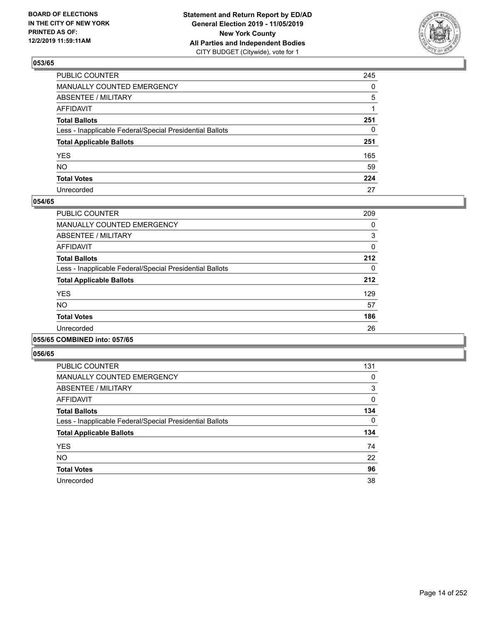

| PUBLIC COUNTER                                           | 245          |
|----------------------------------------------------------|--------------|
| MANUALLY COUNTED EMERGENCY                               | $\mathbf{0}$ |
| ABSENTEE / MILITARY                                      | 5            |
| AFFIDAVIT                                                |              |
| Total Ballots                                            | 251          |
| Less - Inapplicable Federal/Special Presidential Ballots | 0            |
| <b>Total Applicable Ballots</b>                          | 251          |
| YES                                                      | 165          |
| NO.                                                      | 59           |
| <b>Total Votes</b>                                       | 224          |
| Unrecorded                                               | 27           |

#### **054/65**

| <b>PUBLIC COUNTER</b>                                    | 209      |
|----------------------------------------------------------|----------|
| <b>MANUALLY COUNTED EMERGENCY</b>                        | 0        |
| ABSENTEE / MILITARY                                      | 3        |
| <b>AFFIDAVIT</b>                                         | 0        |
| <b>Total Ballots</b>                                     | 212      |
| Less - Inapplicable Federal/Special Presidential Ballots | $\Omega$ |
| <b>Total Applicable Ballots</b>                          | 212      |
| <b>YES</b>                                               | 129      |
| NO.                                                      | 57       |
| <b>Total Votes</b>                                       | 186      |
| Unrecorded                                               | 26       |
|                                                          |          |

#### **055/65 COMBINED into: 057/65**

| <b>PUBLIC COUNTER</b>                                    | 131 |
|----------------------------------------------------------|-----|
| <b>MANUALLY COUNTED EMERGENCY</b>                        | 0   |
| ABSENTEE / MILITARY                                      | 3   |
| <b>AFFIDAVIT</b>                                         | 0   |
| <b>Total Ballots</b>                                     | 134 |
| Less - Inapplicable Federal/Special Presidential Ballots | 0   |
| <b>Total Applicable Ballots</b>                          | 134 |
| <b>YES</b>                                               | 74  |
| <b>NO</b>                                                | 22  |
| <b>Total Votes</b>                                       | 96  |
| Unrecorded                                               | 38  |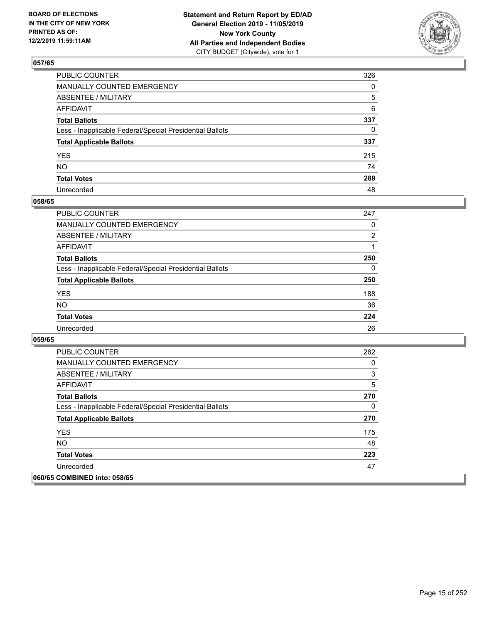

| PUBLIC COUNTER                                           | 326          |
|----------------------------------------------------------|--------------|
| MANUALLY COUNTED EMERGENCY                               | $\mathbf{0}$ |
| ABSENTEE / MILITARY                                      | 5            |
| AFFIDAVIT                                                | 6            |
| Total Ballots                                            | 337          |
| Less - Inapplicable Federal/Special Presidential Ballots | 0            |
| <b>Total Applicable Ballots</b>                          | 337          |
| YES                                                      | 215          |
| NO.                                                      | 74           |
| <b>Total Votes</b>                                       | 289          |
| Unrecorded                                               | 48           |

#### **058/65**

| <b>PUBLIC COUNTER</b>                                    | 247            |
|----------------------------------------------------------|----------------|
| <b>MANUALLY COUNTED EMERGENCY</b>                        | $\Omega$       |
| ABSENTEE / MILITARY                                      | $\overline{2}$ |
| <b>AFFIDAVIT</b>                                         |                |
| <b>Total Ballots</b>                                     | 250            |
| Less - Inapplicable Federal/Special Presidential Ballots | $\Omega$       |
| <b>Total Applicable Ballots</b>                          | 250            |
| <b>YES</b>                                               | 188            |
| <b>NO</b>                                                | 36             |
| <b>Total Votes</b>                                       | 224            |
| Unrecorded                                               | 26             |

| <b>PUBLIC COUNTER</b>                                    | 262 |
|----------------------------------------------------------|-----|
| <b>MANUALLY COUNTED EMERGENCY</b>                        | 0   |
| ABSENTEE / MILITARY                                      | 3   |
| AFFIDAVIT                                                | 5   |
| <b>Total Ballots</b>                                     | 270 |
| Less - Inapplicable Federal/Special Presidential Ballots | 0   |
| <b>Total Applicable Ballots</b>                          | 270 |
| <b>YES</b>                                               | 175 |
| <b>NO</b>                                                | 48  |
| <b>Total Votes</b>                                       | 223 |
| Unrecorded                                               | 47  |
| 060/65 COMBINED into: 058/65                             |     |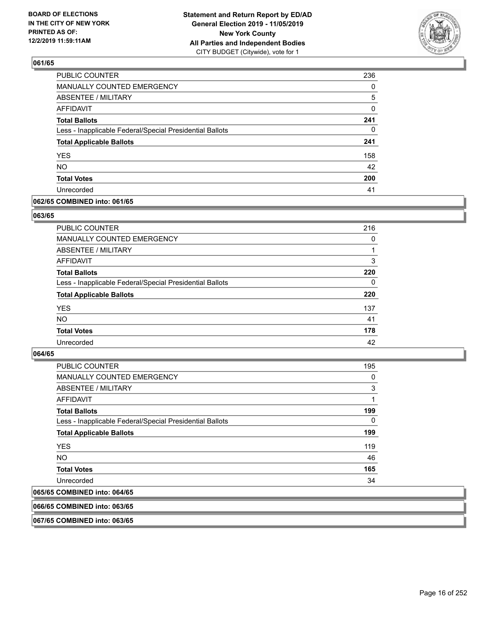

| PUBLIC COUNTER                                           | 236 |
|----------------------------------------------------------|-----|
| MANUALLY COUNTED EMERGENCY                               | 0   |
| <b>ABSENTEE / MILITARY</b>                               | 5   |
| <b>AFFIDAVIT</b>                                         | 0   |
| <b>Total Ballots</b>                                     | 241 |
| Less - Inapplicable Federal/Special Presidential Ballots | 0   |
| <b>Total Applicable Ballots</b>                          | 241 |
| <b>YES</b>                                               | 158 |
| <b>NO</b>                                                | 42  |
| <b>Total Votes</b>                                       | 200 |
| Unrecorded                                               | 41  |

#### **062/65 COMBINED into: 061/65**

#### **063/65**

| PUBLIC COUNTER                                           | 216      |
|----------------------------------------------------------|----------|
| MANUALLY COUNTED EMERGENCY                               | 0        |
| ABSENTEE / MILITARY                                      |          |
| AFFIDAVIT                                                | 3        |
| <b>Total Ballots</b>                                     | 220      |
| Less - Inapplicable Federal/Special Presidential Ballots | $\Omega$ |
| <b>Total Applicable Ballots</b>                          | 220      |
| <b>YES</b>                                               | 137      |
| <b>NO</b>                                                | 41       |
| <b>Total Votes</b>                                       | 178      |
| Unrecorded                                               | 42       |
|                                                          |          |

### **064/65**

| <b>PUBLIC COUNTER</b>                                    | 195      |
|----------------------------------------------------------|----------|
| <b>MANUALLY COUNTED EMERGENCY</b>                        | $\Omega$ |
| ABSENTEE / MILITARY                                      | 3        |
| AFFIDAVIT                                                | 1        |
| <b>Total Ballots</b>                                     | 199      |
| Less - Inapplicable Federal/Special Presidential Ballots | $\Omega$ |
| <b>Total Applicable Ballots</b>                          | 199      |
| <b>YES</b>                                               | 119      |
| NO.                                                      | 46       |
| <b>Total Votes</b>                                       | 165      |
| Unrecorded                                               | 34       |
| 065/65 COMBINED into: 064/65                             |          |

#### **066/65 COMBINED into: 063/65**

**067/65 COMBINED into: 063/65**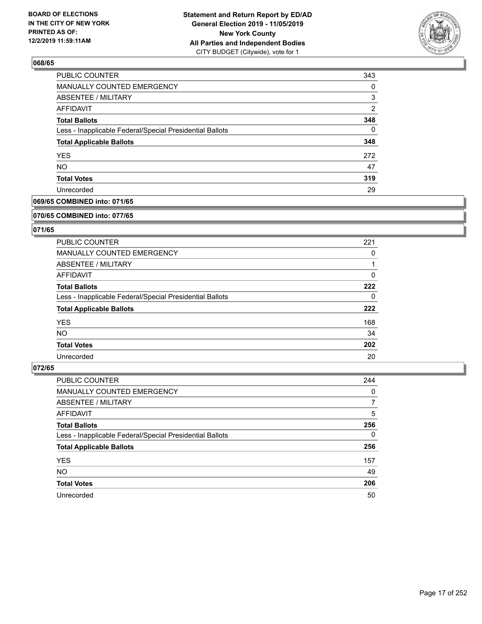

| PUBLIC COUNTER                                           | 343 |
|----------------------------------------------------------|-----|
| MANUALLY COUNTED EMERGENCY                               | 0   |
| <b>ABSENTEE / MILITARY</b>                               | 3   |
| AFFIDAVIT                                                | 2   |
| <b>Total Ballots</b>                                     | 348 |
| Less - Inapplicable Federal/Special Presidential Ballots | 0   |
| <b>Total Applicable Ballots</b>                          | 348 |
| <b>YES</b>                                               | 272 |
| <b>NO</b>                                                | 47  |
| <b>Total Votes</b>                                       | 319 |
| Unrecorded                                               | 29  |

### **069/65 COMBINED into: 071/65**

#### **070/65 COMBINED into: 077/65**

### **071/65**

| <b>PUBLIC COUNTER</b>                                    | 221 |
|----------------------------------------------------------|-----|
| MANUALLY COUNTED EMERGENCY                               | 0   |
| ABSENTEE / MILITARY                                      |     |
| AFFIDAVIT                                                | 0   |
| <b>Total Ballots</b>                                     | 222 |
| Less - Inapplicable Federal/Special Presidential Ballots | 0   |
| <b>Total Applicable Ballots</b>                          | 222 |
| <b>YES</b>                                               | 168 |
| NO.                                                      | 34  |
| <b>Total Votes</b>                                       | 202 |
| Unrecorded                                               | 20  |

| <b>PUBLIC COUNTER</b>                                    | 244      |
|----------------------------------------------------------|----------|
| <b>MANUALLY COUNTED EMERGENCY</b>                        | 0        |
| ABSENTEE / MILITARY                                      | 7        |
| AFFIDAVIT                                                | 5        |
| <b>Total Ballots</b>                                     | 256      |
| Less - Inapplicable Federal/Special Presidential Ballots | $\Omega$ |
| <b>Total Applicable Ballots</b>                          | 256      |
| <b>YES</b>                                               | 157      |
| NO.                                                      | 49       |
| <b>Total Votes</b>                                       | 206      |
| Unrecorded                                               | 50       |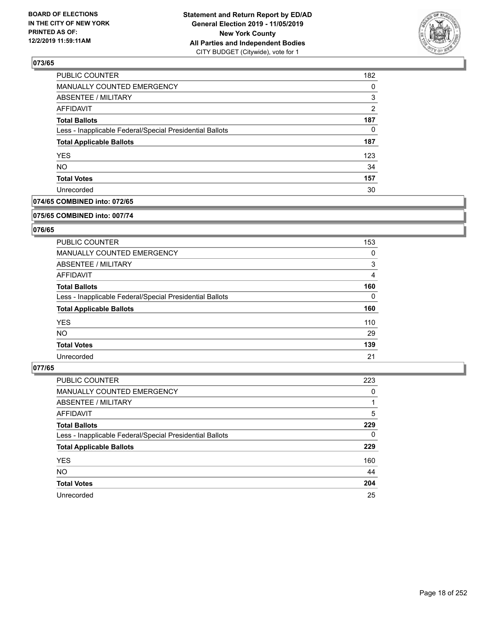

| <b>PUBLIC COUNTER</b>                                    | 182           |
|----------------------------------------------------------|---------------|
| <b>MANUALLY COUNTED EMERGENCY</b>                        | $\Omega$      |
| <b>ABSENTEE / MILITARY</b>                               | 3             |
| AFFIDAVIT                                                | $\mathcal{P}$ |
| <b>Total Ballots</b>                                     | 187           |
| Less - Inapplicable Federal/Special Presidential Ballots | 0             |
| <b>Total Applicable Ballots</b>                          | 187           |
| <b>YES</b>                                               | 123           |
| <b>NO</b>                                                | 34            |
| <b>Total Votes</b>                                       | 157           |
| Unrecorded                                               | 30            |

#### **074/65 COMBINED into: 072/65**

#### **075/65 COMBINED into: 007/74**

### **076/65**

| <b>PUBLIC COUNTER</b>                                    | 153      |
|----------------------------------------------------------|----------|
| MANUALLY COUNTED EMERGENCY                               | 0        |
| ABSENTEE / MILITARY                                      | 3        |
| AFFIDAVIT                                                | 4        |
| <b>Total Ballots</b>                                     | 160      |
| Less - Inapplicable Federal/Special Presidential Ballots | $\Omega$ |
| <b>Total Applicable Ballots</b>                          | 160      |
| <b>YES</b>                                               | 110      |
| NO.                                                      | 29       |
| <b>Total Votes</b>                                       | 139      |
| Unrecorded                                               | 21       |

| <b>PUBLIC COUNTER</b>                                    | 223      |
|----------------------------------------------------------|----------|
| <b>MANUALLY COUNTED EMERGENCY</b>                        | $\Omega$ |
| ABSENTEE / MILITARY                                      |          |
| AFFIDAVIT                                                | 5        |
| <b>Total Ballots</b>                                     | 229      |
| Less - Inapplicable Federal/Special Presidential Ballots | $\Omega$ |
| <b>Total Applicable Ballots</b>                          | 229      |
| <b>YES</b>                                               | 160      |
| <b>NO</b>                                                | 44       |
| <b>Total Votes</b>                                       | 204      |
| Unrecorded                                               | 25       |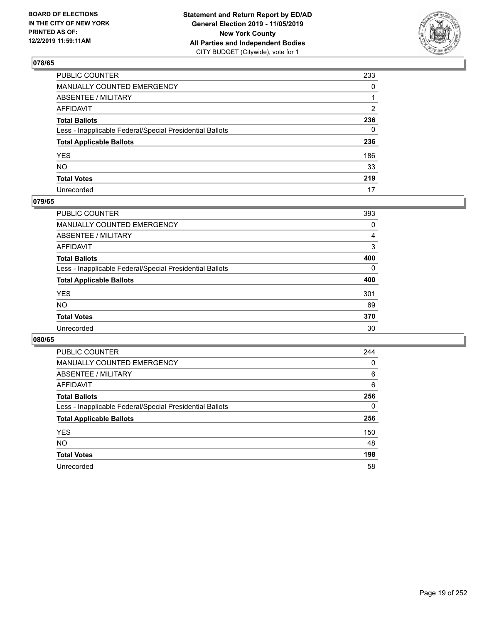

| PUBLIC COUNTER                                           | 233 |
|----------------------------------------------------------|-----|
| MANUALLY COUNTED EMERGENCY                               | 0   |
| ABSENTEE / MILITARY                                      | 1   |
| AFFIDAVIT                                                | 2   |
| Total Ballots                                            | 236 |
| Less - Inapplicable Federal/Special Presidential Ballots | 0   |
| <b>Total Applicable Ballots</b>                          | 236 |
| YES                                                      | 186 |
| NO.                                                      | 33  |
| <b>Total Votes</b>                                       | 219 |
| Unrecorded                                               | 17  |

### **079/65**

| <b>PUBLIC COUNTER</b>                                    | 393      |
|----------------------------------------------------------|----------|
| <b>MANUALLY COUNTED EMERGENCY</b>                        | 0        |
| ABSENTEE / MILITARY                                      | 4        |
| AFFIDAVIT                                                | 3        |
| <b>Total Ballots</b>                                     | 400      |
| Less - Inapplicable Federal/Special Presidential Ballots | $\Omega$ |
| <b>Total Applicable Ballots</b>                          | 400      |
| <b>YES</b>                                               | 301      |
| <b>NO</b>                                                | 69       |
| <b>Total Votes</b>                                       | 370      |
| Unrecorded                                               | 30       |

| <b>PUBLIC COUNTER</b>                                    | 244 |
|----------------------------------------------------------|-----|
| <b>MANUALLY COUNTED EMERGENCY</b>                        | 0   |
| ABSENTEE / MILITARY                                      | 6   |
| AFFIDAVIT                                                | 6   |
| <b>Total Ballots</b>                                     | 256 |
| Less - Inapplicable Federal/Special Presidential Ballots | 0   |
| <b>Total Applicable Ballots</b>                          | 256 |
| <b>YES</b>                                               | 150 |
| NO.                                                      | 48  |
| <b>Total Votes</b>                                       | 198 |
| Unrecorded                                               | 58  |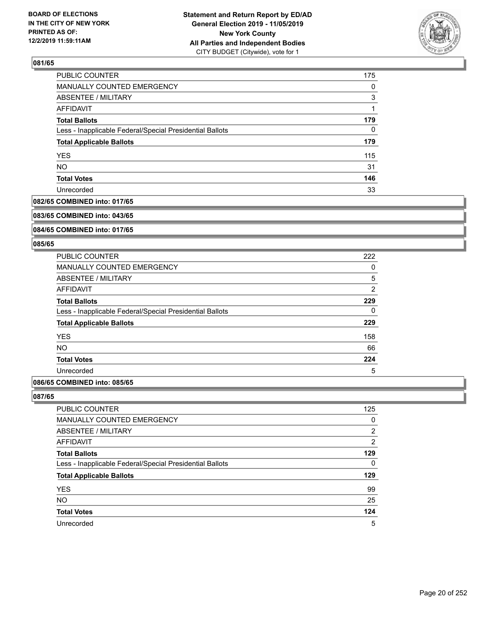

| PUBLIC COUNTER                                           | 175      |
|----------------------------------------------------------|----------|
| <b>MANUALLY COUNTED EMERGENCY</b>                        | $\Omega$ |
| <b>ABSENTEE / MILITARY</b>                               | 3        |
| AFFIDAVIT                                                |          |
| <b>Total Ballots</b>                                     | 179      |
| Less - Inapplicable Federal/Special Presidential Ballots | 0        |
| <b>Total Applicable Ballots</b>                          | 179      |
| <b>YES</b>                                               | 115      |
| <b>NO</b>                                                | 31       |
| <b>Total Votes</b>                                       | 146      |
| Unrecorded                                               | 33       |

#### **082/65 COMBINED into: 017/65**

#### **083/65 COMBINED into: 043/65**

### **084/65 COMBINED into: 017/65**

#### **085/65**

| <b>PUBLIC COUNTER</b>                                    | 222 |
|----------------------------------------------------------|-----|
| <b>MANUALLY COUNTED EMERGENCY</b>                        | 0   |
| ABSENTEE / MILITARY                                      | 5   |
| AFFIDAVIT                                                | 2   |
| <b>Total Ballots</b>                                     | 229 |
| Less - Inapplicable Federal/Special Presidential Ballots | 0   |
| <b>Total Applicable Ballots</b>                          | 229 |
| <b>YES</b>                                               | 158 |
| <b>NO</b>                                                | 66  |
| <b>Total Votes</b>                                       | 224 |
| Unrecorded                                               | 5   |

#### **086/65 COMBINED into: 085/65**

| PUBLIC COUNTER                                           | 125            |
|----------------------------------------------------------|----------------|
| <b>MANUALLY COUNTED EMERGENCY</b>                        | $\Omega$       |
| ABSENTEE / MILITARY                                      | 2              |
| AFFIDAVIT                                                | $\overline{2}$ |
| <b>Total Ballots</b>                                     | 129            |
| Less - Inapplicable Federal/Special Presidential Ballots | 0              |
| <b>Total Applicable Ballots</b>                          | 129            |
| <b>YES</b>                                               | 99             |
| <b>NO</b>                                                | 25             |
| <b>Total Votes</b>                                       | 124            |
| Unrecorded                                               | 5              |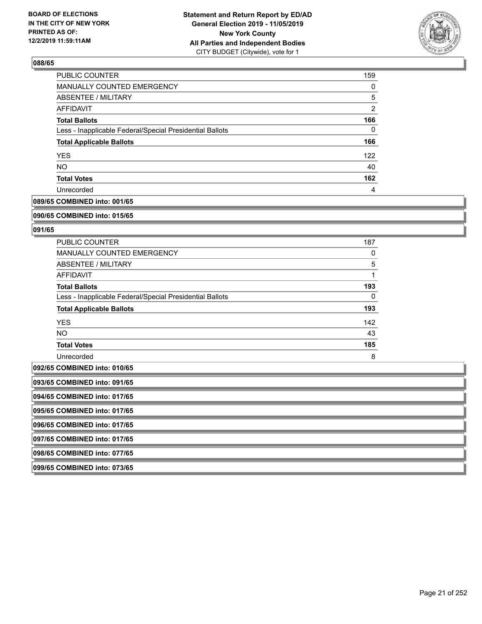

| PUBLIC COUNTER                                           | 159            |
|----------------------------------------------------------|----------------|
| MANUALLY COUNTED EMERGENCY                               | 0              |
| ABSENTEE / MILITARY                                      | 5              |
| AFFIDAVIT                                                | $\overline{2}$ |
| <b>Total Ballots</b>                                     | 166            |
| Less - Inapplicable Federal/Special Presidential Ballots | 0              |
| <b>Total Applicable Ballots</b>                          | 166            |
| <b>YES</b>                                               | 122            |
| <b>NO</b>                                                | 40             |
| <b>Total Votes</b>                                       | 162            |
| Unrecorded                                               | 4              |

#### **089/65 COMBINED into: 001/65**

#### **090/65 COMBINED into: 015/65**

#### **091/65**

| <b>PUBLIC COUNTER</b>                                    | 187      |
|----------------------------------------------------------|----------|
| <b>MANUALLY COUNTED EMERGENCY</b>                        | 0        |
| ABSENTEE / MILITARY                                      | 5        |
| AFFIDAVIT                                                | 1        |
| <b>Total Ballots</b>                                     | 193      |
| Less - Inapplicable Federal/Special Presidential Ballots | $\Omega$ |
| <b>Total Applicable Ballots</b>                          | 193      |
| <b>YES</b>                                               | 142      |
| NO.                                                      | 43       |
| <b>Total Votes</b>                                       | 185      |
| Unrecorded                                               | 8        |

### **092/65 COMBINED into: 010/65**

| 093/65 COMBINED into: 091/65 |
|------------------------------|
|                              |

**094/65 COMBINED into: 017/65**

**095/65 COMBINED into: 017/65**

**096/65 COMBINED into: 017/65**

**097/65 COMBINED into: 017/65**

**098/65 COMBINED into: 077/65**

**099/65 COMBINED into: 073/65**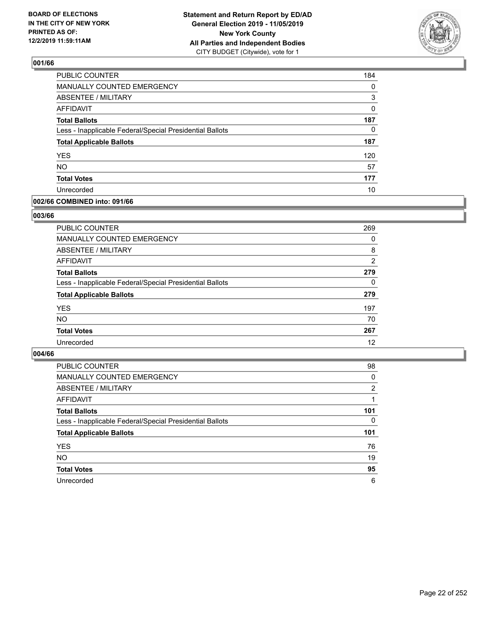

| <b>PUBLIC COUNTER</b>                                    | 184 |
|----------------------------------------------------------|-----|
| MANUALLY COUNTED EMERGENCY                               | 0   |
| <b>ABSENTEE / MILITARY</b>                               | 3   |
| <b>AFFIDAVIT</b>                                         | 0   |
| <b>Total Ballots</b>                                     | 187 |
| Less - Inapplicable Federal/Special Presidential Ballots | 0   |
| <b>Total Applicable Ballots</b>                          | 187 |
| <b>YES</b>                                               | 120 |
| <b>NO</b>                                                | 57  |
| <b>Total Votes</b>                                       | 177 |
| Unrecorded                                               | 10  |

#### **002/66 COMBINED into: 091/66**

#### **003/66**

| <b>PUBLIC COUNTER</b>                                    | 269            |
|----------------------------------------------------------|----------------|
| MANUALLY COUNTED EMERGENCY                               | 0              |
| <b>ABSENTEE / MILITARY</b>                               | 8              |
| AFFIDAVIT                                                | $\overline{2}$ |
| <b>Total Ballots</b>                                     | 279            |
| Less - Inapplicable Federal/Special Presidential Ballots | $\Omega$       |
| <b>Total Applicable Ballots</b>                          | 279            |
| <b>YES</b>                                               | 197            |
| <b>NO</b>                                                | 70             |
| <b>Total Votes</b>                                       | 267            |
| Unrecorded                                               | 12             |
|                                                          |                |

| <b>PUBLIC COUNTER</b>                                    | 98  |
|----------------------------------------------------------|-----|
| MANUALLY COUNTED EMERGENCY                               | 0   |
| ABSENTEE / MILITARY                                      | 2   |
| AFFIDAVIT                                                |     |
| <b>Total Ballots</b>                                     | 101 |
| Less - Inapplicable Federal/Special Presidential Ballots | 0   |
| <b>Total Applicable Ballots</b>                          | 101 |
| <b>YES</b>                                               | 76  |
| <b>NO</b>                                                | 19  |
| <b>Total Votes</b>                                       | 95  |
| Unrecorded                                               | 6   |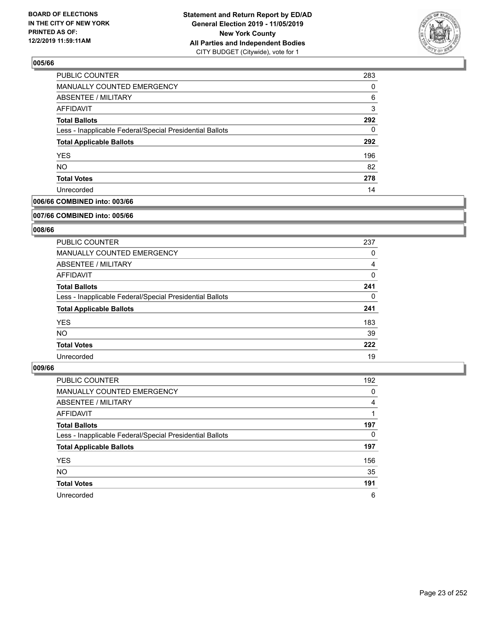

| 283 |
|-----|
| 0   |
| 6   |
| 3   |
| 292 |
| 0   |
| 292 |
| 196 |
| 82  |
| 278 |
| 14  |
|     |

### **006/66 COMBINED into: 003/66**

#### **007/66 COMBINED into: 005/66**

### **008/66**

| <b>PUBLIC COUNTER</b>                                    | 237      |
|----------------------------------------------------------|----------|
| <b>MANUALLY COUNTED EMERGENCY</b>                        | 0        |
| ABSENTEE / MILITARY                                      | 4        |
| <b>AFFIDAVIT</b>                                         | $\Omega$ |
| <b>Total Ballots</b>                                     | 241      |
| Less - Inapplicable Federal/Special Presidential Ballots | 0        |
| <b>Total Applicable Ballots</b>                          | 241      |
| <b>YES</b>                                               | 183      |
| <b>NO</b>                                                | 39       |
| <b>Total Votes</b>                                       | 222      |
| Unrecorded                                               | 19       |

| <b>PUBLIC COUNTER</b>                                    | 192 |
|----------------------------------------------------------|-----|
| MANUALLY COUNTED EMERGENCY                               | 0   |
| ABSENTEE / MILITARY                                      | 4   |
| AFFIDAVIT                                                |     |
| <b>Total Ballots</b>                                     | 197 |
| Less - Inapplicable Federal/Special Presidential Ballots | 0   |
| <b>Total Applicable Ballots</b>                          | 197 |
| <b>YES</b>                                               | 156 |
| <b>NO</b>                                                | 35  |
| <b>Total Votes</b>                                       | 191 |
| Unrecorded                                               | 6   |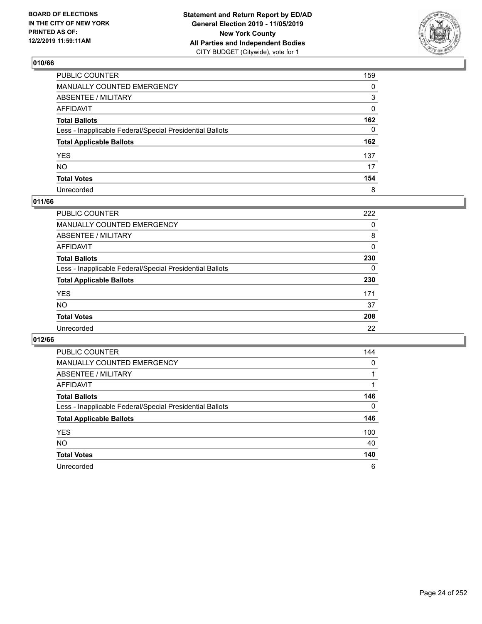

| PUBLIC COUNTER                                           | 159 |
|----------------------------------------------------------|-----|
| MANUALLY COUNTED EMERGENCY                               | 0   |
| ABSENTEE / MILITARY                                      | 3   |
| AFFIDAVIT                                                | 0   |
| Total Ballots                                            | 162 |
| Less - Inapplicable Federal/Special Presidential Ballots | 0   |
| <b>Total Applicable Ballots</b>                          | 162 |
| YES                                                      | 137 |
| NO.                                                      | 17  |
| <b>Total Votes</b>                                       | 154 |
| Unrecorded                                               | 8   |

### **011/66**

| <b>PUBLIC COUNTER</b>                                    | 222 |
|----------------------------------------------------------|-----|
| <b>MANUALLY COUNTED EMERGENCY</b>                        | 0   |
| ABSENTEE / MILITARY                                      | 8   |
| AFFIDAVIT                                                | 0   |
| <b>Total Ballots</b>                                     | 230 |
| Less - Inapplicable Federal/Special Presidential Ballots | 0   |
| <b>Total Applicable Ballots</b>                          | 230 |
| <b>YES</b>                                               | 171 |
| <b>NO</b>                                                | 37  |
| <b>Total Votes</b>                                       | 208 |
| Unrecorded                                               | 22  |

| <b>PUBLIC COUNTER</b>                                    | 144      |
|----------------------------------------------------------|----------|
| <b>MANUALLY COUNTED EMERGENCY</b>                        | $\Omega$ |
| ABSENTEE / MILITARY                                      |          |
| AFFIDAVIT                                                |          |
| <b>Total Ballots</b>                                     | 146      |
| Less - Inapplicable Federal/Special Presidential Ballots | $\Omega$ |
| <b>Total Applicable Ballots</b>                          | 146      |
| <b>YES</b>                                               | 100      |
| <b>NO</b>                                                | 40       |
| <b>Total Votes</b>                                       | 140      |
| Unrecorded                                               | 6        |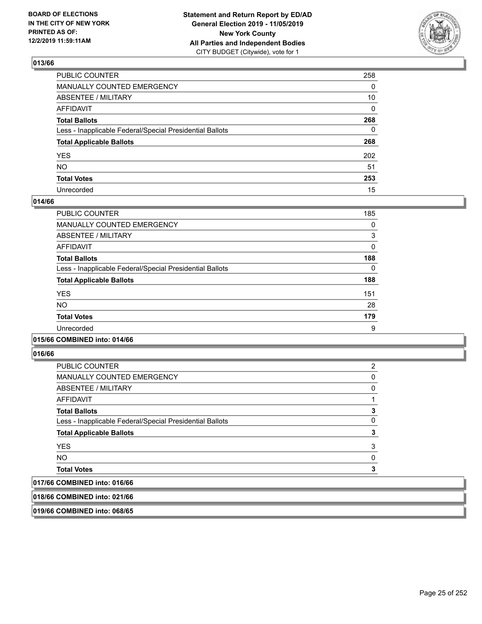

| PUBLIC COUNTER                                           | 258 |
|----------------------------------------------------------|-----|
| MANUALLY COUNTED EMERGENCY                               | 0   |
| ABSENTEE / MILITARY                                      | 10  |
| AFFIDAVIT                                                | 0   |
| Total Ballots                                            | 268 |
| Less - Inapplicable Federal/Special Presidential Ballots | 0   |
| <b>Total Applicable Ballots</b>                          | 268 |
| YES                                                      | 202 |
| NO.                                                      | 51  |
| <b>Total Votes</b>                                       | 253 |
| Unrecorded                                               | 15  |

#### **014/66**

| PUBLIC COUNTER                                           | 185 |
|----------------------------------------------------------|-----|
| <b>MANUALLY COUNTED EMERGENCY</b>                        | 0   |
| ABSENTEE / MILITARY                                      | 3   |
| <b>AFFIDAVIT</b>                                         | 0   |
| <b>Total Ballots</b>                                     | 188 |
| Less - Inapplicable Federal/Special Presidential Ballots | 0   |
| <b>Total Applicable Ballots</b>                          | 188 |
| <b>YES</b>                                               | 151 |
| <b>NO</b>                                                | 28  |
| <b>Total Votes</b>                                       | 179 |
| Unrecorded                                               | 9   |

#### **015/66 COMBINED into: 014/66**

**016/66** 

| <b>YES</b>                                               | 3 |
|----------------------------------------------------------|---|
|                                                          |   |
| <b>Total Applicable Ballots</b>                          | 3 |
| Less - Inapplicable Federal/Special Presidential Ballots | 0 |
| <b>Total Ballots</b>                                     | 3 |
| <b>AFFIDAVIT</b>                                         |   |
| ABSENTEE / MILITARY                                      | 0 |
| <b>MANUALLY COUNTED EMERGENCY</b>                        | 0 |
| PUBLIC COUNTER                                           | 2 |

## **017/66 COMBINED into: 016/66**

**018/66 COMBINED into: 021/66**

**019/66 COMBINED into: 068/65**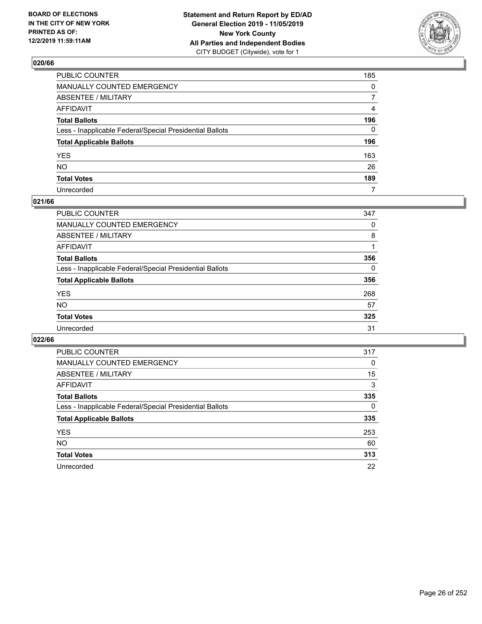

| PUBLIC COUNTER                                           | 185            |
|----------------------------------------------------------|----------------|
| MANUALLY COUNTED EMERGENCY                               | $\mathbf{0}$   |
| ABSENTEE / MILITARY                                      | $\overline{7}$ |
| AFFIDAVIT                                                | 4              |
| Total Ballots                                            | 196            |
| Less - Inapplicable Federal/Special Presidential Ballots | $\Omega$       |
| <b>Total Applicable Ballots</b>                          | 196            |
| YES                                                      | 163            |
| NO.                                                      | 26             |
| <b>Total Votes</b>                                       | 189            |
| Unrecorded                                               | 7              |

#### **021/66**

| <b>PUBLIC COUNTER</b>                                    | 347      |
|----------------------------------------------------------|----------|
| MANUALLY COUNTED EMERGENCY                               | 0        |
| ABSENTEE / MILITARY                                      | 8        |
| AFFIDAVIT                                                |          |
| <b>Total Ballots</b>                                     | 356      |
| Less - Inapplicable Federal/Special Presidential Ballots | $\Omega$ |
| <b>Total Applicable Ballots</b>                          | 356      |
| <b>YES</b>                                               | 268      |
| <b>NO</b>                                                | 57       |
| <b>Total Votes</b>                                       | 325      |
| Unrecorded                                               | 31       |

| PUBLIC COUNTER                                           | 317      |
|----------------------------------------------------------|----------|
| MANUALLY COUNTED EMERGENCY                               | 0        |
| ABSENTEE / MILITARY                                      | 15       |
| AFFIDAVIT                                                | 3        |
| <b>Total Ballots</b>                                     | 335      |
| Less - Inapplicable Federal/Special Presidential Ballots | $\Omega$ |
| <b>Total Applicable Ballots</b>                          | 335      |
| <b>YES</b>                                               | 253      |
| NO.                                                      | 60       |
| <b>Total Votes</b>                                       | 313      |
| Unrecorded                                               | 22       |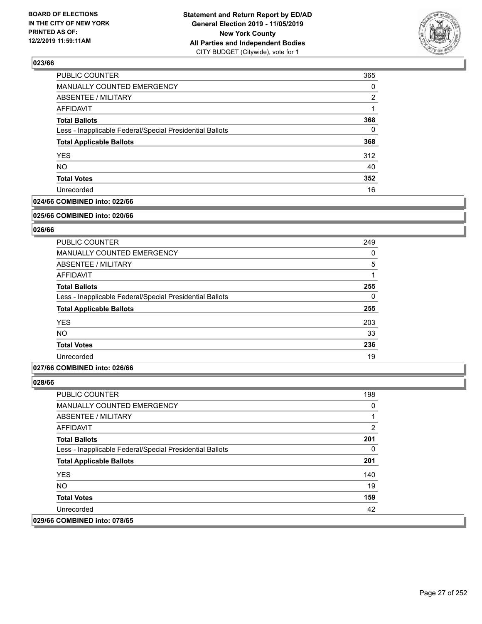

| MANUALLY COUNTED EMERGENCY<br><b>ABSENTEE / MILITARY</b><br><b>AFFIDAVIT</b><br><b>Total Ballots</b><br>Less - Inapplicable Federal/Special Presidential Ballots<br><b>Total Applicable Ballots</b><br><b>YES</b><br><b>NO</b><br><b>Total Votes</b><br>Unrecorded | PUBLIC COUNTER | 365 |
|--------------------------------------------------------------------------------------------------------------------------------------------------------------------------------------------------------------------------------------------------------------------|----------------|-----|
|                                                                                                                                                                                                                                                                    |                | 0   |
|                                                                                                                                                                                                                                                                    |                | 2   |
|                                                                                                                                                                                                                                                                    |                |     |
|                                                                                                                                                                                                                                                                    |                | 368 |
|                                                                                                                                                                                                                                                                    |                | 0   |
|                                                                                                                                                                                                                                                                    |                | 368 |
|                                                                                                                                                                                                                                                                    |                | 312 |
|                                                                                                                                                                                                                                                                    |                | 40  |
|                                                                                                                                                                                                                                                                    |                | 352 |
|                                                                                                                                                                                                                                                                    |                | 16  |

### **024/66 COMBINED into: 022/66**

#### **025/66 COMBINED into: 020/66**

### **026/66**

| <b>PUBLIC COUNTER</b>                                    | 249      |
|----------------------------------------------------------|----------|
| <b>MANUALLY COUNTED EMERGENCY</b>                        | 0        |
| ABSENTEE / MILITARY                                      | 5        |
| <b>AFFIDAVIT</b>                                         |          |
| <b>Total Ballots</b>                                     | 255      |
| Less - Inapplicable Federal/Special Presidential Ballots | $\Omega$ |
| <b>Total Applicable Ballots</b>                          | 255      |
| <b>YES</b>                                               | 203      |
| <b>NO</b>                                                | 33       |
| <b>Total Votes</b>                                       | 236      |
| Unrecorded                                               | 19       |

#### **027/66 COMBINED into: 026/66**

| <b>PUBLIC COUNTER</b>                                    | 198 |
|----------------------------------------------------------|-----|
| <b>MANUALLY COUNTED EMERGENCY</b>                        | 0   |
| ABSENTEE / MILITARY                                      |     |
| AFFIDAVIT                                                | 2   |
| <b>Total Ballots</b>                                     | 201 |
| Less - Inapplicable Federal/Special Presidential Ballots | 0   |
| <b>Total Applicable Ballots</b>                          | 201 |
| <b>YES</b>                                               | 140 |
| <b>NO</b>                                                | 19  |
| <b>Total Votes</b>                                       | 159 |
| Unrecorded                                               | 42  |
| 029/66 COMBINED into: 078/65                             |     |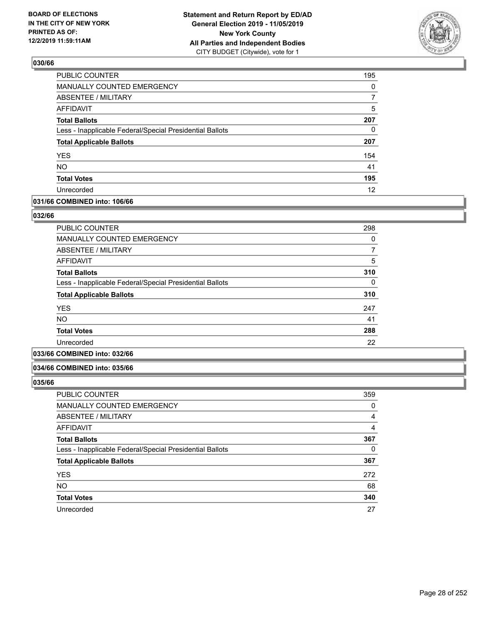

| <b>PUBLIC COUNTER</b>                                    | 195 |
|----------------------------------------------------------|-----|
| MANUALLY COUNTED EMERGENCY                               | 0   |
| ABSENTEE / MILITARY                                      | 7   |
| <b>AFFIDAVIT</b>                                         | 5   |
| <b>Total Ballots</b>                                     | 207 |
| Less - Inapplicable Federal/Special Presidential Ballots | 0   |
| <b>Total Applicable Ballots</b>                          | 207 |
| <b>YES</b>                                               | 154 |
| <b>NO</b>                                                | 41  |
| <b>Total Votes</b>                                       | 195 |
| Unrecorded                                               | 12  |

#### **031/66 COMBINED into: 106/66**

#### **032/66**

| <b>PUBLIC COUNTER</b>                                    | 298 |
|----------------------------------------------------------|-----|
| <b>MANUALLY COUNTED EMERGENCY</b>                        | 0   |
| ABSENTEE / MILITARY                                      |     |
| <b>AFFIDAVIT</b>                                         | 5   |
| <b>Total Ballots</b>                                     | 310 |
| Less - Inapplicable Federal/Special Presidential Ballots | 0   |
| <b>Total Applicable Ballots</b>                          | 310 |
| <b>YES</b>                                               | 247 |
| NO.                                                      | 41  |
| <b>Total Votes</b>                                       | 288 |
| Unrecorded                                               | 22  |
|                                                          |     |

### **033/66 COMBINED into: 032/66**

#### **034/66 COMBINED into: 035/66**

| <b>PUBLIC COUNTER</b>                                    | 359 |
|----------------------------------------------------------|-----|
| <b>MANUALLY COUNTED EMERGENCY</b>                        | 0   |
| ABSENTEE / MILITARY                                      | 4   |
| AFFIDAVIT                                                | 4   |
| <b>Total Ballots</b>                                     | 367 |
| Less - Inapplicable Federal/Special Presidential Ballots | 0   |
| <b>Total Applicable Ballots</b>                          | 367 |
| <b>YES</b>                                               | 272 |
| <b>NO</b>                                                | 68  |
| <b>Total Votes</b>                                       | 340 |
| Unrecorded                                               | 27  |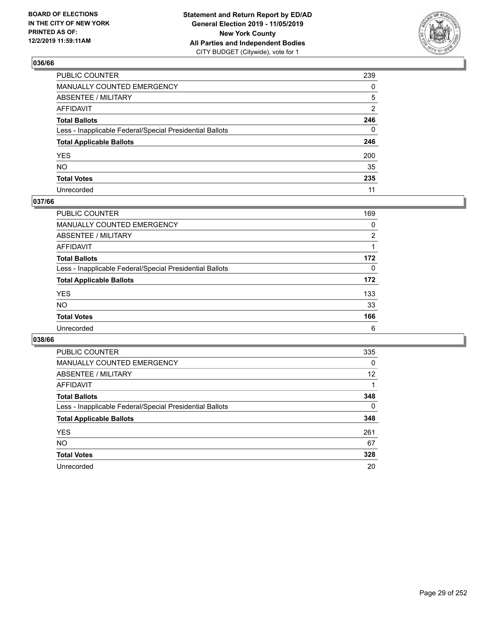

| PUBLIC COUNTER                                           | 239            |
|----------------------------------------------------------|----------------|
| MANUALLY COUNTED EMERGENCY                               | $\mathbf{0}$   |
| ABSENTEE / MILITARY                                      | 5              |
| AFFIDAVIT                                                | $\overline{2}$ |
| Total Ballots                                            | 246            |
| Less - Inapplicable Federal/Special Presidential Ballots | $\Omega$       |
| <b>Total Applicable Ballots</b>                          | 246            |
| YES                                                      | 200            |
| NO.                                                      | 35             |
| <b>Total Votes</b>                                       | 235            |
| Unrecorded                                               | 11             |

#### **037/66**

| <b>PUBLIC COUNTER</b>                                    | 169      |
|----------------------------------------------------------|----------|
| <b>MANUALLY COUNTED EMERGENCY</b>                        | 0        |
| ABSENTEE / MILITARY                                      | 2        |
| AFFIDAVIT                                                |          |
| <b>Total Ballots</b>                                     | 172      |
| Less - Inapplicable Federal/Special Presidential Ballots | $\Omega$ |
| <b>Total Applicable Ballots</b>                          | 172      |
| <b>YES</b>                                               | 133      |
| <b>NO</b>                                                | 33       |
| <b>Total Votes</b>                                       | 166      |
| Unrecorded                                               | 6        |

| PUBLIC COUNTER                                           | 335      |
|----------------------------------------------------------|----------|
| MANUALLY COUNTED EMERGENCY                               | $\Omega$ |
| ABSENTEE / MILITARY                                      | 12       |
| AFFIDAVIT                                                |          |
| <b>Total Ballots</b>                                     | 348      |
| Less - Inapplicable Federal/Special Presidential Ballots | $\Omega$ |
| <b>Total Applicable Ballots</b>                          | 348      |
| <b>YES</b>                                               | 261      |
| NO.                                                      | 67       |
| <b>Total Votes</b>                                       | 328      |
| Unrecorded                                               | 20       |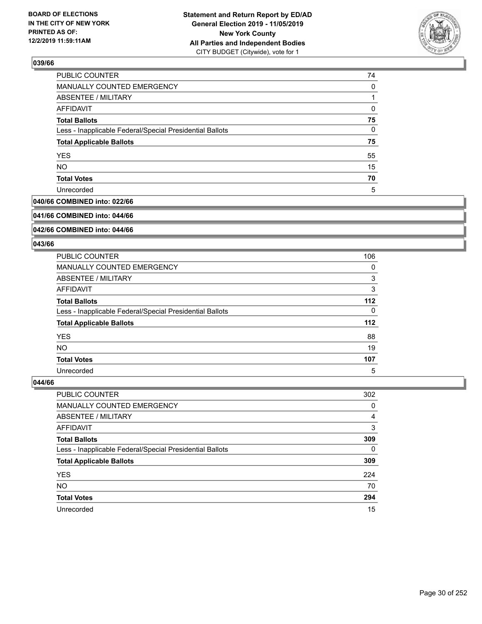

| PUBLIC COUNTER                                           | 74 |
|----------------------------------------------------------|----|
| MANUALLY COUNTED EMERGENCY                               | 0  |
| <b>ABSENTEE / MILITARY</b>                               |    |
| <b>AFFIDAVIT</b>                                         | 0  |
| <b>Total Ballots</b>                                     | 75 |
| Less - Inapplicable Federal/Special Presidential Ballots | 0  |
| <b>Total Applicable Ballots</b>                          | 75 |
| <b>YES</b>                                               | 55 |
| <b>NO</b>                                                | 15 |
| <b>Total Votes</b>                                       | 70 |
| Unrecorded                                               | 5  |

### **040/66 COMBINED into: 022/66**

#### **041/66 COMBINED into: 044/66**

### **042/66 COMBINED into: 044/66**

#### **043/66**

| PUBLIC COUNTER                                           | 106   |
|----------------------------------------------------------|-------|
| MANUALLY COUNTED EMERGENCY                               | 0     |
| ABSENTEE / MILITARY                                      | 3     |
| AFFIDAVIT                                                | 3     |
| <b>Total Ballots</b>                                     | $112$ |
| Less - Inapplicable Federal/Special Presidential Ballots | 0     |
| <b>Total Applicable Ballots</b>                          | $112$ |
| <b>YES</b>                                               | 88    |
| <b>NO</b>                                                | 19    |
| <b>Total Votes</b>                                       | 107   |
| Unrecorded                                               | 5     |

| <b>PUBLIC COUNTER</b>                                    | 302      |
|----------------------------------------------------------|----------|
| <b>MANUALLY COUNTED EMERGENCY</b>                        | 0        |
| ABSENTEE / MILITARY                                      | 4        |
| AFFIDAVIT                                                | 3        |
| <b>Total Ballots</b>                                     | 309      |
| Less - Inapplicable Federal/Special Presidential Ballots | $\Omega$ |
| <b>Total Applicable Ballots</b>                          | 309      |
| <b>YES</b>                                               | 224      |
| <b>NO</b>                                                | 70       |
| <b>Total Votes</b>                                       | 294      |
| Unrecorded                                               | 15       |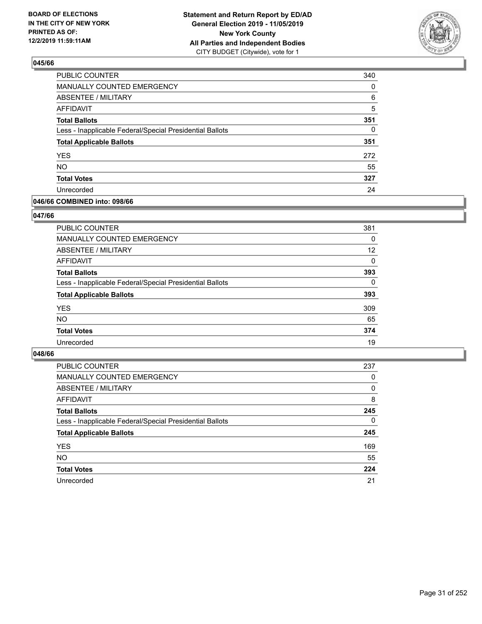

| <b>PUBLIC COUNTER</b>                                    | 340      |
|----------------------------------------------------------|----------|
| MANUALLY COUNTED EMERGENCY                               | $\Omega$ |
| ABSENTEE / MILITARY                                      | 6        |
| <b>AFFIDAVIT</b>                                         | 5        |
| <b>Total Ballots</b>                                     | 351      |
| Less - Inapplicable Federal/Special Presidential Ballots | $\Omega$ |
| <b>Total Applicable Ballots</b>                          | 351      |
| <b>YES</b>                                               | 272      |
| <b>NO</b>                                                | 55       |
| <b>Total Votes</b>                                       | 327      |
| Unrecorded                                               | 24       |

#### **046/66 COMBINED into: 098/66**

#### **047/66**

| <b>PUBLIC COUNTER</b>                                    | 381      |
|----------------------------------------------------------|----------|
| MANUALLY COUNTED EMERGENCY                               | 0        |
| <b>ABSENTEE / MILITARY</b>                               | 12       |
| AFFIDAVIT                                                | $\Omega$ |
| <b>Total Ballots</b>                                     | 393      |
| Less - Inapplicable Federal/Special Presidential Ballots | $\Omega$ |
| <b>Total Applicable Ballots</b>                          | 393      |
| <b>YES</b>                                               | 309      |
| <b>NO</b>                                                | 65       |
| <b>Total Votes</b>                                       | 374      |
| Unrecorded                                               | 19       |
|                                                          |          |

| <b>PUBLIC COUNTER</b>                                    | 237      |
|----------------------------------------------------------|----------|
| MANUALLY COUNTED EMERGENCY                               | 0        |
| ABSENTEE / MILITARY                                      | 0        |
| AFFIDAVIT                                                | 8        |
| <b>Total Ballots</b>                                     | 245      |
| Less - Inapplicable Federal/Special Presidential Ballots | $\Omega$ |
| <b>Total Applicable Ballots</b>                          | 245      |
| <b>YES</b>                                               | 169      |
| <b>NO</b>                                                | 55       |
| <b>Total Votes</b>                                       | 224      |
| Unrecorded                                               | 21       |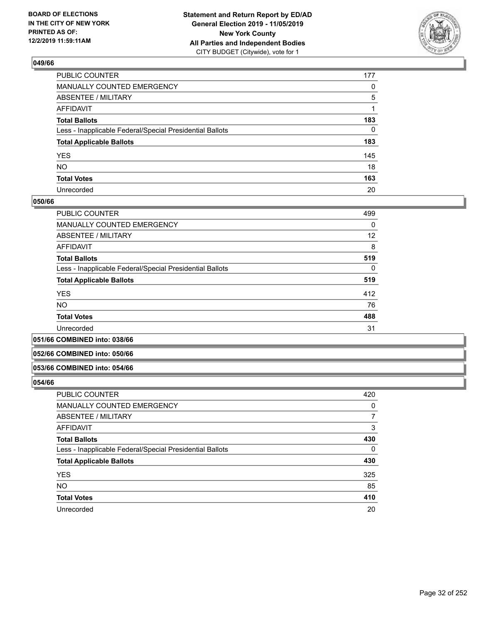

| PUBLIC COUNTER                                           | 177 |
|----------------------------------------------------------|-----|
| MANUALLY COUNTED EMERGENCY                               | 0   |
| ABSENTEE / MILITARY                                      | 5   |
| AFFIDAVIT                                                |     |
| Total Ballots                                            | 183 |
| Less - Inapplicable Federal/Special Presidential Ballots | 0   |
| <b>Total Applicable Ballots</b>                          | 183 |
| YES                                                      | 145 |
| NO.                                                      | 18  |
| <b>Total Votes</b>                                       | 163 |
| Unrecorded                                               | 20  |

#### **050/66**

| PUBLIC COUNTER                                           | 499      |
|----------------------------------------------------------|----------|
| MANUALLY COUNTED EMERGENCY                               | $\Omega$ |
| ABSENTEE / MILITARY                                      | 12       |
| AFFIDAVIT                                                | 8        |
| <b>Total Ballots</b>                                     | 519      |
| Less - Inapplicable Federal/Special Presidential Ballots | $\Omega$ |
| <b>Total Applicable Ballots</b>                          | 519      |
| <b>YES</b>                                               | 412      |
| <b>NO</b>                                                | 76       |
| <b>Total Votes</b>                                       | 488      |
| Unrecorded                                               | 31       |
|                                                          |          |

#### **051/66 COMBINED into: 038/66**

#### **052/66 COMBINED into: 050/66**

#### **053/66 COMBINED into: 054/66**

| <b>PUBLIC COUNTER</b>                                    | 420 |
|----------------------------------------------------------|-----|
| <b>MANUALLY COUNTED EMERGENCY</b>                        | 0   |
| ABSENTEE / MILITARY                                      | 7   |
| AFFIDAVIT                                                | 3   |
| <b>Total Ballots</b>                                     | 430 |
| Less - Inapplicable Federal/Special Presidential Ballots | 0   |
| <b>Total Applicable Ballots</b>                          | 430 |
| <b>YES</b>                                               | 325 |
| <b>NO</b>                                                | 85  |
| <b>Total Votes</b>                                       | 410 |
| Unrecorded                                               | 20  |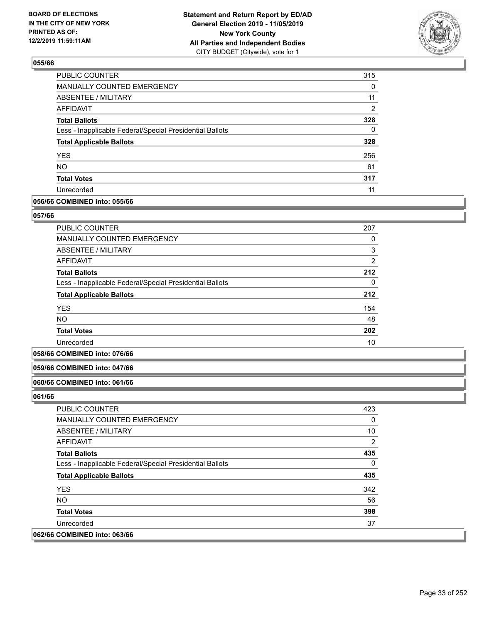

| PUBLIC COUNTER                                           | 315      |
|----------------------------------------------------------|----------|
| <b>MANUALLY COUNTED EMERGENCY</b>                        | 0        |
| <b>ABSENTEE / MILITARY</b>                               | 11       |
| AFFIDAVIT                                                | 2        |
| <b>Total Ballots</b>                                     | 328      |
| Less - Inapplicable Federal/Special Presidential Ballots | $\Omega$ |
| <b>Total Applicable Ballots</b>                          | 328      |
| <b>YES</b>                                               | 256      |
| <b>NO</b>                                                | 61       |
| <b>Total Votes</b>                                       | 317      |
| Unrecorded                                               | 11       |

#### **056/66 COMBINED into: 055/66**

#### **057/66**

| <b>PUBLIC COUNTER</b>                                    | 207            |
|----------------------------------------------------------|----------------|
| <b>MANUALLY COUNTED EMERGENCY</b>                        | 0              |
| <b>ABSENTEE / MILITARY</b>                               | 3              |
| AFFIDAVIT                                                | $\overline{2}$ |
| <b>Total Ballots</b>                                     | 212            |
| Less - Inapplicable Federal/Special Presidential Ballots | 0              |
| <b>Total Applicable Ballots</b>                          | 212            |
| <b>YES</b>                                               | 154            |
| <b>NO</b>                                                | 48             |
| <b>Total Votes</b>                                       | 202            |
| Unrecorded                                               | 10             |

#### **058/66 COMBINED into: 076/66**

### **059/66 COMBINED into: 047/66**

#### **060/66 COMBINED into: 061/66**

| PUBLIC COUNTER                                           | 423 |
|----------------------------------------------------------|-----|
| <b>MANUALLY COUNTED EMERGENCY</b>                        | 0   |
| ABSENTEE / MILITARY                                      | 10  |
| AFFIDAVIT                                                | 2   |
| <b>Total Ballots</b>                                     | 435 |
| Less - Inapplicable Federal/Special Presidential Ballots | 0   |
| <b>Total Applicable Ballots</b>                          | 435 |
| <b>YES</b>                                               | 342 |
| NO.                                                      | 56  |
| <b>Total Votes</b>                                       | 398 |
| Unrecorded                                               | 37  |
| 062/66 COMBINED into: 063/66                             |     |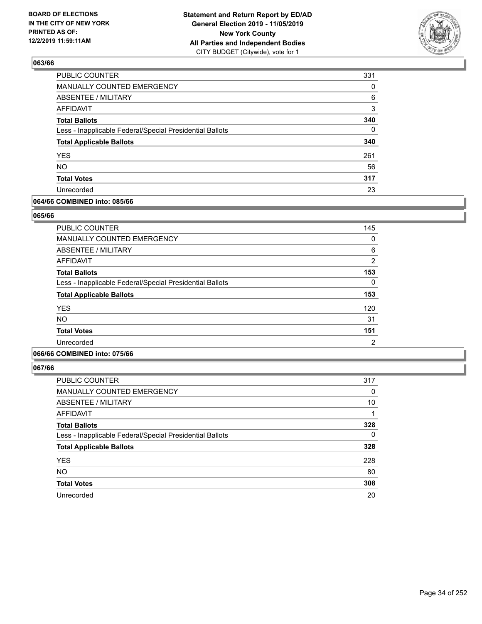

| <b>PUBLIC COUNTER</b>                                    | 331      |
|----------------------------------------------------------|----------|
| MANUALLY COUNTED EMERGENCY                               | 0        |
| <b>ABSENTEE / MILITARY</b>                               | 6        |
| <b>AFFIDAVIT</b>                                         | 3        |
| <b>Total Ballots</b>                                     | 340      |
| Less - Inapplicable Federal/Special Presidential Ballots | $\Omega$ |
| <b>Total Applicable Ballots</b>                          | 340      |
| <b>YES</b>                                               | 261      |
| <b>NO</b>                                                | 56       |
| <b>Total Votes</b>                                       | 317      |
| Unrecorded                                               | 23       |

#### **064/66 COMBINED into: 085/66**

#### **065/66**

| <b>PUBLIC COUNTER</b>                                    | 145           |
|----------------------------------------------------------|---------------|
| MANUALLY COUNTED EMERGENCY                               | 0             |
| ABSENTEE / MILITARY                                      | 6             |
| AFFIDAVIT                                                | $\mathcal{P}$ |
| <b>Total Ballots</b>                                     | 153           |
| Less - Inapplicable Federal/Special Presidential Ballots | 0             |
| <b>Total Applicable Ballots</b>                          | 153           |
| <b>YES</b>                                               | 120           |
| <b>NO</b>                                                | 31            |
| <b>Total Votes</b>                                       | 151           |
| Unrecorded                                               | 2             |
|                                                          |               |

### **066/66 COMBINED into: 075/66**

| <b>PUBLIC COUNTER</b>                                    | 317      |
|----------------------------------------------------------|----------|
| <b>MANUALLY COUNTED EMERGENCY</b>                        | 0        |
| <b>ABSENTEE / MILITARY</b>                               | 10       |
| <b>AFFIDAVIT</b>                                         | 1        |
| <b>Total Ballots</b>                                     | 328      |
| Less - Inapplicable Federal/Special Presidential Ballots | $\Omega$ |
| <b>Total Applicable Ballots</b>                          | 328      |
| <b>YES</b>                                               | 228      |
| <b>NO</b>                                                | 80       |
| <b>Total Votes</b>                                       | 308      |
| Unrecorded                                               | 20       |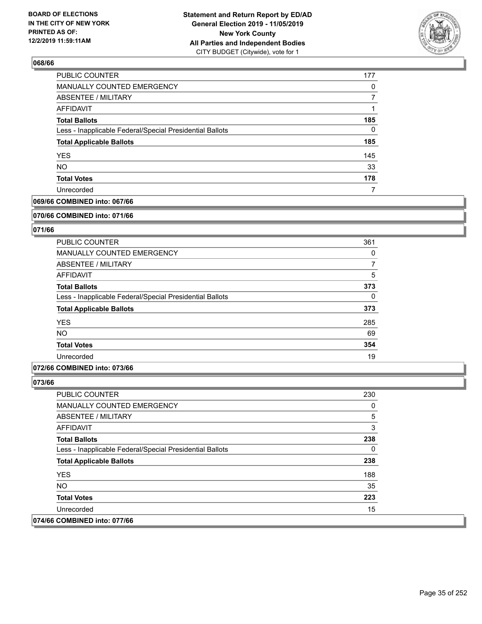

| PUBLIC COUNTER                                           | 177 |
|----------------------------------------------------------|-----|
| MANUALLY COUNTED EMERGENCY                               | 0   |
| ABSENTEE / MILITARY                                      |     |
| AFFIDAVIT                                                |     |
| <b>Total Ballots</b>                                     | 185 |
| Less - Inapplicable Federal/Special Presidential Ballots | 0   |
| <b>Total Applicable Ballots</b>                          | 185 |
| <b>YES</b>                                               | 145 |
| <b>NO</b>                                                | 33  |
| <b>Total Votes</b>                                       | 178 |
| Unrecorded                                               |     |

### **069/66 COMBINED into: 067/66**

#### **070/66 COMBINED into: 071/66**

### **071/66**

| <b>PUBLIC COUNTER</b>                                    | 361      |
|----------------------------------------------------------|----------|
| <b>MANUALLY COUNTED EMERGENCY</b>                        | 0        |
| ABSENTEE / MILITARY                                      | 7        |
| AFFIDAVIT                                                | 5        |
| <b>Total Ballots</b>                                     | 373      |
| Less - Inapplicable Federal/Special Presidential Ballots | $\Omega$ |
| <b>Total Applicable Ballots</b>                          | 373      |
| <b>YES</b>                                               | 285      |
| <b>NO</b>                                                | 69       |
| <b>Total Votes</b>                                       | 354      |
| Unrecorded                                               | 19       |

### **072/66 COMBINED into: 073/66**

| <b>PUBLIC COUNTER</b>                                    | 230 |
|----------------------------------------------------------|-----|
| <b>MANUALLY COUNTED EMERGENCY</b>                        | 0   |
| ABSENTEE / MILITARY                                      | 5   |
| AFFIDAVIT                                                | 3   |
| <b>Total Ballots</b>                                     | 238 |
| Less - Inapplicable Federal/Special Presidential Ballots | 0   |
| <b>Total Applicable Ballots</b>                          | 238 |
| <b>YES</b>                                               | 188 |
| NO.                                                      | 35  |
| <b>Total Votes</b>                                       | 223 |
| Unrecorded                                               | 15  |
| 074/66 COMBINED into: 077/66                             |     |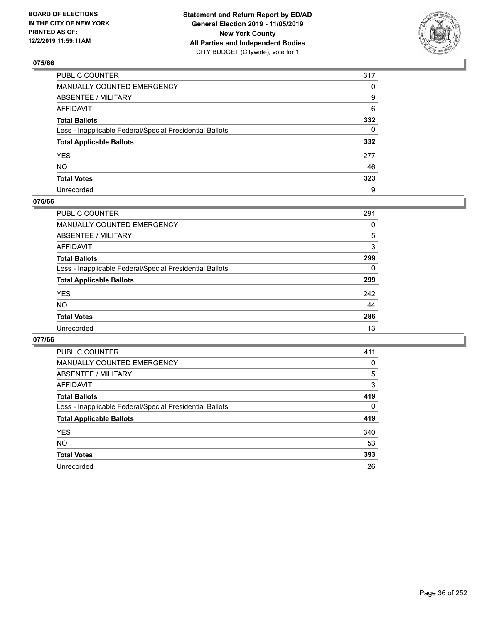

| PUBLIC COUNTER                                           | 317 |
|----------------------------------------------------------|-----|
| MANUALLY COUNTED EMERGENCY                               | 0   |
| ABSENTEE / MILITARY                                      | 9   |
| AFFIDAVIT                                                | 6   |
| Total Ballots                                            | 332 |
| Less - Inapplicable Federal/Special Presidential Ballots | 0   |
| <b>Total Applicable Ballots</b>                          | 332 |
| YES                                                      | 277 |
| NO.                                                      | 46  |
| <b>Total Votes</b>                                       | 323 |
| Unrecorded                                               | 9   |

#### **076/66**

| <b>PUBLIC COUNTER</b>                                    | 291      |
|----------------------------------------------------------|----------|
| MANUALLY COUNTED EMERGENCY                               | 0        |
| ABSENTEE / MILITARY                                      | 5        |
| AFFIDAVIT                                                | 3        |
| <b>Total Ballots</b>                                     | 299      |
| Less - Inapplicable Federal/Special Presidential Ballots | $\Omega$ |
| <b>Total Applicable Ballots</b>                          | 299      |
| <b>YES</b>                                               | 242      |
| <b>NO</b>                                                | 44       |
| <b>Total Votes</b>                                       | 286      |
| Unrecorded                                               | 13       |

| PUBLIC COUNTER                                           | 411      |
|----------------------------------------------------------|----------|
| <b>MANUALLY COUNTED EMERGENCY</b>                        | $\Omega$ |
| ABSENTEE / MILITARY                                      | 5        |
| AFFIDAVIT                                                | 3        |
| <b>Total Ballots</b>                                     | 419      |
| Less - Inapplicable Federal/Special Presidential Ballots | $\Omega$ |
| <b>Total Applicable Ballots</b>                          | 419      |
| <b>YES</b>                                               | 340      |
| <b>NO</b>                                                | 53       |
| <b>Total Votes</b>                                       | 393      |
| Unrecorded                                               | 26       |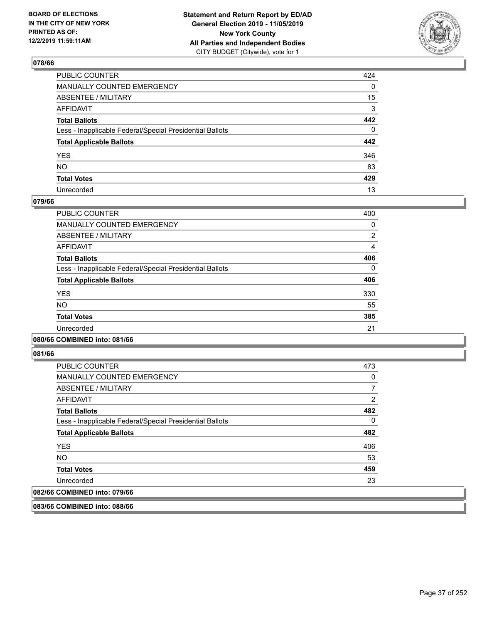

| PUBLIC COUNTER                                           | 424          |
|----------------------------------------------------------|--------------|
| MANUALLY COUNTED EMERGENCY                               | $\mathbf{0}$ |
| ABSENTEE / MILITARY                                      | 15           |
| AFFIDAVIT                                                | 3            |
| Total Ballots                                            | 442          |
| Less - Inapplicable Federal/Special Presidential Ballots | 0            |
| <b>Total Applicable Ballots</b>                          | 442          |
| YES                                                      | 346          |
| NO.                                                      | 83           |
| <b>Total Votes</b>                                       | 429          |
| Unrecorded                                               | 13           |

## **079/66**

| PUBLIC COUNTER                                           | 400      |
|----------------------------------------------------------|----------|
| MANUALLY COUNTED EMERGENCY                               | 0        |
| ABSENTEE / MILITARY                                      | 2        |
| <b>AFFIDAVIT</b>                                         | 4        |
| <b>Total Ballots</b>                                     | 406      |
| Less - Inapplicable Federal/Special Presidential Ballots | $\Omega$ |
| <b>Total Applicable Ballots</b>                          | 406      |
| <b>YES</b>                                               | 330      |
| NO.                                                      | 55       |
| <b>Total Votes</b>                                       | 385      |
| Unrecorded                                               | 21       |
|                                                          |          |

## **080/66 COMBINED into: 081/66**

**081/66** 

| <b>PUBLIC COUNTER</b>                                    | 473      |
|----------------------------------------------------------|----------|
| <b>MANUALLY COUNTED EMERGENCY</b>                        | 0        |
| ABSENTEE / MILITARY                                      |          |
| AFFIDAVIT                                                | 2        |
| <b>Total Ballots</b>                                     | 482      |
| Less - Inapplicable Federal/Special Presidential Ballots | $\Omega$ |
| <b>Total Applicable Ballots</b>                          | 482      |
| <b>YES</b>                                               | 406      |
| <b>NO</b>                                                | 53       |
| <b>Total Votes</b>                                       | 459      |
| Unrecorded                                               | 23       |
| 082/66 COMBINED into: 079/66                             |          |

**083/66 COMBINED into: 088/66**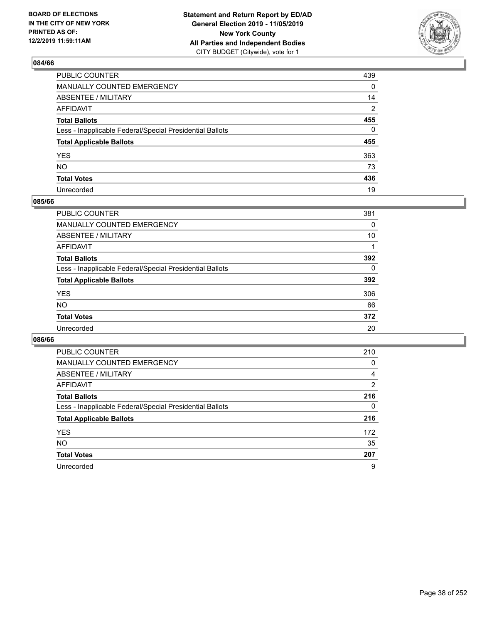

| PUBLIC COUNTER                                           | 439 |
|----------------------------------------------------------|-----|
| MANUALLY COUNTED EMERGENCY                               | 0   |
| ABSENTEE / MILITARY                                      | 14  |
| AFFIDAVIT                                                | 2   |
| Total Ballots                                            | 455 |
| Less - Inapplicable Federal/Special Presidential Ballots | 0   |
| <b>Total Applicable Ballots</b>                          | 455 |
| YES                                                      | 363 |
| NO.                                                      | 73  |
| <b>Total Votes</b>                                       | 436 |
| Unrecorded                                               | 19  |

## **085/66**

| PUBLIC COUNTER                                           | 381      |
|----------------------------------------------------------|----------|
| <b>MANUALLY COUNTED EMERGENCY</b>                        | 0        |
| <b>ABSENTEE / MILITARY</b>                               | 10       |
| AFFIDAVIT                                                |          |
| <b>Total Ballots</b>                                     | 392      |
| Less - Inapplicable Federal/Special Presidential Ballots | $\Omega$ |
| <b>Total Applicable Ballots</b>                          | 392      |
| <b>YES</b>                                               | 306      |
| <b>NO</b>                                                | 66       |
| <b>Total Votes</b>                                       | 372      |
| Unrecorded                                               | 20       |

| <b>PUBLIC COUNTER</b>                                    | 210 |
|----------------------------------------------------------|-----|
| MANUALLY COUNTED EMERGENCY                               | 0   |
| ABSENTEE / MILITARY                                      | 4   |
| AFFIDAVIT                                                | 2   |
| <b>Total Ballots</b>                                     | 216 |
| Less - Inapplicable Federal/Special Presidential Ballots | 0   |
| <b>Total Applicable Ballots</b>                          | 216 |
| <b>YES</b>                                               | 172 |
| <b>NO</b>                                                | 35  |
| <b>Total Votes</b>                                       | 207 |
| Unrecorded                                               | 9   |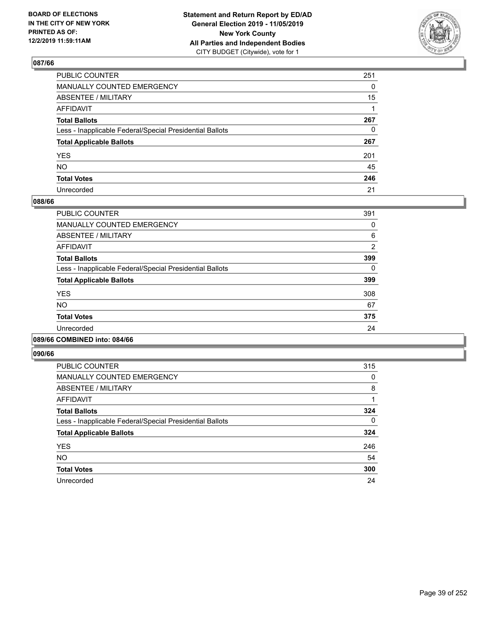

| PUBLIC COUNTER                                           | 251 |
|----------------------------------------------------------|-----|
| MANUALLY COUNTED EMERGENCY                               | 0   |
| ABSENTEE / MILITARY                                      | 15  |
| AFFIDAVIT                                                |     |
| Total Ballots                                            | 267 |
| Less - Inapplicable Federal/Special Presidential Ballots | 0   |
| <b>Total Applicable Ballots</b>                          | 267 |
| YES                                                      | 201 |
| NO.                                                      | 45  |
| <b>Total Votes</b>                                       | 246 |
| Unrecorded                                               | 21  |

## **088/66**

| PUBLIC COUNTER                                           | 391            |
|----------------------------------------------------------|----------------|
| <b>MANUALLY COUNTED EMERGENCY</b>                        | 0              |
| ABSENTEE / MILITARY                                      | 6              |
| <b>AFFIDAVIT</b>                                         | $\overline{2}$ |
| <b>Total Ballots</b>                                     | 399            |
| Less - Inapplicable Federal/Special Presidential Ballots | 0              |
| <b>Total Applicable Ballots</b>                          | 399            |
| <b>YES</b>                                               | 308            |
| N <sub>O</sub>                                           | 67             |
| <b>Total Votes</b>                                       | 375            |
| Unrecorded                                               | 24             |
|                                                          |                |

## **089/66 COMBINED into: 084/66**

| PUBLIC COUNTER                                           | 315 |
|----------------------------------------------------------|-----|
| <b>MANUALLY COUNTED EMERGENCY</b>                        | 0   |
| ABSENTEE / MILITARY                                      | 8   |
| <b>AFFIDAVIT</b>                                         |     |
| <b>Total Ballots</b>                                     | 324 |
| Less - Inapplicable Federal/Special Presidential Ballots | 0   |
| <b>Total Applicable Ballots</b>                          | 324 |
| <b>YES</b>                                               | 246 |
| <b>NO</b>                                                | 54  |
| <b>Total Votes</b>                                       | 300 |
| Unrecorded                                               | 24  |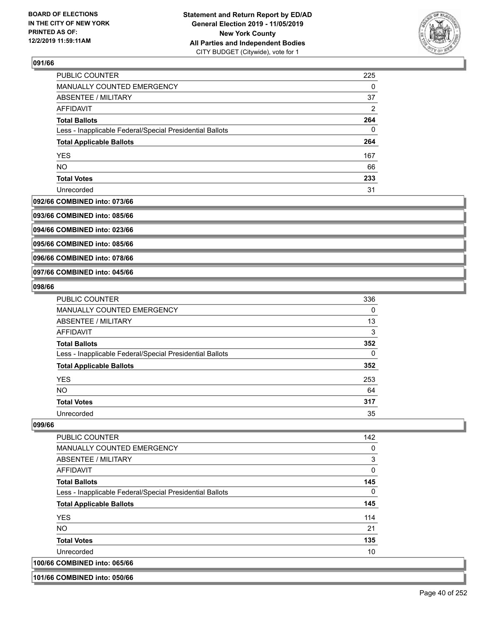

| PUBLIC COUNTER                                           | 225 |
|----------------------------------------------------------|-----|
| MANUALLY COUNTED EMERGENCY                               | 0   |
| ABSENTEE / MILITARY                                      | 37  |
| AFFIDAVIT                                                | 2   |
| <b>Total Ballots</b>                                     | 264 |
| Less - Inapplicable Federal/Special Presidential Ballots | 0   |
| <b>Total Applicable Ballots</b>                          | 264 |
| <b>YES</b>                                               | 167 |
| <b>NO</b>                                                | 66  |
| <b>Total Votes</b>                                       | 233 |
| Unrecorded                                               | 31  |

#### **092/66 COMBINED into: 073/66**

**093/66 COMBINED into: 085/66**

**094/66 COMBINED into: 023/66**

**095/66 COMBINED into: 085/66**

**096/66 COMBINED into: 078/66**

**097/66 COMBINED into: 045/66**

#### **098/66**

| <b>PUBLIC COUNTER</b>                                    | 336 |
|----------------------------------------------------------|-----|
| <b>MANUALLY COUNTED EMERGENCY</b>                        | 0   |
| ABSENTEE / MILITARY                                      | 13  |
| AFFIDAVIT                                                | 3   |
| <b>Total Ballots</b>                                     | 352 |
| Less - Inapplicable Federal/Special Presidential Ballots | 0   |
| <b>Total Applicable Ballots</b>                          | 352 |
| <b>YES</b>                                               | 253 |
| <b>NO</b>                                                | 64  |
| <b>Total Votes</b>                                       | 317 |
| Unrecorded                                               | 35  |

#### **099/66**

| PUBLIC COUNTER                                           | 142      |
|----------------------------------------------------------|----------|
| <b>MANUALLY COUNTED EMERGENCY</b>                        | 0        |
| ABSENTEE / MILITARY                                      | 3        |
| <b>AFFIDAVIT</b>                                         | $\Omega$ |
| <b>Total Ballots</b>                                     | 145      |
| Less - Inapplicable Federal/Special Presidential Ballots | 0        |
| <b>Total Applicable Ballots</b>                          | 145      |
| <b>YES</b>                                               | 114      |
| NO                                                       | 21       |
| <b>Total Votes</b>                                       | 135      |
| Unrecorded                                               | 10       |
| 100/66 COMBINED into: 065/66                             |          |

**101/66 COMBINED into: 050/66**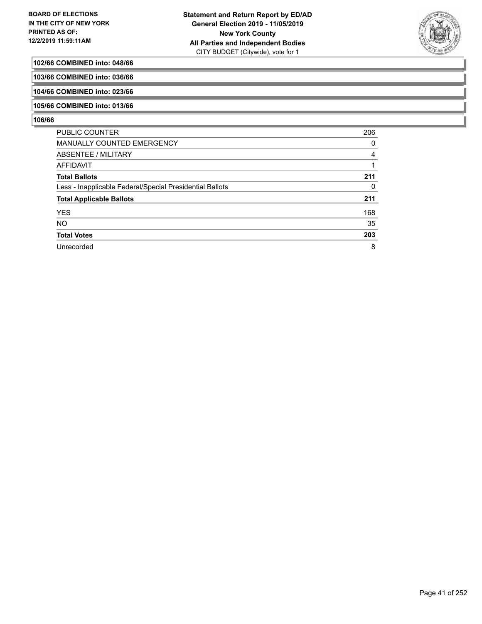

## **102/66 COMBINED into: 048/66**

**103/66 COMBINED into: 036/66**

**104/66 COMBINED into: 023/66**

## **105/66 COMBINED into: 013/66**

| <b>PUBLIC COUNTER</b>                                    | 206 |
|----------------------------------------------------------|-----|
| <b>MANUALLY COUNTED EMERGENCY</b>                        | 0   |
| ABSENTEE / MILITARY                                      | 4   |
| AFFIDAVIT                                                |     |
| <b>Total Ballots</b>                                     | 211 |
| Less - Inapplicable Federal/Special Presidential Ballots | 0   |
| <b>Total Applicable Ballots</b>                          | 211 |
| <b>YES</b>                                               | 168 |
| <b>NO</b>                                                | 35  |
| <b>Total Votes</b>                                       | 203 |
| Unrecorded                                               | 8   |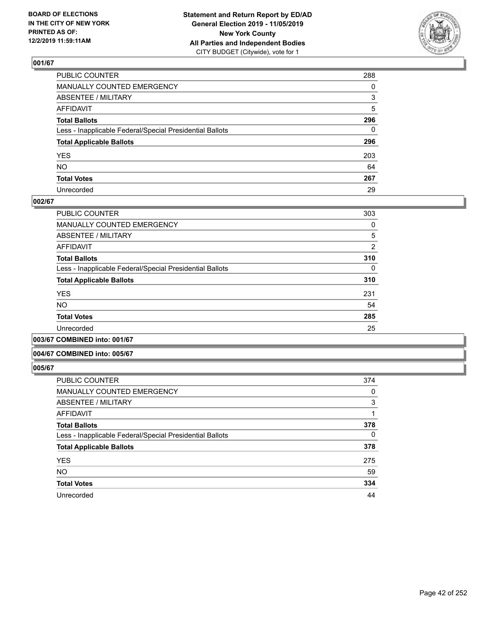

| PUBLIC COUNTER                                           | 288      |
|----------------------------------------------------------|----------|
| MANUALLY COUNTED EMERGENCY                               | $\Omega$ |
| ABSENTEE / MILITARY                                      | 3        |
| AFFIDAVIT                                                | 5        |
| Total Ballots                                            | 296      |
| Less - Inapplicable Federal/Special Presidential Ballots | 0        |
| <b>Total Applicable Ballots</b>                          | 296      |
| YES                                                      | 203      |
| NO.                                                      | 64       |
| <b>Total Votes</b>                                       | 267      |
| Unrecorded                                               | 29       |

## **002/67**

| <b>PUBLIC COUNTER</b>                                    | 303            |
|----------------------------------------------------------|----------------|
| <b>MANUALLY COUNTED EMERGENCY</b>                        | 0              |
| ABSENTEE / MILITARY                                      | 5              |
| AFFIDAVIT                                                | $\overline{2}$ |
| <b>Total Ballots</b>                                     | 310            |
| Less - Inapplicable Federal/Special Presidential Ballots | 0              |
| <b>Total Applicable Ballots</b>                          | 310            |
| <b>YES</b>                                               | 231            |
| <b>NO</b>                                                | 54             |
| <b>Total Votes</b>                                       | 285            |
| Unrecorded                                               | 25             |
|                                                          |                |

**003/67 COMBINED into: 001/67**

#### **004/67 COMBINED into: 005/67**

| PUBLIC COUNTER                                           | 374      |
|----------------------------------------------------------|----------|
| <b>MANUALLY COUNTED EMERGENCY</b>                        | 0        |
| <b>ABSENTEE / MILITARY</b>                               | 3        |
| AFFIDAVIT                                                |          |
| <b>Total Ballots</b>                                     | 378      |
| Less - Inapplicable Federal/Special Presidential Ballots | $\Omega$ |
| <b>Total Applicable Ballots</b>                          | 378      |
| <b>YES</b>                                               | 275      |
| <b>NO</b>                                                | 59       |
| <b>Total Votes</b>                                       | 334      |
| Unrecorded                                               | 44       |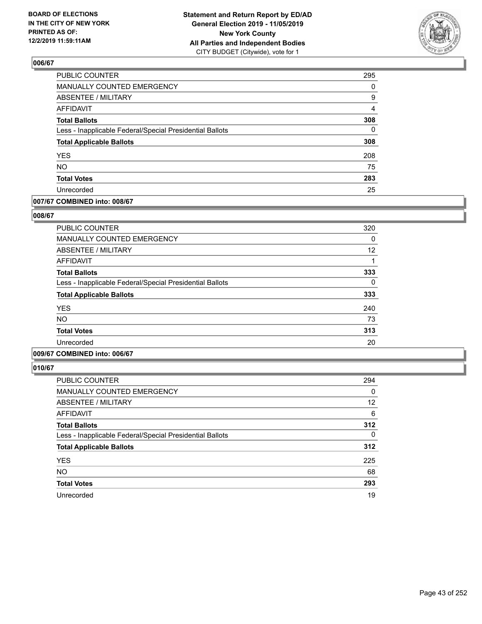

| PUBLIC COUNTER                                           | 295            |
|----------------------------------------------------------|----------------|
| MANUALLY COUNTED EMERGENCY                               | 0              |
| <b>ABSENTEE / MILITARY</b>                               | 9              |
| <b>AFFIDAVIT</b>                                         | $\overline{4}$ |
| <b>Total Ballots</b>                                     | 308            |
| Less - Inapplicable Federal/Special Presidential Ballots | $\mathbf{0}$   |
| <b>Total Applicable Ballots</b>                          | 308            |
| <b>YES</b>                                               | 208            |
| <b>NO</b>                                                | 75             |
| <b>Total Votes</b>                                       | 283            |
| Unrecorded                                               | 25             |

## **007/67 COMBINED into: 008/67**

## **008/67**

| <b>PUBLIC COUNTER</b>                                    | 320 |
|----------------------------------------------------------|-----|
| <b>MANUALLY COUNTED EMERGENCY</b>                        | 0   |
| ABSENTEE / MILITARY                                      | 12  |
| AFFIDAVIT                                                | 1   |
| <b>Total Ballots</b>                                     | 333 |
| Less - Inapplicable Federal/Special Presidential Ballots | 0   |
| <b>Total Applicable Ballots</b>                          | 333 |
| <b>YES</b>                                               | 240 |
| <b>NO</b>                                                | 73  |
| <b>Total Votes</b>                                       | 313 |
| Unrecorded                                               | 20  |
|                                                          |     |

# **009/67 COMBINED into: 006/67**

| PUBLIC COUNTER                                           | 294      |
|----------------------------------------------------------|----------|
| <b>MANUALLY COUNTED EMERGENCY</b>                        | 0        |
| ABSENTEE / MILITARY                                      | 12       |
| AFFIDAVIT                                                | 6        |
| <b>Total Ballots</b>                                     | 312      |
| Less - Inapplicable Federal/Special Presidential Ballots | $\Omega$ |
| <b>Total Applicable Ballots</b>                          | 312      |
| <b>YES</b>                                               | 225      |
| <b>NO</b>                                                | 68       |
| <b>Total Votes</b>                                       | 293      |
| Unrecorded                                               | 19       |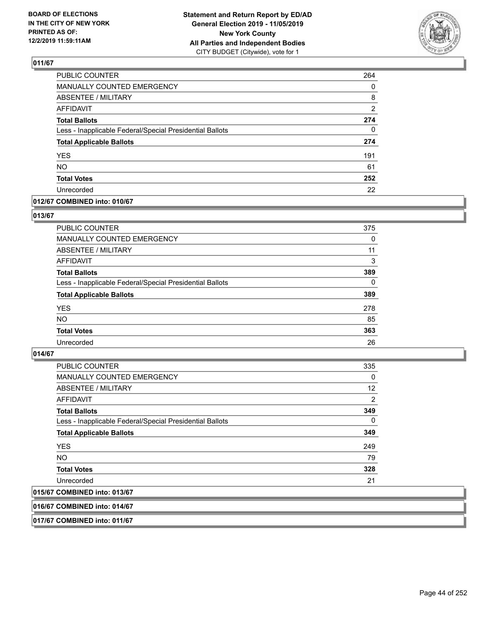

| PUBLIC COUNTER                                           | 264 |
|----------------------------------------------------------|-----|
| MANUALLY COUNTED EMERGENCY                               | 0   |
| <b>ABSENTEE / MILITARY</b>                               | 8   |
| <b>AFFIDAVIT</b>                                         | 2   |
| <b>Total Ballots</b>                                     | 274 |
| Less - Inapplicable Federal/Special Presidential Ballots | 0   |
| <b>Total Applicable Ballots</b>                          | 274 |
| <b>YES</b>                                               | 191 |
| <b>NO</b>                                                | 61  |
| <b>Total Votes</b>                                       | 252 |
| Unrecorded                                               | 22  |

## **012/67 COMBINED into: 010/67**

#### **013/67**

| <b>PUBLIC COUNTER</b>                                    | 375      |
|----------------------------------------------------------|----------|
| <b>MANUALLY COUNTED EMERGENCY</b>                        | 0        |
| ABSENTEE / MILITARY                                      | 11       |
| AFFIDAVIT                                                | 3        |
| <b>Total Ballots</b>                                     | 389      |
| Less - Inapplicable Federal/Special Presidential Ballots | $\Omega$ |
| <b>Total Applicable Ballots</b>                          | 389      |
| <b>YES</b>                                               | 278      |
| <b>NO</b>                                                | 85       |
| <b>Total Votes</b>                                       | 363      |
| Unrecorded                                               | 26       |

## **014/67**

| <b>PUBLIC COUNTER</b>                                    | 335            |
|----------------------------------------------------------|----------------|
| MANUALLY COUNTED EMERGENCY                               | 0              |
| ABSENTEE / MILITARY                                      | 12             |
| AFFIDAVIT                                                | $\overline{2}$ |
| <b>Total Ballots</b>                                     | 349            |
| Less - Inapplicable Federal/Special Presidential Ballots | $\Omega$       |
| <b>Total Applicable Ballots</b>                          | 349            |
| <b>YES</b>                                               | 249            |
| <b>NO</b>                                                | 79             |
| <b>Total Votes</b>                                       | 328            |
| Unrecorded                                               | 21             |
| 015/67 COMBINED into: 013/67                             |                |

## **016/67 COMBINED into: 014/67**

**017/67 COMBINED into: 011/67**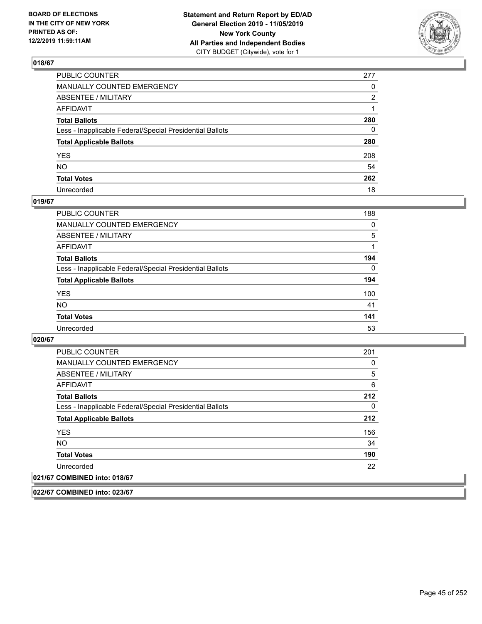

| PUBLIC COUNTER                                           | 277 |
|----------------------------------------------------------|-----|
| MANUALLY COUNTED EMERGENCY                               | 0   |
| ABSENTEE / MILITARY                                      | 2   |
| AFFIDAVIT                                                |     |
| Total Ballots                                            | 280 |
| Less - Inapplicable Federal/Special Presidential Ballots | 0   |
| <b>Total Applicable Ballots</b>                          | 280 |
| YES                                                      | 208 |
| NO.                                                      | 54  |
| <b>Total Votes</b>                                       | 262 |
| Unrecorded                                               | 18  |

## **019/67**

| <b>PUBLIC COUNTER</b>                                    | 188      |
|----------------------------------------------------------|----------|
| <b>MANUALLY COUNTED EMERGENCY</b>                        | 0        |
| ABSENTEE / MILITARY                                      | 5        |
| AFFIDAVIT                                                |          |
| <b>Total Ballots</b>                                     | 194      |
| Less - Inapplicable Federal/Special Presidential Ballots | $\Omega$ |
| <b>Total Applicable Ballots</b>                          | 194      |
| <b>YES</b>                                               | 100      |
| <b>NO</b>                                                | 41       |
| <b>Total Votes</b>                                       | 141      |
| Unrecorded                                               | 53       |

**020/67** 

| <b>PUBLIC COUNTER</b>                                    | 201 |
|----------------------------------------------------------|-----|
| <b>MANUALLY COUNTED EMERGENCY</b>                        | 0   |
| ABSENTEE / MILITARY                                      | 5   |
| <b>AFFIDAVIT</b>                                         | 6   |
| <b>Total Ballots</b>                                     | 212 |
| Less - Inapplicable Federal/Special Presidential Ballots | 0   |
| <b>Total Applicable Ballots</b>                          | 212 |
| <b>YES</b>                                               | 156 |
| NO.                                                      | 34  |
| <b>Total Votes</b>                                       | 190 |
| Unrecorded                                               | 22  |
| 021/67 COMBINED into: 018/67                             |     |

**022/67 COMBINED into: 023/67**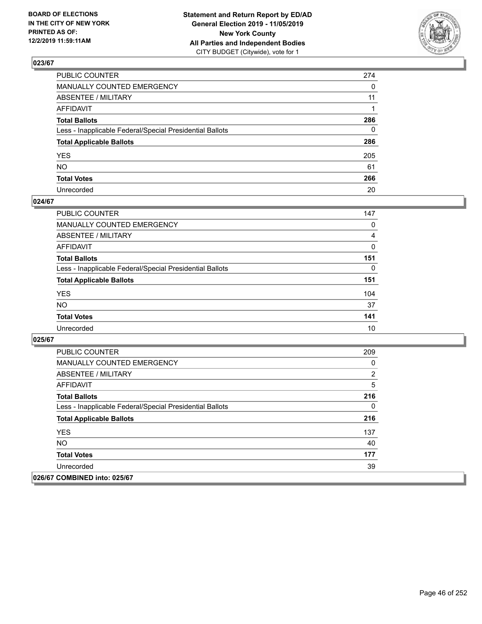

| PUBLIC COUNTER                                           | 274          |
|----------------------------------------------------------|--------------|
| MANUALLY COUNTED EMERGENCY                               | $\Omega$     |
| ABSENTEE / MILITARY                                      | 11           |
| AFFIDAVIT                                                |              |
| Total Ballots                                            | 286          |
| Less - Inapplicable Federal/Special Presidential Ballots | $\mathbf{0}$ |
| <b>Total Applicable Ballots</b>                          | 286          |
| YES                                                      | 205          |
| NO.                                                      | 61           |
| <b>Total Votes</b>                                       | 266          |
| Unrecorded                                               | 20           |

## **024/67**

| <b>PUBLIC COUNTER</b>                                    | 147 |
|----------------------------------------------------------|-----|
| <b>MANUALLY COUNTED EMERGENCY</b>                        | 0   |
| ABSENTEE / MILITARY                                      | 4   |
| AFFIDAVIT                                                | 0   |
| <b>Total Ballots</b>                                     | 151 |
| Less - Inapplicable Federal/Special Presidential Ballots | 0   |
| <b>Total Applicable Ballots</b>                          | 151 |
| <b>YES</b>                                               | 104 |
| <b>NO</b>                                                | 37  |
| <b>Total Votes</b>                                       | 141 |
| Unrecorded                                               | 10  |

| <b>PUBLIC COUNTER</b>                                    | 209            |
|----------------------------------------------------------|----------------|
| <b>MANUALLY COUNTED EMERGENCY</b>                        | 0              |
| ABSENTEE / MILITARY                                      | $\overline{2}$ |
| AFFIDAVIT                                                | 5              |
| <b>Total Ballots</b>                                     | 216            |
| Less - Inapplicable Federal/Special Presidential Ballots | 0              |
| <b>Total Applicable Ballots</b>                          | 216            |
| <b>YES</b>                                               | 137            |
| NO.                                                      | 40             |
| <b>Total Votes</b>                                       | 177            |
| Unrecorded                                               | 39             |
| 026/67 COMBINED into: 025/67                             |                |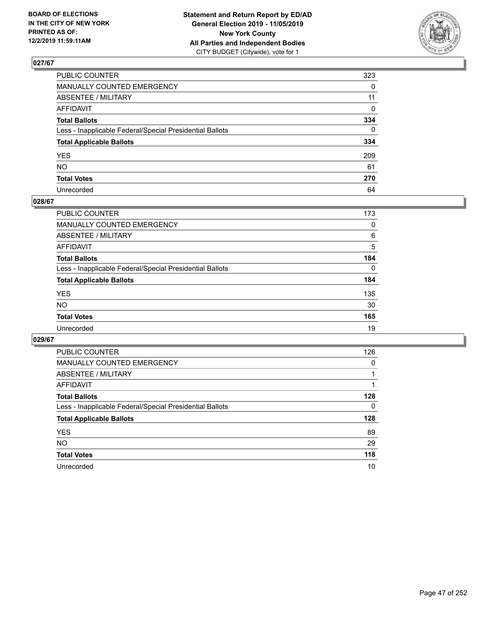

| PUBLIC COUNTER                                           | 323      |
|----------------------------------------------------------|----------|
| MANUALLY COUNTED EMERGENCY                               | $\Omega$ |
| ABSENTEE / MILITARY                                      | 11       |
| AFFIDAVIT                                                | 0        |
| Total Ballots                                            | 334      |
| Less - Inapplicable Federal/Special Presidential Ballots | $\Omega$ |
| <b>Total Applicable Ballots</b>                          | 334      |
| YES                                                      | 209      |
| NO.                                                      | 61       |
| <b>Total Votes</b>                                       | 270      |
| Unrecorded                                               | 64       |

## **028/67**

| <b>PUBLIC COUNTER</b>                                    | 173      |
|----------------------------------------------------------|----------|
| <b>MANUALLY COUNTED EMERGENCY</b>                        | 0        |
| ABSENTEE / MILITARY                                      | 6        |
| AFFIDAVIT                                                | 5        |
| <b>Total Ballots</b>                                     | 184      |
| Less - Inapplicable Federal/Special Presidential Ballots | $\Omega$ |
| <b>Total Applicable Ballots</b>                          | 184      |
| <b>YES</b>                                               | 135      |
| <b>NO</b>                                                | 30       |
| <b>Total Votes</b>                                       | 165      |
| Unrecorded                                               | 19       |

| <b>PUBLIC COUNTER</b>                                    | 126 |
|----------------------------------------------------------|-----|
| MANUALLY COUNTED EMERGENCY                               | 0   |
| ABSENTEE / MILITARY                                      |     |
| AFFIDAVIT                                                |     |
| <b>Total Ballots</b>                                     | 128 |
| Less - Inapplicable Federal/Special Presidential Ballots | 0   |
| <b>Total Applicable Ballots</b>                          | 128 |
| <b>YES</b>                                               | 89  |
| <b>NO</b>                                                | 29  |
| <b>Total Votes</b>                                       | 118 |
| Unrecorded                                               | 10  |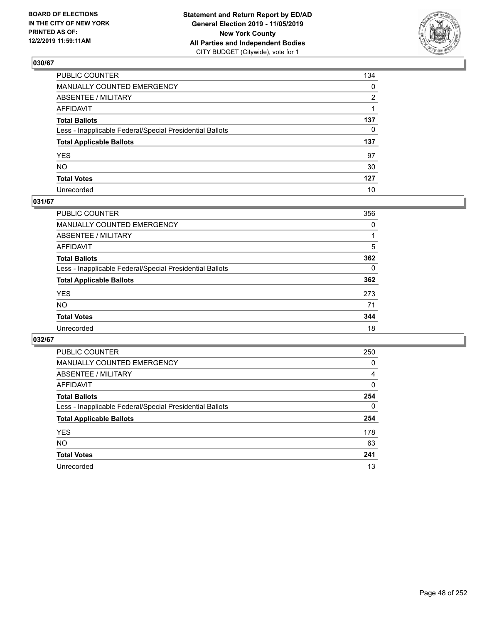

| PUBLIC COUNTER                                           | 134          |
|----------------------------------------------------------|--------------|
| MANUALLY COUNTED EMERGENCY                               | $\mathbf{0}$ |
| ABSENTEE / MILITARY                                      | 2            |
| AFFIDAVIT                                                |              |
| Total Ballots                                            | 137          |
| Less - Inapplicable Federal/Special Presidential Ballots | $\mathbf{0}$ |
| <b>Total Applicable Ballots</b>                          | 137          |
| YES                                                      | 97           |
| NO.                                                      | 30           |
| <b>Total Votes</b>                                       | 127          |
| Unrecorded                                               | 10           |

## **031/67**

| <b>PUBLIC COUNTER</b>                                    | 356      |
|----------------------------------------------------------|----------|
| <b>MANUALLY COUNTED EMERGENCY</b>                        | 0        |
| ABSENTEE / MILITARY                                      |          |
| AFFIDAVIT                                                | 5        |
| <b>Total Ballots</b>                                     | 362      |
| Less - Inapplicable Federal/Special Presidential Ballots | $\Omega$ |
| <b>Total Applicable Ballots</b>                          | 362      |
| <b>YES</b>                                               | 273      |
| <b>NO</b>                                                | 71       |
| <b>Total Votes</b>                                       | 344      |
| Unrecorded                                               | 18       |

| <b>PUBLIC COUNTER</b>                                    | 250      |
|----------------------------------------------------------|----------|
| MANUALLY COUNTED EMERGENCY                               | 0        |
| ABSENTEE / MILITARY                                      | 4        |
| AFFIDAVIT                                                | $\Omega$ |
| <b>Total Ballots</b>                                     | 254      |
| Less - Inapplicable Federal/Special Presidential Ballots | $\Omega$ |
| <b>Total Applicable Ballots</b>                          | 254      |
| <b>YES</b>                                               | 178      |
| NO.                                                      | 63       |
| <b>Total Votes</b>                                       | 241      |
| Unrecorded                                               | 13       |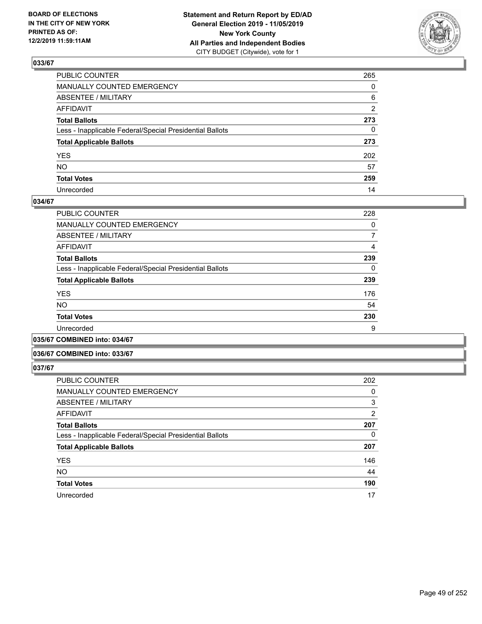

| PUBLIC COUNTER                                           | 265            |
|----------------------------------------------------------|----------------|
| MANUALLY COUNTED EMERGENCY                               | $\Omega$       |
| ABSENTEE / MILITARY                                      | 6              |
| AFFIDAVIT                                                | $\overline{2}$ |
| Total Ballots                                            | 273            |
| Less - Inapplicable Federal/Special Presidential Ballots | $\mathbf{0}$   |
| <b>Total Applicable Ballots</b>                          | 273            |
| YES                                                      | 202            |
| NO.                                                      | 57             |
| <b>Total Votes</b>                                       | 259            |
| Unrecorded                                               | 14             |

## **034/67**

| <b>PUBLIC COUNTER</b>                                    | 228 |
|----------------------------------------------------------|-----|
| MANUALLY COUNTED EMERGENCY                               | 0   |
| ABSENTEE / MILITARY                                      | 7   |
| AFFIDAVIT                                                | 4   |
| <b>Total Ballots</b>                                     | 239 |
| Less - Inapplicable Federal/Special Presidential Ballots | 0   |
| <b>Total Applicable Ballots</b>                          | 239 |
| <b>YES</b>                                               | 176 |
| <b>NO</b>                                                | 54  |
| <b>Total Votes</b>                                       | 230 |
| Unrecorded                                               | 9   |
|                                                          |     |

**035/67 COMBINED into: 034/67**

#### **036/67 COMBINED into: 033/67**

| PUBLIC COUNTER                                           | 202      |
|----------------------------------------------------------|----------|
| <b>MANUALLY COUNTED EMERGENCY</b>                        | 0        |
| <b>ABSENTEE / MILITARY</b>                               | 3        |
| AFFIDAVIT                                                | 2        |
| <b>Total Ballots</b>                                     | 207      |
| Less - Inapplicable Federal/Special Presidential Ballots | $\Omega$ |
| <b>Total Applicable Ballots</b>                          | 207      |
| <b>YES</b>                                               | 146      |
| <b>NO</b>                                                | 44       |
| <b>Total Votes</b>                                       | 190      |
| Unrecorded                                               | 17       |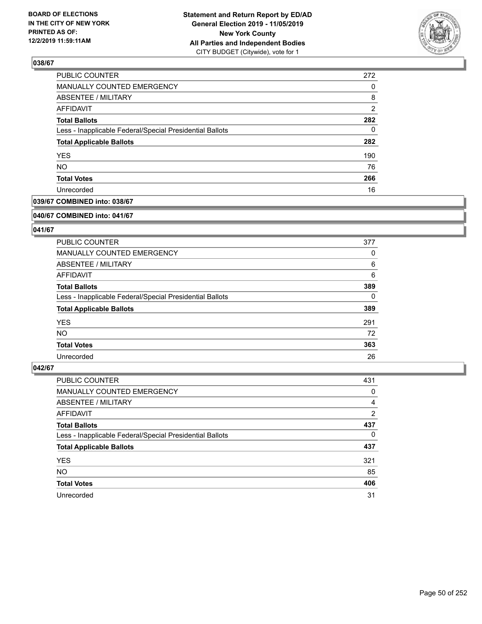

| PUBLIC COUNTER                                           | 272            |
|----------------------------------------------------------|----------------|
| MANUALLY COUNTED EMERGENCY                               | 0              |
| <b>ABSENTEE / MILITARY</b>                               | 8              |
| AFFIDAVIT                                                | $\overline{2}$ |
| <b>Total Ballots</b>                                     | 282            |
| Less - Inapplicable Federal/Special Presidential Ballots | 0              |
| <b>Total Applicable Ballots</b>                          | 282            |
| <b>YES</b>                                               | 190            |
| <b>NO</b>                                                | 76             |
| <b>Total Votes</b>                                       | 266            |
| Unrecorded                                               | 16             |

## **039/67 COMBINED into: 038/67**

#### **040/67 COMBINED into: 041/67**

## **041/67**

| <b>PUBLIC COUNTER</b>                                    | 377      |
|----------------------------------------------------------|----------|
| MANUALLY COUNTED EMERGENCY                               | 0        |
| ABSENTEE / MILITARY                                      | 6        |
| AFFIDAVIT                                                | 6        |
| <b>Total Ballots</b>                                     | 389      |
| Less - Inapplicable Federal/Special Presidential Ballots | $\Omega$ |
| <b>Total Applicable Ballots</b>                          | 389      |
| <b>YES</b>                                               | 291      |
| NO.                                                      | 72       |
| <b>Total Votes</b>                                       | 363      |
| Unrecorded                                               | 26       |

| <b>PUBLIC COUNTER</b>                                    | 431            |
|----------------------------------------------------------|----------------|
| MANUALLY COUNTED EMERGENCY                               | 0              |
| ABSENTEE / MILITARY                                      | 4              |
| AFFIDAVIT                                                | $\overline{2}$ |
| <b>Total Ballots</b>                                     | 437            |
| Less - Inapplicable Federal/Special Presidential Ballots | 0              |
| <b>Total Applicable Ballots</b>                          | 437            |
| <b>YES</b>                                               | 321            |
| <b>NO</b>                                                | 85             |
| <b>Total Votes</b>                                       | 406            |
| Unrecorded                                               | 31             |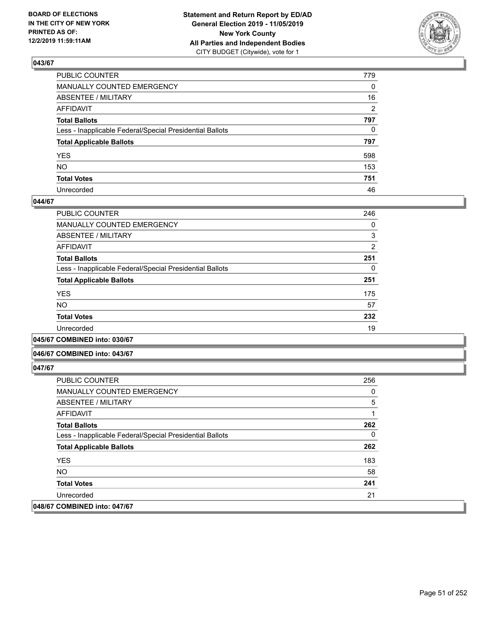

| PUBLIC COUNTER                                           | 779 |
|----------------------------------------------------------|-----|
| MANUALLY COUNTED EMERGENCY                               | 0   |
| ABSENTEE / MILITARY                                      | 16  |
| AFFIDAVIT                                                | 2   |
| Total Ballots                                            | 797 |
| Less - Inapplicable Federal/Special Presidential Ballots | 0   |
| <b>Total Applicable Ballots</b>                          | 797 |
| YES                                                      | 598 |
| NO.                                                      | 153 |
| <b>Total Votes</b>                                       | 751 |
| Unrecorded                                               | 46  |

## **044/67**

| PUBLIC COUNTER                                           | 246            |
|----------------------------------------------------------|----------------|
| MANUALLY COUNTED EMERGENCY                               | 0              |
| ABSENTEE / MILITARY                                      | 3              |
| AFFIDAVIT                                                | $\overline{2}$ |
| <b>Total Ballots</b>                                     | 251            |
| Less - Inapplicable Federal/Special Presidential Ballots | 0              |
| <b>Total Applicable Ballots</b>                          | 251            |
| <b>YES</b>                                               | 175            |
| <b>NO</b>                                                | 57             |
| <b>Total Votes</b>                                       | 232            |
| Unrecorded                                               | 19             |
|                                                          |                |

**045/67 COMBINED into: 030/67**

#### **046/67 COMBINED into: 043/67**

| <b>PUBLIC COUNTER</b>                                    | 256 |
|----------------------------------------------------------|-----|
| <b>MANUALLY COUNTED EMERGENCY</b>                        | 0   |
| ABSENTEE / MILITARY                                      | 5   |
| AFFIDAVIT                                                | 1   |
| <b>Total Ballots</b>                                     | 262 |
| Less - Inapplicable Federal/Special Presidential Ballots | 0   |
| <b>Total Applicable Ballots</b>                          | 262 |
| <b>YES</b>                                               | 183 |
| NO.                                                      | 58  |
| <b>Total Votes</b>                                       | 241 |
| Unrecorded                                               | 21  |
| 048/67 COMBINED into: 047/67                             |     |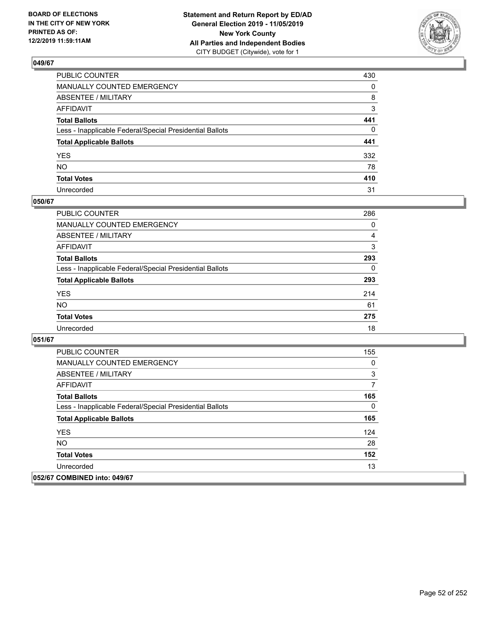

| PUBLIC COUNTER                                           | 430          |
|----------------------------------------------------------|--------------|
| MANUALLY COUNTED EMERGENCY                               | $\mathbf{0}$ |
| ABSENTEE / MILITARY                                      | 8            |
| AFFIDAVIT                                                | 3            |
| Total Ballots                                            | 441          |
| Less - Inapplicable Federal/Special Presidential Ballots | $\mathbf{0}$ |
| <b>Total Applicable Ballots</b>                          | 441          |
| YES                                                      | 332          |
| NO.                                                      | 78           |
| <b>Total Votes</b>                                       | 410          |
| Unrecorded                                               | 31           |

## **050/67**

| <b>PUBLIC COUNTER</b>                                    | 286      |
|----------------------------------------------------------|----------|
| MANUALLY COUNTED EMERGENCY                               | $\Omega$ |
| ABSENTEE / MILITARY                                      | 4        |
| AFFIDAVIT                                                | 3        |
| <b>Total Ballots</b>                                     | 293      |
| Less - Inapplicable Federal/Special Presidential Ballots | $\Omega$ |
| <b>Total Applicable Ballots</b>                          | 293      |
| <b>YES</b>                                               | 214      |
| <b>NO</b>                                                | 61       |
| <b>Total Votes</b>                                       | 275      |
| Unrecorded                                               | 18       |

| <b>PUBLIC COUNTER</b>                                    | 155 |
|----------------------------------------------------------|-----|
| <b>MANUALLY COUNTED EMERGENCY</b>                        | 0   |
| ABSENTEE / MILITARY                                      | 3   |
| AFFIDAVIT                                                | 7   |
| <b>Total Ballots</b>                                     | 165 |
| Less - Inapplicable Federal/Special Presidential Ballots | 0   |
| <b>Total Applicable Ballots</b>                          | 165 |
| <b>YES</b>                                               | 124 |
| <b>NO</b>                                                | 28  |
| <b>Total Votes</b>                                       | 152 |
| Unrecorded                                               | 13  |
| 052/67 COMBINED into: 049/67                             |     |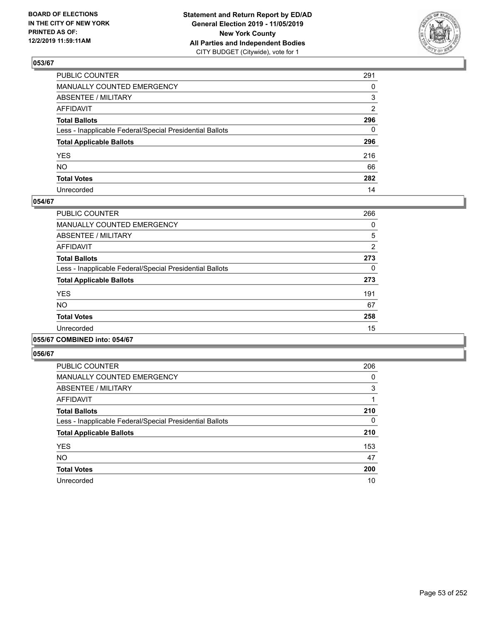

| PUBLIC COUNTER                                           | 291          |
|----------------------------------------------------------|--------------|
| MANUALLY COUNTED EMERGENCY                               | $\Omega$     |
| ABSENTEE / MILITARY                                      | 3            |
| AFFIDAVIT                                                | 2            |
| Total Ballots                                            | 296          |
| Less - Inapplicable Federal/Special Presidential Ballots | $\mathbf{0}$ |
| <b>Total Applicable Ballots</b>                          | 296          |
| YES                                                      | 216          |
| NO.                                                      | 66           |
| <b>Total Votes</b>                                       | 282          |
| Unrecorded                                               | 14           |

## **054/67**

| PUBLIC COUNTER                                           | 266            |
|----------------------------------------------------------|----------------|
| <b>MANUALLY COUNTED EMERGENCY</b>                        | 0              |
| ABSENTEE / MILITARY                                      | 5              |
| AFFIDAVIT                                                | $\overline{2}$ |
| <b>Total Ballots</b>                                     | 273            |
| Less - Inapplicable Federal/Special Presidential Ballots | 0              |
| <b>Total Applicable Ballots</b>                          | 273            |
| <b>YES</b>                                               | 191            |
| <b>NO</b>                                                | 67             |
| <b>Total Votes</b>                                       | 258            |
| Unrecorded                                               | 15             |
|                                                          |                |

## **055/67 COMBINED into: 054/67**

| PUBLIC COUNTER                                           | 206 |
|----------------------------------------------------------|-----|
| <b>MANUALLY COUNTED EMERGENCY</b>                        | 0   |
| ABSENTEE / MILITARY                                      | 3   |
| <b>AFFIDAVIT</b>                                         |     |
| <b>Total Ballots</b>                                     | 210 |
| Less - Inapplicable Federal/Special Presidential Ballots | 0   |
| <b>Total Applicable Ballots</b>                          | 210 |
| <b>YES</b>                                               | 153 |
| <b>NO</b>                                                | 47  |
| <b>Total Votes</b>                                       | 200 |
| Unrecorded                                               | 10  |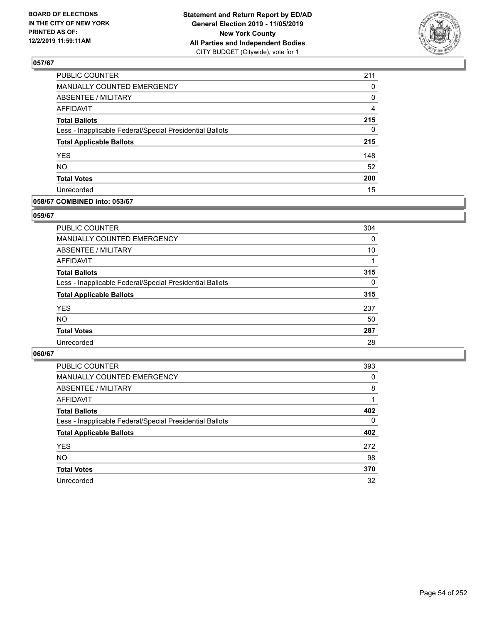

| PUBLIC COUNTER                                           | 211            |
|----------------------------------------------------------|----------------|
| MANUALLY COUNTED EMERGENCY                               | 0              |
| <b>ABSENTEE / MILITARY</b>                               | 0              |
| <b>AFFIDAVIT</b>                                         | $\overline{4}$ |
| <b>Total Ballots</b>                                     | 215            |
| Less - Inapplicable Federal/Special Presidential Ballots | 0              |
| <b>Total Applicable Ballots</b>                          | 215            |
| <b>YES</b>                                               | 148            |
| <b>NO</b>                                                | 52             |
| <b>Total Votes</b>                                       | 200            |
| Unrecorded                                               | 15             |

## **058/67 COMBINED into: 053/67**

## **059/67**

| <b>PUBLIC COUNTER</b>                                    | 304      |
|----------------------------------------------------------|----------|
| <b>MANUALLY COUNTED EMERGENCY</b>                        | $\Omega$ |
| ABSENTEE / MILITARY                                      | 10       |
| AFFIDAVIT                                                |          |
| <b>Total Ballots</b>                                     | 315      |
| Less - Inapplicable Federal/Special Presidential Ballots | $\Omega$ |
| <b>Total Applicable Ballots</b>                          | 315      |
| <b>YES</b>                                               | 237      |
| <b>NO</b>                                                | 50       |
| <b>Total Votes</b>                                       | 287      |
| Unrecorded                                               | 28       |
|                                                          |          |

| <b>PUBLIC COUNTER</b>                                    | 393      |
|----------------------------------------------------------|----------|
| <b>MANUALLY COUNTED EMERGENCY</b>                        | 0        |
| ABSENTEE / MILITARY                                      | 8        |
| AFFIDAVIT                                                |          |
| <b>Total Ballots</b>                                     | 402      |
| Less - Inapplicable Federal/Special Presidential Ballots | $\Omega$ |
| <b>Total Applicable Ballots</b>                          | 402      |
| <b>YES</b>                                               | 272      |
| <b>NO</b>                                                | 98       |
| <b>Total Votes</b>                                       | 370      |
| Unrecorded                                               | 32       |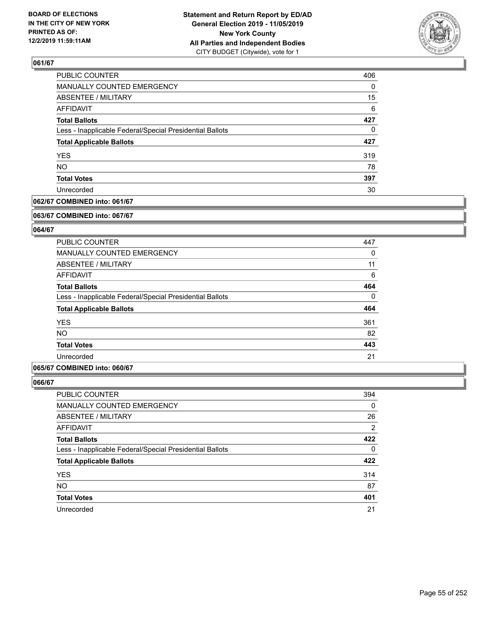

| PUBLIC COUNTER                                           | 406      |
|----------------------------------------------------------|----------|
| MANUALLY COUNTED EMERGENCY                               | $\Omega$ |
| <b>ABSENTEE / MILITARY</b>                               | 15       |
| AFFIDAVIT                                                | 6        |
| <b>Total Ballots</b>                                     | 427      |
| Less - Inapplicable Federal/Special Presidential Ballots | 0        |
| <b>Total Applicable Ballots</b>                          | 427      |
| <b>YES</b>                                               | 319      |
| <b>NO</b>                                                | 78       |
| <b>Total Votes</b>                                       | 397      |
| Unrecorded                                               | 30       |

## **062/67 COMBINED into: 061/67**

#### **063/67 COMBINED into: 067/67**

## **064/67**

| <b>PUBLIC COUNTER</b>                                    | 447      |
|----------------------------------------------------------|----------|
| <b>MANUALLY COUNTED EMERGENCY</b>                        | 0        |
| ABSENTEE / MILITARY                                      | 11       |
| AFFIDAVIT                                                | 6        |
| <b>Total Ballots</b>                                     | 464      |
| Less - Inapplicable Federal/Special Presidential Ballots | $\Omega$ |
| <b>Total Applicable Ballots</b>                          | 464      |
| <b>YES</b>                                               | 361      |
| <b>NO</b>                                                | 82       |
| <b>Total Votes</b>                                       | 443      |
| Unrecorded                                               | 21       |

## **065/67 COMBINED into: 060/67**

| <b>PUBLIC COUNTER</b>                                    | 394 |
|----------------------------------------------------------|-----|
| MANUALLY COUNTED EMERGENCY                               | 0   |
| ABSENTEE / MILITARY                                      | 26  |
| AFFIDAVIT                                                | 2   |
| <b>Total Ballots</b>                                     | 422 |
| Less - Inapplicable Federal/Special Presidential Ballots | 0   |
| <b>Total Applicable Ballots</b>                          | 422 |
| <b>YES</b>                                               | 314 |
| <b>NO</b>                                                | 87  |
| <b>Total Votes</b>                                       | 401 |
| Unrecorded                                               | 21  |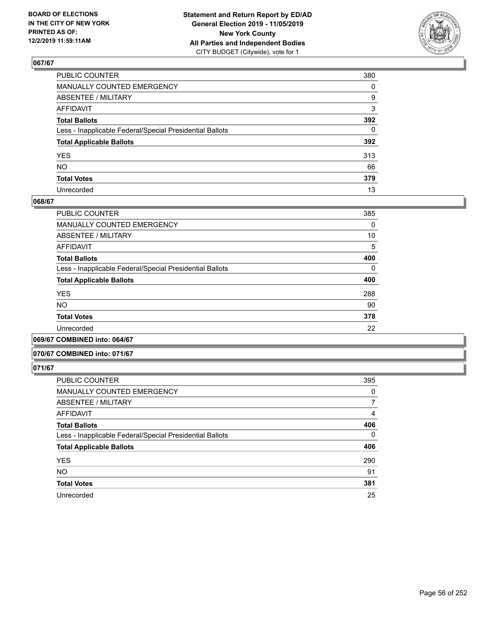

| PUBLIC COUNTER                                           | 380          |
|----------------------------------------------------------|--------------|
| MANUALLY COUNTED EMERGENCY                               | $\mathbf{0}$ |
| ABSENTEE / MILITARY                                      | 9            |
| AFFIDAVIT                                                | 3            |
| Total Ballots                                            | 392          |
| Less - Inapplicable Federal/Special Presidential Ballots | $\mathbf{0}$ |
| <b>Total Applicable Ballots</b>                          | 392          |
| YES                                                      | 313          |
| NO.                                                      | 66           |
| <b>Total Votes</b>                                       | 379          |
| Unrecorded                                               | 13           |

## **068/67**

| PUBLIC COUNTER                                           | 385      |
|----------------------------------------------------------|----------|
| MANUALLY COUNTED EMERGENCY                               | $\Omega$ |
| ABSENTEE / MILITARY                                      | 10       |
| <b>AFFIDAVIT</b>                                         | 5        |
| <b>Total Ballots</b>                                     | 400      |
| Less - Inapplicable Federal/Special Presidential Ballots | $\Omega$ |
| <b>Total Applicable Ballots</b>                          | 400      |
| <b>YES</b>                                               | 288      |
| <b>NO</b>                                                | 90       |
| <b>Total Votes</b>                                       | 378      |
| Unrecorded                                               | 22       |
|                                                          |          |

**069/67 COMBINED into: 064/67**

## **070/67 COMBINED into: 071/67**

| PUBLIC COUNTER                                           | 395 |
|----------------------------------------------------------|-----|
| <b>MANUALLY COUNTED EMERGENCY</b>                        | 0   |
| ABSENTEE / MILITARY                                      | 7   |
| <b>AFFIDAVIT</b>                                         | 4   |
| <b>Total Ballots</b>                                     | 406 |
| Less - Inapplicable Federal/Special Presidential Ballots | 0   |
| <b>Total Applicable Ballots</b>                          | 406 |
| <b>YES</b>                                               | 290 |
| <b>NO</b>                                                | 91  |
| <b>Total Votes</b>                                       | 381 |
| Unrecorded                                               | 25  |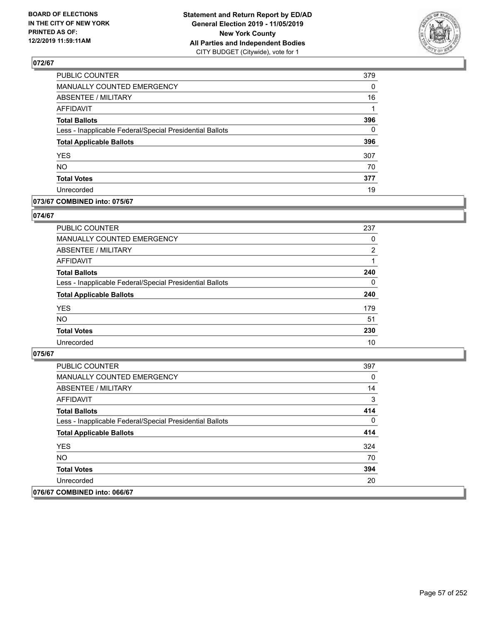

| PUBLIC COUNTER                                           | 379      |
|----------------------------------------------------------|----------|
| MANUALLY COUNTED EMERGENCY                               | 0        |
| ABSENTEE / MILITARY                                      | 16       |
| <b>AFFIDAVIT</b>                                         | 1        |
| <b>Total Ballots</b>                                     | 396      |
| Less - Inapplicable Federal/Special Presidential Ballots | $\Omega$ |
| <b>Total Applicable Ballots</b>                          | 396      |
| <b>YES</b>                                               | 307      |
| <b>NO</b>                                                | 70       |
| <b>Total Votes</b>                                       | 377      |
| Unrecorded                                               | 19       |

## **073/67 COMBINED into: 075/67**

## **074/67**

| <b>PUBLIC COUNTER</b>                                    | 237            |
|----------------------------------------------------------|----------------|
| <b>MANUALLY COUNTED EMERGENCY</b>                        | 0              |
| ABSENTEE / MILITARY                                      | $\overline{2}$ |
| AFFIDAVIT                                                |                |
| <b>Total Ballots</b>                                     | 240            |
| Less - Inapplicable Federal/Special Presidential Ballots | $\Omega$       |
| <b>Total Applicable Ballots</b>                          | 240            |
| <b>YES</b>                                               | 179            |
| <b>NO</b>                                                | 51             |
| <b>Total Votes</b>                                       | 230            |
| Unrecorded                                               | 10             |

| PUBLIC COUNTER                                           | 397 |
|----------------------------------------------------------|-----|
| <b>MANUALLY COUNTED EMERGENCY</b>                        | 0   |
| ABSENTEE / MILITARY                                      | 14  |
| AFFIDAVIT                                                | 3   |
| <b>Total Ballots</b>                                     | 414 |
| Less - Inapplicable Federal/Special Presidential Ballots | 0   |
| <b>Total Applicable Ballots</b>                          | 414 |
| <b>YES</b>                                               | 324 |
| NO.                                                      | 70  |
| <b>Total Votes</b>                                       | 394 |
| Unrecorded                                               | 20  |
| 076/67 COMBINED into: 066/67                             |     |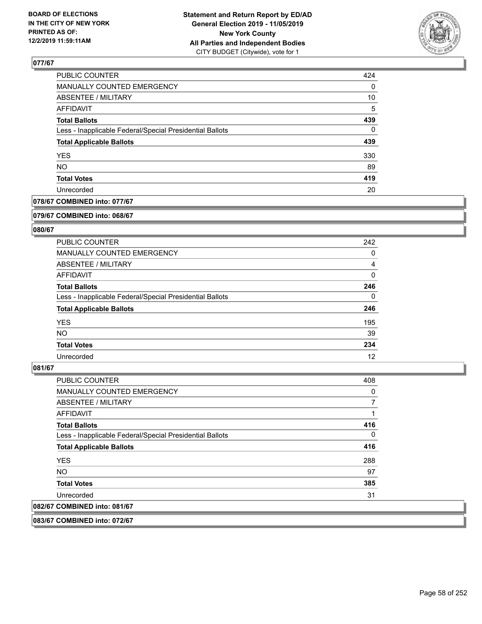

| PUBLIC COUNTER                                           | 424 |
|----------------------------------------------------------|-----|
| MANUALLY COUNTED EMERGENCY                               | 0   |
| <b>ABSENTEE / MILITARY</b>                               | 10  |
| AFFIDAVIT                                                | 5   |
| <b>Total Ballots</b>                                     | 439 |
| Less - Inapplicable Federal/Special Presidential Ballots | 0   |
| <b>Total Applicable Ballots</b>                          | 439 |
| <b>YES</b>                                               | 330 |
| <b>NO</b>                                                | 89  |
| <b>Total Votes</b>                                       | 419 |
| Unrecorded                                               | 20  |

## **078/67 COMBINED into: 077/67**

#### **079/67 COMBINED into: 068/67**

## **080/67**

| PUBLIC COUNTER                                           | 242 |
|----------------------------------------------------------|-----|
| <b>MANUALLY COUNTED EMERGENCY</b>                        | 0   |
| ABSENTEE / MILITARY                                      | 4   |
| AFFIDAVIT                                                | 0   |
| <b>Total Ballots</b>                                     | 246 |
| Less - Inapplicable Federal/Special Presidential Ballots | 0   |
| <b>Total Applicable Ballots</b>                          | 246 |
| <b>YES</b>                                               | 195 |
| NO.                                                      | 39  |
| <b>Total Votes</b>                                       | 234 |
| Unrecorded                                               | 12  |

#### **081/67**

| <b>PUBLIC COUNTER</b>                                    | 408 |
|----------------------------------------------------------|-----|
| <b>MANUALLY COUNTED EMERGENCY</b>                        | 0   |
| ABSENTEE / MILITARY                                      | 7   |
| <b>AFFIDAVIT</b>                                         | 1   |
| <b>Total Ballots</b>                                     | 416 |
| Less - Inapplicable Federal/Special Presidential Ballots | 0   |
| <b>Total Applicable Ballots</b>                          | 416 |
| <b>YES</b>                                               | 288 |
| NO.                                                      | 97  |
| <b>Total Votes</b>                                       | 385 |
| Unrecorded                                               | 31  |
| 082/67 COMBINED into: 081/67                             |     |

**083/67 COMBINED into: 072/67**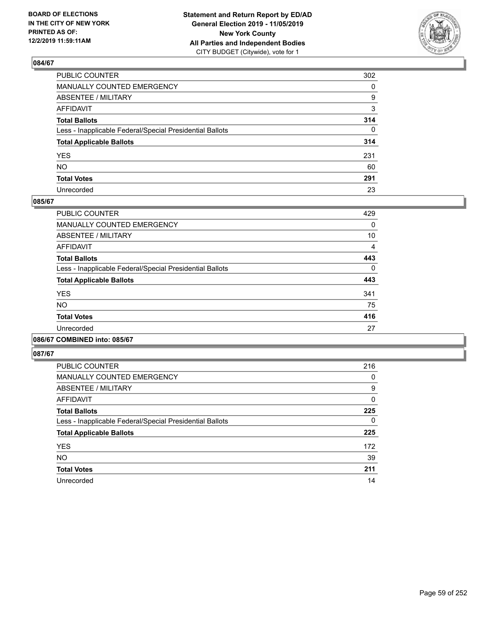

| PUBLIC COUNTER                                           | 302          |
|----------------------------------------------------------|--------------|
| MANUALLY COUNTED EMERGENCY                               | $\mathbf{0}$ |
| ABSENTEE / MILITARY                                      | 9            |
| AFFIDAVIT                                                | 3            |
| Total Ballots                                            | 314          |
| Less - Inapplicable Federal/Special Presidential Ballots | $\Omega$     |
| <b>Total Applicable Ballots</b>                          | 314          |
| YES                                                      | 231          |
| NO.                                                      | 60           |
| <b>Total Votes</b>                                       | 291          |
| Unrecorded                                               | 23           |

## **085/67**

| PUBLIC COUNTER                                           | 429      |
|----------------------------------------------------------|----------|
| <b>MANUALLY COUNTED EMERGENCY</b>                        | $\Omega$ |
| ABSENTEE / MILITARY                                      | 10       |
| <b>AFFIDAVIT</b>                                         | 4        |
| <b>Total Ballots</b>                                     | 443      |
| Less - Inapplicable Federal/Special Presidential Ballots | $\Omega$ |
| <b>Total Applicable Ballots</b>                          | 443      |
| <b>YES</b>                                               | 341      |
| <b>NO</b>                                                | 75       |
| <b>Total Votes</b>                                       | 416      |
| Unrecorded                                               | 27       |
|                                                          |          |

#### **086/67 COMBINED into: 085/67**

| PUBLIC COUNTER                                           | 216 |
|----------------------------------------------------------|-----|
| <b>MANUALLY COUNTED EMERGENCY</b>                        | 0   |
| ABSENTEE / MILITARY                                      | 9   |
| AFFIDAVIT                                                | 0   |
| <b>Total Ballots</b>                                     | 225 |
| Less - Inapplicable Federal/Special Presidential Ballots | 0   |
| <b>Total Applicable Ballots</b>                          | 225 |
| <b>YES</b>                                               | 172 |
| <b>NO</b>                                                | 39  |
| <b>Total Votes</b>                                       | 211 |
| Unrecorded                                               | 14  |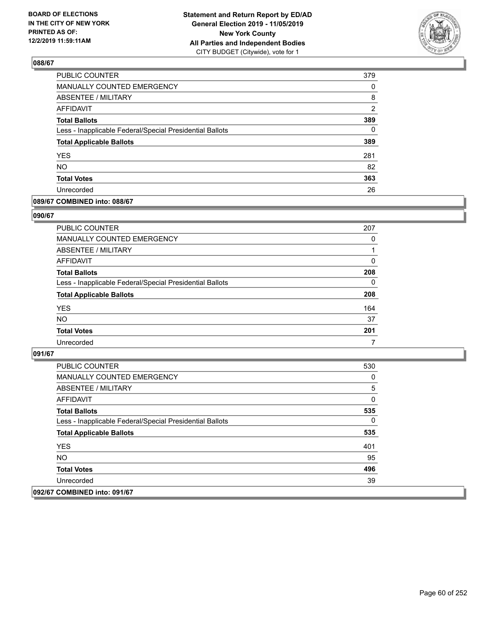

| PUBLIC COUNTER                                           | 379           |
|----------------------------------------------------------|---------------|
| <b>MANUALLY COUNTED EMERGENCY</b>                        | 0             |
| <b>ABSENTEE / MILITARY</b>                               | 8             |
| <b>AFFIDAVIT</b>                                         | $\mathcal{P}$ |
| <b>Total Ballots</b>                                     | 389           |
| Less - Inapplicable Federal/Special Presidential Ballots | $\Omega$      |
| <b>Total Applicable Ballots</b>                          | 389           |
| <b>YES</b>                                               | 281           |
| <b>NO</b>                                                | 82            |
| <b>Total Votes</b>                                       | 363           |
| Unrecorded                                               | 26            |

## **089/67 COMBINED into: 088/67**

#### **090/67**

| <b>PUBLIC COUNTER</b>                                    | 207      |
|----------------------------------------------------------|----------|
| MANUALLY COUNTED EMERGENCY                               | $\Omega$ |
| ABSENTEE / MILITARY                                      | 1        |
| AFFIDAVIT                                                | 0        |
| <b>Total Ballots</b>                                     | 208      |
| Less - Inapplicable Federal/Special Presidential Ballots | $\Omega$ |
| <b>Total Applicable Ballots</b>                          | 208      |
| <b>YES</b>                                               | 164      |
| <b>NO</b>                                                | 37       |
| <b>Total Votes</b>                                       | 201      |
| Unrecorded                                               |          |

| <b>PUBLIC COUNTER</b>                                    | 530 |
|----------------------------------------------------------|-----|
| <b>MANUALLY COUNTED EMERGENCY</b>                        | 0   |
| ABSENTEE / MILITARY                                      | 5   |
| AFFIDAVIT                                                | 0   |
| <b>Total Ballots</b>                                     | 535 |
| Less - Inapplicable Federal/Special Presidential Ballots | 0   |
| <b>Total Applicable Ballots</b>                          | 535 |
| <b>YES</b>                                               | 401 |
| NO.                                                      | 95  |
| <b>Total Votes</b>                                       | 496 |
| Unrecorded                                               | 39  |
| 092/67 COMBINED into: 091/67                             |     |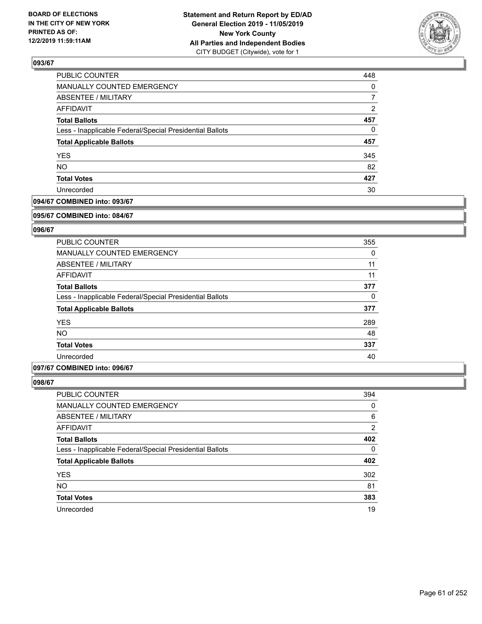

| PUBLIC COUNTER                                           | 448            |
|----------------------------------------------------------|----------------|
| <b>MANUALLY COUNTED EMERGENCY</b>                        | $\Omega$       |
| ABSENTEE / MILITARY                                      |                |
| <b>AFFIDAVIT</b>                                         | $\overline{2}$ |
| <b>Total Ballots</b>                                     | 457            |
| Less - Inapplicable Federal/Special Presidential Ballots | $\Omega$       |
| <b>Total Applicable Ballots</b>                          | 457            |
| <b>YES</b>                                               | 345            |
| <b>NO</b>                                                | 82             |
| <b>Total Votes</b>                                       | 427            |
| Unrecorded                                               | 30             |

## **094/67 COMBINED into: 093/67**

#### **095/67 COMBINED into: 084/67**

## **096/67**

| 355      |
|----------|
| 0        |
| 11       |
| 11       |
| 377      |
| $\Omega$ |
| 377      |
| 289      |
| 48       |
| 337      |
| 40       |
|          |

## **097/67 COMBINED into: 096/67**

| <b>PUBLIC COUNTER</b>                                    | 394 |
|----------------------------------------------------------|-----|
| MANUALLY COUNTED EMERGENCY                               | 0   |
| ABSENTEE / MILITARY                                      | 6   |
| AFFIDAVIT                                                | 2   |
| <b>Total Ballots</b>                                     | 402 |
| Less - Inapplicable Federal/Special Presidential Ballots | 0   |
| <b>Total Applicable Ballots</b>                          | 402 |
| <b>YES</b>                                               | 302 |
| <b>NO</b>                                                | 81  |
| <b>Total Votes</b>                                       | 383 |
| Unrecorded                                               | 19  |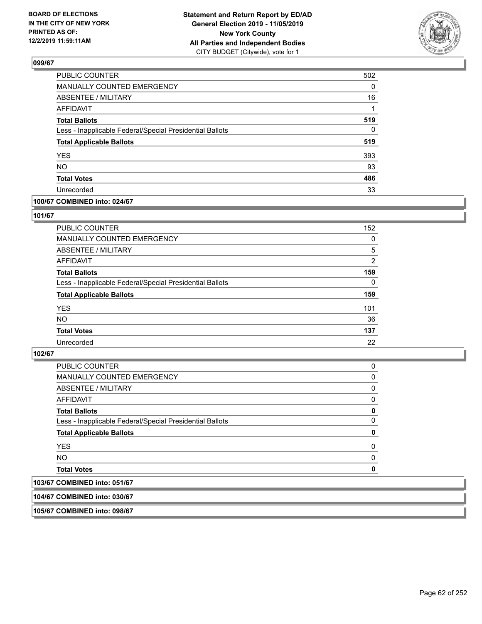

| PUBLIC COUNTER                                           | 502      |
|----------------------------------------------------------|----------|
| <b>MANUALLY COUNTED EMERGENCY</b>                        | $\Omega$ |
| <b>ABSENTEE / MILITARY</b>                               | 16       |
| <b>AFFIDAVIT</b>                                         | 1        |
| <b>Total Ballots</b>                                     | 519      |
| Less - Inapplicable Federal/Special Presidential Ballots | $\Omega$ |
| <b>Total Applicable Ballots</b>                          | 519      |
| <b>YES</b>                                               | 393      |
| <b>NO</b>                                                | 93       |
| <b>Total Votes</b>                                       | 486      |
| Unrecorded                                               | 33       |

## **100/67 COMBINED into: 024/67**

## **101/67**

| PUBLIC COUNTER                                           | 152      |
|----------------------------------------------------------|----------|
| <b>MANUALLY COUNTED EMERGENCY</b>                        | $\Omega$ |
| ABSENTEE / MILITARY                                      | 5        |
| <b>AFFIDAVIT</b>                                         | 2        |
| <b>Total Ballots</b>                                     | 159      |
| Less - Inapplicable Federal/Special Presidential Ballots | $\Omega$ |
| <b>Total Applicable Ballots</b>                          | 159      |
| <b>YES</b>                                               | 101      |
| <b>NO</b>                                                | 36       |
| <b>Total Votes</b>                                       | 137      |
| Unrecorded                                               | 22       |

## **102/67**

| PUBLIC COUNTER                                           | 0        |
|----------------------------------------------------------|----------|
| <b>MANUALLY COUNTED EMERGENCY</b>                        | $\Omega$ |
| ABSENTEE / MILITARY                                      | 0        |
| AFFIDAVIT                                                | 0        |
| <b>Total Ballots</b>                                     | 0        |
| Less - Inapplicable Federal/Special Presidential Ballots | $\Omega$ |
| <b>Total Applicable Ballots</b>                          | 0        |
| <b>YES</b>                                               | $\Omega$ |
| NO.                                                      | 0        |
| <b>Total Votes</b>                                       | 0        |
| 103/67 COMBINED into: 051/67                             |          |

**104/67 COMBINED into: 030/67**

**105/67 COMBINED into: 098/67**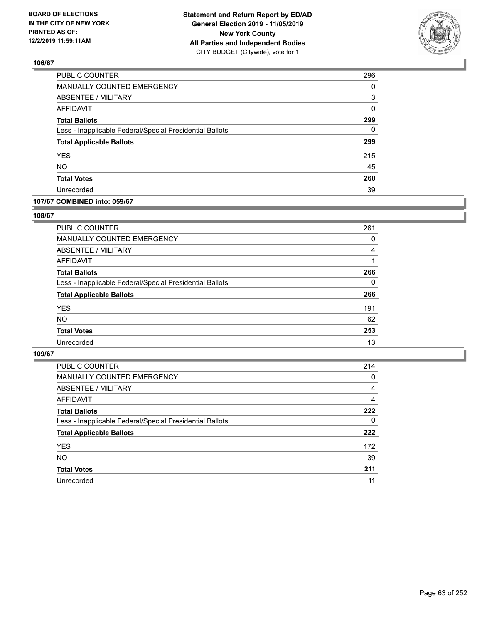

| PUBLIC COUNTER                                           | 296 |
|----------------------------------------------------------|-----|
| <b>MANUALLY COUNTED EMERGENCY</b>                        | 0   |
| <b>ABSENTEE / MILITARY</b>                               | 3   |
| <b>AFFIDAVIT</b>                                         | 0   |
| <b>Total Ballots</b>                                     | 299 |
| Less - Inapplicable Federal/Special Presidential Ballots | 0   |
| <b>Total Applicable Ballots</b>                          | 299 |
| <b>YES</b>                                               | 215 |
| <b>NO</b>                                                | 45  |
| <b>Total Votes</b>                                       | 260 |
| Unrecorded                                               | 39  |

## **107/67 COMBINED into: 059/67**

## **108/67**

| PUBLIC COUNTER                                           | 261      |
|----------------------------------------------------------|----------|
| MANUALLY COUNTED EMERGENCY                               | 0        |
| ABSENTEE / MILITARY                                      | 4        |
| AFFIDAVIT                                                |          |
| <b>Total Ballots</b>                                     | 266      |
| Less - Inapplicable Federal/Special Presidential Ballots | $\Omega$ |
| <b>Total Applicable Ballots</b>                          | 266      |
| <b>YES</b>                                               | 191      |
| <b>NO</b>                                                | 62       |
| <b>Total Votes</b>                                       | 253      |
| Unrecorded                                               | 13       |
|                                                          |          |

| <b>PUBLIC COUNTER</b>                                    | 214      |
|----------------------------------------------------------|----------|
| MANUALLY COUNTED EMERGENCY                               | 0        |
| ABSENTEE / MILITARY                                      | 4        |
| AFFIDAVIT                                                | 4        |
| <b>Total Ballots</b>                                     | 222      |
| Less - Inapplicable Federal/Special Presidential Ballots | $\Omega$ |
| <b>Total Applicable Ballots</b>                          | 222      |
| <b>YES</b>                                               | 172      |
| <b>NO</b>                                                | 39       |
| <b>Total Votes</b>                                       | 211      |
| Unrecorded                                               | 11       |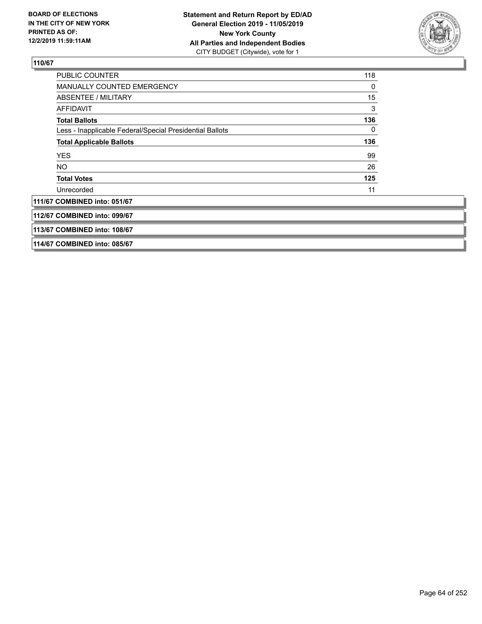

| PUBLIC COUNTER                                           | 118 |
|----------------------------------------------------------|-----|
| <b>MANUALLY COUNTED EMERGENCY</b>                        | 0   |
| ABSENTEE / MILITARY                                      | 15  |
| AFFIDAVIT                                                | 3   |
| <b>Total Ballots</b>                                     | 136 |
| Less - Inapplicable Federal/Special Presidential Ballots | 0   |
| <b>Total Applicable Ballots</b>                          | 136 |
| <b>YES</b>                                               | 99  |
| NO.                                                      | 26  |
| <b>Total Votes</b>                                       | 125 |
| Unrecorded                                               | 11  |
| 111/67 COMBINED into: 051/67                             |     |
| 112/67 COMBINED into: 099/67                             |     |
| 113/67 COMBINED into: 108/67                             |     |
| 114/67 COMBINED into: 085/67                             |     |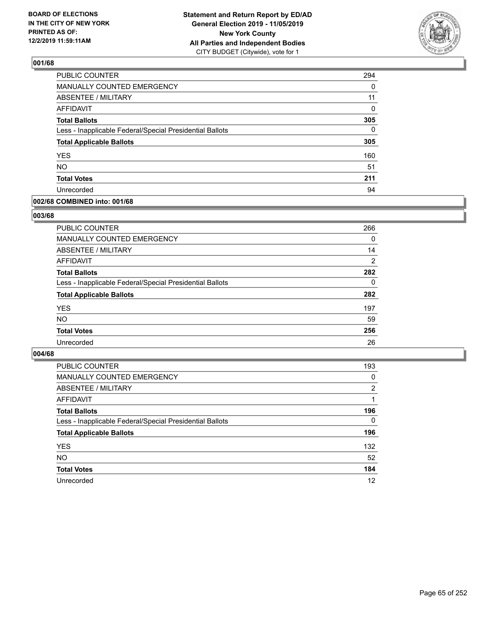

| <b>PUBLIC COUNTER</b>                                    | 294      |
|----------------------------------------------------------|----------|
| MANUALLY COUNTED EMERGENCY                               | 0        |
| ABSENTEE / MILITARY                                      | 11       |
| <b>AFFIDAVIT</b>                                         | 0        |
| <b>Total Ballots</b>                                     | 305      |
| Less - Inapplicable Federal/Special Presidential Ballots | $\Omega$ |
| <b>Total Applicable Ballots</b>                          | 305      |
| <b>YES</b>                                               | 160      |
| <b>NO</b>                                                | 51       |
| <b>Total Votes</b>                                       | 211      |
| Unrecorded                                               | 94       |

## **002/68 COMBINED into: 001/68**

## **003/68**

| <b>PUBLIC COUNTER</b>                                    | 266      |
|----------------------------------------------------------|----------|
| <b>MANUALLY COUNTED EMERGENCY</b>                        | 0        |
| ABSENTEE / MILITARY                                      | 14       |
| AFFIDAVIT                                                | 2        |
| <b>Total Ballots</b>                                     | 282      |
| Less - Inapplicable Federal/Special Presidential Ballots | $\Omega$ |
| <b>Total Applicable Ballots</b>                          | 282      |
| <b>YES</b>                                               | 197      |
| <b>NO</b>                                                | 59       |
| <b>Total Votes</b>                                       | 256      |
| Unrecorded                                               | 26       |

| <b>PUBLIC COUNTER</b>                                    | 193            |
|----------------------------------------------------------|----------------|
| MANUALLY COUNTED EMERGENCY                               | 0              |
| ABSENTEE / MILITARY                                      | $\overline{2}$ |
| AFFIDAVIT                                                |                |
| <b>Total Ballots</b>                                     | 196            |
| Less - Inapplicable Federal/Special Presidential Ballots | $\Omega$       |
| <b>Total Applicable Ballots</b>                          | 196            |
| <b>YES</b>                                               | 132            |
| <b>NO</b>                                                | 52             |
| <b>Total Votes</b>                                       | 184            |
| Unrecorded                                               | 12             |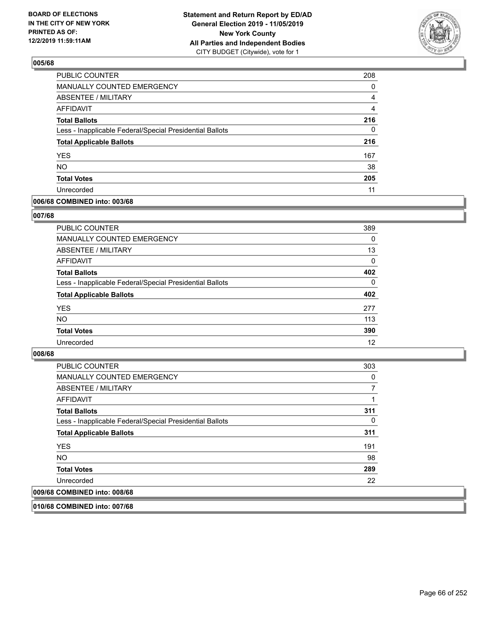

| <b>PUBLIC COUNTER</b>                                    | 208      |
|----------------------------------------------------------|----------|
| <b>MANUALLY COUNTED EMERGENCY</b>                        | $\Omega$ |
| <b>ABSENTEE / MILITARY</b>                               | 4        |
| <b>AFFIDAVIT</b>                                         | 4        |
| <b>Total Ballots</b>                                     | 216      |
| Less - Inapplicable Federal/Special Presidential Ballots | 0        |
| <b>Total Applicable Ballots</b>                          | 216      |
| <b>YES</b>                                               | 167      |
| <b>NO</b>                                                | 38       |
| <b>Total Votes</b>                                       | 205      |
| Unrecorded                                               | 11       |

## **006/68 COMBINED into: 003/68**

## **007/68**

| <b>PUBLIC COUNTER</b>                                    | 389      |
|----------------------------------------------------------|----------|
| MANUALLY COUNTED EMERGENCY                               | $\Omega$ |
| <b>ABSENTEE / MILITARY</b>                               | 13       |
| AFFIDAVIT                                                | 0        |
| <b>Total Ballots</b>                                     | 402      |
| Less - Inapplicable Federal/Special Presidential Ballots | $\Omega$ |
| <b>Total Applicable Ballots</b>                          | 402      |
| <b>YES</b>                                               | 277      |
| <b>NO</b>                                                | 113      |
| <b>Total Votes</b>                                       | 390      |
| Unrecorded                                               | 12       |
|                                                          |          |

## **008/68**

| <b>PUBLIC COUNTER</b>                                    | 303 |
|----------------------------------------------------------|-----|
| <b>MANUALLY COUNTED EMERGENCY</b>                        | 0   |
| ABSENTEE / MILITARY                                      |     |
| AFFIDAVIT                                                |     |
| <b>Total Ballots</b>                                     | 311 |
| Less - Inapplicable Federal/Special Presidential Ballots | 0   |
| <b>Total Applicable Ballots</b>                          | 311 |
| <b>YES</b>                                               | 191 |
| <b>NO</b>                                                | 98  |
| <b>Total Votes</b>                                       | 289 |
| Unrecorded                                               | 22  |
| 009/68 COMBINED into: 008/68                             |     |

**010/68 COMBINED into: 007/68**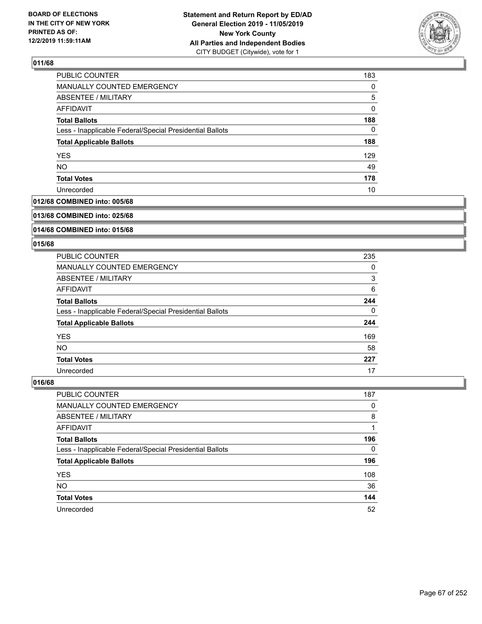

| 183      |
|----------|
| $\Omega$ |
| 5        |
| 0        |
| 188      |
| 0        |
| 188      |
| 129      |
| 49       |
| 178      |
| 10       |
|          |

## **012/68 COMBINED into: 005/68**

#### **013/68 COMBINED into: 025/68**

## **014/68 COMBINED into: 015/68**

## **015/68**

| <b>PUBLIC COUNTER</b>                                    | 235 |
|----------------------------------------------------------|-----|
| <b>MANUALLY COUNTED EMERGENCY</b>                        | 0   |
| ABSENTEE / MILITARY                                      | 3   |
| AFFIDAVIT                                                | 6   |
| <b>Total Ballots</b>                                     | 244 |
| Less - Inapplicable Federal/Special Presidential Ballots | 0   |
| <b>Total Applicable Ballots</b>                          | 244 |
| <b>YES</b>                                               | 169 |
| NO.                                                      | 58  |
| <b>Total Votes</b>                                       | 227 |
| Unrecorded                                               | 17  |

| PUBLIC COUNTER                                           | 187 |
|----------------------------------------------------------|-----|
| <b>MANUALLY COUNTED EMERGENCY</b>                        | 0   |
| ABSENTEE / MILITARY                                      | 8   |
| AFFIDAVIT                                                |     |
| <b>Total Ballots</b>                                     | 196 |
| Less - Inapplicable Federal/Special Presidential Ballots | 0   |
| <b>Total Applicable Ballots</b>                          | 196 |
| <b>YES</b>                                               | 108 |
| <b>NO</b>                                                | 36  |
| <b>Total Votes</b>                                       | 144 |
| Unrecorded                                               | 52  |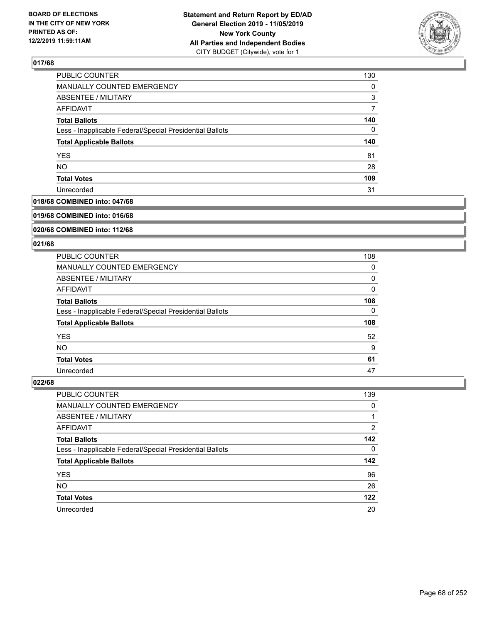

| PUBLIC COUNTER                                           | 130      |
|----------------------------------------------------------|----------|
| <b>MANUALLY COUNTED EMERGENCY</b>                        | $\Omega$ |
| ABSENTEE / MILITARY                                      | 3        |
| AFFIDAVIT                                                |          |
| <b>Total Ballots</b>                                     | 140      |
| Less - Inapplicable Federal/Special Presidential Ballots | $\Omega$ |
| <b>Total Applicable Ballots</b>                          | 140      |
| <b>YES</b>                                               | 81       |
| <b>NO</b>                                                | 28       |
| <b>Total Votes</b>                                       | 109      |
| Unrecorded                                               | 31       |

## **018/68 COMBINED into: 047/68**

#### **019/68 COMBINED into: 016/68**

## **020/68 COMBINED into: 112/68**

#### **021/68**

| <b>PUBLIC COUNTER</b>                                    | 108 |
|----------------------------------------------------------|-----|
| <b>MANUALLY COUNTED EMERGENCY</b>                        | 0   |
| ABSENTEE / MILITARY                                      | 0   |
| AFFIDAVIT                                                | 0   |
| <b>Total Ballots</b>                                     | 108 |
| Less - Inapplicable Federal/Special Presidential Ballots | 0   |
| <b>Total Applicable Ballots</b>                          | 108 |
| <b>YES</b>                                               | 52  |
| NO.                                                      | 9   |
| <b>Total Votes</b>                                       | 61  |
| Unrecorded                                               | 47  |

| <b>PUBLIC COUNTER</b>                                    | 139      |
|----------------------------------------------------------|----------|
| MANUALLY COUNTED EMERGENCY                               | $\Omega$ |
| ABSENTEE / MILITARY                                      |          |
| AFFIDAVIT                                                | 2        |
| <b>Total Ballots</b>                                     | 142      |
| Less - Inapplicable Federal/Special Presidential Ballots | $\Omega$ |
| <b>Total Applicable Ballots</b>                          | 142      |
| <b>YES</b>                                               | 96       |
| <b>NO</b>                                                | 26       |
| <b>Total Votes</b>                                       | 122      |
| Unrecorded                                               | 20       |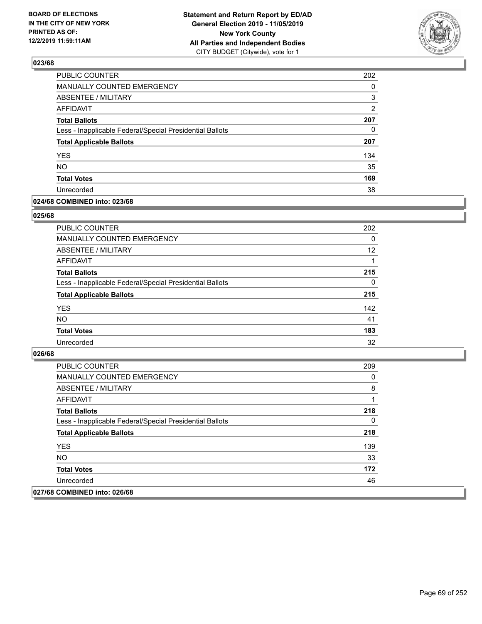

| PUBLIC COUNTER                                           | 202           |
|----------------------------------------------------------|---------------|
| <b>MANUALLY COUNTED EMERGENCY</b>                        | $\Omega$      |
| <b>ABSENTEE / MILITARY</b>                               | 3             |
| <b>AFFIDAVIT</b>                                         | $\mathcal{P}$ |
| <b>Total Ballots</b>                                     | 207           |
| Less - Inapplicable Federal/Special Presidential Ballots | 0             |
| <b>Total Applicable Ballots</b>                          | 207           |
| <b>YES</b>                                               | 134           |
| <b>NO</b>                                                | 35            |
| <b>Total Votes</b>                                       | 169           |
| Unrecorded                                               | 38            |

## **024/68 COMBINED into: 023/68**

## **025/68**

| PUBLIC COUNTER                                           | 202      |
|----------------------------------------------------------|----------|
| MANUALLY COUNTED EMERGENCY                               | 0        |
| ABSENTEE / MILITARY                                      | 12       |
| AFFIDAVIT                                                |          |
| <b>Total Ballots</b>                                     | 215      |
| Less - Inapplicable Federal/Special Presidential Ballots | $\Omega$ |
| <b>Total Applicable Ballots</b>                          | 215      |
| <b>YES</b>                                               | 142      |
| <b>NO</b>                                                | 41       |
| <b>Total Votes</b>                                       | 183      |
| Unrecorded                                               | 32       |
|                                                          |          |

| PUBLIC COUNTER                                           | 209 |
|----------------------------------------------------------|-----|
| <b>MANUALLY COUNTED EMERGENCY</b>                        | 0   |
| ABSENTEE / MILITARY                                      | 8   |
| AFFIDAVIT                                                |     |
| <b>Total Ballots</b>                                     | 218 |
| Less - Inapplicable Federal/Special Presidential Ballots | 0   |
| <b>Total Applicable Ballots</b>                          | 218 |
| <b>YES</b>                                               | 139 |
| NO.                                                      | 33  |
| <b>Total Votes</b>                                       | 172 |
| Unrecorded                                               | 46  |
| 027/68 COMBINED into: 026/68                             |     |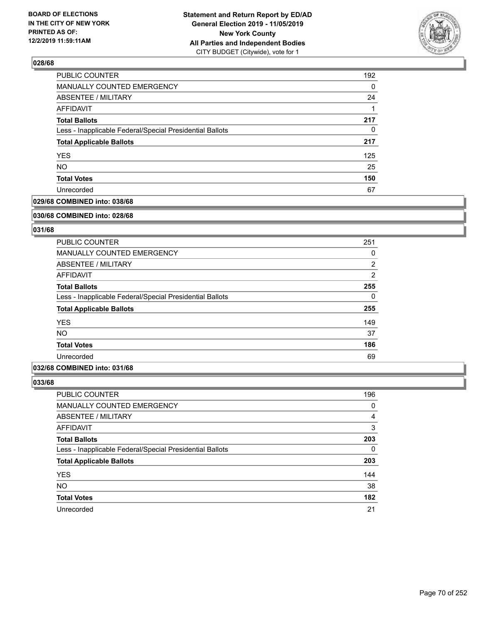

| <b>PUBLIC COUNTER</b>                                    | 192 |
|----------------------------------------------------------|-----|
| MANUALLY COUNTED EMERGENCY                               | 0   |
| ABSENTEE / MILITARY                                      | 24  |
| <b>AFFIDAVIT</b>                                         |     |
| <b>Total Ballots</b>                                     | 217 |
| Less - Inapplicable Federal/Special Presidential Ballots | 0   |
| <b>Total Applicable Ballots</b>                          | 217 |
| <b>YES</b>                                               | 125 |
| <b>NO</b>                                                | 25  |
| <b>Total Votes</b>                                       | 150 |
| Unrecorded                                               | 67  |

## **029/68 COMBINED into: 038/68**

#### **030/68 COMBINED into: 028/68**

## **031/68**

| <b>PUBLIC COUNTER</b>                                    | 251            |
|----------------------------------------------------------|----------------|
| <b>MANUALLY COUNTED EMERGENCY</b>                        | 0              |
| ABSENTEE / MILITARY                                      | $\overline{2}$ |
| AFFIDAVIT                                                | $\overline{2}$ |
| <b>Total Ballots</b>                                     | 255            |
| Less - Inapplicable Federal/Special Presidential Ballots | $\Omega$       |
| <b>Total Applicable Ballots</b>                          | 255            |
| <b>YES</b>                                               | 149            |
| <b>NO</b>                                                | 37             |
| <b>Total Votes</b>                                       | 186            |
| Unrecorded                                               | 69             |

## **032/68 COMBINED into: 031/68**

| PUBLIC COUNTER                                           | 196      |
|----------------------------------------------------------|----------|
| MANUALLY COUNTED EMERGENCY                               | 0        |
| ABSENTEE / MILITARY                                      | 4        |
| AFFIDAVIT                                                | 3        |
| <b>Total Ballots</b>                                     | 203      |
| Less - Inapplicable Federal/Special Presidential Ballots | $\Omega$ |
| <b>Total Applicable Ballots</b>                          | 203      |
| <b>YES</b>                                               | 144      |
| <b>NO</b>                                                | 38       |
| <b>Total Votes</b>                                       | 182      |
| Unrecorded                                               | 21       |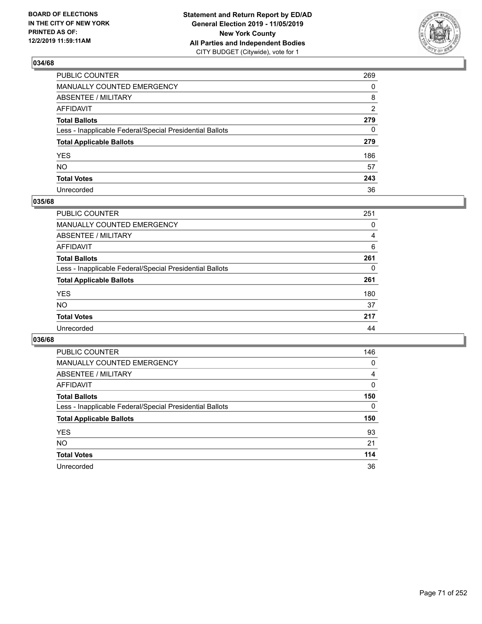

| PUBLIC COUNTER                                           | 269      |
|----------------------------------------------------------|----------|
| MANUALLY COUNTED EMERGENCY                               | $\Omega$ |
| ABSENTEE / MILITARY                                      | 8        |
| AFFIDAVIT                                                | 2        |
| Total Ballots                                            | 279      |
| Less - Inapplicable Federal/Special Presidential Ballots | 0        |
| <b>Total Applicable Ballots</b>                          | 279      |
| YES                                                      | 186      |
| NO.                                                      | 57       |
| <b>Total Votes</b>                                       | 243      |
| Unrecorded                                               | 36       |

## **035/68**

| PUBLIC COUNTER                                           | 251 |
|----------------------------------------------------------|-----|
| <b>MANUALLY COUNTED EMERGENCY</b>                        | 0   |
| <b>ABSENTEE / MILITARY</b>                               | 4   |
| AFFIDAVIT                                                | 6   |
| <b>Total Ballots</b>                                     | 261 |
| Less - Inapplicable Federal/Special Presidential Ballots | 0   |
| <b>Total Applicable Ballots</b>                          | 261 |
| <b>YES</b>                                               | 180 |
| <b>NO</b>                                                | 37  |
| <b>Total Votes</b>                                       | 217 |
| Unrecorded                                               | 44  |

| <b>PUBLIC COUNTER</b>                                    | 146 |
|----------------------------------------------------------|-----|
| <b>MANUALLY COUNTED EMERGENCY</b>                        | 0   |
| ABSENTEE / MILITARY                                      | 4   |
| AFFIDAVIT                                                | 0   |
| <b>Total Ballots</b>                                     | 150 |
| Less - Inapplicable Federal/Special Presidential Ballots | 0   |
| <b>Total Applicable Ballots</b>                          | 150 |
| <b>YES</b>                                               | 93  |
| NO.                                                      | 21  |
|                                                          |     |
| <b>Total Votes</b>                                       | 114 |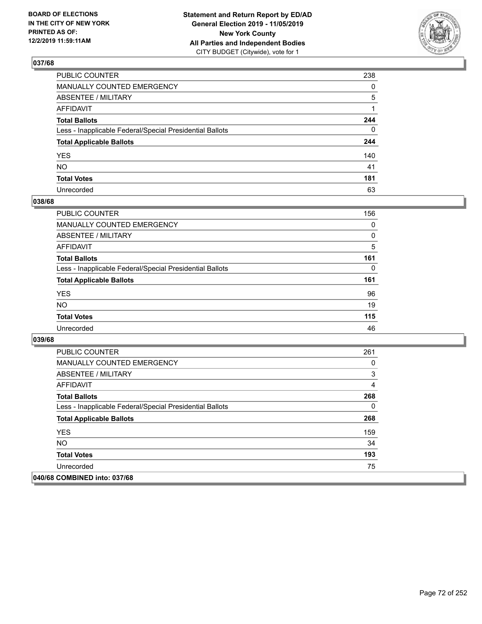

| PUBLIC COUNTER                                           | 238          |
|----------------------------------------------------------|--------------|
| MANUALLY COUNTED EMERGENCY                               | $\mathbf{0}$ |
| ABSENTEE / MILITARY                                      | 5            |
| AFFIDAVIT                                                |              |
| Total Ballots                                            | 244          |
| Less - Inapplicable Federal/Special Presidential Ballots | $\mathbf{0}$ |
| <b>Total Applicable Ballots</b>                          | 244          |
| YES                                                      | 140          |
| NO.                                                      | 41           |
| <b>Total Votes</b>                                       | 181          |
| Unrecorded                                               | 63           |

## **038/68**

| <b>PUBLIC COUNTER</b>                                    | 156      |
|----------------------------------------------------------|----------|
| <b>MANUALLY COUNTED EMERGENCY</b>                        | $\Omega$ |
| ABSENTEE / MILITARY                                      | 0        |
| AFFIDAVIT                                                | 5        |
| <b>Total Ballots</b>                                     | 161      |
| Less - Inapplicable Federal/Special Presidential Ballots | 0        |
| <b>Total Applicable Ballots</b>                          | 161      |
| <b>YES</b>                                               | 96       |
| <b>NO</b>                                                | 19       |
| <b>Total Votes</b>                                       | 115      |
| Unrecorded                                               | 46       |

| <b>PUBLIC COUNTER</b>                                    | 261 |
|----------------------------------------------------------|-----|
| <b>MANUALLY COUNTED EMERGENCY</b>                        | 0   |
| ABSENTEE / MILITARY                                      | 3   |
| AFFIDAVIT                                                | 4   |
| <b>Total Ballots</b>                                     | 268 |
| Less - Inapplicable Federal/Special Presidential Ballots | 0   |
| <b>Total Applicable Ballots</b>                          | 268 |
| <b>YES</b>                                               | 159 |
| <b>NO</b>                                                | 34  |
| <b>Total Votes</b>                                       | 193 |
| Unrecorded                                               | 75  |
| 040/68 COMBINED into: 037/68                             |     |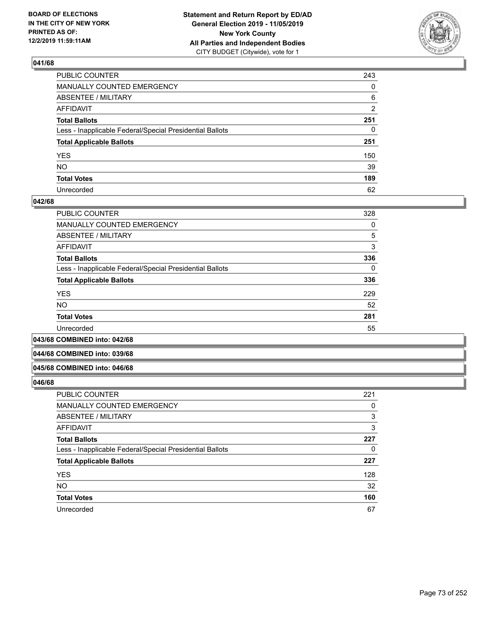

| PUBLIC COUNTER                                           | 243          |
|----------------------------------------------------------|--------------|
| MANUALLY COUNTED EMERGENCY                               | $\mathbf{0}$ |
| ABSENTEE / MILITARY                                      | 6            |
| AFFIDAVIT                                                | 2            |
| Total Ballots                                            | 251          |
| Less - Inapplicable Federal/Special Presidential Ballots | 0            |
| <b>Total Applicable Ballots</b>                          | 251          |
| YES                                                      | 150          |
| NO.                                                      | 39           |
| <b>Total Votes</b>                                       | 189          |
| Unrecorded                                               | 62           |

## **042/68**

| PUBLIC COUNTER                                           | 328 |
|----------------------------------------------------------|-----|
| <b>MANUALLY COUNTED EMERGENCY</b>                        | 0   |
| ABSENTEE / MILITARY                                      | 5   |
| <b>AFFIDAVIT</b>                                         | 3   |
| <b>Total Ballots</b>                                     | 336 |
| Less - Inapplicable Federal/Special Presidential Ballots | 0   |
| <b>Total Applicable Ballots</b>                          | 336 |
| <b>YES</b>                                               | 229 |
| <b>NO</b>                                                | 52  |
| <b>Total Votes</b>                                       | 281 |
| Unrecorded                                               | 55  |
|                                                          |     |

**043/68 COMBINED into: 042/68**

#### **044/68 COMBINED into: 039/68**

#### **045/68 COMBINED into: 046/68**

| PUBLIC COUNTER                                           | 221 |
|----------------------------------------------------------|-----|
| MANUALLY COUNTED EMERGENCY                               | 0   |
| <b>ABSENTEE / MILITARY</b>                               | 3   |
| AFFIDAVIT                                                | 3   |
| <b>Total Ballots</b>                                     | 227 |
| Less - Inapplicable Federal/Special Presidential Ballots | 0   |
| <b>Total Applicable Ballots</b>                          | 227 |
| <b>YES</b>                                               | 128 |
| <b>NO</b>                                                | 32  |
| <b>Total Votes</b>                                       | 160 |
| Unrecorded                                               | 67  |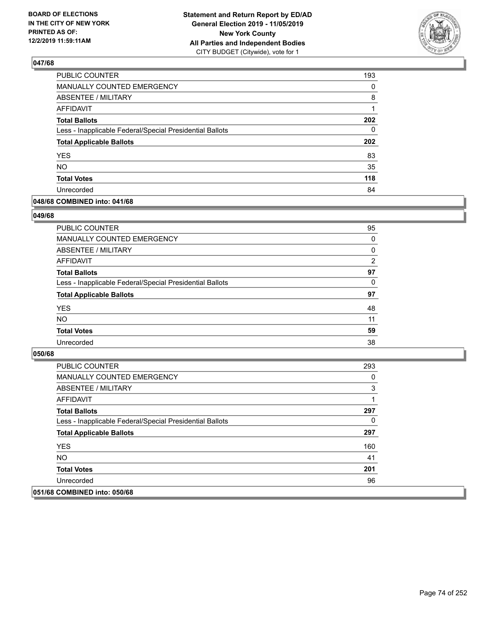

| PUBLIC COUNTER                                           | 193      |
|----------------------------------------------------------|----------|
| <b>MANUALLY COUNTED EMERGENCY</b>                        | $\Omega$ |
| <b>ABSENTEE / MILITARY</b>                               | 8        |
| <b>AFFIDAVIT</b>                                         | 1        |
| <b>Total Ballots</b>                                     | 202      |
| Less - Inapplicable Federal/Special Presidential Ballots | 0        |
| <b>Total Applicable Ballots</b>                          | 202      |
| <b>YES</b>                                               | 83       |
| <b>NO</b>                                                | 35       |
| <b>Total Votes</b>                                       | 118      |
| Unrecorded                                               | 84       |

## **048/68 COMBINED into: 041/68**

### **049/68**

| PUBLIC COUNTER                                           | 95             |
|----------------------------------------------------------|----------------|
| <b>MANUALLY COUNTED EMERGENCY</b>                        | $\Omega$       |
| ABSENTEE / MILITARY                                      | 0              |
| AFFIDAVIT                                                | $\overline{2}$ |
| <b>Total Ballots</b>                                     | 97             |
| Less - Inapplicable Federal/Special Presidential Ballots | $\Omega$       |
| <b>Total Applicable Ballots</b>                          | 97             |
| <b>YES</b>                                               | 48             |
| <b>NO</b>                                                | 11             |
| <b>Total Votes</b>                                       | 59             |
| Unrecorded                                               | 38             |
|                                                          |                |

| <b>PUBLIC COUNTER</b>                                    | 293 |
|----------------------------------------------------------|-----|
| <b>MANUALLY COUNTED EMERGENCY</b>                        | 0   |
| ABSENTEE / MILITARY                                      | 3   |
| AFFIDAVIT                                                |     |
| <b>Total Ballots</b>                                     | 297 |
| Less - Inapplicable Federal/Special Presidential Ballots | 0   |
| <b>Total Applicable Ballots</b>                          | 297 |
| <b>YES</b>                                               | 160 |
| NO.                                                      | 41  |
| <b>Total Votes</b>                                       | 201 |
| Unrecorded                                               | 96  |
| 051/68 COMBINED into: 050/68                             |     |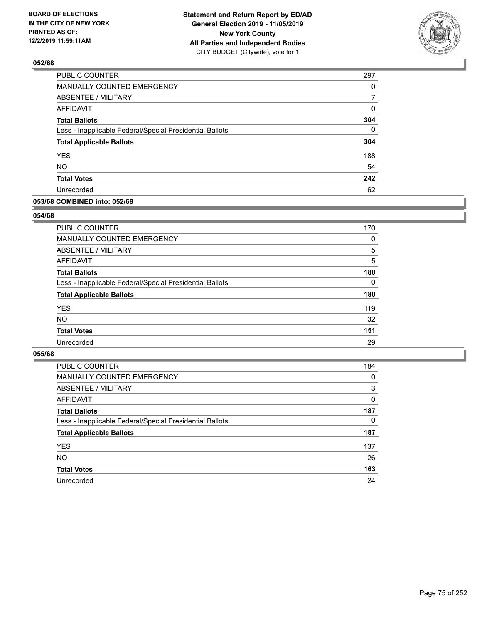

| <b>PUBLIC COUNTER</b>                                    | 297          |
|----------------------------------------------------------|--------------|
| MANUALLY COUNTED EMERGENCY                               | 0            |
| ABSENTEE / MILITARY                                      | 7            |
| <b>AFFIDAVIT</b>                                         | 0            |
| <b>Total Ballots</b>                                     | 304          |
| Less - Inapplicable Federal/Special Presidential Ballots | $\mathbf{0}$ |
| <b>Total Applicable Ballots</b>                          | 304          |
| <b>YES</b>                                               | 188          |
| <b>NO</b>                                                | 54           |
| <b>Total Votes</b>                                       | 242          |
| Unrecorded                                               | 62           |

## **053/68 COMBINED into: 052/68**

### **054/68**

| <b>PUBLIC COUNTER</b>                                    | 170 |
|----------------------------------------------------------|-----|
| MANUALLY COUNTED EMERGENCY                               | 0   |
| ABSENTEE / MILITARY                                      | 5   |
| AFFIDAVIT                                                | 5   |
| <b>Total Ballots</b>                                     | 180 |
| Less - Inapplicable Federal/Special Presidential Ballots | 0   |
| <b>Total Applicable Ballots</b>                          | 180 |
| <b>YES</b>                                               | 119 |
| <b>NO</b>                                                | 32  |
| <b>Total Votes</b>                                       | 151 |
| Unrecorded                                               | 29  |
|                                                          |     |

| <b>PUBLIC COUNTER</b>                                    | 184      |
|----------------------------------------------------------|----------|
| MANUALLY COUNTED EMERGENCY                               | 0        |
| ABSENTEE / MILITARY                                      | 3        |
| AFFIDAVIT                                                | $\Omega$ |
| <b>Total Ballots</b>                                     | 187      |
| Less - Inapplicable Federal/Special Presidential Ballots | $\Omega$ |
| <b>Total Applicable Ballots</b>                          | 187      |
| <b>YES</b>                                               | 137      |
| <b>NO</b>                                                | 26       |
| <b>Total Votes</b>                                       | 163      |
| Unrecorded                                               | 24       |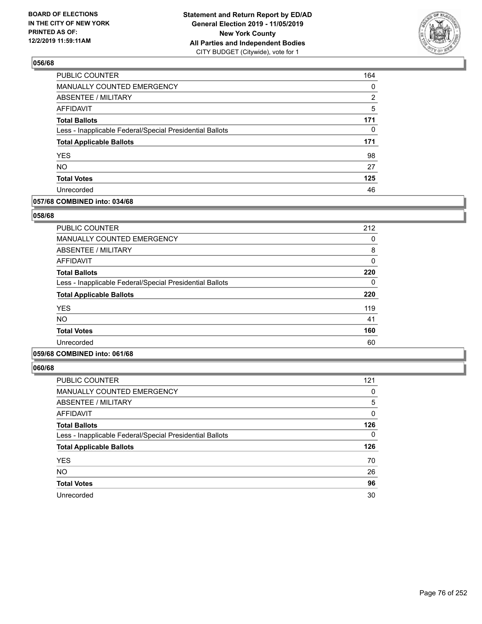

| <b>PUBLIC COUNTER</b>                                    | 164 |
|----------------------------------------------------------|-----|
| MANUALLY COUNTED EMERGENCY                               | 0   |
| ABSENTEE / MILITARY                                      | 2   |
| <b>AFFIDAVIT</b>                                         | 5   |
| <b>Total Ballots</b>                                     | 171 |
| Less - Inapplicable Federal/Special Presidential Ballots | 0   |
| <b>Total Applicable Ballots</b>                          | 171 |
| <b>YES</b>                                               | 98  |
| <b>NO</b>                                                | 27  |
| <b>Total Votes</b>                                       | 125 |
| Unrecorded                                               | 46  |

## **057/68 COMBINED into: 034/68**

## **058/68**

| <b>PUBLIC COUNTER</b>                                    | 212 |
|----------------------------------------------------------|-----|
| <b>MANUALLY COUNTED EMERGENCY</b>                        | 0   |
| ABSENTEE / MILITARY                                      | 8   |
| AFFIDAVIT                                                | 0   |
| <b>Total Ballots</b>                                     | 220 |
| Less - Inapplicable Federal/Special Presidential Ballots | 0   |
| <b>Total Applicable Ballots</b>                          | 220 |
| <b>YES</b>                                               | 119 |
| <b>NO</b>                                                | 41  |
| <b>Total Votes</b>                                       | 160 |
| Unrecorded                                               | 60  |
|                                                          |     |

# **059/68 COMBINED into: 061/68**

| <b>PUBLIC COUNTER</b>                                    | 121 |
|----------------------------------------------------------|-----|
| <b>MANUALLY COUNTED EMERGENCY</b>                        | 0   |
| ABSENTEE / MILITARY                                      | 5   |
| AFFIDAVIT                                                | 0   |
| <b>Total Ballots</b>                                     | 126 |
| Less - Inapplicable Federal/Special Presidential Ballots | 0   |
| <b>Total Applicable Ballots</b>                          | 126 |
| <b>YES</b>                                               | 70  |
| <b>NO</b>                                                | 26  |
| <b>Total Votes</b>                                       | 96  |
| Unrecorded                                               | 30  |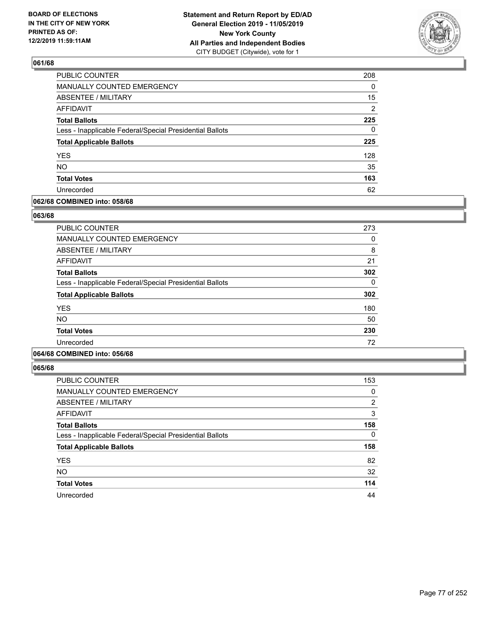

| PUBLIC COUNTER                                           | 208            |
|----------------------------------------------------------|----------------|
| MANUALLY COUNTED EMERGENCY                               | 0              |
| ABSENTEE / MILITARY                                      | 15             |
| <b>AFFIDAVIT</b>                                         | $\overline{2}$ |
| <b>Total Ballots</b>                                     | 225            |
| Less - Inapplicable Federal/Special Presidential Ballots | $\Omega$       |
| <b>Total Applicable Ballots</b>                          | 225            |
| <b>YES</b>                                               | 128            |
| <b>NO</b>                                                | 35             |
| <b>Total Votes</b>                                       | 163            |
| Unrecorded                                               | 62             |

## **062/68 COMBINED into: 058/68**

## **063/68**

| <b>PUBLIC COUNTER</b>                                    | 273      |
|----------------------------------------------------------|----------|
| MANUALLY COUNTED EMERGENCY                               | 0        |
| ABSENTEE / MILITARY                                      | 8        |
| AFFIDAVIT                                                | 21       |
| <b>Total Ballots</b>                                     | 302      |
| Less - Inapplicable Federal/Special Presidential Ballots | $\Omega$ |
| <b>Total Applicable Ballots</b>                          | 302      |
| <b>YES</b>                                               | 180      |
| <b>NO</b>                                                | 50       |
| <b>Total Votes</b>                                       | 230      |
| Unrecorded                                               | 72       |
|                                                          |          |

# **064/68 COMBINED into: 056/68**

| <b>PUBLIC COUNTER</b>                                    | 153 |
|----------------------------------------------------------|-----|
| <b>MANUALLY COUNTED EMERGENCY</b>                        | 0   |
| ABSENTEE / MILITARY                                      | 2   |
| AFFIDAVIT                                                | 3   |
| <b>Total Ballots</b>                                     | 158 |
| Less - Inapplicable Federal/Special Presidential Ballots | 0   |
| <b>Total Applicable Ballots</b>                          | 158 |
| <b>YES</b>                                               | 82  |
| <b>NO</b>                                                | 32  |
| <b>Total Votes</b>                                       | 114 |
| Unrecorded                                               | 44  |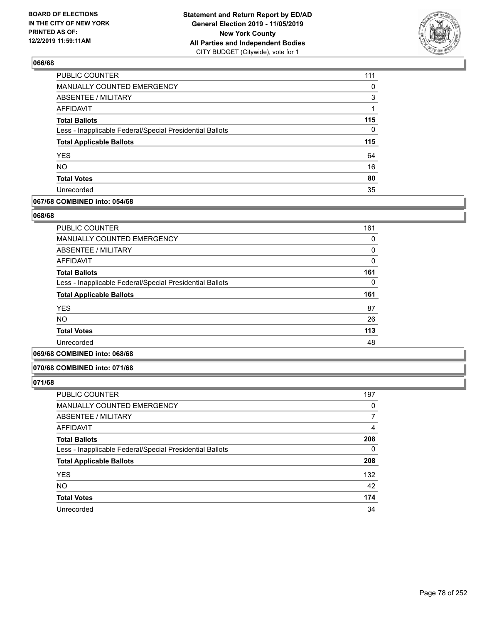

| PUBLIC COUNTER                                           | 111      |
|----------------------------------------------------------|----------|
| MANUALLY COUNTED EMERGENCY                               | 0        |
| ABSENTEE / MILITARY                                      | 3        |
| <b>AFFIDAVIT</b>                                         | 1        |
| <b>Total Ballots</b>                                     | 115      |
| Less - Inapplicable Federal/Special Presidential Ballots | $\Omega$ |
| <b>Total Applicable Ballots</b>                          | 115      |
| <b>YES</b>                                               | 64       |
| <b>NO</b>                                                | 16       |
| <b>Total Votes</b>                                       | 80       |
| Unrecorded                                               | 35       |

## **067/68 COMBINED into: 054/68**

## **068/68**

| <b>PUBLIC COUNTER</b>                                    | 161 |
|----------------------------------------------------------|-----|
| <b>MANUALLY COUNTED EMERGENCY</b>                        | 0   |
| <b>ABSENTEE / MILITARY</b>                               | 0   |
| <b>AFFIDAVIT</b>                                         | 0   |
| <b>Total Ballots</b>                                     | 161 |
| Less - Inapplicable Federal/Special Presidential Ballots | 0   |
| <b>Total Applicable Ballots</b>                          | 161 |
| <b>YES</b>                                               | 87  |
| <b>NO</b>                                                | 26  |
| <b>Total Votes</b>                                       | 113 |
| Unrecorded                                               | 48  |
|                                                          |     |

# **069/68 COMBINED into: 068/68**

#### **070/68 COMBINED into: 071/68**

| <b>PUBLIC COUNTER</b>                                    | 197 |
|----------------------------------------------------------|-----|
| MANUALLY COUNTED EMERGENCY                               | 0   |
| <b>ABSENTEE / MILITARY</b>                               |     |
| AFFIDAVIT                                                | 4   |
| <b>Total Ballots</b>                                     | 208 |
| Less - Inapplicable Federal/Special Presidential Ballots | 0   |
| <b>Total Applicable Ballots</b>                          | 208 |
| <b>YES</b>                                               | 132 |
| <b>NO</b>                                                | 42  |
| <b>Total Votes</b>                                       | 174 |
| Unrecorded                                               | 34  |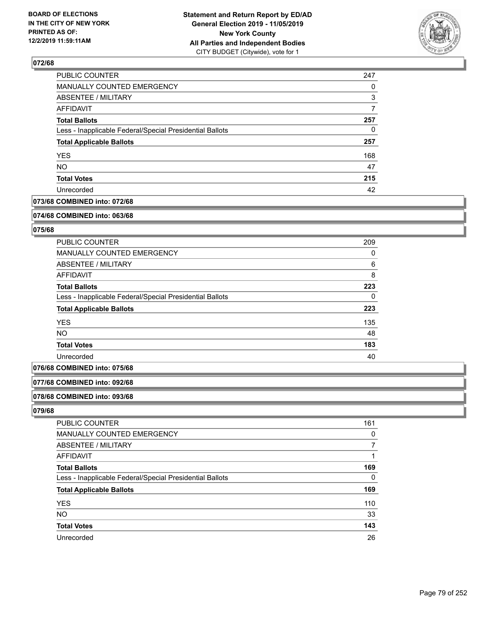

| 247 |
|-----|
| 0   |
| 3   |
| 7   |
| 257 |
| 0   |
| 257 |
| 168 |
| 47  |
| 215 |
| 42  |
|     |

# **073/68 COMBINED into: 072/68**

#### **074/68 COMBINED into: 063/68**

# **075/68**

| <b>PUBLIC COUNTER</b>                                    | 209      |
|----------------------------------------------------------|----------|
| MANUALLY COUNTED EMERGENCY                               | 0        |
| ABSENTEE / MILITARY                                      | 6        |
| AFFIDAVIT                                                | 8        |
| <b>Total Ballots</b>                                     | 223      |
| Less - Inapplicable Federal/Special Presidential Ballots | $\Omega$ |
| <b>Total Applicable Ballots</b>                          | 223      |
| <b>YES</b>                                               | 135      |
| <b>NO</b>                                                | 48       |
| <b>Total Votes</b>                                       | 183      |
| Unrecorded                                               | 40       |

# **076/68 COMBINED into: 075/68**

### **077/68 COMBINED into: 092/68**

#### **078/68 COMBINED into: 093/68**

| <b>PUBLIC COUNTER</b>                                    | 161 |
|----------------------------------------------------------|-----|
| MANUALLY COUNTED EMERGENCY                               | 0   |
| <b>ABSENTEE / MILITARY</b>                               |     |
| AFFIDAVIT                                                |     |
| <b>Total Ballots</b>                                     | 169 |
| Less - Inapplicable Federal/Special Presidential Ballots | 0   |
| <b>Total Applicable Ballots</b>                          | 169 |
| <b>YES</b>                                               | 110 |
| <b>NO</b>                                                | 33  |
| <b>Total Votes</b>                                       | 143 |
| Unrecorded                                               | 26  |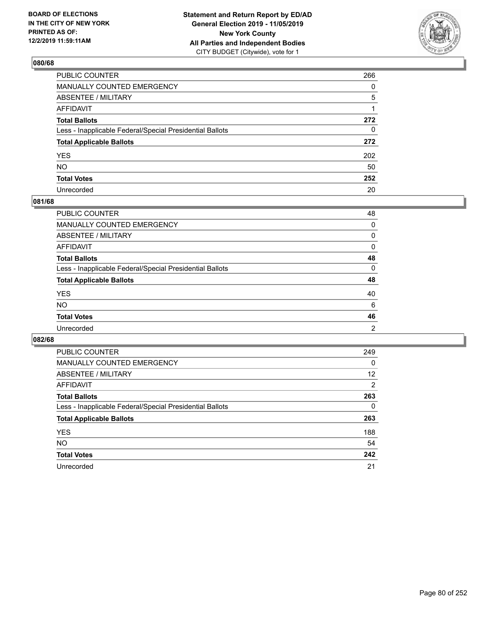

| PUBLIC COUNTER                                           | 266 |
|----------------------------------------------------------|-----|
| MANUALLY COUNTED EMERGENCY                               | 0   |
| ABSENTEE / MILITARY                                      | 5   |
| AFFIDAVIT                                                | 1   |
| Total Ballots                                            | 272 |
| Less - Inapplicable Federal/Special Presidential Ballots | 0   |
| <b>Total Applicable Ballots</b>                          | 272 |
| YES                                                      | 202 |
| NO.                                                      | 50  |
| <b>Total Votes</b>                                       | 252 |
| Unrecorded                                               | 20  |

# **081/68**

| <b>PUBLIC COUNTER</b>                                    | 48             |
|----------------------------------------------------------|----------------|
| <b>MANUALLY COUNTED EMERGENCY</b>                        | 0              |
| ABSENTEE / MILITARY                                      | 0              |
| AFFIDAVIT                                                | $\Omega$       |
| <b>Total Ballots</b>                                     | 48             |
| Less - Inapplicable Federal/Special Presidential Ballots | $\Omega$       |
| <b>Total Applicable Ballots</b>                          | 48             |
| <b>YES</b>                                               | 40             |
| <b>NO</b>                                                | 6              |
| <b>Total Votes</b>                                       | 46             |
| Unrecorded                                               | $\overline{2}$ |

| <b>PUBLIC COUNTER</b>                                    | 249      |
|----------------------------------------------------------|----------|
| <b>MANUALLY COUNTED EMERGENCY</b>                        | 0        |
| ABSENTEE / MILITARY                                      | 12       |
| AFFIDAVIT                                                | 2        |
| <b>Total Ballots</b>                                     | 263      |
| Less - Inapplicable Federal/Special Presidential Ballots | $\Omega$ |
| <b>Total Applicable Ballots</b>                          | 263      |
| <b>YES</b>                                               | 188      |
| NO.                                                      | 54       |
| <b>Total Votes</b>                                       | 242      |
| Unrecorded                                               | 21       |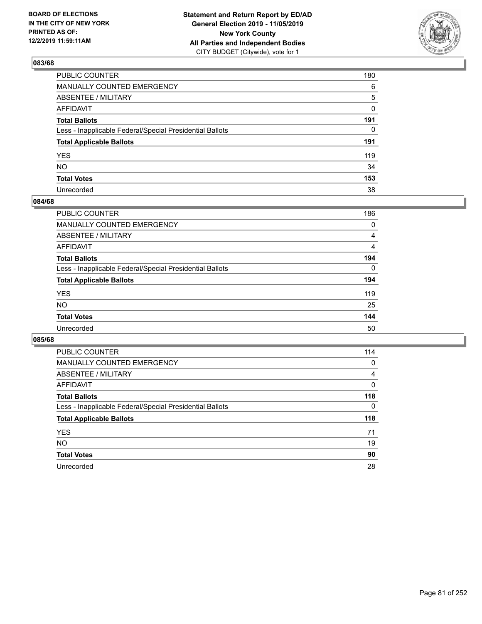

| PUBLIC COUNTER                                           | 180          |
|----------------------------------------------------------|--------------|
| MANUALLY COUNTED EMERGENCY                               | 6            |
| ABSENTEE / MILITARY                                      | 5            |
| AFFIDAVIT                                                | 0            |
| Total Ballots                                            | 191          |
| Less - Inapplicable Federal/Special Presidential Ballots | $\mathbf{0}$ |
| <b>Total Applicable Ballots</b>                          | 191          |
| YES                                                      | 119          |
| NΟ                                                       | 34           |
| <b>Total Votes</b>                                       | 153          |
| Unrecorded                                               | 38           |

## **084/68**

| <b>PUBLIC COUNTER</b>                                    | 186            |
|----------------------------------------------------------|----------------|
| MANUALLY COUNTED EMERGENCY                               | 0              |
| ABSENTEE / MILITARY                                      | 4              |
| AFFIDAVIT                                                | $\overline{4}$ |
| <b>Total Ballots</b>                                     | 194            |
| Less - Inapplicable Federal/Special Presidential Ballots | $\Omega$       |
| <b>Total Applicable Ballots</b>                          | 194            |
| <b>YES</b>                                               | 119            |
| <b>NO</b>                                                | 25             |
| <b>Total Votes</b>                                       | 144            |
| Unrecorded                                               | 50             |

| <b>PUBLIC COUNTER</b>                                    | 114 |
|----------------------------------------------------------|-----|
| <b>MANUALLY COUNTED EMERGENCY</b>                        | 0   |
| ABSENTEE / MILITARY                                      | 4   |
| AFFIDAVIT                                                | 0   |
| <b>Total Ballots</b>                                     | 118 |
| Less - Inapplicable Federal/Special Presidential Ballots | 0   |
| <b>Total Applicable Ballots</b>                          | 118 |
| <b>YES</b>                                               | 71  |
| NO.                                                      | 19  |
| <b>Total Votes</b>                                       | 90  |
| Unrecorded                                               | 28  |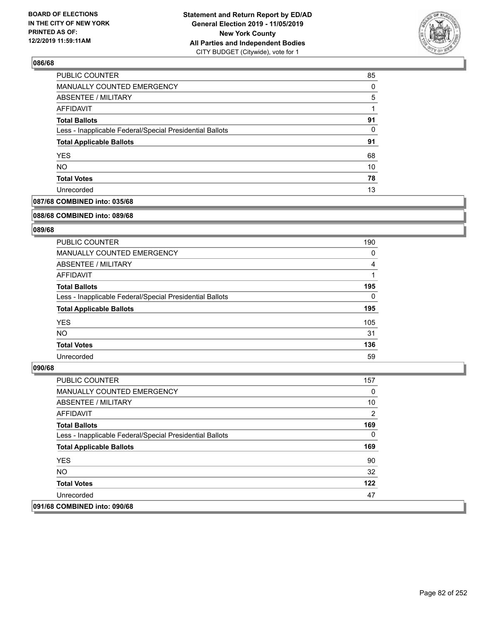

| PUBLIC COUNTER                                           | 85       |
|----------------------------------------------------------|----------|
| MANUALLY COUNTED EMERGENCY                               | $\Omega$ |
| <b>ABSENTEE / MILITARY</b>                               | 5        |
| AFFIDAVIT                                                |          |
| <b>Total Ballots</b>                                     | 91       |
| Less - Inapplicable Federal/Special Presidential Ballots | 0        |
| <b>Total Applicable Ballots</b>                          | 91       |
| <b>YES</b>                                               | 68       |
| <b>NO</b>                                                | 10       |
| <b>Total Votes</b>                                       | 78       |
| Unrecorded                                               | 13       |

# **087/68 COMBINED into: 035/68**

#### **088/68 COMBINED into: 089/68**

# **089/68**

| <b>PUBLIC COUNTER</b>                                    | 190      |
|----------------------------------------------------------|----------|
| <b>MANUALLY COUNTED EMERGENCY</b>                        | 0        |
| ABSENTEE / MILITARY                                      | 4        |
| AFFIDAVIT                                                |          |
| <b>Total Ballots</b>                                     | 195      |
| Less - Inapplicable Federal/Special Presidential Ballots | $\Omega$ |
| <b>Total Applicable Ballots</b>                          | 195      |
| <b>YES</b>                                               | 105      |
| NO.                                                      | 31       |
| <b>Total Votes</b>                                       | 136      |
| Unrecorded                                               | 59       |

| <b>PUBLIC COUNTER</b>                                    | 157      |
|----------------------------------------------------------|----------|
| <b>MANUALLY COUNTED EMERGENCY</b>                        | 0        |
| ABSENTEE / MILITARY                                      | 10       |
| AFFIDAVIT                                                | 2        |
| <b>Total Ballots</b>                                     | 169      |
| Less - Inapplicable Federal/Special Presidential Ballots | $\Omega$ |
| <b>Total Applicable Ballots</b>                          | 169      |
| <b>YES</b>                                               | 90       |
| NO.                                                      | 32       |
| <b>Total Votes</b>                                       | 122      |
| Unrecorded                                               | 47       |
| 091/68 COMBINED into: 090/68                             |          |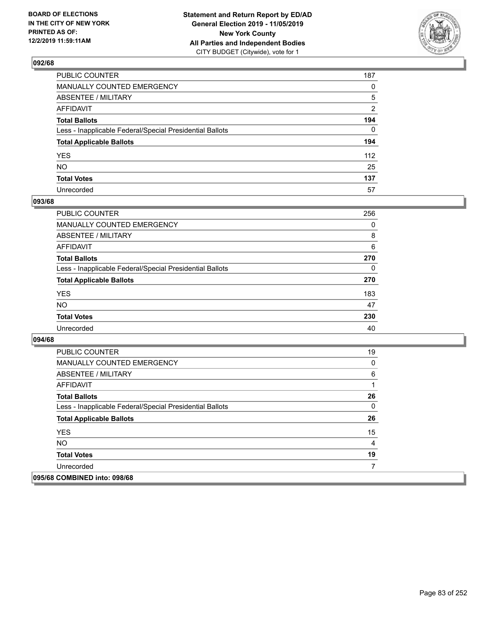

| PUBLIC COUNTER                                           | 187            |
|----------------------------------------------------------|----------------|
| MANUALLY COUNTED EMERGENCY                               | $\mathbf{0}$   |
| ABSENTEE / MILITARY                                      | 5              |
| AFFIDAVIT                                                | $\overline{2}$ |
| Total Ballots                                            | 194            |
| Less - Inapplicable Federal/Special Presidential Ballots | $\Omega$       |
| <b>Total Applicable Ballots</b>                          | 194            |
| YES                                                      | 112            |
| NΟ                                                       | 25             |
| <b>Total Votes</b>                                       | 137            |
| Unrecorded                                               | 57             |

## **093/68**

| <b>PUBLIC COUNTER</b>                                    | 256      |
|----------------------------------------------------------|----------|
| <b>MANUALLY COUNTED EMERGENCY</b>                        | 0        |
| ABSENTEE / MILITARY                                      | 8        |
| AFFIDAVIT                                                | 6        |
| <b>Total Ballots</b>                                     | 270      |
| Less - Inapplicable Federal/Special Presidential Ballots | $\Omega$ |
| <b>Total Applicable Ballots</b>                          | 270      |
| <b>YES</b>                                               | 183      |
| <b>NO</b>                                                | 47       |
| <b>Total Votes</b>                                       | 230      |
| Unrecorded                                               | 40       |

| <b>PUBLIC COUNTER</b>                                    | 19 |
|----------------------------------------------------------|----|
| <b>MANUALLY COUNTED EMERGENCY</b>                        | 0  |
| ABSENTEE / MILITARY                                      | 6  |
| AFFIDAVIT                                                |    |
| <b>Total Ballots</b>                                     | 26 |
| Less - Inapplicable Federal/Special Presidential Ballots | 0  |
| <b>Total Applicable Ballots</b>                          | 26 |
| <b>YES</b>                                               | 15 |
| NO.                                                      | 4  |
| <b>Total Votes</b>                                       | 19 |
| Unrecorded                                               |    |
| 095/68 COMBINED into: 098/68                             |    |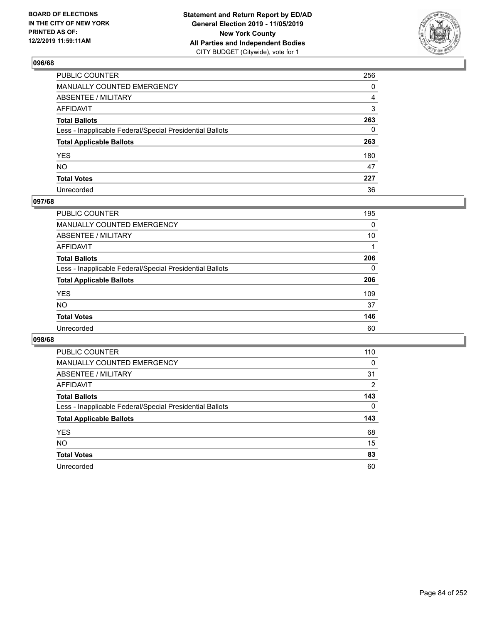

| PUBLIC COUNTER                                           | 256 |
|----------------------------------------------------------|-----|
| MANUALLY COUNTED EMERGENCY                               | 0   |
| ABSENTEE / MILITARY                                      | 4   |
| AFFIDAVIT                                                | 3   |
| Total Ballots                                            | 263 |
| Less - Inapplicable Federal/Special Presidential Ballots | 0   |
| <b>Total Applicable Ballots</b>                          | 263 |
| YES                                                      | 180 |
| NO.                                                      | 47  |
| <b>Total Votes</b>                                       | 227 |
| Unrecorded                                               | 36  |

# **097/68**

| <b>PUBLIC COUNTER</b>                                    | 195      |
|----------------------------------------------------------|----------|
| MANUALLY COUNTED EMERGENCY                               | 0        |
| ABSENTEE / MILITARY                                      | 10       |
| AFFIDAVIT                                                |          |
| <b>Total Ballots</b>                                     | 206      |
| Less - Inapplicable Federal/Special Presidential Ballots | $\Omega$ |
| <b>Total Applicable Ballots</b>                          | 206      |
| <b>YES</b>                                               | 109      |
| <b>NO</b>                                                | 37       |
| <b>Total Votes</b>                                       | 146      |
| Unrecorded                                               | 60       |

| <b>PUBLIC COUNTER</b>                                    | 110      |
|----------------------------------------------------------|----------|
| MANUALLY COUNTED EMERGENCY                               | $\Omega$ |
| ABSENTEE / MILITARY                                      | 31       |
| AFFIDAVIT                                                | 2        |
| <b>Total Ballots</b>                                     | 143      |
| Less - Inapplicable Federal/Special Presidential Ballots | 0        |
| <b>Total Applicable Ballots</b>                          | 143      |
| <b>YES</b>                                               | 68       |
| NO.                                                      | 15       |
| <b>Total Votes</b>                                       | 83       |
|                                                          |          |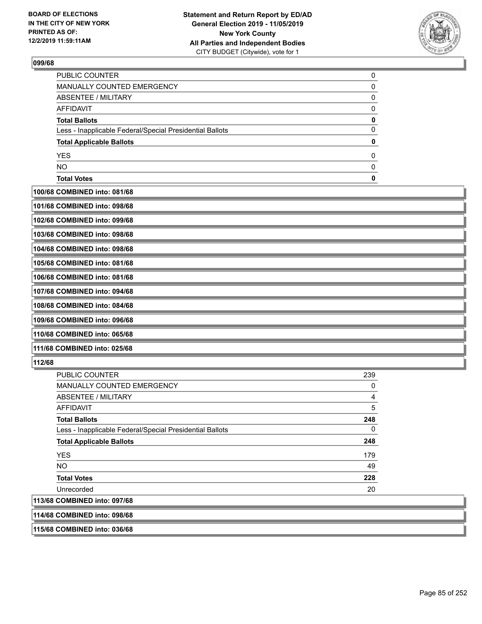

| <b>Total Votes</b>                                       |  |
|----------------------------------------------------------|--|
| <b>NO</b>                                                |  |
| <b>YES</b>                                               |  |
| <b>Total Applicable Ballots</b>                          |  |
| Less - Inapplicable Federal/Special Presidential Ballots |  |
| <b>Total Ballots</b>                                     |  |
| <b>AFFIDAVIT</b>                                         |  |
| ABSENTEE / MILITARY                                      |  |
| <b>MANUALLY COUNTED EMERGENCY</b>                        |  |
| PUBLIC COUNTER                                           |  |

**100/68 COMBINED into: 081/68**

| 101/68 COMBINED into: 098/68 |  |
|------------------------------|--|
| 102/68 COMBINED into: 099/68 |  |

**103/68 COMBINED into: 098/68**

**104/68 COMBINED into: 098/68**

**105/68 COMBINED into: 081/68**

**106/68 COMBINED into: 081/68**

**107/68 COMBINED into: 094/68**

**108/68 COMBINED into: 084/68**

**109/68 COMBINED into: 096/68**

**110/68 COMBINED into: 065/68**

**111/68 COMBINED into: 025/68**

# **112/68**

| PUBLIC COUNTER                                           | 239 |
|----------------------------------------------------------|-----|
| MANUALLY COUNTED EMERGENCY                               | 0   |
| <b>ABSENTEE / MILITARY</b>                               | 4   |
| AFFIDAVIT                                                | 5   |
| <b>Total Ballots</b>                                     | 248 |
| Less - Inapplicable Federal/Special Presidential Ballots | 0   |
| <b>Total Applicable Ballots</b>                          | 248 |
| <b>YES</b>                                               | 179 |
| <b>NO</b>                                                | 49  |
| <b>Total Votes</b>                                       | 228 |
| Unrecorded                                               | 20  |
| 113/68 COMBINED into: 097/68                             |     |
| 111/68 COMBINED into: 008/68                             |     |

**114/68 COMBINED into: 098/68**

**115/68 COMBINED into: 036/68**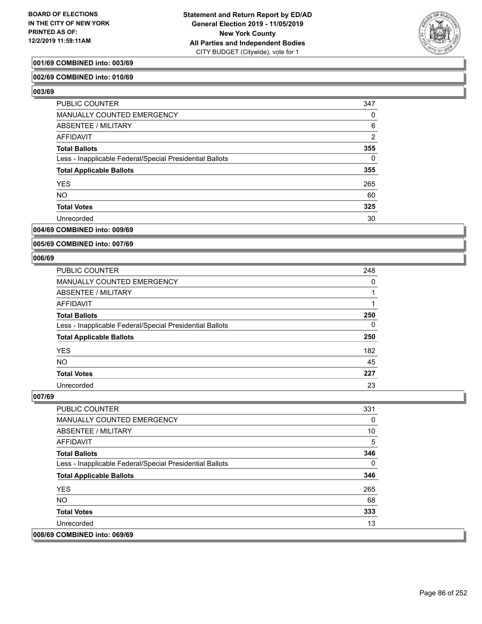

# **001/69 COMBINED into: 003/69**

## **002/69 COMBINED into: 010/69**

**003/69** 

| <b>PUBLIC COUNTER</b>                                    | 347            |
|----------------------------------------------------------|----------------|
| MANUALLY COUNTED EMERGENCY                               | 0              |
| ABSENTEE / MILITARY                                      | 6              |
| AFFIDAVIT                                                | $\overline{2}$ |
| <b>Total Ballots</b>                                     | 355            |
| Less - Inapplicable Federal/Special Presidential Ballots | $\Omega$       |
| <b>Total Applicable Ballots</b>                          | 355            |
| <b>YES</b>                                               | 265            |
| <b>NO</b>                                                | 60             |
| <b>Total Votes</b>                                       | 325            |
| Unrecorded                                               | 30             |

## **004/69 COMBINED into: 009/69**

**005/69 COMBINED into: 007/69**

#### **006/69**

| <b>PUBLIC COUNTER</b>                                    | 248 |
|----------------------------------------------------------|-----|
| MANUALLY COUNTED EMERGENCY                               | 0   |
| <b>ABSENTEE / MILITARY</b>                               |     |
| AFFIDAVIT                                                |     |
| <b>Total Ballots</b>                                     | 250 |
| Less - Inapplicable Federal/Special Presidential Ballots | 0   |
| <b>Total Applicable Ballots</b>                          | 250 |
| <b>YES</b>                                               | 182 |
| <b>NO</b>                                                | 45  |
| <b>Total Votes</b>                                       | 227 |
| Unrecorded                                               | 23  |

| <b>PUBLIC COUNTER</b>                                    | 331 |
|----------------------------------------------------------|-----|
| <b>MANUALLY COUNTED EMERGENCY</b>                        | 0   |
| ABSENTEE / MILITARY                                      | 10  |
| AFFIDAVIT                                                | 5   |
| <b>Total Ballots</b>                                     | 346 |
| Less - Inapplicable Federal/Special Presidential Ballots | 0   |
| <b>Total Applicable Ballots</b>                          | 346 |
| <b>YES</b>                                               | 265 |
| <b>NO</b>                                                | 68  |
| <b>Total Votes</b>                                       | 333 |
| Unrecorded                                               | 13  |
| 008/69 COMBINED into: 069/69                             |     |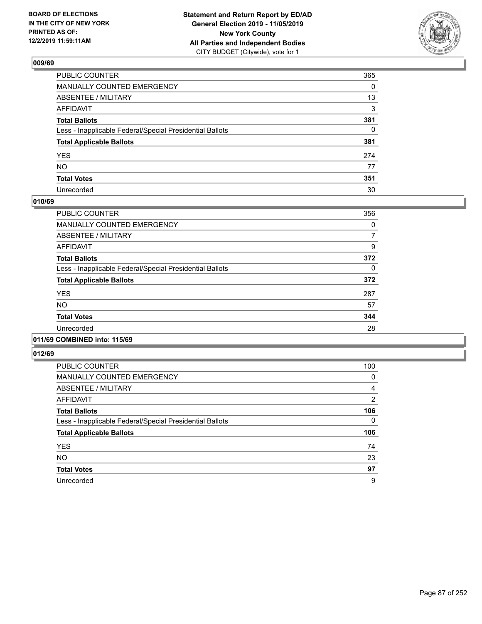

| PUBLIC COUNTER                                           | 365      |
|----------------------------------------------------------|----------|
| MANUALLY COUNTED EMERGENCY                               | $\Omega$ |
| ABSENTEE / MILITARY                                      | 13       |
| AFFIDAVIT                                                | 3        |
| Total Ballots                                            | 381      |
| Less - Inapplicable Federal/Special Presidential Ballots | 0        |
| <b>Total Applicable Ballots</b>                          | 381      |
| YES                                                      | 274      |
| NO.                                                      | 77       |
| <b>Total Votes</b>                                       | 351      |
| Unrecorded                                               | 30       |

# **010/69**

| <b>PUBLIC COUNTER</b>                                    | 356      |
|----------------------------------------------------------|----------|
| <b>MANUALLY COUNTED EMERGENCY</b>                        | $\Omega$ |
| ABSENTEE / MILITARY                                      | 7        |
| <b>AFFIDAVIT</b>                                         | 9        |
| <b>Total Ballots</b>                                     | 372      |
| Less - Inapplicable Federal/Special Presidential Ballots | 0        |
| <b>Total Applicable Ballots</b>                          | 372      |
| <b>YES</b>                                               | 287      |
| <b>NO</b>                                                | 57       |
| <b>Total Votes</b>                                       | 344      |
| Unrecorded                                               | 28       |
|                                                          |          |

## **011/69 COMBINED into: 115/69**

| <b>PUBLIC COUNTER</b>                                    | 100      |
|----------------------------------------------------------|----------|
| <b>MANUALLY COUNTED EMERGENCY</b>                        | 0        |
| ABSENTEE / MILITARY                                      | 4        |
| AFFIDAVIT                                                | 2        |
| <b>Total Ballots</b>                                     | 106      |
| Less - Inapplicable Federal/Special Presidential Ballots | $\Omega$ |
| <b>Total Applicable Ballots</b>                          | 106      |
| <b>YES</b>                                               | 74       |
| <b>NO</b>                                                | 23       |
| <b>Total Votes</b>                                       | 97       |
| Unrecorded                                               | 9        |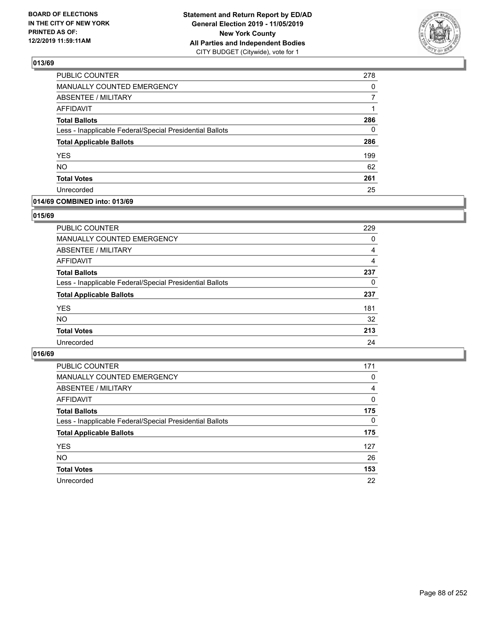

| PUBLIC COUNTER                                           | 278 |
|----------------------------------------------------------|-----|
| <b>MANUALLY COUNTED EMERGENCY</b>                        | 0   |
| <b>ABSENTEE / MILITARY</b>                               | 7   |
| <b>AFFIDAVIT</b>                                         | 1   |
| <b>Total Ballots</b>                                     | 286 |
| Less - Inapplicable Federal/Special Presidential Ballots | 0   |
| <b>Total Applicable Ballots</b>                          | 286 |
| <b>YES</b>                                               | 199 |
| <b>NO</b>                                                | 62  |
| <b>Total Votes</b>                                       | 261 |
| Unrecorded                                               | 25  |

## **014/69 COMBINED into: 013/69**

## **015/69**

| PUBLIC COUNTER                                           | 229      |
|----------------------------------------------------------|----------|
| <b>MANUALLY COUNTED EMERGENCY</b>                        | $\Omega$ |
| ABSENTEE / MILITARY                                      | 4        |
| AFFIDAVIT                                                | 4        |
| <b>Total Ballots</b>                                     | 237      |
| Less - Inapplicable Federal/Special Presidential Ballots | 0        |
| <b>Total Applicable Ballots</b>                          | 237      |
| <b>YES</b>                                               | 181      |
| <b>NO</b>                                                | 32       |
| <b>Total Votes</b>                                       | 213      |
| Unrecorded                                               | 24       |
|                                                          |          |

| <b>PUBLIC COUNTER</b>                                    | 171      |
|----------------------------------------------------------|----------|
| MANUALLY COUNTED EMERGENCY                               | $\Omega$ |
| ABSENTEE / MILITARY                                      | 4        |
| AFFIDAVIT                                                | $\Omega$ |
| <b>Total Ballots</b>                                     | 175      |
| Less - Inapplicable Federal/Special Presidential Ballots | $\Omega$ |
| <b>Total Applicable Ballots</b>                          | 175      |
| <b>YES</b>                                               | 127      |
| <b>NO</b>                                                | 26       |
| <b>Total Votes</b>                                       | 153      |
| Unrecorded                                               | 22       |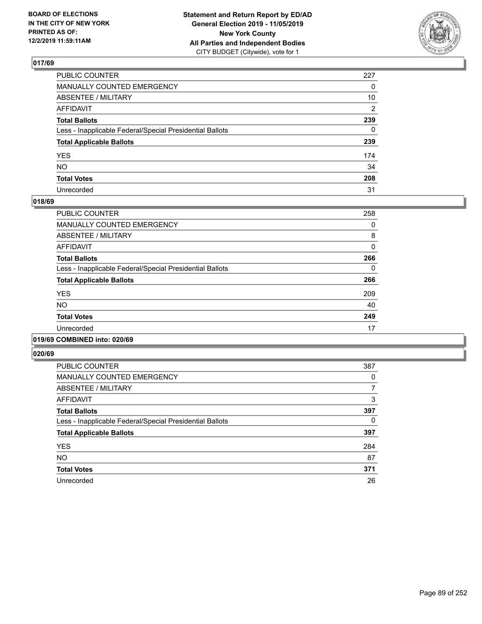

| PUBLIC COUNTER                                           | 227 |
|----------------------------------------------------------|-----|
| MANUALLY COUNTED EMERGENCY                               | 0   |
| ABSENTEE / MILITARY                                      | 10  |
| AFFIDAVIT                                                | 2   |
| Total Ballots                                            | 239 |
| Less - Inapplicable Federal/Special Presidential Ballots | 0   |
| <b>Total Applicable Ballots</b>                          | 239 |
| YES                                                      | 174 |
| NO.                                                      | 34  |
| <b>Total Votes</b>                                       | 208 |
| Unrecorded                                               | 31  |

## **018/69**

| <b>PUBLIC COUNTER</b>                                    | 258      |
|----------------------------------------------------------|----------|
| <b>MANUALLY COUNTED EMERGENCY</b>                        | 0        |
| ABSENTEE / MILITARY                                      | 8        |
| <b>AFFIDAVIT</b>                                         | $\Omega$ |
| <b>Total Ballots</b>                                     | 266      |
| Less - Inapplicable Federal/Special Presidential Ballots | 0        |
| <b>Total Applicable Ballots</b>                          | 266      |
| <b>YES</b>                                               | 209      |
| <b>NO</b>                                                | 40       |
| <b>Total Votes</b>                                       | 249      |
| Unrecorded                                               | 17       |
|                                                          |          |

# **019/69 COMBINED into: 020/69**

| <b>PUBLIC COUNTER</b>                                    | 387 |
|----------------------------------------------------------|-----|
| <b>MANUALLY COUNTED EMERGENCY</b>                        | 0   |
| ABSENTEE / MILITARY                                      | 7   |
| AFFIDAVIT                                                | 3   |
| <b>Total Ballots</b>                                     | 397 |
| Less - Inapplicable Federal/Special Presidential Ballots | 0   |
| <b>Total Applicable Ballots</b>                          | 397 |
| <b>YES</b>                                               | 284 |
| <b>NO</b>                                                | 87  |
| <b>Total Votes</b>                                       | 371 |
| Unrecorded                                               | 26  |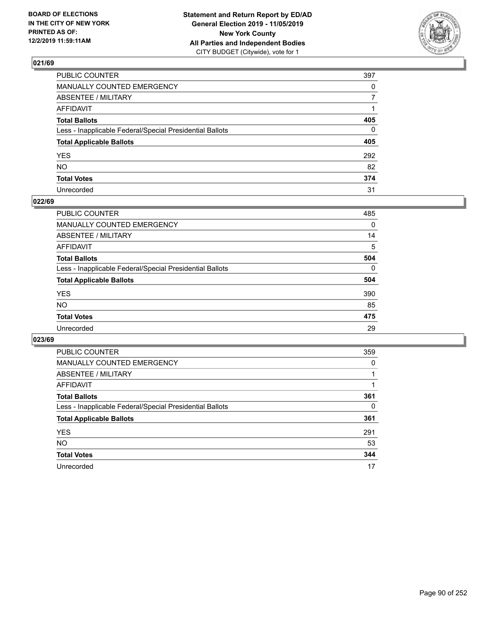

| PUBLIC COUNTER                                           | 397          |
|----------------------------------------------------------|--------------|
| MANUALLY COUNTED EMERGENCY                               | $\mathbf{0}$ |
| ABSENTEE / MILITARY                                      | 7            |
| AFFIDAVIT                                                |              |
| Total Ballots                                            | 405          |
| Less - Inapplicable Federal/Special Presidential Ballots | 0            |
| <b>Total Applicable Ballots</b>                          | 405          |
| YES                                                      | 292          |
| NO.                                                      | 82           |
| <b>Total Votes</b>                                       | 374          |
| Unrecorded                                               | 31           |

# **022/69**

| <b>PUBLIC COUNTER</b>                                    | 485      |
|----------------------------------------------------------|----------|
| MANUALLY COUNTED EMERGENCY                               | 0        |
| ABSENTEE / MILITARY                                      | 14       |
| AFFIDAVIT                                                | 5        |
| <b>Total Ballots</b>                                     | 504      |
| Less - Inapplicable Federal/Special Presidential Ballots | $\Omega$ |
| <b>Total Applicable Ballots</b>                          | 504      |
| <b>YES</b>                                               | 390      |
| <b>NO</b>                                                | 85       |
| <b>Total Votes</b>                                       | 475      |
| Unrecorded                                               | 29       |

| <b>PUBLIC COUNTER</b>                                    | 359 |
|----------------------------------------------------------|-----|
| MANUALLY COUNTED EMERGENCY                               | 0   |
| ABSENTEE / MILITARY                                      |     |
| AFFIDAVIT                                                |     |
| <b>Total Ballots</b>                                     | 361 |
| Less - Inapplicable Federal/Special Presidential Ballots | 0   |
| <b>Total Applicable Ballots</b>                          | 361 |
| <b>YES</b>                                               | 291 |
| <b>NO</b>                                                | 53  |
| <b>Total Votes</b>                                       | 344 |
| Unrecorded                                               | 17  |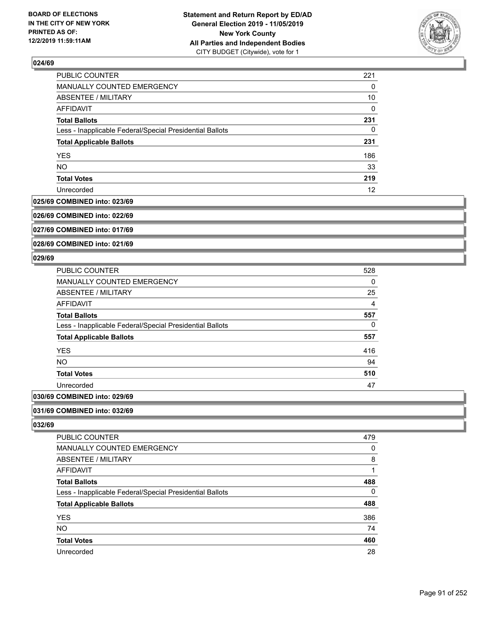

| <b>PUBLIC COUNTER</b>                                    | 221 |
|----------------------------------------------------------|-----|
| MANUALLY COUNTED EMERGENCY                               | 0   |
| ABSENTEE / MILITARY                                      | 10  |
| <b>AFFIDAVIT</b>                                         | 0   |
| <b>Total Ballots</b>                                     | 231 |
| Less - Inapplicable Federal/Special Presidential Ballots | 0   |
| <b>Total Applicable Ballots</b>                          | 231 |
| <b>YES</b>                                               | 186 |
| <b>NO</b>                                                | 33  |
| <b>Total Votes</b>                                       | 219 |
| Unrecorded                                               | 12  |

#### **025/69 COMBINED into: 023/69**

**026/69 COMBINED into: 022/69**

**027/69 COMBINED into: 017/69**

**028/69 COMBINED into: 021/69**

## **029/69**

| <b>PUBLIC COUNTER</b>                                    | 528            |
|----------------------------------------------------------|----------------|
| <b>MANUALLY COUNTED EMERGENCY</b>                        | 0              |
| <b>ABSENTEE / MILITARY</b>                               | 25             |
| <b>AFFIDAVIT</b>                                         | $\overline{4}$ |
| <b>Total Ballots</b>                                     | 557            |
| Less - Inapplicable Federal/Special Presidential Ballots | 0              |
| <b>Total Applicable Ballots</b>                          | 557            |
| <b>YES</b>                                               | 416            |
| <b>NO</b>                                                | 94             |
| <b>Total Votes</b>                                       | 510            |
| Unrecorded                                               | 47             |
|                                                          |                |

# **030/69 COMBINED into: 029/69**

**031/69 COMBINED into: 032/69**

| PUBLIC COUNTER                                           | 479 |
|----------------------------------------------------------|-----|
| <b>MANUALLY COUNTED EMERGENCY</b>                        | 0   |
| ABSENTEE / MILITARY                                      | 8   |
| AFFIDAVIT                                                |     |
| <b>Total Ballots</b>                                     | 488 |
| Less - Inapplicable Federal/Special Presidential Ballots | 0   |
| <b>Total Applicable Ballots</b>                          | 488 |
| <b>YES</b>                                               | 386 |
| <b>NO</b>                                                | 74  |
| <b>Total Votes</b>                                       | 460 |
| Unrecorded                                               | 28  |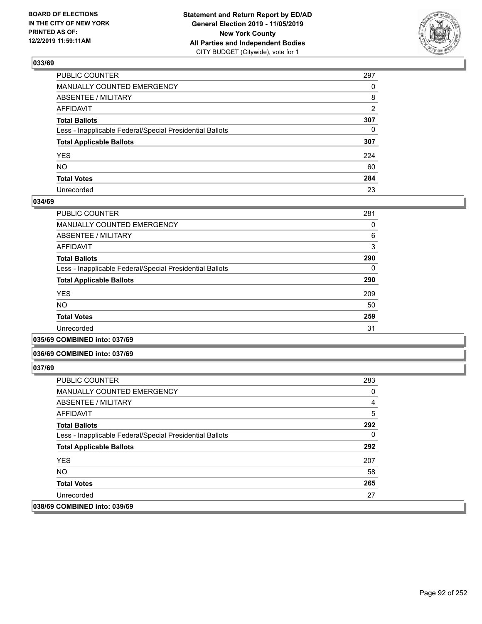

| PUBLIC COUNTER                                           | 297            |
|----------------------------------------------------------|----------------|
| MANUALLY COUNTED EMERGENCY                               | $\Omega$       |
| ABSENTEE / MILITARY                                      | 8              |
| AFFIDAVIT                                                | $\overline{2}$ |
| Total Ballots                                            | 307            |
| Less - Inapplicable Federal/Special Presidential Ballots | $\mathbf{0}$   |
| <b>Total Applicable Ballots</b>                          | 307            |
| YES                                                      | 224            |
| NO.                                                      | 60             |
| <b>Total Votes</b>                                       | 284            |
| Unrecorded                                               | 23             |

## **034/69**

| PUBLIC COUNTER                                           | 281 |
|----------------------------------------------------------|-----|
| <b>MANUALLY COUNTED EMERGENCY</b>                        | 0   |
| ABSENTEE / MILITARY                                      | 6   |
| <b>AFFIDAVIT</b>                                         | 3   |
| <b>Total Ballots</b>                                     | 290 |
| Less - Inapplicable Federal/Special Presidential Ballots | 0   |
| <b>Total Applicable Ballots</b>                          | 290 |
| <b>YES</b>                                               | 209 |
| <b>NO</b>                                                | 50  |
| <b>Total Votes</b>                                       | 259 |
| Unrecorded                                               | 31  |
|                                                          |     |

**035/69 COMBINED into: 037/69**

## **036/69 COMBINED into: 037/69**

| <b>PUBLIC COUNTER</b>                                    | 283 |
|----------------------------------------------------------|-----|
| MANUALLY COUNTED EMERGENCY                               | 0   |
| ABSENTEE / MILITARY                                      | 4   |
| AFFIDAVIT                                                | 5   |
| <b>Total Ballots</b>                                     | 292 |
| Less - Inapplicable Federal/Special Presidential Ballots | 0   |
| <b>Total Applicable Ballots</b>                          | 292 |
| <b>YES</b>                                               | 207 |
| NO.                                                      | 58  |
| <b>Total Votes</b>                                       | 265 |
| Unrecorded                                               | 27  |
| 038/69 COMBINED into: 039/69                             |     |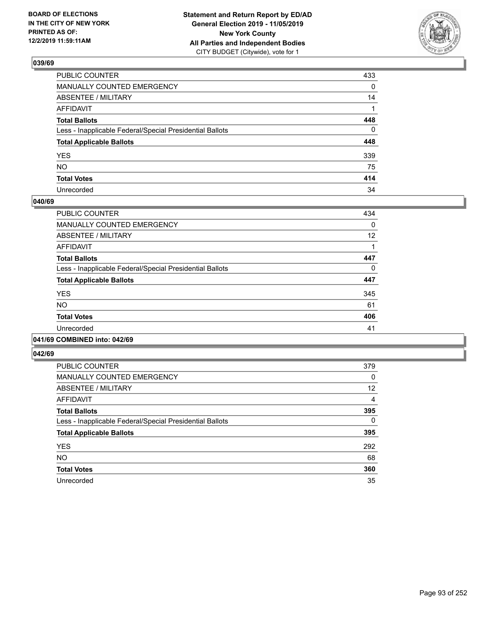

| PUBLIC COUNTER                                           | 433 |
|----------------------------------------------------------|-----|
| MANUALLY COUNTED EMERGENCY                               | 0   |
| ABSENTEE / MILITARY                                      | 14  |
| AFFIDAVIT                                                |     |
| Total Ballots                                            | 448 |
| Less - Inapplicable Federal/Special Presidential Ballots | 0   |
| <b>Total Applicable Ballots</b>                          | 448 |
| YES                                                      | 339 |
| NO.                                                      | 75  |
| <b>Total Votes</b>                                       | 414 |
| Unrecorded                                               | 34  |

## **040/69**

| PUBLIC COUNTER                                           | 434 |
|----------------------------------------------------------|-----|
| <b>MANUALLY COUNTED EMERGENCY</b>                        | 0   |
| <b>ABSENTEE / MILITARY</b>                               | 12  |
| <b>AFFIDAVIT</b>                                         |     |
| <b>Total Ballots</b>                                     | 447 |
| Less - Inapplicable Federal/Special Presidential Ballots | 0   |
| <b>Total Applicable Ballots</b>                          | 447 |
| <b>YES</b>                                               | 345 |
| NO.                                                      | 61  |
| <b>Total Votes</b>                                       | 406 |
| Unrecorded                                               | 41  |
|                                                          |     |

## **041/69 COMBINED into: 042/69**

| <b>PUBLIC COUNTER</b>                                    | 379 |
|----------------------------------------------------------|-----|
| <b>MANUALLY COUNTED EMERGENCY</b>                        | 0   |
| ABSENTEE / MILITARY                                      | 12  |
| <b>AFFIDAVIT</b>                                         | 4   |
| <b>Total Ballots</b>                                     | 395 |
| Less - Inapplicable Federal/Special Presidential Ballots | 0   |
| <b>Total Applicable Ballots</b>                          | 395 |
| <b>YES</b>                                               | 292 |
| <b>NO</b>                                                | 68  |
| <b>Total Votes</b>                                       | 360 |
| Unrecorded                                               | 35  |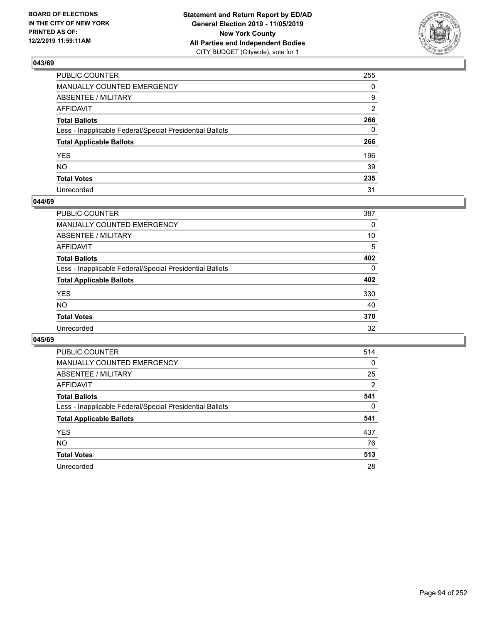

| PUBLIC COUNTER                                           | 255          |
|----------------------------------------------------------|--------------|
| MANUALLY COUNTED EMERGENCY                               | $\Omega$     |
| ABSENTEE / MILITARY                                      | 9            |
| AFFIDAVIT                                                | 2            |
| Total Ballots                                            | 266          |
| Less - Inapplicable Federal/Special Presidential Ballots | $\mathbf{0}$ |
| <b>Total Applicable Ballots</b>                          | 266          |
| YES                                                      | 196          |
| NO.                                                      | 39           |
| <b>Total Votes</b>                                       | 235          |
| Unrecorded                                               | 31           |

## **044/69**

| <b>PUBLIC COUNTER</b>                                    | 387      |
|----------------------------------------------------------|----------|
| MANUALLY COUNTED EMERGENCY                               | 0        |
| ABSENTEE / MILITARY                                      | 10       |
| AFFIDAVIT                                                | 5        |
| <b>Total Ballots</b>                                     | 402      |
| Less - Inapplicable Federal/Special Presidential Ballots | $\Omega$ |
| <b>Total Applicable Ballots</b>                          | 402      |
| <b>YES</b>                                               | 330      |
| <b>NO</b>                                                | 40       |
| <b>Total Votes</b>                                       | 370      |
| Unrecorded                                               | 32       |

| <b>PUBLIC COUNTER</b>                                    | 514      |
|----------------------------------------------------------|----------|
| MANUALLY COUNTED EMERGENCY                               | $\Omega$ |
| ABSENTEE / MILITARY                                      | 25       |
| AFFIDAVIT                                                | 2        |
| <b>Total Ballots</b>                                     | 541      |
| Less - Inapplicable Federal/Special Presidential Ballots | $\Omega$ |
| <b>Total Applicable Ballots</b>                          | 541      |
| <b>YES</b>                                               | 437      |
| NO.                                                      | 76       |
| <b>Total Votes</b>                                       | 513      |
| Unrecorded                                               | 28       |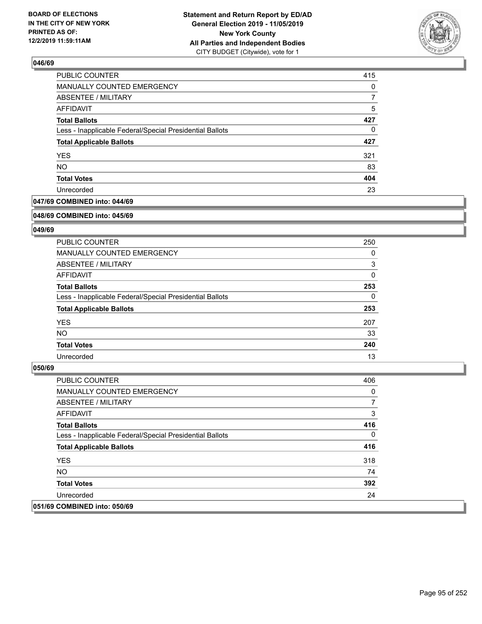

| PUBLIC COUNTER                                           | 415 |
|----------------------------------------------------------|-----|
| MANUALLY COUNTED EMERGENCY                               | 0   |
| ABSENTEE / MILITARY                                      | 7   |
| <b>AFFIDAVIT</b>                                         | 5   |
| <b>Total Ballots</b>                                     | 427 |
| Less - Inapplicable Federal/Special Presidential Ballots | 0   |
| <b>Total Applicable Ballots</b>                          | 427 |
| <b>YES</b>                                               | 321 |
| <b>NO</b>                                                | 83  |
| <b>Total Votes</b>                                       | 404 |
| Unrecorded                                               | 23  |

# **047/69 COMBINED into: 044/69**

#### **048/69 COMBINED into: 045/69**

# **049/69**

| <b>PUBLIC COUNTER</b>                                    | 250          |
|----------------------------------------------------------|--------------|
| <b>MANUALLY COUNTED EMERGENCY</b>                        | 0            |
| ABSENTEE / MILITARY                                      | 3            |
| AFFIDAVIT                                                | $\mathbf{0}$ |
| <b>Total Ballots</b>                                     | 253          |
| Less - Inapplicable Federal/Special Presidential Ballots | $\Omega$     |
| <b>Total Applicable Ballots</b>                          | 253          |
| <b>YES</b>                                               | 207          |
| NO.                                                      | 33           |
| <b>Total Votes</b>                                       | 240          |
| Unrecorded                                               | 13           |

| <b>PUBLIC COUNTER</b>                                    | 406      |
|----------------------------------------------------------|----------|
| <b>MANUALLY COUNTED EMERGENCY</b>                        | 0        |
| ABSENTEE / MILITARY                                      | 7        |
| AFFIDAVIT                                                | 3        |
| <b>Total Ballots</b>                                     | 416      |
| Less - Inapplicable Federal/Special Presidential Ballots | $\Omega$ |
| <b>Total Applicable Ballots</b>                          | 416      |
| <b>YES</b>                                               | 318      |
| NO.                                                      | 74       |
| <b>Total Votes</b>                                       | 392      |
| Unrecorded                                               | 24       |
| 051/69 COMBINED into: 050/69                             |          |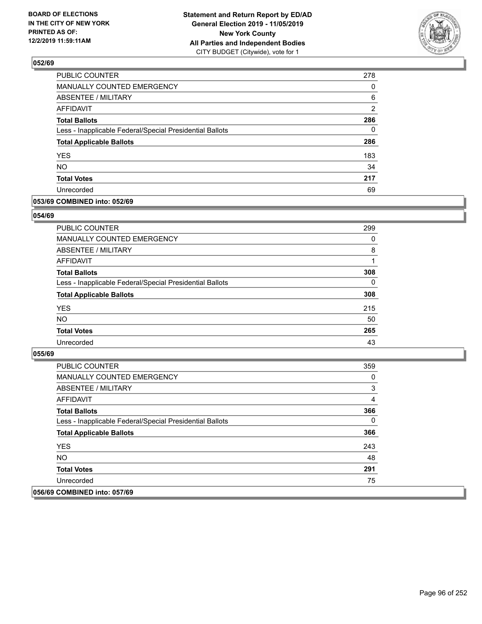

| PUBLIC COUNTER                                           | 278           |
|----------------------------------------------------------|---------------|
| MANUALLY COUNTED EMERGENCY                               | 0             |
| <b>ABSENTEE / MILITARY</b>                               | 6             |
| <b>AFFIDAVIT</b>                                         | $\mathcal{P}$ |
| <b>Total Ballots</b>                                     | 286           |
| Less - Inapplicable Federal/Special Presidential Ballots | $\Omega$      |
| <b>Total Applicable Ballots</b>                          | 286           |
| <b>YES</b>                                               | 183           |
| <b>NO</b>                                                | 34            |
| <b>Total Votes</b>                                       | 217           |
| Unrecorded                                               | 69            |

## **053/69 COMBINED into: 052/69**

## **054/69**

| PUBLIC COUNTER                                           | 299      |
|----------------------------------------------------------|----------|
| <b>MANUALLY COUNTED EMERGENCY</b>                        | 0        |
| ABSENTEE / MILITARY                                      | 8        |
| AFFIDAVIT                                                |          |
| <b>Total Ballots</b>                                     | 308      |
| Less - Inapplicable Federal/Special Presidential Ballots | $\Omega$ |
| <b>Total Applicable Ballots</b>                          | 308      |
| <b>YES</b>                                               | 215      |
| <b>NO</b>                                                | 50       |
| <b>Total Votes</b>                                       | 265      |
| Unrecorded                                               | 43       |

| <b>PUBLIC COUNTER</b>                                    | 359 |
|----------------------------------------------------------|-----|
| <b>MANUALLY COUNTED EMERGENCY</b>                        | 0   |
| ABSENTEE / MILITARY                                      | 3   |
| AFFIDAVIT                                                | 4   |
| <b>Total Ballots</b>                                     | 366 |
| Less - Inapplicable Federal/Special Presidential Ballots | 0   |
| <b>Total Applicable Ballots</b>                          | 366 |
| <b>YES</b>                                               | 243 |
| NO.                                                      | 48  |
| <b>Total Votes</b>                                       | 291 |
| Unrecorded                                               | 75  |
| 056/69 COMBINED into: 057/69                             |     |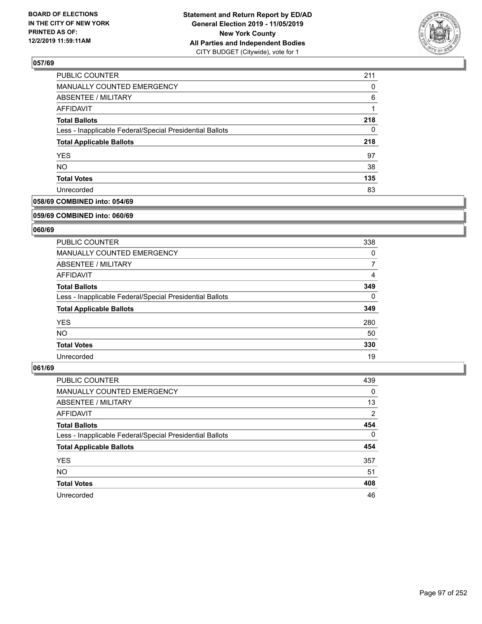

| <b>PUBLIC COUNTER</b>                                    | 211 |
|----------------------------------------------------------|-----|
| MANUALLY COUNTED EMERGENCY                               | 0   |
| ABSENTEE / MILITARY                                      | 6   |
| <b>AFFIDAVIT</b>                                         |     |
| <b>Total Ballots</b>                                     | 218 |
| Less - Inapplicable Federal/Special Presidential Ballots | 0   |
| <b>Total Applicable Ballots</b>                          | 218 |
| <b>YES</b>                                               | 97  |
| <b>NO</b>                                                | 38  |
| <b>Total Votes</b>                                       | 135 |
| Unrecorded                                               | 83  |

# **058/69 COMBINED into: 054/69**

#### **059/69 COMBINED into: 060/69**

# **060/69**

| <b>PUBLIC COUNTER</b>                                    | 338      |
|----------------------------------------------------------|----------|
| <b>MANUALLY COUNTED EMERGENCY</b>                        | $\Omega$ |
| ABSENTEE / MILITARY                                      | 7        |
| AFFIDAVIT                                                | 4        |
| <b>Total Ballots</b>                                     | 349      |
| Less - Inapplicable Federal/Special Presidential Ballots | $\Omega$ |
| <b>Total Applicable Ballots</b>                          | 349      |
| <b>YES</b>                                               | 280      |
| <b>NO</b>                                                | 50       |
| <b>Total Votes</b>                                       | 330      |
| Unrecorded                                               | 19       |

| PUBLIC COUNTER                                           | 439      |
|----------------------------------------------------------|----------|
| <b>MANUALLY COUNTED EMERGENCY</b>                        | 0        |
| ABSENTEE / MILITARY                                      | 13       |
| AFFIDAVIT                                                | 2        |
| <b>Total Ballots</b>                                     | 454      |
| Less - Inapplicable Federal/Special Presidential Ballots | $\Omega$ |
| <b>Total Applicable Ballots</b>                          | 454      |
| <b>YES</b>                                               | 357      |
| <b>NO</b>                                                | 51       |
| <b>Total Votes</b>                                       | 408      |
| Unrecorded                                               | 46       |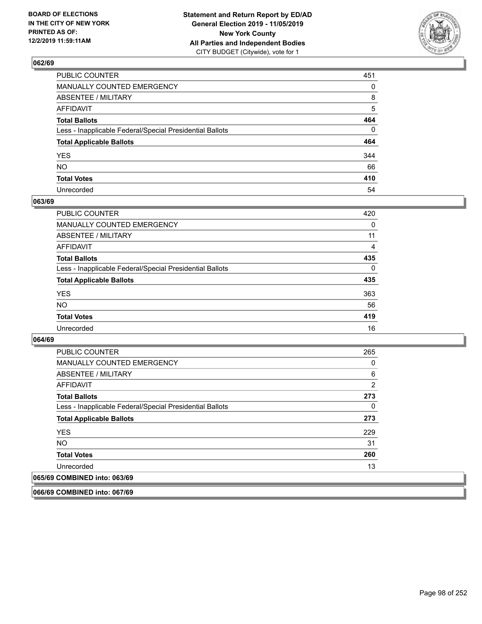

| PUBLIC COUNTER                                           | 451          |
|----------------------------------------------------------|--------------|
| MANUALLY COUNTED EMERGENCY                               | $\mathbf{0}$ |
| ABSENTEE / MILITARY                                      | 8            |
| AFFIDAVIT                                                | 5            |
| Total Ballots                                            | 464          |
| Less - Inapplicable Federal/Special Presidential Ballots | $\Omega$     |
| <b>Total Applicable Ballots</b>                          | 464          |
| YES                                                      | 344          |
| NO.                                                      | 66           |
| <b>Total Votes</b>                                       | 410          |
| Unrecorded                                               | 54           |

## **063/69**

| <b>PUBLIC COUNTER</b>                                    | 420      |
|----------------------------------------------------------|----------|
| <b>MANUALLY COUNTED EMERGENCY</b>                        | 0        |
| <b>ABSENTEE / MILITARY</b>                               | 11       |
| <b>AFFIDAVIT</b>                                         | 4        |
| <b>Total Ballots</b>                                     | 435      |
| Less - Inapplicable Federal/Special Presidential Ballots | $\Omega$ |
| <b>Total Applicable Ballots</b>                          | 435      |
| <b>YES</b>                                               | 363      |
| <b>NO</b>                                                | 56       |
| <b>Total Votes</b>                                       | 419      |
| Unrecorded                                               | 16       |

## **064/69**

| <b>PUBLIC COUNTER</b>                                    | 265            |
|----------------------------------------------------------|----------------|
| <b>MANUALLY COUNTED EMERGENCY</b>                        | 0              |
| ABSENTEE / MILITARY                                      | 6              |
| AFFIDAVIT                                                | $\overline{2}$ |
| <b>Total Ballots</b>                                     | 273            |
| Less - Inapplicable Federal/Special Presidential Ballots | $\Omega$       |
| <b>Total Applicable Ballots</b>                          | 273            |
| <b>YES</b>                                               | 229            |
| <b>NO</b>                                                | 31             |
| <b>Total Votes</b>                                       | 260            |
| Unrecorded                                               | 13             |
| 065/69 COMBINED into: 063/69                             |                |

**066/69 COMBINED into: 067/69**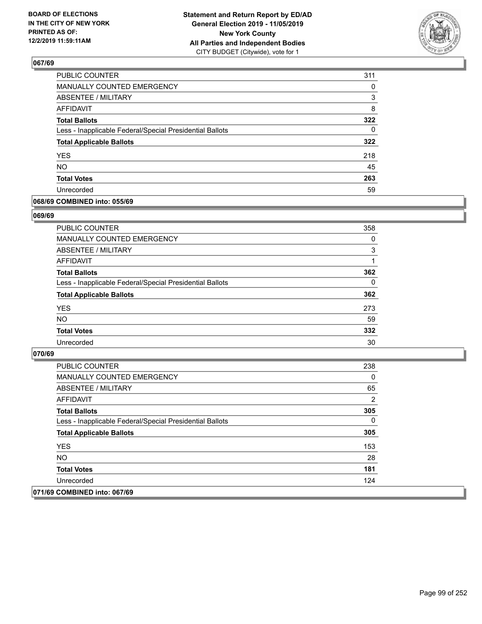

| PUBLIC COUNTER                                           | 311      |
|----------------------------------------------------------|----------|
| MANUALLY COUNTED EMERGENCY                               | 0        |
| <b>ABSENTEE / MILITARY</b>                               | 3        |
| <b>AFFIDAVIT</b>                                         | 8        |
| <b>Total Ballots</b>                                     | 322      |
| Less - Inapplicable Federal/Special Presidential Ballots | $\Omega$ |
| <b>Total Applicable Ballots</b>                          | 322      |
| <b>YES</b>                                               | 218      |
| <b>NO</b>                                                | 45       |
| <b>Total Votes</b>                                       | 263      |
| Unrecorded                                               | 59       |

## **068/69 COMBINED into: 055/69**

## **069/69**

| PUBLIC COUNTER                                           | 358      |
|----------------------------------------------------------|----------|
| <b>MANUALLY COUNTED EMERGENCY</b>                        | 0        |
| ABSENTEE / MILITARY                                      | 3        |
| AFFIDAVIT                                                |          |
| <b>Total Ballots</b>                                     | 362      |
| Less - Inapplicable Federal/Special Presidential Ballots | $\Omega$ |
| <b>Total Applicable Ballots</b>                          | 362      |
| <b>YES</b>                                               | 273      |
| <b>NO</b>                                                | 59       |
| <b>Total Votes</b>                                       | 332      |
| Unrecorded                                               | 30       |

| <b>PUBLIC COUNTER</b>                                    | 238 |
|----------------------------------------------------------|-----|
| <b>MANUALLY COUNTED EMERGENCY</b>                        | 0   |
| ABSENTEE / MILITARY                                      | 65  |
| AFFIDAVIT                                                | 2   |
| <b>Total Ballots</b>                                     | 305 |
| Less - Inapplicable Federal/Special Presidential Ballots | 0   |
| <b>Total Applicable Ballots</b>                          | 305 |
| <b>YES</b>                                               | 153 |
| NO.                                                      | 28  |
| <b>Total Votes</b>                                       | 181 |
| Unrecorded                                               | 124 |
| 071/69 COMBINED into: 067/69                             |     |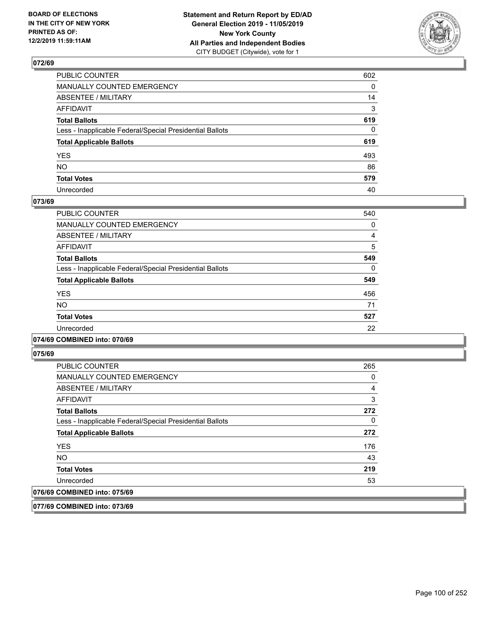

| PUBLIC COUNTER                                           | 602          |
|----------------------------------------------------------|--------------|
| MANUALLY COUNTED EMERGENCY                               | $\mathbf{0}$ |
| ABSENTEE / MILITARY                                      | 14           |
| AFFIDAVIT                                                | 3            |
| Total Ballots                                            | 619          |
| Less - Inapplicable Federal/Special Presidential Ballots | $\mathbf{0}$ |
| <b>Total Applicable Ballots</b>                          | 619          |
| YES                                                      | 493          |
| NO.                                                      | 86           |
| <b>Total Votes</b>                                       | 579          |
| Unrecorded                                               | 40           |

## **073/69**

| <b>PUBLIC COUNTER</b>                                    | 540      |
|----------------------------------------------------------|----------|
| <b>MANUALLY COUNTED EMERGENCY</b>                        | 0        |
| ABSENTEE / MILITARY                                      | 4        |
| <b>AFFIDAVIT</b>                                         | 5        |
| <b>Total Ballots</b>                                     | 549      |
| Less - Inapplicable Federal/Special Presidential Ballots | $\Omega$ |
| <b>Total Applicable Ballots</b>                          | 549      |
| <b>YES</b>                                               | 456      |
| <b>NO</b>                                                | 71       |
| <b>Total Votes</b>                                       | 527      |
| Unrecorded                                               | 22       |
|                                                          |          |

## **074/69 COMBINED into: 070/69**

**075/69** 

| <b>PUBLIC COUNTER</b>                                    | 265 |
|----------------------------------------------------------|-----|
| MANUALLY COUNTED EMERGENCY                               | 0   |
| ABSENTEE / MILITARY                                      | 4   |
| AFFIDAVIT                                                | 3   |
| <b>Total Ballots</b>                                     | 272 |
| Less - Inapplicable Federal/Special Presidential Ballots | 0   |
| <b>Total Applicable Ballots</b>                          | 272 |
| <b>YES</b>                                               | 176 |
| <b>NO</b>                                                | 43  |
| <b>Total Votes</b>                                       | 219 |
| Unrecorded                                               | 53  |
| 076/69 COMBINED into: 075/69                             |     |

**077/69 COMBINED into: 073/69**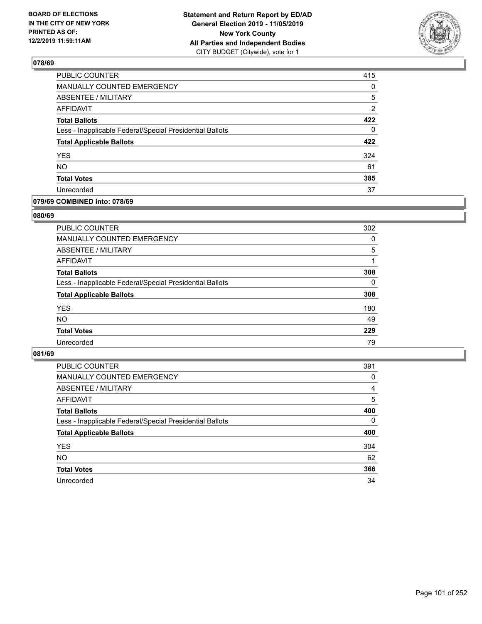

| PUBLIC COUNTER                                           | 415            |
|----------------------------------------------------------|----------------|
| MANUALLY COUNTED EMERGENCY                               | 0              |
| ABSENTEE / MILITARY                                      | 5              |
| <b>AFFIDAVIT</b>                                         | $\overline{2}$ |
| <b>Total Ballots</b>                                     | 422            |
| Less - Inapplicable Federal/Special Presidential Ballots | $\Omega$       |
| <b>Total Applicable Ballots</b>                          | 422            |
| <b>YES</b>                                               | 324            |
| <b>NO</b>                                                | 61             |
| <b>Total Votes</b>                                       | 385            |
| Unrecorded                                               | 37             |

## **079/69 COMBINED into: 078/69**

## **080/69**

| PUBLIC COUNTER                                           | 302      |
|----------------------------------------------------------|----------|
| MANUALLY COUNTED EMERGENCY                               | $\Omega$ |
| <b>ABSENTEE / MILITARY</b>                               | 5        |
| AFFIDAVIT                                                |          |
| <b>Total Ballots</b>                                     | 308      |
| Less - Inapplicable Federal/Special Presidential Ballots | $\Omega$ |
| <b>Total Applicable Ballots</b>                          | 308      |
| <b>YES</b>                                               | 180      |
| <b>NO</b>                                                | 49       |
| <b>Total Votes</b>                                       | 229      |
| Unrecorded                                               | 79       |

| PUBLIC COUNTER                                           | 391      |
|----------------------------------------------------------|----------|
| MANUALLY COUNTED EMERGENCY                               | 0        |
| ABSENTEE / MILITARY                                      | 4        |
| AFFIDAVIT                                                | 5        |
| <b>Total Ballots</b>                                     | 400      |
| Less - Inapplicable Federal/Special Presidential Ballots | $\Omega$ |
| <b>Total Applicable Ballots</b>                          | 400      |
| <b>YES</b>                                               | 304      |
| <b>NO</b>                                                | 62       |
| <b>Total Votes</b>                                       | 366      |
| Unrecorded                                               | 34       |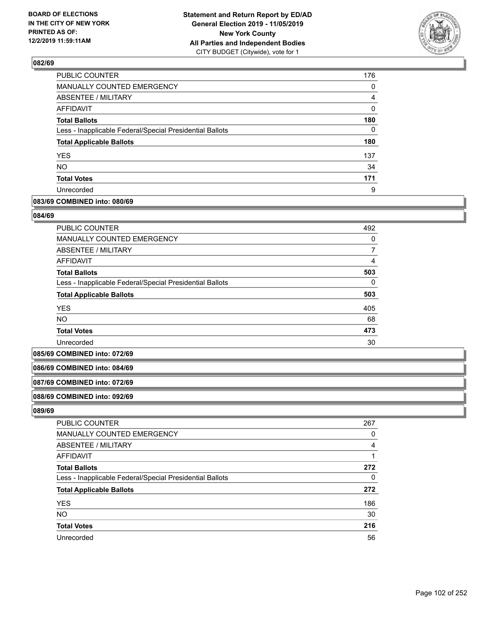

| PUBLIC COUNTER                                           | 176      |
|----------------------------------------------------------|----------|
| MANUALLY COUNTED EMERGENCY                               | 0        |
| <b>ABSENTEE / MILITARY</b>                               | 4        |
| <b>AFFIDAVIT</b>                                         | $\Omega$ |
| <b>Total Ballots</b>                                     | 180      |
| Less - Inapplicable Federal/Special Presidential Ballots | 0        |
| <b>Total Applicable Ballots</b>                          | 180      |
| <b>YES</b>                                               | 137      |
| <b>NO</b>                                                | 34       |
| <b>Total Votes</b>                                       | 171      |
| Unrecorded                                               | 9        |

## **083/69 COMBINED into: 080/69**

### **084/69**

| <b>PUBLIC COUNTER</b>                                    | 492 |
|----------------------------------------------------------|-----|
| MANUALLY COUNTED EMERGENCY                               | 0   |
| ABSENTEE / MILITARY                                      |     |
| AFFIDAVIT                                                | 4   |
| <b>Total Ballots</b>                                     | 503 |
| Less - Inapplicable Federal/Special Presidential Ballots | 0   |
| <b>Total Applicable Ballots</b>                          | 503 |
| <b>YES</b>                                               | 405 |
| <b>NO</b>                                                | 68  |
| <b>Total Votes</b>                                       | 473 |
| Unrecorded                                               | 30  |

#### **085/69 COMBINED into: 072/69**

## **086/69 COMBINED into: 084/69**

#### **087/69 COMBINED into: 072/69**

#### **088/69 COMBINED into: 092/69**

| <b>PUBLIC COUNTER</b>                                    | 267 |
|----------------------------------------------------------|-----|
| MANUALLY COUNTED EMERGENCY                               | 0   |
| ABSENTEE / MILITARY                                      | 4   |
| AFFIDAVIT                                                |     |
| <b>Total Ballots</b>                                     | 272 |
| Less - Inapplicable Federal/Special Presidential Ballots | 0   |
| <b>Total Applicable Ballots</b>                          | 272 |
| <b>YES</b>                                               | 186 |
| <b>NO</b>                                                | 30  |
| <b>Total Votes</b>                                       | 216 |
| Unrecorded                                               | 56  |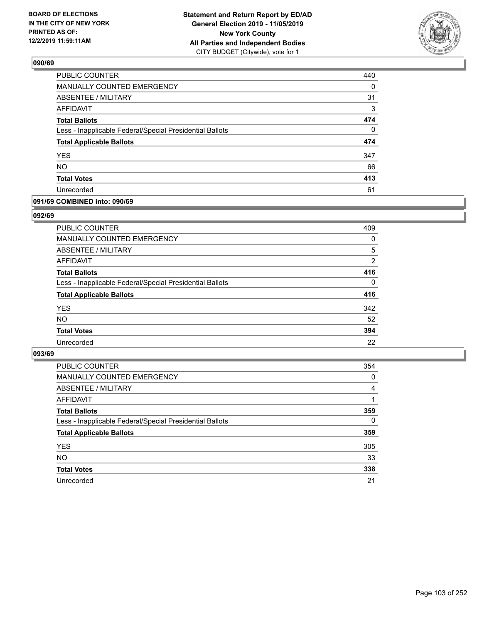

| <b>PUBLIC COUNTER</b>                                    | 440      |
|----------------------------------------------------------|----------|
| MANUALLY COUNTED EMERGENCY                               | 0        |
| ABSENTEE / MILITARY                                      | 31       |
| <b>AFFIDAVIT</b>                                         | 3        |
| <b>Total Ballots</b>                                     | 474      |
| Less - Inapplicable Federal/Special Presidential Ballots | $\Omega$ |
| <b>Total Applicable Ballots</b>                          | 474      |
| <b>YES</b>                                               | 347      |
| <b>NO</b>                                                | 66       |
| <b>Total Votes</b>                                       | 413      |
| Unrecorded                                               | 61       |

## **091/69 COMBINED into: 090/69**

## **092/69**

| <b>PUBLIC COUNTER</b>                                    | 409      |
|----------------------------------------------------------|----------|
| MANUALLY COUNTED EMERGENCY                               | $\Omega$ |
| ABSENTEE / MILITARY                                      | 5        |
| AFFIDAVIT                                                | 2        |
| <b>Total Ballots</b>                                     | 416      |
| Less - Inapplicable Federal/Special Presidential Ballots | $\Omega$ |
| <b>Total Applicable Ballots</b>                          | 416      |
| <b>YES</b>                                               | 342      |
| <b>NO</b>                                                | 52       |
| <b>Total Votes</b>                                       | 394      |
| Unrecorded                                               | 22       |
|                                                          |          |

| <b>PUBLIC COUNTER</b>                                    | 354      |
|----------------------------------------------------------|----------|
| MANUALLY COUNTED EMERGENCY                               | 0        |
| ABSENTEE / MILITARY                                      | 4        |
| AFFIDAVIT                                                |          |
| <b>Total Ballots</b>                                     | 359      |
| Less - Inapplicable Federal/Special Presidential Ballots | $\Omega$ |
| <b>Total Applicable Ballots</b>                          | 359      |
| <b>YES</b>                                               | 305      |
| <b>NO</b>                                                | 33       |
| <b>Total Votes</b>                                       | 338      |
| Unrecorded                                               | 21       |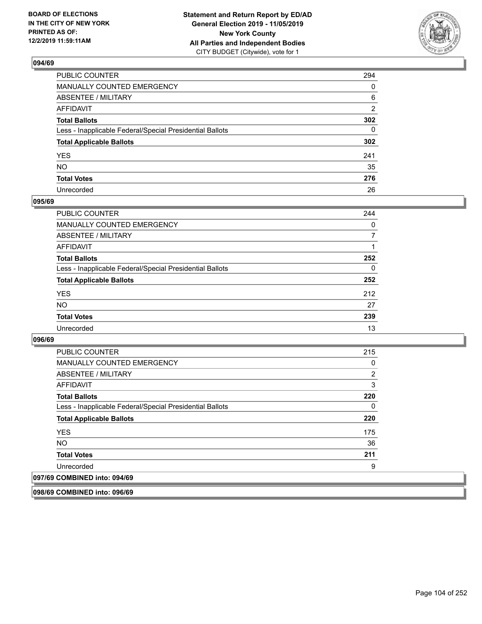

| PUBLIC COUNTER                                           | 294          |
|----------------------------------------------------------|--------------|
| MANUALLY COUNTED EMERGENCY                               | $\mathbf{0}$ |
| ABSENTEE / MILITARY                                      | 6            |
| AFFIDAVIT                                                | 2            |
| Total Ballots                                            | 302          |
| Less - Inapplicable Federal/Special Presidential Ballots | 0            |
| <b>Total Applicable Ballots</b>                          | 302          |
| YES                                                      | 241          |
| NO.                                                      | 35           |
| <b>Total Votes</b>                                       | 276          |
| Unrecorded                                               | 26           |

## **095/69**

| <b>PUBLIC COUNTER</b>                                    | 244      |
|----------------------------------------------------------|----------|
| MANUALLY COUNTED EMERGENCY                               | $\Omega$ |
| ABSENTEE / MILITARY                                      | 7        |
| AFFIDAVIT                                                |          |
| <b>Total Ballots</b>                                     | 252      |
| Less - Inapplicable Federal/Special Presidential Ballots | $\Omega$ |
| <b>Total Applicable Ballots</b>                          | 252      |
| <b>YES</b>                                               | 212      |
| <b>NO</b>                                                | 27       |
| <b>Total Votes</b>                                       | 239      |
| Unrecorded                                               | 13       |

## **096/69**

| <b>PUBLIC COUNTER</b>                                    | 215 |
|----------------------------------------------------------|-----|
| <b>MANUALLY COUNTED EMERGENCY</b>                        | 0   |
| ABSENTEE / MILITARY                                      | 2   |
| AFFIDAVIT                                                | 3   |
| <b>Total Ballots</b>                                     | 220 |
| Less - Inapplicable Federal/Special Presidential Ballots | 0   |
| <b>Total Applicable Ballots</b>                          | 220 |
| <b>YES</b>                                               | 175 |
| <b>NO</b>                                                | 36  |
| <b>Total Votes</b>                                       | 211 |
| Unrecorded                                               | 9   |
| 097/69 COMBINED into: 094/69                             |     |

**098/69 COMBINED into: 096/69**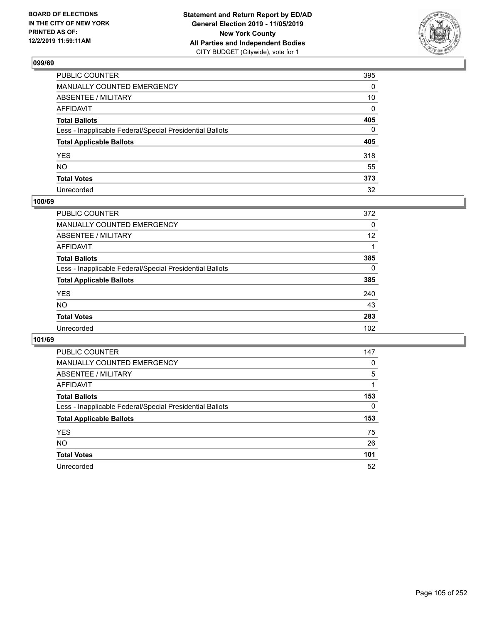

| PUBLIC COUNTER                                           | 395 |
|----------------------------------------------------------|-----|
| MANUALLY COUNTED EMERGENCY                               | 0   |
| ABSENTEE / MILITARY                                      | 10  |
| AFFIDAVIT                                                | 0   |
| Total Ballots                                            | 405 |
| Less - Inapplicable Federal/Special Presidential Ballots | 0   |
| <b>Total Applicable Ballots</b>                          | 405 |
| YES                                                      | 318 |
| NO.                                                      | 55  |
| <b>Total Votes</b>                                       | 373 |
| Unrecorded                                               | 32  |

# **100/69**

| <b>PUBLIC COUNTER</b>                                    | 372      |
|----------------------------------------------------------|----------|
| <b>MANUALLY COUNTED EMERGENCY</b>                        | 0        |
| ABSENTEE / MILITARY                                      | 12       |
| AFFIDAVIT                                                |          |
| <b>Total Ballots</b>                                     | 385      |
| Less - Inapplicable Federal/Special Presidential Ballots | $\Omega$ |
| <b>Total Applicable Ballots</b>                          | 385      |
| <b>YES</b>                                               | 240      |
| <b>NO</b>                                                | 43       |
| <b>Total Votes</b>                                       | 283      |
| Unrecorded                                               | 102      |

| <b>PUBLIC COUNTER</b>                                    | 147 |
|----------------------------------------------------------|-----|
| <b>MANUALLY COUNTED EMERGENCY</b>                        | 0   |
| ABSENTEE / MILITARY                                      | 5   |
| AFFIDAVIT                                                |     |
| <b>Total Ballots</b>                                     | 153 |
| Less - Inapplicable Federal/Special Presidential Ballots | 0   |
| <b>Total Applicable Ballots</b>                          | 153 |
| <b>YES</b>                                               | 75  |
| NO.                                                      | 26  |
| <b>Total Votes</b>                                       | 101 |
| Unrecorded                                               | 52  |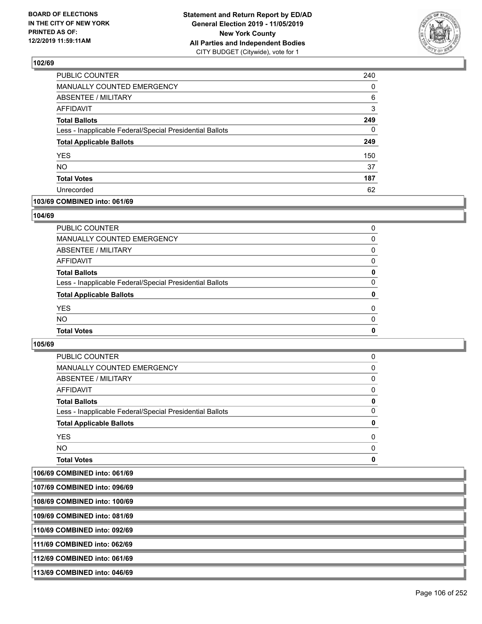

| 240      |
|----------|
| 0        |
| 6        |
| 3        |
| 249      |
| $\Omega$ |
| 249      |
| 150      |
| 37       |
| 187      |
| 62       |
|          |

# **103/69 COMBINED into: 061/69**

## **104/69**

| <b>Total Votes</b>                                       | $\mathbf{0}$ |
|----------------------------------------------------------|--------------|
| <b>NO</b>                                                | $\Omega$     |
| <b>YES</b>                                               | $\Omega$     |
| <b>Total Applicable Ballots</b>                          | 0            |
| Less - Inapplicable Federal/Special Presidential Ballots | $\Omega$     |
| <b>Total Ballots</b>                                     | 0            |
| <b>AFFIDAVIT</b>                                         | 0            |
| ABSENTEE / MILITARY                                      | $\Omega$     |
| <b>MANUALLY COUNTED EMERGENCY</b>                        | 0            |
| PUBLIC COUNTER                                           | 0            |

| <b>Total Votes</b>                                       | 0        |
|----------------------------------------------------------|----------|
| NO.                                                      | $\Omega$ |
| <b>YES</b>                                               | 0        |
| <b>Total Applicable Ballots</b>                          | 0        |
| Less - Inapplicable Federal/Special Presidential Ballots | 0        |
| <b>Total Ballots</b>                                     | 0        |
| AFFIDAVIT                                                | 0        |
| ABSENTEE / MILITARY                                      | 0        |
| <b>MANUALLY COUNTED EMERGENCY</b>                        | 0        |
| <b>PUBLIC COUNTER</b>                                    | 0        |

| 107/69 COMBINED into: 096/69  |  |
|-------------------------------|--|
| 108/69 COMBINED into: 100/69  |  |
| 109/69 COMBINED into: 081/69  |  |
| 110/69 COMBINED into: 092/69  |  |
| 1111/69 COMBINED into: 062/69 |  |
| 112/69 COMBINED into: 061/69  |  |
| 113/69 COMBINED into: 046/69  |  |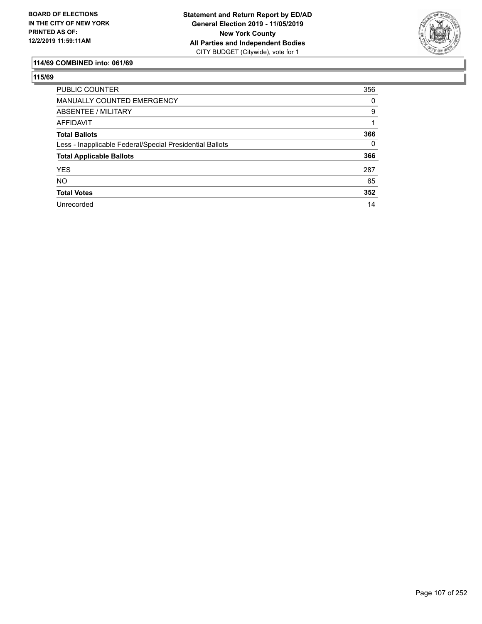

# **114/69 COMBINED into: 061/69**

| <b>PUBLIC COUNTER</b>                                    | 356      |
|----------------------------------------------------------|----------|
| <b>MANUALLY COUNTED EMERGENCY</b>                        | 0        |
| ABSENTEE / MILITARY                                      | 9        |
| AFFIDAVIT                                                |          |
| <b>Total Ballots</b>                                     | 366      |
| Less - Inapplicable Federal/Special Presidential Ballots | $\Omega$ |
| <b>Total Applicable Ballots</b>                          | 366      |
| <b>YES</b>                                               | 287      |
| <b>NO</b>                                                | 65       |
| <b>Total Votes</b>                                       | 352      |
| Unrecorded                                               | 14       |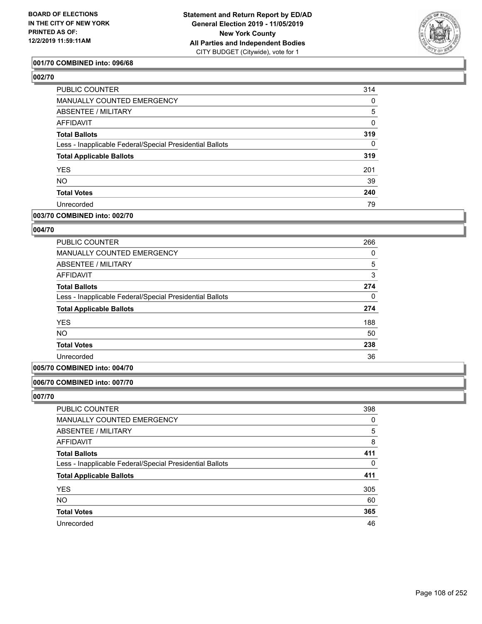

## **001/70 COMBINED into: 096/68**

# **002/70**

| PUBLIC COUNTER                                           | 314          |
|----------------------------------------------------------|--------------|
| MANUALLY COUNTED EMERGENCY                               | 0            |
| ABSENTEE / MILITARY                                      | 5            |
| AFFIDAVIT                                                | $\mathbf{0}$ |
| <b>Total Ballots</b>                                     | 319          |
| Less - Inapplicable Federal/Special Presidential Ballots | $\Omega$     |
| <b>Total Applicable Ballots</b>                          | 319          |
| <b>YES</b>                                               | 201          |
| <b>NO</b>                                                | 39           |
| <b>Total Votes</b>                                       | 240          |
| Unrecorded                                               | 79           |
|                                                          |              |

# **003/70 COMBINED into: 002/70**

## **004/70**

| 266 |
|-----|
| 0   |
| 5   |
| 3   |
| 274 |
| 0   |
| 274 |
| 188 |
| 50  |
| 238 |
| 36  |
|     |

# **005/70 COMBINED into: 004/70**

## **006/70 COMBINED into: 007/70**

| <b>PUBLIC COUNTER</b>                                    | 398 |
|----------------------------------------------------------|-----|
| <b>MANUALLY COUNTED EMERGENCY</b>                        | 0   |
| ABSENTEE / MILITARY                                      | 5   |
| AFFIDAVIT                                                | 8   |
| <b>Total Ballots</b>                                     | 411 |
| Less - Inapplicable Federal/Special Presidential Ballots | 0   |
| <b>Total Applicable Ballots</b>                          | 411 |
| <b>YES</b>                                               | 305 |
| <b>NO</b>                                                | 60  |
| <b>Total Votes</b>                                       | 365 |
| Unrecorded                                               | 46  |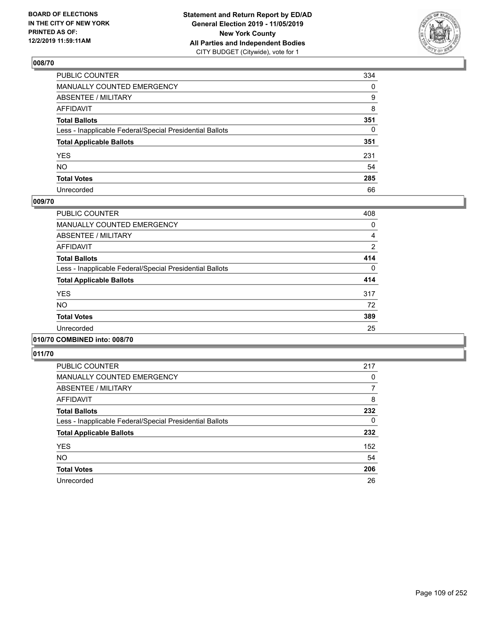

| PUBLIC COUNTER                                           | 334          |
|----------------------------------------------------------|--------------|
| MANUALLY COUNTED EMERGENCY                               | $\mathbf{0}$ |
| ABSENTEE / MILITARY                                      | 9            |
| AFFIDAVIT                                                | 8            |
| Total Ballots                                            | 351          |
| Less - Inapplicable Federal/Special Presidential Ballots | 0            |
| <b>Total Applicable Ballots</b>                          | 351          |
| YES                                                      | 231          |
| NO.                                                      | 54           |
| <b>Total Votes</b>                                       | 285          |
| Unrecorded                                               | 66           |

### **009/70**

| <b>PUBLIC COUNTER</b>                                    | 408      |
|----------------------------------------------------------|----------|
| <b>MANUALLY COUNTED EMERGENCY</b>                        | 0        |
| ABSENTEE / MILITARY                                      | 4        |
| <b>AFFIDAVIT</b>                                         | 2        |
| <b>Total Ballots</b>                                     | 414      |
| Less - Inapplicable Federal/Special Presidential Ballots | $\Omega$ |
| <b>Total Applicable Ballots</b>                          | 414      |
| <b>YES</b>                                               | 317      |
| <b>NO</b>                                                | 72       |
| <b>Total Votes</b>                                       | 389      |
| Unrecorded                                               | 25       |
|                                                          |          |

## **010/70 COMBINED into: 008/70**

| <b>PUBLIC COUNTER</b>                                    | 217      |
|----------------------------------------------------------|----------|
| <b>MANUALLY COUNTED EMERGENCY</b>                        | 0        |
| ABSENTEE / MILITARY                                      | 7        |
| AFFIDAVIT                                                | 8        |
| <b>Total Ballots</b>                                     | 232      |
| Less - Inapplicable Federal/Special Presidential Ballots | $\Omega$ |
| <b>Total Applicable Ballots</b>                          | 232      |
| <b>YES</b>                                               | 152      |
| <b>NO</b>                                                | 54       |
| <b>Total Votes</b>                                       | 206      |
| Unrecorded                                               | 26       |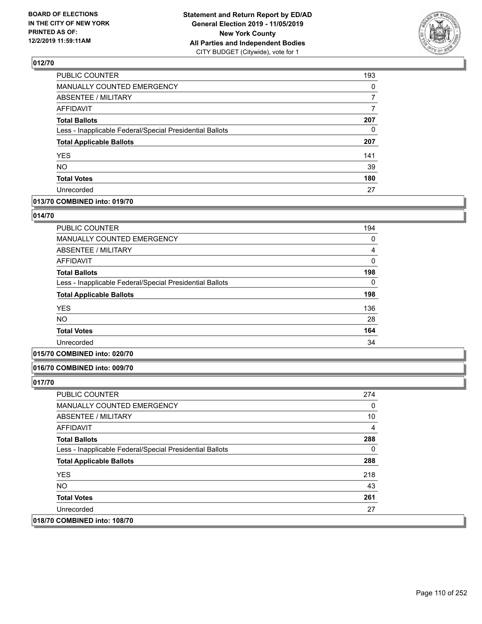

| PUBLIC COUNTER                                           | 193 |
|----------------------------------------------------------|-----|
| MANUALLY COUNTED EMERGENCY                               | 0   |
| <b>ABSENTEE / MILITARY</b>                               | 7   |
| <b>AFFIDAVIT</b>                                         | 7   |
| <b>Total Ballots</b>                                     | 207 |
| Less - Inapplicable Federal/Special Presidential Ballots | 0   |
| <b>Total Applicable Ballots</b>                          | 207 |
| <b>YES</b>                                               | 141 |
| <b>NO</b>                                                | 39  |
| <b>Total Votes</b>                                       | 180 |
| Unrecorded                                               | 27  |

### **013/70 COMBINED into: 019/70**

### **014/70**

| <b>PUBLIC COUNTER</b>                                    | 194 |
|----------------------------------------------------------|-----|
| <b>MANUALLY COUNTED EMERGENCY</b>                        | 0   |
| <b>ABSENTEE / MILITARY</b>                               | 4   |
| <b>AFFIDAVIT</b>                                         | 0   |
| <b>Total Ballots</b>                                     | 198 |
| Less - Inapplicable Federal/Special Presidential Ballots | 0   |
| <b>Total Applicable Ballots</b>                          | 198 |
| <b>YES</b>                                               | 136 |
| <b>NO</b>                                                | 28  |
| <b>Total Votes</b>                                       | 164 |
| Unrecorded                                               | 34  |
|                                                          |     |

## **015/70 COMBINED into: 020/70**

#### **016/70 COMBINED into: 009/70**

| <b>PUBLIC COUNTER</b>                                    | 274 |
|----------------------------------------------------------|-----|
| <b>MANUALLY COUNTED EMERGENCY</b>                        | 0   |
| ABSENTEE / MILITARY                                      | 10  |
| AFFIDAVIT                                                | 4   |
| <b>Total Ballots</b>                                     | 288 |
| Less - Inapplicable Federal/Special Presidential Ballots | 0   |
| <b>Total Applicable Ballots</b>                          | 288 |
| <b>YES</b>                                               | 218 |
| NO.                                                      | 43  |
| <b>Total Votes</b>                                       | 261 |
| Unrecorded                                               | 27  |
| 018/70 COMBINED into: 108/70                             |     |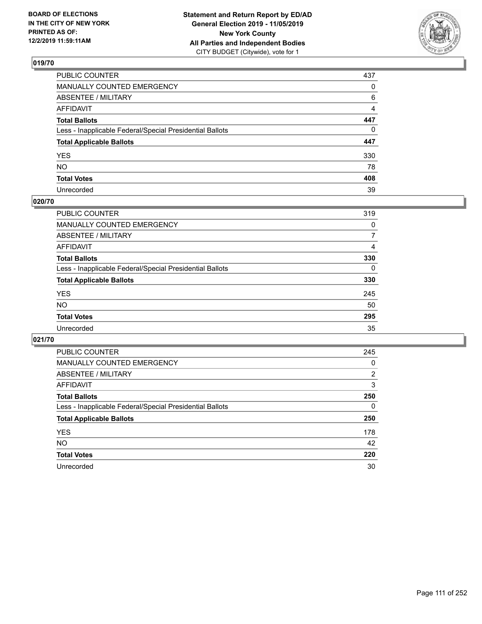

| PUBLIC COUNTER                                           | 437          |
|----------------------------------------------------------|--------------|
| MANUALLY COUNTED EMERGENCY                               | $\mathbf{0}$ |
| ABSENTEE / MILITARY                                      | 6            |
| AFFIDAVIT                                                | 4            |
| Total Ballots                                            | 447          |
| Less - Inapplicable Federal/Special Presidential Ballots | 0            |
| <b>Total Applicable Ballots</b>                          | 447          |
| YES                                                      | 330          |
| NO.                                                      | 78           |
| <b>Total Votes</b>                                       | 408          |
| Unrecorded                                               | 39           |

## **020/70**

| <b>PUBLIC COUNTER</b>                                    | 319      |
|----------------------------------------------------------|----------|
| <b>MANUALLY COUNTED EMERGENCY</b>                        | $\Omega$ |
| ABSENTEE / MILITARY                                      | 7        |
| AFFIDAVIT                                                | 4        |
| <b>Total Ballots</b>                                     | 330      |
| Less - Inapplicable Federal/Special Presidential Ballots | $\Omega$ |
| <b>Total Applicable Ballots</b>                          | 330      |
| <b>YES</b>                                               | 245      |
| <b>NO</b>                                                | 50       |
| <b>Total Votes</b>                                       | 295      |
| Unrecorded                                               | 35       |

| <b>PUBLIC COUNTER</b>                                    | 245 |
|----------------------------------------------------------|-----|
| MANUALLY COUNTED EMERGENCY                               | 0   |
| ABSENTEE / MILITARY                                      | 2   |
| AFFIDAVIT                                                | 3   |
| <b>Total Ballots</b>                                     | 250 |
| Less - Inapplicable Federal/Special Presidential Ballots | 0   |
| <b>Total Applicable Ballots</b>                          | 250 |
| <b>YES</b>                                               | 178 |
| NO.                                                      | 42  |
| <b>Total Votes</b>                                       | 220 |
| Unrecorded                                               | 30  |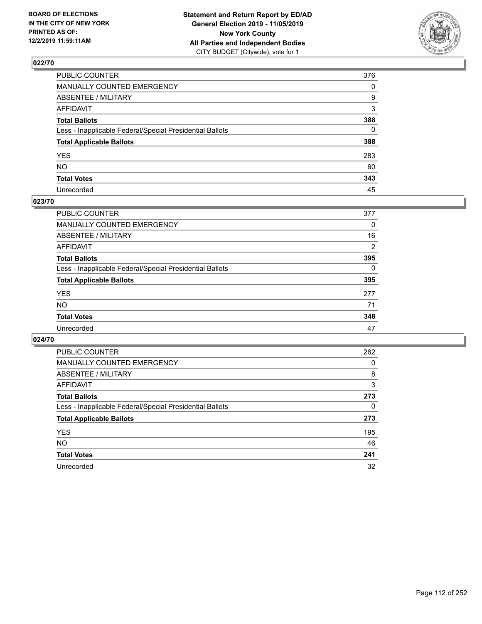

| PUBLIC COUNTER                                           | 376          |
|----------------------------------------------------------|--------------|
| MANUALLY COUNTED EMERGENCY                               | $\mathbf{0}$ |
| ABSENTEE / MILITARY                                      | 9            |
| AFFIDAVIT                                                | 3            |
| Total Ballots                                            | 388          |
| Less - Inapplicable Federal/Special Presidential Ballots | $\mathbf{0}$ |
| <b>Total Applicable Ballots</b>                          | 388          |
| YES                                                      | 283          |
| NO.                                                      | 60           |
| <b>Total Votes</b>                                       | 343          |
| Unrecorded                                               | 45           |

### **023/70**

| <b>PUBLIC COUNTER</b>                                    | 377      |
|----------------------------------------------------------|----------|
| <b>MANUALLY COUNTED EMERGENCY</b>                        | 0        |
| ABSENTEE / MILITARY                                      | 16       |
| AFFIDAVIT                                                | 2        |
| <b>Total Ballots</b>                                     | 395      |
| Less - Inapplicable Federal/Special Presidential Ballots | $\Omega$ |
| <b>Total Applicable Ballots</b>                          | 395      |
| <b>YES</b>                                               | 277      |
| <b>NO</b>                                                | 71       |
| <b>Total Votes</b>                                       | 348      |
| Unrecorded                                               | 47       |

| PUBLIC COUNTER                                           | 262      |
|----------------------------------------------------------|----------|
| MANUALLY COUNTED EMERGENCY                               | 0        |
| ABSENTEE / MILITARY                                      | 8        |
| AFFIDAVIT                                                | 3        |
| <b>Total Ballots</b>                                     | 273      |
| Less - Inapplicable Federal/Special Presidential Ballots | $\Omega$ |
| <b>Total Applicable Ballots</b>                          | 273      |
| <b>YES</b>                                               | 195      |
| <b>NO</b>                                                | 46       |
| <b>Total Votes</b>                                       | 241      |
| Unrecorded                                               | 32       |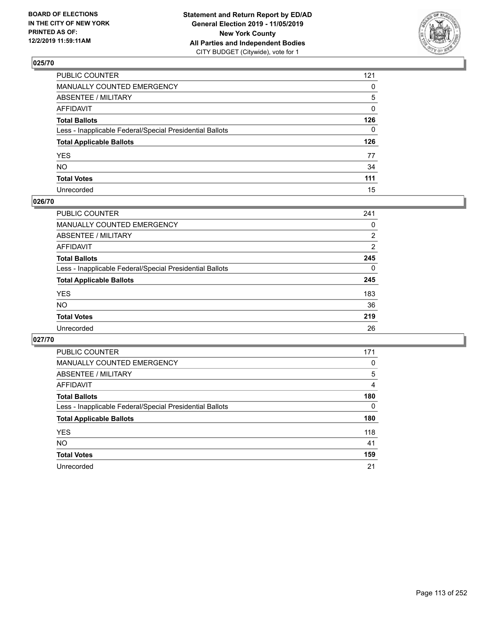

| PUBLIC COUNTER                                           | 121          |
|----------------------------------------------------------|--------------|
| MANUALLY COUNTED EMERGENCY                               | $\mathbf{0}$ |
| ABSENTEE / MILITARY                                      | 5            |
| AFFIDAVIT                                                | $\mathbf{0}$ |
| Total Ballots                                            | 126          |
| Less - Inapplicable Federal/Special Presidential Ballots | $\Omega$     |
| <b>Total Applicable Ballots</b>                          | 126          |
| YES                                                      | 77           |
| NO.                                                      | 34           |
| <b>Total Votes</b>                                       | 111          |
| Unrecorded                                               | 15           |

### **026/70**

| <b>PUBLIC COUNTER</b>                                    | 241      |
|----------------------------------------------------------|----------|
| MANUALLY COUNTED EMERGENCY                               | 0        |
| ABSENTEE / MILITARY                                      | 2        |
| AFFIDAVIT                                                | 2        |
| <b>Total Ballots</b>                                     | 245      |
| Less - Inapplicable Federal/Special Presidential Ballots | $\Omega$ |
| <b>Total Applicable Ballots</b>                          | 245      |
| <b>YES</b>                                               | 183      |
| <b>NO</b>                                                | 36       |
| <b>Total Votes</b>                                       | 219      |
| Unrecorded                                               | 26       |

| PUBLIC COUNTER                                           | 171      |
|----------------------------------------------------------|----------|
| MANUALLY COUNTED EMERGENCY                               | 0        |
| ABSENTEE / MILITARY                                      | 5        |
| AFFIDAVIT                                                | 4        |
| <b>Total Ballots</b>                                     | 180      |
| Less - Inapplicable Federal/Special Presidential Ballots | $\Omega$ |
| <b>Total Applicable Ballots</b>                          | 180      |
| <b>YES</b>                                               | 118      |
| <b>NO</b>                                                | 41       |
| <b>Total Votes</b>                                       | 159      |
| Unrecorded                                               | 21       |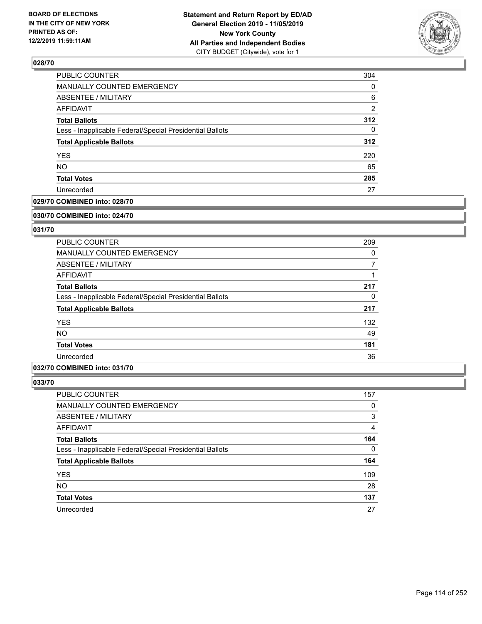

| 304            |
|----------------|
| 0              |
| 6              |
| $\overline{2}$ |
| 312            |
| 0              |
| 312            |
| 220            |
| 65             |
| 285            |
| 27             |
|                |

## **029/70 COMBINED into: 028/70**

#### **030/70 COMBINED into: 024/70**

## **031/70**

| <b>PUBLIC COUNTER</b>                                    | 209 |
|----------------------------------------------------------|-----|
| <b>MANUALLY COUNTED EMERGENCY</b>                        | 0   |
| ABSENTEE / MILITARY                                      | 7   |
| AFFIDAVIT                                                |     |
| <b>Total Ballots</b>                                     | 217 |
| Less - Inapplicable Federal/Special Presidential Ballots | 0   |
| <b>Total Applicable Ballots</b>                          | 217 |
| <b>YES</b>                                               | 132 |
| <b>NO</b>                                                | 49  |
| <b>Total Votes</b>                                       | 181 |
| Unrecorded                                               | 36  |

## **032/70 COMBINED into: 031/70**

| <b>PUBLIC COUNTER</b>                                    | 157      |
|----------------------------------------------------------|----------|
| MANUALLY COUNTED EMERGENCY                               | 0        |
| <b>ABSENTEE / MILITARY</b>                               | 3        |
| AFFIDAVIT                                                | 4        |
| <b>Total Ballots</b>                                     | 164      |
| Less - Inapplicable Federal/Special Presidential Ballots | $\Omega$ |
| <b>Total Applicable Ballots</b>                          | 164      |
| <b>YES</b>                                               | 109      |
| <b>NO</b>                                                | 28       |
| <b>Total Votes</b>                                       | 137      |
| Unrecorded                                               | 27       |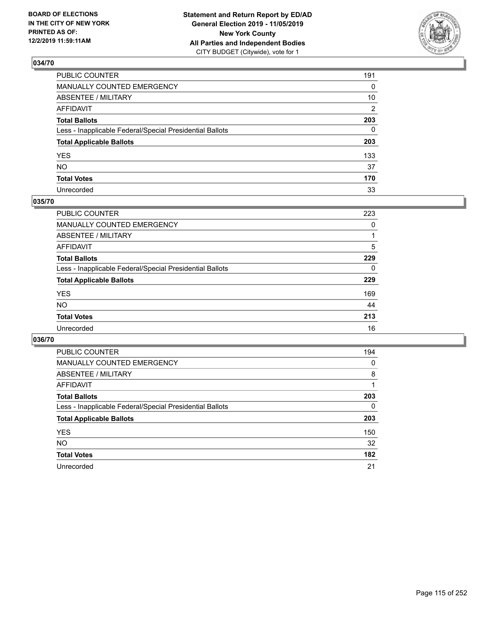

| PUBLIC COUNTER                                           | 191 |
|----------------------------------------------------------|-----|
| MANUALLY COUNTED EMERGENCY                               | 0   |
| ABSENTEE / MILITARY                                      | 10  |
| AFFIDAVIT                                                | 2   |
| Total Ballots                                            | 203 |
| Less - Inapplicable Federal/Special Presidential Ballots | 0   |
| <b>Total Applicable Ballots</b>                          | 203 |
| YES                                                      | 133 |
| NO.                                                      | 37  |
| <b>Total Votes</b>                                       | 170 |
| Unrecorded                                               | 33  |

### **035/70**

| <b>PUBLIC COUNTER</b>                                    | 223      |
|----------------------------------------------------------|----------|
| <b>MANUALLY COUNTED EMERGENCY</b>                        | 0        |
| ABSENTEE / MILITARY                                      |          |
| AFFIDAVIT                                                | 5        |
| <b>Total Ballots</b>                                     | 229      |
| Less - Inapplicable Federal/Special Presidential Ballots | $\Omega$ |
| <b>Total Applicable Ballots</b>                          | 229      |
| <b>YES</b>                                               | 169      |
| <b>NO</b>                                                | 44       |
| <b>Total Votes</b>                                       | 213      |
| Unrecorded                                               | 16       |

| <b>PUBLIC COUNTER</b>                                    | 194 |
|----------------------------------------------------------|-----|
| <b>MANUALLY COUNTED EMERGENCY</b>                        | 0   |
| ABSENTEE / MILITARY                                      | 8   |
| AFFIDAVIT                                                |     |
| <b>Total Ballots</b>                                     | 203 |
| Less - Inapplicable Federal/Special Presidential Ballots | 0   |
| <b>Total Applicable Ballots</b>                          | 203 |
| <b>YES</b>                                               | 150 |
| NO.                                                      | 32  |
| <b>Total Votes</b>                                       | 182 |
| Unrecorded                                               | 21  |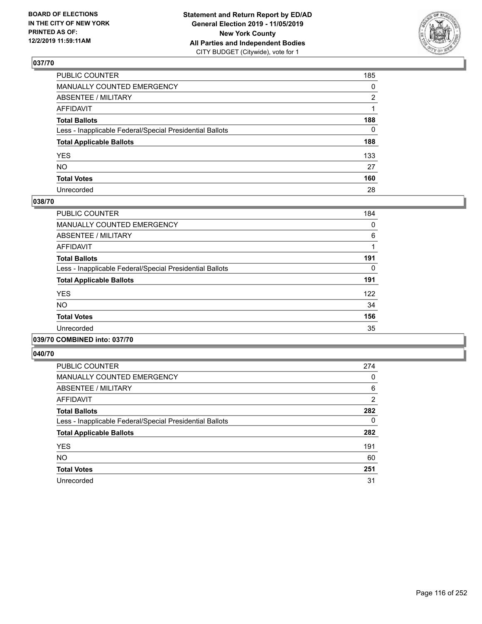

| PUBLIC COUNTER                                           | 185 |
|----------------------------------------------------------|-----|
| MANUALLY COUNTED EMERGENCY                               | 0   |
| ABSENTEE / MILITARY                                      | 2   |
| AFFIDAVIT                                                |     |
| Total Ballots                                            | 188 |
| Less - Inapplicable Federal/Special Presidential Ballots | 0   |
| <b>Total Applicable Ballots</b>                          | 188 |
| YES                                                      | 133 |
| NO.                                                      | 27  |
| <b>Total Votes</b>                                       | 160 |
| Unrecorded                                               | 28  |

### **038/70**

| <b>PUBLIC COUNTER</b>                                    | 184 |
|----------------------------------------------------------|-----|
| <b>MANUALLY COUNTED EMERGENCY</b>                        | 0   |
| ABSENTEE / MILITARY                                      | 6   |
| <b>AFFIDAVIT</b>                                         |     |
| <b>Total Ballots</b>                                     | 191 |
| Less - Inapplicable Federal/Special Presidential Ballots | 0   |
| <b>Total Applicable Ballots</b>                          | 191 |
| <b>YES</b>                                               | 122 |
| <b>NO</b>                                                | 34  |
| <b>Total Votes</b>                                       | 156 |
| Unrecorded                                               | 35  |
|                                                          |     |

### **039/70 COMBINED into: 037/70**

| <b>PUBLIC COUNTER</b>                                    | 274            |
|----------------------------------------------------------|----------------|
| <b>MANUALLY COUNTED EMERGENCY</b>                        | $\Omega$       |
| ABSENTEE / MILITARY                                      | 6              |
| <b>AFFIDAVIT</b>                                         | $\overline{2}$ |
| <b>Total Ballots</b>                                     | 282            |
| Less - Inapplicable Federal/Special Presidential Ballots | 0              |
| <b>Total Applicable Ballots</b>                          | 282            |
| <b>YES</b>                                               | 191            |
| <b>NO</b>                                                | 60             |
| <b>Total Votes</b>                                       | 251            |
| Unrecorded                                               | 31             |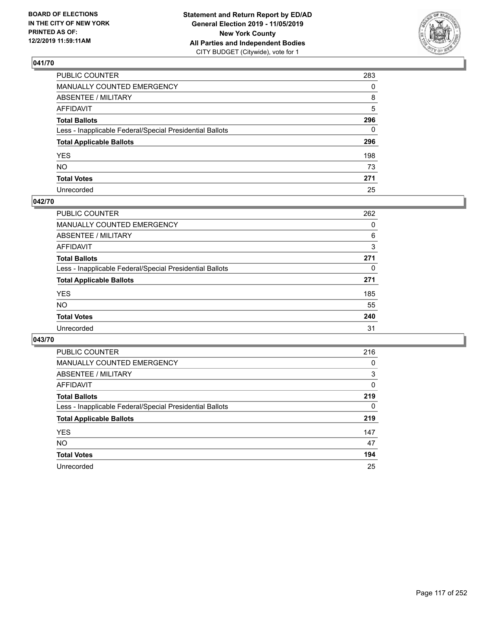

| PUBLIC COUNTER                                           | 283      |
|----------------------------------------------------------|----------|
| MANUALLY COUNTED EMERGENCY                               | $\Omega$ |
| ABSENTEE / MILITARY                                      | 8        |
| AFFIDAVIT                                                | 5        |
| Total Ballots                                            | 296      |
| Less - Inapplicable Federal/Special Presidential Ballots | 0        |
| <b>Total Applicable Ballots</b>                          | 296      |
| YES                                                      | 198      |
| NO.                                                      | 73       |
| <b>Total Votes</b>                                       | 271      |
| Unrecorded                                               | 25       |

### **042/70**

| <b>PUBLIC COUNTER</b>                                    | 262      |
|----------------------------------------------------------|----------|
| MANUALLY COUNTED EMERGENCY                               | 0        |
| ABSENTEE / MILITARY                                      | 6        |
| AFFIDAVIT                                                | 3        |
| <b>Total Ballots</b>                                     | 271      |
| Less - Inapplicable Federal/Special Presidential Ballots | $\Omega$ |
| <b>Total Applicable Ballots</b>                          | 271      |
| <b>YES</b>                                               | 185      |
| <b>NO</b>                                                | 55       |
| <b>Total Votes</b>                                       | 240      |
| Unrecorded                                               | 31       |

| <b>PUBLIC COUNTER</b>                                    | 216 |
|----------------------------------------------------------|-----|
| MANUALLY COUNTED EMERGENCY                               | 0   |
| ABSENTEE / MILITARY                                      | 3   |
| AFFIDAVIT                                                | 0   |
| <b>Total Ballots</b>                                     | 219 |
| Less - Inapplicable Federal/Special Presidential Ballots | 0   |
| <b>Total Applicable Ballots</b>                          | 219 |
| <b>YES</b>                                               | 147 |
| NO.                                                      | 47  |
| <b>Total Votes</b>                                       | 194 |
| Unrecorded                                               | 25  |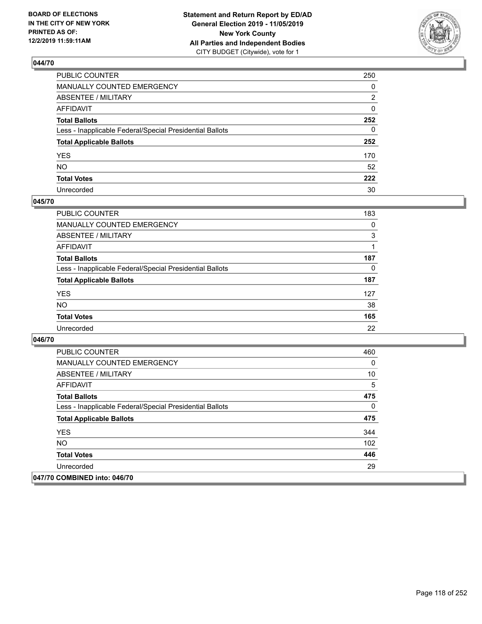

| PUBLIC COUNTER                                           | 250 |
|----------------------------------------------------------|-----|
| MANUALLY COUNTED EMERGENCY                               | 0   |
| ABSENTEE / MILITARY                                      | 2   |
| AFFIDAVIT                                                | 0   |
| Total Ballots                                            | 252 |
| Less - Inapplicable Federal/Special Presidential Ballots | 0   |
| <b>Total Applicable Ballots</b>                          | 252 |
| YES                                                      | 170 |
| NO.                                                      | 52  |
| <b>Total Votes</b>                                       | 222 |
| Unrecorded                                               | 30  |

### **045/70**

| <b>PUBLIC COUNTER</b>                                    | 183 |
|----------------------------------------------------------|-----|
| <b>MANUALLY COUNTED EMERGENCY</b>                        | 0   |
| ABSENTEE / MILITARY                                      | 3   |
| AFFIDAVIT                                                |     |
| <b>Total Ballots</b>                                     | 187 |
| Less - Inapplicable Federal/Special Presidential Ballots | 0   |
| <b>Total Applicable Ballots</b>                          | 187 |
| <b>YES</b>                                               | 127 |
| <b>NO</b>                                                | 38  |
| <b>Total Votes</b>                                       | 165 |
| Unrecorded                                               | 22  |

| <b>PUBLIC COUNTER</b>                                    | 460 |
|----------------------------------------------------------|-----|
| <b>MANUALLY COUNTED EMERGENCY</b>                        | 0   |
| ABSENTEE / MILITARY                                      | 10  |
| AFFIDAVIT                                                | 5   |
| <b>Total Ballots</b>                                     | 475 |
| Less - Inapplicable Federal/Special Presidential Ballots | 0   |
| <b>Total Applicable Ballots</b>                          | 475 |
| <b>YES</b>                                               | 344 |
| <b>NO</b>                                                | 102 |
| <b>Total Votes</b>                                       | 446 |
| Unrecorded                                               | 29  |
| 047/70 COMBINED into: 046/70                             |     |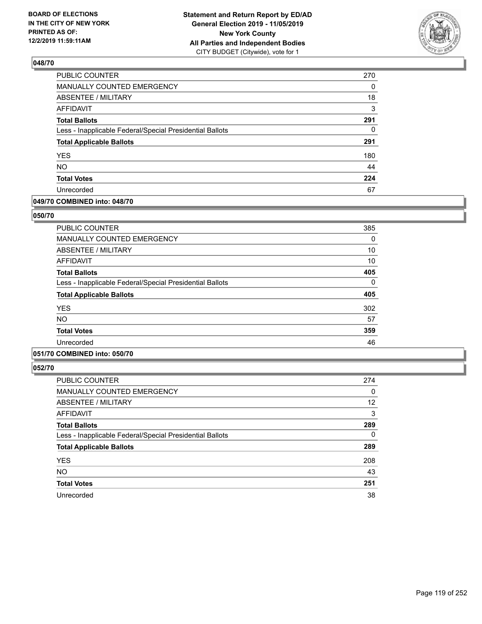

| <b>PUBLIC COUNTER</b>                                    | 270      |
|----------------------------------------------------------|----------|
| MANUALLY COUNTED EMERGENCY                               | 0        |
| ABSENTEE / MILITARY                                      | 18       |
| <b>AFFIDAVIT</b>                                         | 3        |
| <b>Total Ballots</b>                                     | 291      |
| Less - Inapplicable Federal/Special Presidential Ballots | $\Omega$ |
| <b>Total Applicable Ballots</b>                          | 291      |
| <b>YES</b>                                               | 180      |
| <b>NO</b>                                                | 44       |
| <b>Total Votes</b>                                       | 224      |
| Unrecorded                                               | 67       |

### **049/70 COMBINED into: 048/70**

### **050/70**

| <b>PUBLIC COUNTER</b>                                    | 385 |
|----------------------------------------------------------|-----|
| <b>MANUALLY COUNTED EMERGENCY</b>                        | 0   |
| ABSENTEE / MILITARY                                      | 10  |
| AFFIDAVIT                                                | 10  |
| <b>Total Ballots</b>                                     | 405 |
| Less - Inapplicable Federal/Special Presidential Ballots | 0   |
| <b>Total Applicable Ballots</b>                          | 405 |
| <b>YES</b>                                               | 302 |
| <b>NO</b>                                                | 57  |
| <b>Total Votes</b>                                       | 359 |
| Unrecorded                                               | 46  |
|                                                          |     |

## **051/70 COMBINED into: 050/70**

| <b>PUBLIC COUNTER</b>                                    | 274      |
|----------------------------------------------------------|----------|
| <b>MANUALLY COUNTED EMERGENCY</b>                        | 0        |
| <b>ABSENTEE / MILITARY</b>                               | 12       |
| <b>AFFIDAVIT</b>                                         | 3        |
| <b>Total Ballots</b>                                     | 289      |
| Less - Inapplicable Federal/Special Presidential Ballots | $\Omega$ |
| <b>Total Applicable Ballots</b>                          | 289      |
| <b>YES</b>                                               | 208      |
| <b>NO</b>                                                | 43       |
| <b>Total Votes</b>                                       | 251      |
| Unrecorded                                               | 38       |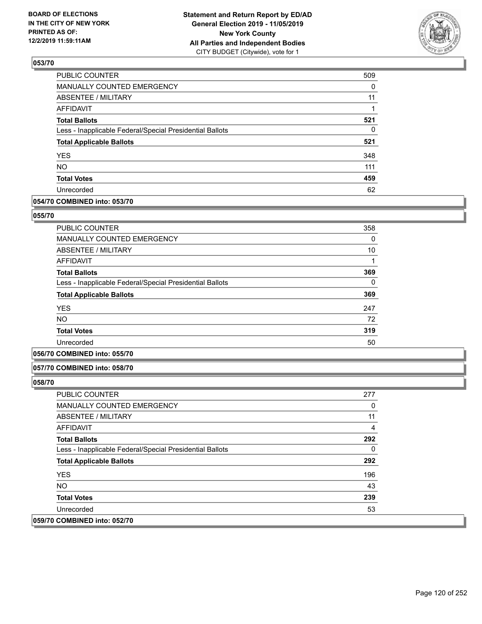

| PUBLIC COUNTER                                           | 509      |
|----------------------------------------------------------|----------|
| <b>MANUALLY COUNTED EMERGENCY</b>                        | $\Omega$ |
| <b>ABSENTEE / MILITARY</b>                               | 11       |
| <b>AFFIDAVIT</b>                                         | 1        |
| <b>Total Ballots</b>                                     | 521      |
| Less - Inapplicable Federal/Special Presidential Ballots | 0        |
| <b>Total Applicable Ballots</b>                          | 521      |
| <b>YES</b>                                               | 348      |
| <b>NO</b>                                                | 111      |
| <b>Total Votes</b>                                       | 459      |
| Unrecorded                                               | 62       |

## **054/70 COMBINED into: 053/70**

#### **055/70**

| <b>PUBLIC COUNTER</b>                                    | 358 |
|----------------------------------------------------------|-----|
| <b>MANUALLY COUNTED EMERGENCY</b>                        | 0   |
| ABSENTEE / MILITARY                                      | 10  |
| <b>AFFIDAVIT</b>                                         | 1   |
| <b>Total Ballots</b>                                     | 369 |
| Less - Inapplicable Federal/Special Presidential Ballots | 0   |
| <b>Total Applicable Ballots</b>                          | 369 |
| <b>YES</b>                                               | 247 |
| NO.                                                      | 72  |
| <b>Total Votes</b>                                       | 319 |
| Unrecorded                                               | 50  |

## **056/70 COMBINED into: 055/70**

#### **057/70 COMBINED into: 058/70**

| <b>PUBLIC COUNTER</b>                                    | 277 |
|----------------------------------------------------------|-----|
| <b>MANUALLY COUNTED EMERGENCY</b>                        | 0   |
| ABSENTEE / MILITARY                                      | 11  |
| AFFIDAVIT                                                | 4   |
| <b>Total Ballots</b>                                     | 292 |
| Less - Inapplicable Federal/Special Presidential Ballots | 0   |
| <b>Total Applicable Ballots</b>                          | 292 |
| <b>YES</b>                                               | 196 |
| NO.                                                      | 43  |
| <b>Total Votes</b>                                       | 239 |
| Unrecorded                                               | 53  |
| 059/70 COMBINED into: 052/70                             |     |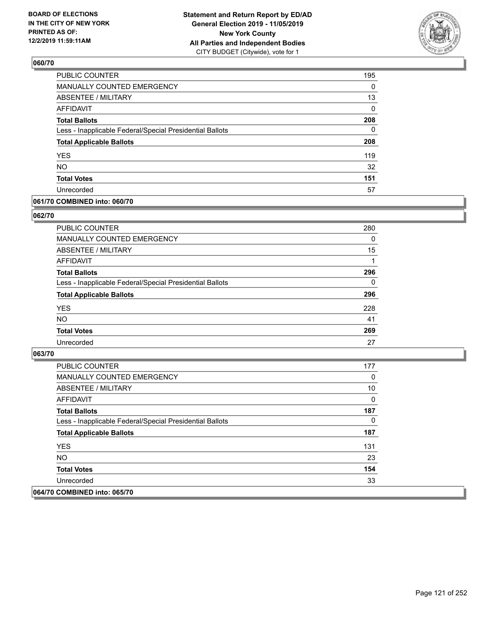

| <b>PUBLIC COUNTER</b>                                    | 195      |
|----------------------------------------------------------|----------|
| MANUALLY COUNTED EMERGENCY                               | 0        |
| ABSENTEE / MILITARY                                      | 13       |
| <b>AFFIDAVIT</b>                                         | 0        |
| <b>Total Ballots</b>                                     | 208      |
| Less - Inapplicable Federal/Special Presidential Ballots | $\Omega$ |
| <b>Total Applicable Ballots</b>                          | 208      |
| <b>YES</b>                                               | 119      |
| <b>NO</b>                                                | 32       |
| <b>Total Votes</b>                                       | 151      |
| Unrecorded                                               | 57       |

### **061/70 COMBINED into: 060/70**

### **062/70**

| PUBLIC COUNTER                                           | 280 |
|----------------------------------------------------------|-----|
| <b>MANUALLY COUNTED EMERGENCY</b>                        | 0   |
| ABSENTEE / MILITARY                                      | 15  |
| AFFIDAVIT                                                |     |
| <b>Total Ballots</b>                                     | 296 |
| Less - Inapplicable Federal/Special Presidential Ballots | 0   |
| <b>Total Applicable Ballots</b>                          | 296 |
| <b>YES</b>                                               | 228 |
| <b>NO</b>                                                | 41  |
| <b>Total Votes</b>                                       | 269 |
| Unrecorded                                               | 27  |

| <b>PUBLIC COUNTER</b>                                    | 177 |
|----------------------------------------------------------|-----|
| <b>MANUALLY COUNTED EMERGENCY</b>                        | 0   |
| ABSENTEE / MILITARY                                      | 10  |
| AFFIDAVIT                                                | 0   |
| <b>Total Ballots</b>                                     | 187 |
| Less - Inapplicable Federal/Special Presidential Ballots | 0   |
| <b>Total Applicable Ballots</b>                          | 187 |
| <b>YES</b>                                               | 131 |
| NO.                                                      | 23  |
| <b>Total Votes</b>                                       | 154 |
| Unrecorded                                               | 33  |
| 064/70 COMBINED into: 065/70                             |     |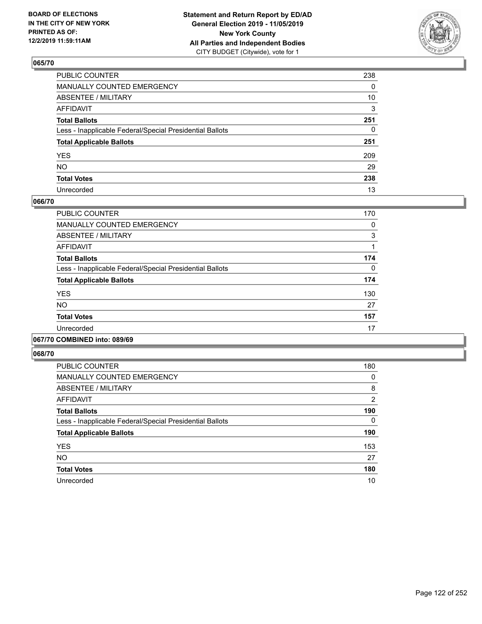

| PUBLIC COUNTER                                           | 238 |
|----------------------------------------------------------|-----|
| MANUALLY COUNTED EMERGENCY                               | 0   |
| ABSENTEE / MILITARY                                      | 10  |
| AFFIDAVIT                                                | 3   |
| Total Ballots                                            | 251 |
| Less - Inapplicable Federal/Special Presidential Ballots | 0   |
| <b>Total Applicable Ballots</b>                          | 251 |
| YES                                                      | 209 |
| NO.                                                      | 29  |
| <b>Total Votes</b>                                       | 238 |
| Unrecorded                                               | 13  |

### **066/70**

| PUBLIC COUNTER                                           | 170 |
|----------------------------------------------------------|-----|
| <b>MANUALLY COUNTED EMERGENCY</b>                        | 0   |
| ABSENTEE / MILITARY                                      | 3   |
| <b>AFFIDAVIT</b>                                         |     |
| <b>Total Ballots</b>                                     | 174 |
| Less - Inapplicable Federal/Special Presidential Ballots | 0   |
| <b>Total Applicable Ballots</b>                          | 174 |
| <b>YES</b>                                               | 130 |
| <b>NO</b>                                                | 27  |
| <b>Total Votes</b>                                       | 157 |
| Unrecorded                                               | 17  |
|                                                          |     |

### **067/70 COMBINED into: 089/69**

| <b>PUBLIC COUNTER</b>                                    | 180            |
|----------------------------------------------------------|----------------|
| MANUALLY COUNTED EMERGENCY                               | 0              |
| ABSENTEE / MILITARY                                      | 8              |
| AFFIDAVIT                                                | $\overline{2}$ |
| <b>Total Ballots</b>                                     | 190            |
| Less - Inapplicable Federal/Special Presidential Ballots | 0              |
| <b>Total Applicable Ballots</b>                          | 190            |
| <b>YES</b>                                               | 153            |
| <b>NO</b>                                                | 27             |
| <b>Total Votes</b>                                       | 180            |
| Unrecorded                                               | 10             |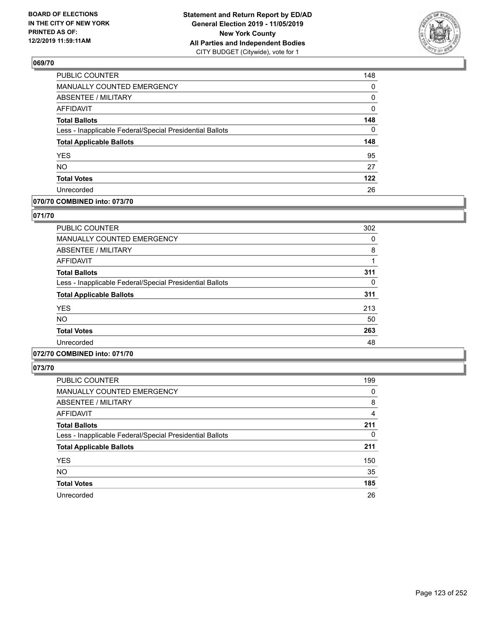

| PUBLIC COUNTER                                           | 148      |
|----------------------------------------------------------|----------|
| <b>MANUALLY COUNTED EMERGENCY</b>                        | 0        |
| ABSENTEE / MILITARY                                      | 0        |
| <b>AFFIDAVIT</b>                                         | 0        |
| <b>Total Ballots</b>                                     | 148      |
| Less - Inapplicable Federal/Special Presidential Ballots | $\Omega$ |
| <b>Total Applicable Ballots</b>                          | 148      |
| <b>YES</b>                                               | 95       |
| <b>NO</b>                                                | 27       |
| <b>Total Votes</b>                                       | 122      |
| Unrecorded                                               | 26       |

## **070/70 COMBINED into: 073/70**

### **071/70**

| <b>PUBLIC COUNTER</b>                                    | 302 |
|----------------------------------------------------------|-----|
| <b>MANUALLY COUNTED EMERGENCY</b>                        | 0   |
| ABSENTEE / MILITARY                                      | 8   |
| <b>AFFIDAVIT</b>                                         |     |
| <b>Total Ballots</b>                                     | 311 |
| Less - Inapplicable Federal/Special Presidential Ballots | 0   |
| <b>Total Applicable Ballots</b>                          | 311 |
| <b>YES</b>                                               | 213 |
| <b>NO</b>                                                | 50  |
| <b>Total Votes</b>                                       | 263 |
| Unrecorded                                               | 48  |

# **072/70 COMBINED into: 071/70**

| <b>PUBLIC COUNTER</b>                                    | 199      |
|----------------------------------------------------------|----------|
| <b>MANUALLY COUNTED EMERGENCY</b>                        | 0        |
| <b>ABSENTEE / MILITARY</b>                               | 8        |
| AFFIDAVIT                                                | 4        |
| <b>Total Ballots</b>                                     | 211      |
| Less - Inapplicable Federal/Special Presidential Ballots | $\Omega$ |
| <b>Total Applicable Ballots</b>                          | 211      |
| <b>YES</b>                                               | 150      |
| <b>NO</b>                                                | 35       |
| <b>Total Votes</b>                                       | 185      |
| Unrecorded                                               | 26       |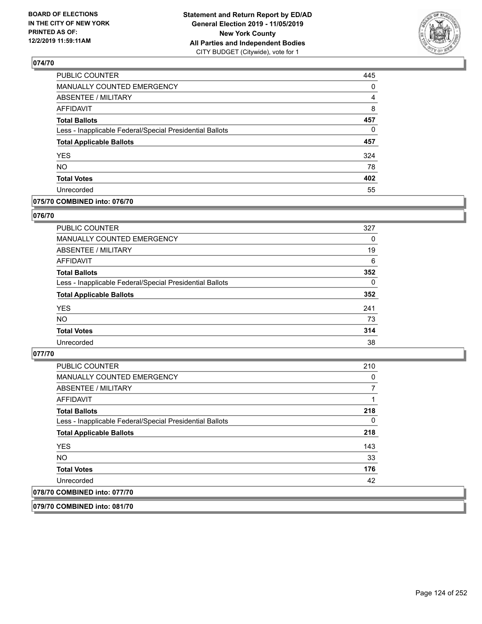

| <b>PUBLIC COUNTER</b>                                    | 445      |
|----------------------------------------------------------|----------|
| MANUALLY COUNTED EMERGENCY                               | 0        |
| ABSENTEE / MILITARY                                      | 4        |
| <b>AFFIDAVIT</b>                                         | 8        |
| <b>Total Ballots</b>                                     | 457      |
| Less - Inapplicable Federal/Special Presidential Ballots | $\Omega$ |
| <b>Total Applicable Ballots</b>                          | 457      |
| <b>YES</b>                                               | 324      |
| <b>NO</b>                                                | 78       |
| <b>Total Votes</b>                                       | 402      |
|                                                          |          |

### **075/70 COMBINED into: 076/70**

### **076/70**

| PUBLIC COUNTER                                           | 327      |
|----------------------------------------------------------|----------|
| <b>MANUALLY COUNTED EMERGENCY</b>                        | 0        |
| ABSENTEE / MILITARY                                      | 19       |
| AFFIDAVIT                                                | 6        |
| <b>Total Ballots</b>                                     | 352      |
| Less - Inapplicable Federal/Special Presidential Ballots | $\Omega$ |
| <b>Total Applicable Ballots</b>                          | 352      |
| <b>YES</b>                                               | 241      |
| <b>NO</b>                                                | 73       |
| <b>Total Votes</b>                                       | 314      |
| Unrecorded                                               | 38       |

### **077/70**

| <b>PUBLIC COUNTER</b>                                    | 210 |
|----------------------------------------------------------|-----|
| <b>MANUALLY COUNTED EMERGENCY</b>                        | 0   |
| ABSENTEE / MILITARY                                      |     |
| AFFIDAVIT                                                |     |
| <b>Total Ballots</b>                                     | 218 |
| Less - Inapplicable Federal/Special Presidential Ballots | 0   |
| <b>Total Applicable Ballots</b>                          | 218 |
| <b>YES</b>                                               | 143 |
| <b>NO</b>                                                | 33  |
| <b>Total Votes</b>                                       | 176 |
| Unrecorded                                               | 42  |
| 078/70 COMBINED into: 077/70                             |     |
|                                                          |     |

**079/70 COMBINED into: 081/70**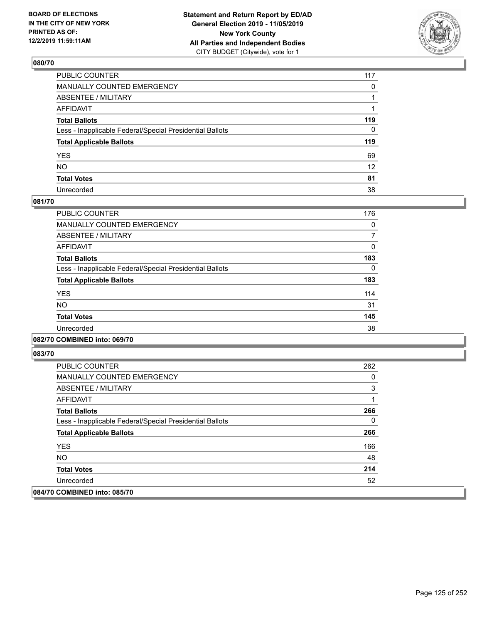

| PUBLIC COUNTER                                           | 117             |
|----------------------------------------------------------|-----------------|
| MANUALLY COUNTED EMERGENCY                               | $\mathbf{0}$    |
| ABSENTEE / MILITARY                                      |                 |
| AFFIDAVIT                                                |                 |
| Total Ballots                                            | 119             |
| Less - Inapplicable Federal/Special Presidential Ballots | 0               |
| <b>Total Applicable Ballots</b>                          | 119             |
| YES                                                      | 69              |
| NO.                                                      | 12 <sup>2</sup> |
| <b>Total Votes</b>                                       | 81              |
| Unrecorded                                               | 38              |

### **081/70**

| <b>PUBLIC COUNTER</b>                                    | 176 |
|----------------------------------------------------------|-----|
| <b>MANUALLY COUNTED EMERGENCY</b>                        | 0   |
| ABSENTEE / MILITARY                                      |     |
| <b>AFFIDAVIT</b>                                         | 0   |
| <b>Total Ballots</b>                                     | 183 |
| Less - Inapplicable Federal/Special Presidential Ballots | 0   |
| <b>Total Applicable Ballots</b>                          | 183 |
| <b>YES</b>                                               | 114 |
| <b>NO</b>                                                | 31  |
| <b>Total Votes</b>                                       | 145 |
| Unrecorded                                               | 38  |
|                                                          |     |

### **082/70 COMBINED into: 069/70**

| <b>PUBLIC COUNTER</b>                                    | 262 |
|----------------------------------------------------------|-----|
| <b>MANUALLY COUNTED EMERGENCY</b>                        | 0   |
| ABSENTEE / MILITARY                                      | 3   |
| AFFIDAVIT                                                |     |
| <b>Total Ballots</b>                                     | 266 |
| Less - Inapplicable Federal/Special Presidential Ballots | 0   |
| <b>Total Applicable Ballots</b>                          | 266 |
| <b>YES</b>                                               | 166 |
| NO.                                                      | 48  |
| <b>Total Votes</b>                                       | 214 |
| Unrecorded                                               | 52  |
| 084/70 COMBINED into: 085/70                             |     |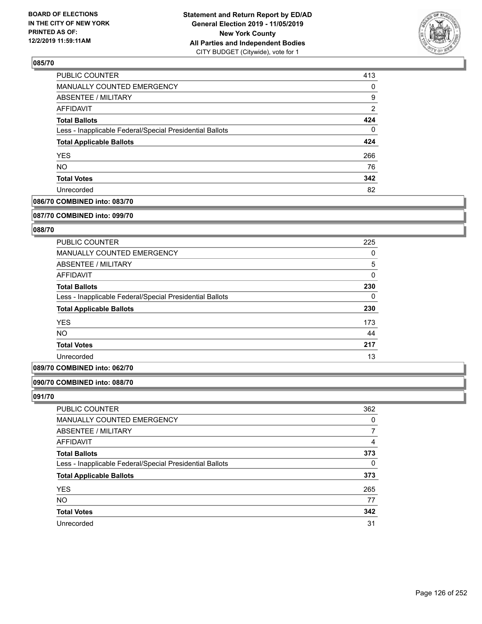

| 413            |
|----------------|
| 0              |
| 9              |
| $\overline{2}$ |
| 424            |
| 0              |
| 424            |
| 266            |
| 76             |
| 342            |
| 82             |
|                |

## **086/70 COMBINED into: 083/70**

#### **087/70 COMBINED into: 099/70**

## **088/70**

| <b>PUBLIC COUNTER</b>                                    | 225      |
|----------------------------------------------------------|----------|
| <b>MANUALLY COUNTED EMERGENCY</b>                        | 0        |
| ABSENTEE / MILITARY                                      | 5        |
| AFFIDAVIT                                                | 0        |
| <b>Total Ballots</b>                                     | 230      |
| Less - Inapplicable Federal/Special Presidential Ballots | $\Omega$ |
| <b>Total Applicable Ballots</b>                          | 230      |
| <b>YES</b>                                               | 173      |
| <b>NO</b>                                                | 44       |
| <b>Total Votes</b>                                       | 217      |
| Unrecorded                                               | 13       |

### **089/70 COMBINED into: 062/70**

### **090/70 COMBINED into: 088/70**

| PUBLIC COUNTER                                           | 362 |
|----------------------------------------------------------|-----|
| <b>MANUALLY COUNTED EMERGENCY</b>                        | 0   |
| ABSENTEE / MILITARY                                      |     |
| AFFIDAVIT                                                | 4   |
| <b>Total Ballots</b>                                     | 373 |
| Less - Inapplicable Federal/Special Presidential Ballots | 0   |
| <b>Total Applicable Ballots</b>                          | 373 |
| <b>YES</b>                                               | 265 |
| <b>NO</b>                                                | 77  |
| <b>Total Votes</b>                                       | 342 |
| Unrecorded                                               | 31  |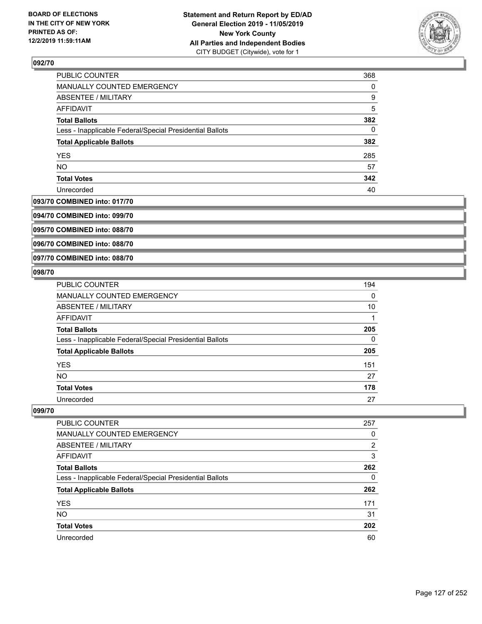

| PUBLIC COUNTER                                           | 368 |
|----------------------------------------------------------|-----|
| <b>MANUALLY COUNTED EMERGENCY</b>                        | 0   |
| <b>ABSENTEE / MILITARY</b>                               | 9   |
| <b>AFFIDAVIT</b>                                         | 5   |
| <b>Total Ballots</b>                                     | 382 |
| Less - Inapplicable Federal/Special Presidential Ballots | 0   |
| <b>Total Applicable Ballots</b>                          | 382 |
| <b>YES</b>                                               | 285 |
| <b>NO</b>                                                | 57  |
| <b>Total Votes</b>                                       | 342 |
| Unrecorded                                               | 40  |

### **093/70 COMBINED into: 017/70**

**094/70 COMBINED into: 099/70**

**095/70 COMBINED into: 088/70**

**096/70 COMBINED into: 088/70**

#### **097/70 COMBINED into: 088/70**

### **098/70**

| <b>PUBLIC COUNTER</b>                                    | 194      |
|----------------------------------------------------------|----------|
| <b>MANUALLY COUNTED EMERGENCY</b>                        | $\Omega$ |
| ABSENTEE / MILITARY                                      | 10       |
| <b>AFFIDAVIT</b>                                         |          |
| <b>Total Ballots</b>                                     | 205      |
| Less - Inapplicable Federal/Special Presidential Ballots | 0        |
| <b>Total Applicable Ballots</b>                          | 205      |
| <b>YES</b>                                               | 151      |
| <b>NO</b>                                                | 27       |
| <b>Total Votes</b>                                       | 178      |
| Unrecorded                                               | 27       |

| <b>PUBLIC COUNTER</b>                                    | 257           |
|----------------------------------------------------------|---------------|
| MANUALLY COUNTED EMERGENCY                               | 0             |
| ABSENTEE / MILITARY                                      | $\mathcal{P}$ |
| AFFIDAVIT                                                | 3             |
| <b>Total Ballots</b>                                     | 262           |
| Less - Inapplicable Federal/Special Presidential Ballots | 0             |
| <b>Total Applicable Ballots</b>                          | 262           |
| <b>YES</b>                                               | 171           |
| <b>NO</b>                                                | 31            |
| <b>Total Votes</b>                                       | 202           |
| Unrecorded                                               | 60            |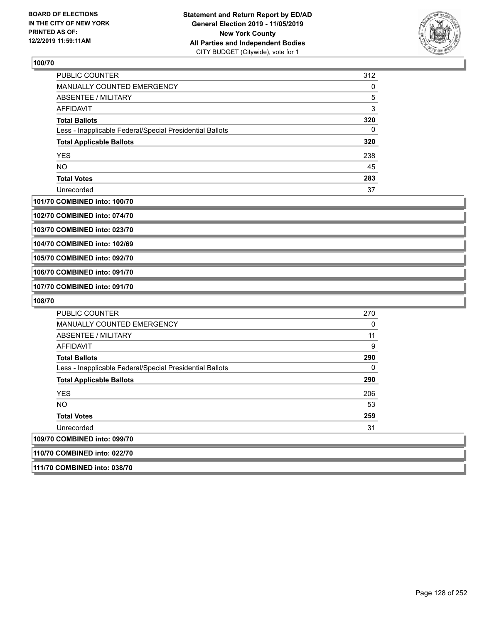

| <b>PUBLIC COUNTER</b>                                    | 312 |
|----------------------------------------------------------|-----|
| <b>MANUALLY COUNTED EMERGENCY</b>                        | 0   |
| ABSENTEE / MILITARY                                      | 5   |
| AFFIDAVIT                                                | 3   |
| <b>Total Ballots</b>                                     | 320 |
| Less - Inapplicable Federal/Special Presidential Ballots | 0   |
| <b>Total Applicable Ballots</b>                          | 320 |
| <b>YES</b>                                               | 238 |
| <b>NO</b>                                                | 45  |
| <b>Total Votes</b>                                       | 283 |
| Unrecorded                                               | 37  |

#### **101/70 COMBINED into: 100/70**

**102/70 COMBINED into: 074/70**

**103/70 COMBINED into: 023/70**

**104/70 COMBINED into: 102/69**

**105/70 COMBINED into: 092/70**

**106/70 COMBINED into: 091/70**

**107/70 COMBINED into: 091/70**

**108/70** 

| <b>PUBLIC COUNTER</b>                                    | 270          |
|----------------------------------------------------------|--------------|
| <b>MANUALLY COUNTED EMERGENCY</b>                        | 0            |
| ABSENTEE / MILITARY                                      | 11           |
| AFFIDAVIT                                                | 9            |
| <b>Total Ballots</b>                                     | 290          |
| Less - Inapplicable Federal/Special Presidential Ballots | $\mathbf{0}$ |
| <b>Total Applicable Ballots</b>                          | 290          |
| <b>YES</b>                                               | 206          |
| <b>NO</b>                                                | 53           |
| <b>Total Votes</b>                                       | 259          |
| Unrecorded                                               | 31           |
| 109/70 COMBINED into: 099/70                             |              |
| 110/70 COMBINED into: 022/70                             |              |

**111/70 COMBINED into: 038/70**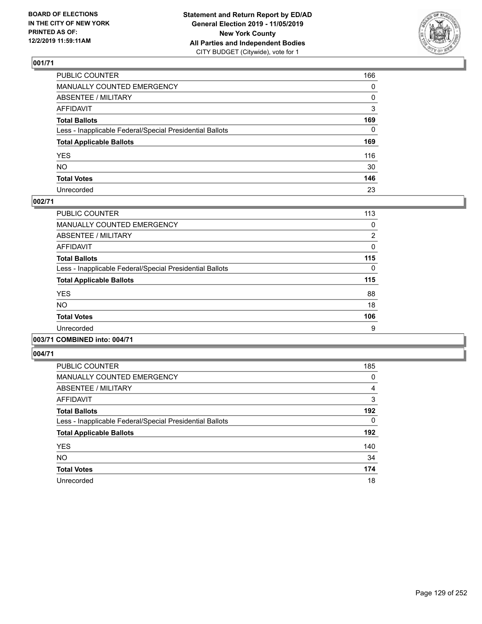

| PUBLIC COUNTER                                           | 166 |
|----------------------------------------------------------|-----|
| MANUALLY COUNTED EMERGENCY                               | 0   |
| ABSENTEE / MILITARY                                      | 0   |
| AFFIDAVIT                                                | 3   |
| Total Ballots                                            | 169 |
| Less - Inapplicable Federal/Special Presidential Ballots | 0   |
| <b>Total Applicable Ballots</b>                          | 169 |
| YES                                                      | 116 |
| NΟ                                                       | 30  |
| <b>Total Votes</b>                                       | 146 |
| Unrecorded                                               | 23  |

### **002/71**

| <b>PUBLIC COUNTER</b>                                    | 113      |
|----------------------------------------------------------|----------|
| MANUALLY COUNTED EMERGENCY                               | 0        |
| ABSENTEE / MILITARY                                      | 2        |
| AFFIDAVIT                                                | 0        |
| <b>Total Ballots</b>                                     | 115      |
| Less - Inapplicable Federal/Special Presidential Ballots | $\Omega$ |
| <b>Total Applicable Ballots</b>                          | 115      |
| <b>YES</b>                                               | 88       |
| <b>NO</b>                                                | 18       |
| <b>Total Votes</b>                                       | 106      |
| Unrecorded                                               | 9        |
|                                                          |          |

# **003/71 COMBINED into: 004/71**

| <b>PUBLIC COUNTER</b>                                    | 185            |
|----------------------------------------------------------|----------------|
| <b>MANUALLY COUNTED EMERGENCY</b>                        | 0              |
| ABSENTEE / MILITARY                                      | $\overline{4}$ |
| <b>AFFIDAVIT</b>                                         | 3              |
| <b>Total Ballots</b>                                     | 192            |
| Less - Inapplicable Federal/Special Presidential Ballots | 0              |
| <b>Total Applicable Ballots</b>                          | 192            |
| <b>YES</b>                                               | 140            |
| <b>NO</b>                                                | 34             |
| <b>Total Votes</b>                                       | 174            |
| Unrecorded                                               | 18             |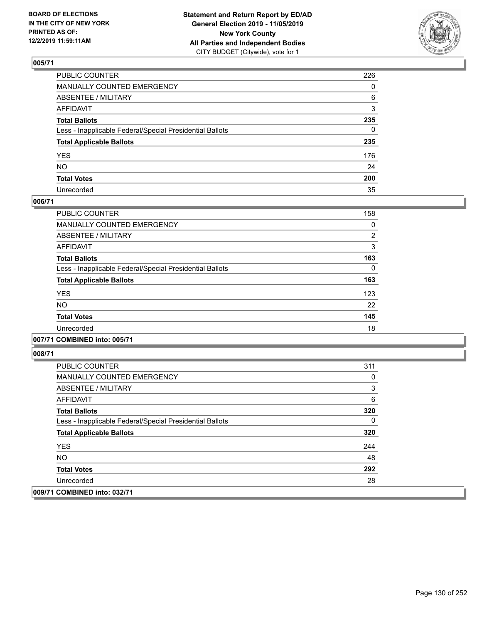

| PUBLIC COUNTER                                           | 226          |
|----------------------------------------------------------|--------------|
| MANUALLY COUNTED EMERGENCY                               | $\mathbf{0}$ |
| ABSENTEE / MILITARY                                      | 6            |
| AFFIDAVIT                                                | 3            |
| Total Ballots                                            | 235          |
| Less - Inapplicable Federal/Special Presidential Ballots | 0            |
| <b>Total Applicable Ballots</b>                          | 235          |
| YES                                                      | 176          |
| NO.                                                      | 24           |
| <b>Total Votes</b>                                       | 200          |
| Unrecorded                                               | 35           |

### **006/71**

| <b>PUBLIC COUNTER</b>                                    | 158 |
|----------------------------------------------------------|-----|
| <b>MANUALLY COUNTED EMERGENCY</b>                        | 0   |
| ABSENTEE / MILITARY                                      | 2   |
| <b>AFFIDAVIT</b>                                         | 3   |
| <b>Total Ballots</b>                                     | 163 |
| Less - Inapplicable Federal/Special Presidential Ballots | 0   |
| <b>Total Applicable Ballots</b>                          | 163 |
| <b>YES</b>                                               | 123 |
| <b>NO</b>                                                | 22  |
| <b>Total Votes</b>                                       | 145 |
| Unrecorded                                               | 18  |
|                                                          |     |

### **007/71 COMBINED into: 005/71**

| <b>PUBLIC COUNTER</b>                                    | 311 |
|----------------------------------------------------------|-----|
| <b>MANUALLY COUNTED EMERGENCY</b>                        | 0   |
| ABSENTEE / MILITARY                                      | 3   |
| AFFIDAVIT                                                | 6   |
| <b>Total Ballots</b>                                     | 320 |
| Less - Inapplicable Federal/Special Presidential Ballots | 0   |
| <b>Total Applicable Ballots</b>                          | 320 |
| <b>YES</b>                                               | 244 |
| NO.                                                      | 48  |
| <b>Total Votes</b>                                       | 292 |
| Unrecorded                                               | 28  |
| 009/71 COMBINED into: 032/71                             |     |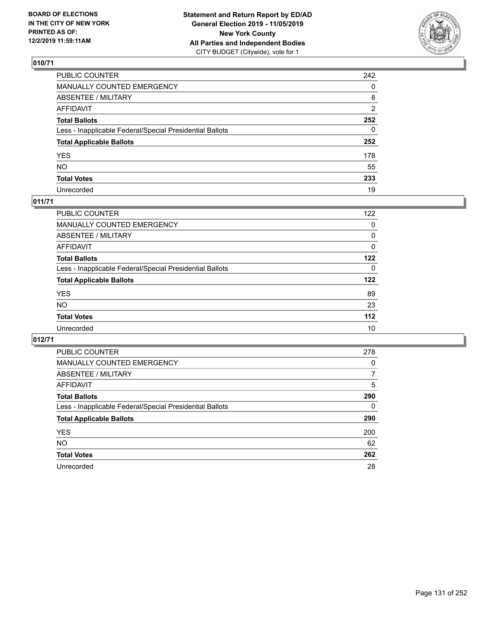

| PUBLIC COUNTER                                           | 242          |
|----------------------------------------------------------|--------------|
| MANUALLY COUNTED EMERGENCY                               | $\mathbf{0}$ |
| ABSENTEE / MILITARY                                      | 8            |
| AFFIDAVIT                                                | 2            |
| Total Ballots                                            | 252          |
| Less - Inapplicable Federal/Special Presidential Ballots | 0            |
| <b>Total Applicable Ballots</b>                          | 252          |
| YES                                                      | 178          |
| NO.                                                      | 55           |
| <b>Total Votes</b>                                       | 233          |
| Unrecorded                                               | 19           |

## **011/71**

| PUBLIC COUNTER                                           | 122      |
|----------------------------------------------------------|----------|
| <b>MANUALLY COUNTED EMERGENCY</b>                        | 0        |
| ABSENTEE / MILITARY                                      | 0        |
| AFFIDAVIT                                                | $\Omega$ |
| <b>Total Ballots</b>                                     | 122      |
| Less - Inapplicable Federal/Special Presidential Ballots | 0        |
| <b>Total Applicable Ballots</b>                          | 122      |
| <b>YES</b>                                               | 89       |
| <b>NO</b>                                                | 23       |
| <b>Total Votes</b>                                       | 112      |
| Unrecorded                                               | 10       |

| <b>PUBLIC COUNTER</b>                                    | 278 |
|----------------------------------------------------------|-----|
| MANUALLY COUNTED EMERGENCY                               | 0   |
| ABSENTEE / MILITARY                                      | 7   |
| <b>AFFIDAVIT</b>                                         | 5   |
| <b>Total Ballots</b>                                     | 290 |
| Less - Inapplicable Federal/Special Presidential Ballots | 0   |
| <b>Total Applicable Ballots</b>                          | 290 |
| <b>YES</b>                                               | 200 |
| <b>NO</b>                                                | 62  |
| <b>Total Votes</b>                                       | 262 |
| Unrecorded                                               | 28  |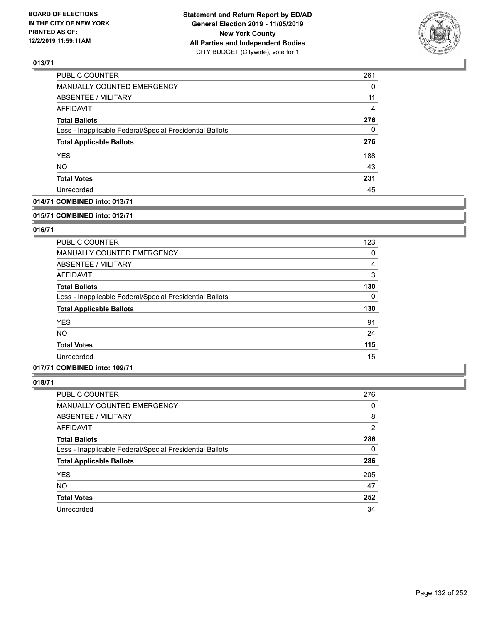

| PUBLIC COUNTER                                           | 261 |
|----------------------------------------------------------|-----|
| <b>MANUALLY COUNTED EMERGENCY</b>                        | 0   |
| <b>ABSENTEE / MILITARY</b>                               | 11  |
| <b>AFFIDAVIT</b>                                         | 4   |
| <b>Total Ballots</b>                                     | 276 |
| Less - Inapplicable Federal/Special Presidential Ballots | 0   |
| <b>Total Applicable Ballots</b>                          | 276 |
| <b>YES</b>                                               | 188 |
| <b>NO</b>                                                | 43  |
| <b>Total Votes</b>                                       | 231 |
| Unrecorded                                               | 45  |

## **014/71 COMBINED into: 013/71**

#### **015/71 COMBINED into: 012/71**

## **016/71**

| <b>PUBLIC COUNTER</b>                                    | 123 |
|----------------------------------------------------------|-----|
| <b>MANUALLY COUNTED EMERGENCY</b>                        | 0   |
| ABSENTEE / MILITARY                                      | 4   |
| AFFIDAVIT                                                | 3   |
| <b>Total Ballots</b>                                     | 130 |
| Less - Inapplicable Federal/Special Presidential Ballots | 0   |
| <b>Total Applicable Ballots</b>                          | 130 |
| <b>YES</b>                                               | 91  |
| <b>NO</b>                                                | 24  |
| <b>Total Votes</b>                                       | 115 |
| Unrecorded                                               | 15  |

## **017/71 COMBINED into: 109/71**

| PUBLIC COUNTER                                           | 276 |
|----------------------------------------------------------|-----|
| <b>MANUALLY COUNTED EMERGENCY</b>                        | 0   |
| ABSENTEE / MILITARY                                      | 8   |
| AFFIDAVIT                                                | 2   |
| <b>Total Ballots</b>                                     | 286 |
| Less - Inapplicable Federal/Special Presidential Ballots | 0   |
| <b>Total Applicable Ballots</b>                          | 286 |
| <b>YES</b>                                               | 205 |
| <b>NO</b>                                                | 47  |
| <b>Total Votes</b>                                       | 252 |
| Unrecorded                                               | 34  |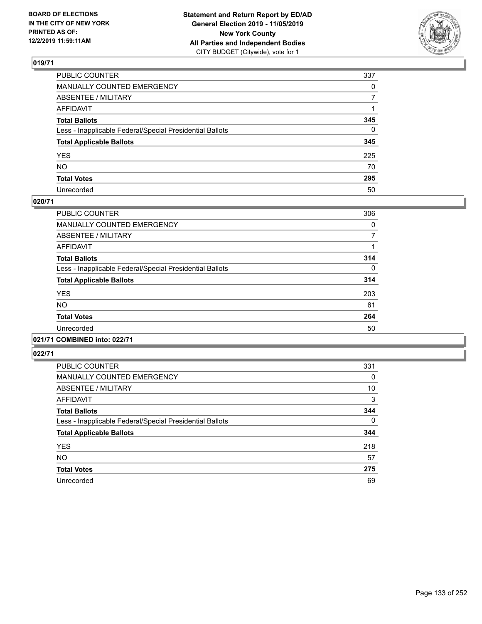

| PUBLIC COUNTER                                           | 337          |
|----------------------------------------------------------|--------------|
| MANUALLY COUNTED EMERGENCY                               | $\mathbf{0}$ |
| ABSENTEE / MILITARY                                      | 7            |
| AFFIDAVIT                                                |              |
| Total Ballots                                            | 345          |
| Less - Inapplicable Federal/Special Presidential Ballots | 0            |
| <b>Total Applicable Ballots</b>                          | 345          |
| YES                                                      | 225          |
| NO.                                                      | 70           |
| <b>Total Votes</b>                                       | 295          |
| Unrecorded                                               | 50           |

### **020/71**

| <b>PUBLIC COUNTER</b>                                    | 306      |
|----------------------------------------------------------|----------|
| <b>MANUALLY COUNTED EMERGENCY</b>                        | 0        |
| ABSENTEE / MILITARY                                      | 7        |
| <b>AFFIDAVIT</b>                                         |          |
| <b>Total Ballots</b>                                     | 314      |
| Less - Inapplicable Federal/Special Presidential Ballots | $\Omega$ |
| <b>Total Applicable Ballots</b>                          | 314      |
| <b>YES</b>                                               | 203      |
| N <sub>O</sub>                                           | 61       |
| <b>Total Votes</b>                                       | 264      |
| Unrecorded                                               | 50       |
|                                                          |          |

# **021/71 COMBINED into: 022/71**

| <b>PUBLIC COUNTER</b>                                    | 331 |
|----------------------------------------------------------|-----|
| <b>MANUALLY COUNTED EMERGENCY</b>                        | 0   |
| ABSENTEE / MILITARY                                      | 10  |
| <b>AFFIDAVIT</b>                                         | 3   |
| <b>Total Ballots</b>                                     | 344 |
| Less - Inapplicable Federal/Special Presidential Ballots | 0   |
| <b>Total Applicable Ballots</b>                          | 344 |
| <b>YES</b>                                               | 218 |
| <b>NO</b>                                                | 57  |
| <b>Total Votes</b>                                       | 275 |
| Unrecorded                                               | 69  |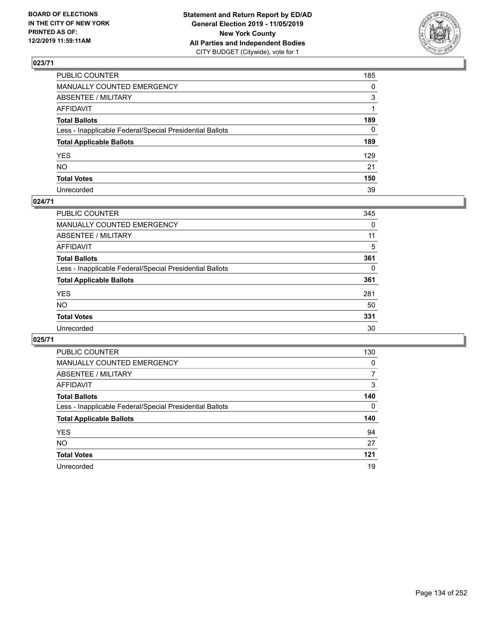

| PUBLIC COUNTER                                           | 185          |
|----------------------------------------------------------|--------------|
| MANUALLY COUNTED EMERGENCY                               | $\mathbf{0}$ |
| ABSENTEE / MILITARY                                      | 3            |
| AFFIDAVIT                                                |              |
| Total Ballots                                            | 189          |
| Less - Inapplicable Federal/Special Presidential Ballots | $\mathbf{0}$ |
| <b>Total Applicable Ballots</b>                          | 189          |
| YES                                                      | 129          |
| NO.                                                      | 21           |
| <b>Total Votes</b>                                       | 150          |
| Unrecorded                                               | 39           |

### **024/71**

| <b>PUBLIC COUNTER</b>                                    | 345 |
|----------------------------------------------------------|-----|
| <b>MANUALLY COUNTED EMERGENCY</b>                        | 0   |
| ABSENTEE / MILITARY                                      | 11  |
| AFFIDAVIT                                                | 5   |
| <b>Total Ballots</b>                                     | 361 |
| Less - Inapplicable Federal/Special Presidential Ballots | 0   |
| <b>Total Applicable Ballots</b>                          | 361 |
| <b>YES</b>                                               | 281 |
| <b>NO</b>                                                | 50  |
| <b>Total Votes</b>                                       | 331 |
| Unrecorded                                               | 30  |

| <b>PUBLIC COUNTER</b>                                    | 130      |
|----------------------------------------------------------|----------|
| MANUALLY COUNTED EMERGENCY                               | $\Omega$ |
| ABSENTEE / MILITARY                                      | 7        |
| AFFIDAVIT                                                | 3        |
| <b>Total Ballots</b>                                     | 140      |
| Less - Inapplicable Federal/Special Presidential Ballots | 0        |
| <b>Total Applicable Ballots</b>                          | 140      |
| <b>YES</b>                                               | 94       |
| NO.                                                      | 27       |
| <b>Total Votes</b>                                       | 121      |
| Unrecorded                                               | 19       |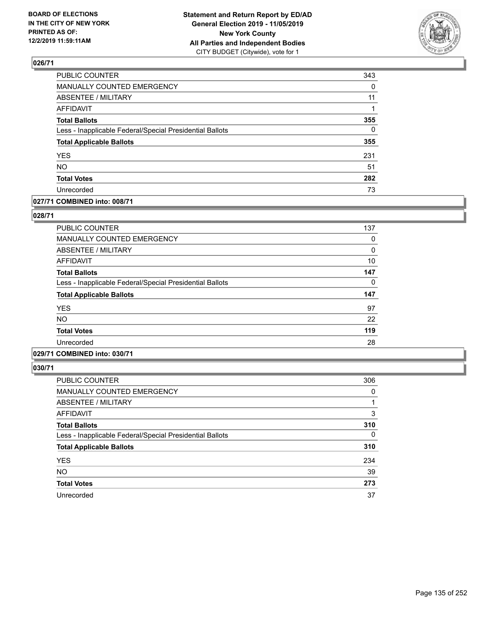

| PUBLIC COUNTER                                           | 343      |
|----------------------------------------------------------|----------|
| MANUALLY COUNTED EMERGENCY                               | 0        |
| ABSENTEE / MILITARY                                      | 11       |
| <b>AFFIDAVIT</b>                                         |          |
| <b>Total Ballots</b>                                     | 355      |
| Less - Inapplicable Federal/Special Presidential Ballots | $\Omega$ |
| <b>Total Applicable Ballots</b>                          | 355      |
| <b>YES</b>                                               | 231      |
| <b>NO</b>                                                | 51       |
| <b>Total Votes</b>                                       | 282      |
| Unrecorded                                               | 73       |

### **027/71 COMBINED into: 008/71**

### **028/71**

| <b>PUBLIC COUNTER</b>                                    | 137 |
|----------------------------------------------------------|-----|
| <b>MANUALLY COUNTED EMERGENCY</b>                        | 0   |
| <b>ABSENTEE / MILITARY</b>                               | 0   |
| <b>AFFIDAVIT</b>                                         | 10  |
| <b>Total Ballots</b>                                     | 147 |
| Less - Inapplicable Federal/Special Presidential Ballots | 0   |
| <b>Total Applicable Ballots</b>                          | 147 |
| <b>YES</b>                                               | 97  |
| <b>NO</b>                                                | 22  |
| <b>Total Votes</b>                                       | 119 |
| Unrecorded                                               | 28  |
|                                                          |     |

# **029/71 COMBINED into: 030/71**

| <b>PUBLIC COUNTER</b>                                    | 306 |
|----------------------------------------------------------|-----|
| <b>MANUALLY COUNTED EMERGENCY</b>                        | 0   |
| ABSENTEE / MILITARY                                      |     |
| AFFIDAVIT                                                | 3   |
| <b>Total Ballots</b>                                     | 310 |
| Less - Inapplicable Federal/Special Presidential Ballots | 0   |
| <b>Total Applicable Ballots</b>                          | 310 |
| <b>YES</b>                                               | 234 |
| <b>NO</b>                                                | 39  |
| <b>Total Votes</b>                                       | 273 |
| Unrecorded                                               | 37  |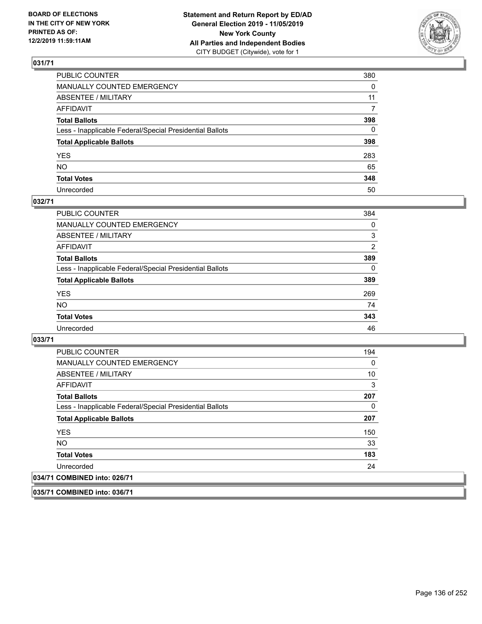

| PUBLIC COUNTER                                           | 380      |
|----------------------------------------------------------|----------|
| MANUALLY COUNTED EMERGENCY                               | $\Omega$ |
| ABSENTEE / MILITARY                                      | 11       |
| AFFIDAVIT                                                | 7        |
| Total Ballots                                            | 398      |
| Less - Inapplicable Federal/Special Presidential Ballots | 0        |
| <b>Total Applicable Ballots</b>                          | 398      |
| YES                                                      | 283      |
| NO.                                                      | 65       |
| <b>Total Votes</b>                                       | 348      |
| Unrecorded                                               | 50       |

### **032/71**

| <b>PUBLIC COUNTER</b>                                    | 384      |
|----------------------------------------------------------|----------|
| <b>MANUALLY COUNTED EMERGENCY</b>                        | 0        |
| ABSENTEE / MILITARY                                      | 3        |
| AFFIDAVIT                                                | 2        |
| <b>Total Ballots</b>                                     | 389      |
| Less - Inapplicable Federal/Special Presidential Ballots | $\Omega$ |
| <b>Total Applicable Ballots</b>                          | 389      |
| <b>YES</b>                                               | 269      |
| <b>NO</b>                                                | 74       |
| <b>Total Votes</b>                                       | 343      |
| Unrecorded                                               | 46       |

**033/71** 

| <b>PUBLIC COUNTER</b>                                    | 194 |
|----------------------------------------------------------|-----|
| MANUALLY COUNTED EMERGENCY                               | 0   |
| ABSENTEE / MILITARY                                      | 10  |
| AFFIDAVIT                                                | 3   |
| <b>Total Ballots</b>                                     | 207 |
| Less - Inapplicable Federal/Special Presidential Ballots | 0   |
| <b>Total Applicable Ballots</b>                          | 207 |
| <b>YES</b>                                               | 150 |
| NO.                                                      | 33  |
| <b>Total Votes</b>                                       | 183 |
| Unrecorded                                               | 24  |
| 034/71 COMBINED into: 026/71                             |     |

**035/71 COMBINED into: 036/71**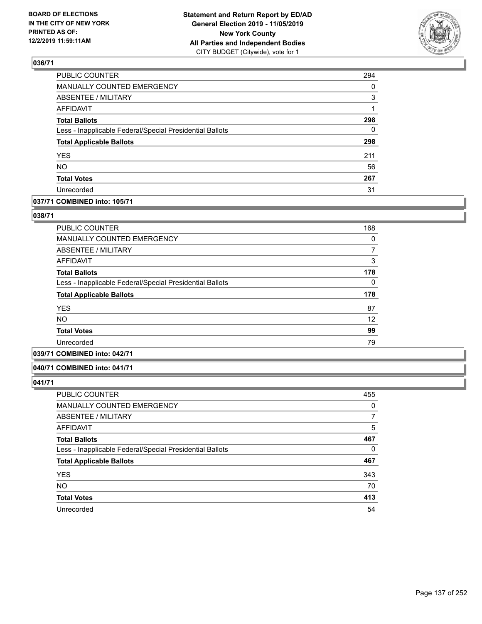

| PUBLIC COUNTER                                           | 294      |
|----------------------------------------------------------|----------|
| MANUALLY COUNTED EMERGENCY                               | 0        |
| <b>ABSENTEE / MILITARY</b>                               | 3        |
| <b>AFFIDAVIT</b>                                         | 1        |
| <b>Total Ballots</b>                                     | 298      |
| Less - Inapplicable Federal/Special Presidential Ballots | $\Omega$ |
| <b>Total Applicable Ballots</b>                          | 298      |
| YES                                                      | 211      |
| NO.                                                      | 56       |
| <b>Total Votes</b>                                       | 267      |
| Unrecorded                                               | 31       |

## **037/71 COMBINED into: 105/71**

### **038/71**

| <b>PUBLIC COUNTER</b>                                    | 168 |
|----------------------------------------------------------|-----|
| MANUALLY COUNTED EMERGENCY                               | 0   |
| ABSENTEE / MILITARY                                      | 7   |
| AFFIDAVIT                                                | 3   |
| <b>Total Ballots</b>                                     | 178 |
| Less - Inapplicable Federal/Special Presidential Ballots | 0   |
| <b>Total Applicable Ballots</b>                          | 178 |
| <b>YES</b>                                               | 87  |
| <b>NO</b>                                                | 12  |
| <b>Total Votes</b>                                       | 99  |
| Unrecorded                                               | 79  |
|                                                          |     |

# **039/71 COMBINED into: 042/71**

#### **040/71 COMBINED into: 041/71**

| <b>PUBLIC COUNTER</b>                                    | 455 |
|----------------------------------------------------------|-----|
| MANUALLY COUNTED EMERGENCY                               | 0   |
| ABSENTEE / MILITARY                                      |     |
| AFFIDAVIT                                                | 5   |
| <b>Total Ballots</b>                                     | 467 |
| Less - Inapplicable Federal/Special Presidential Ballots | 0   |
| <b>Total Applicable Ballots</b>                          | 467 |
| <b>YES</b>                                               | 343 |
| <b>NO</b>                                                | 70  |
| <b>Total Votes</b>                                       | 413 |
| Unrecorded                                               | 54  |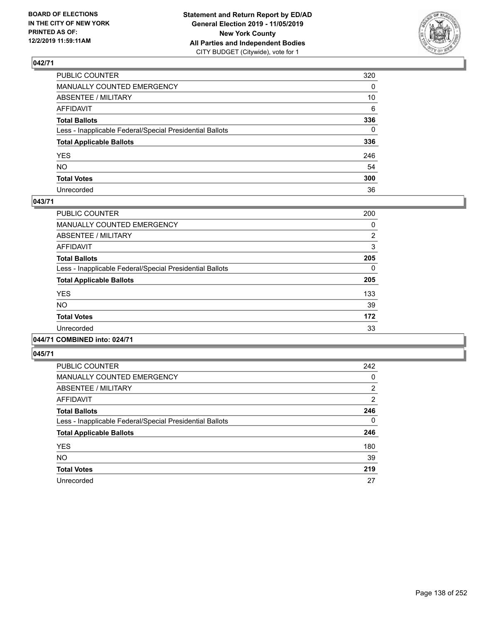

| PUBLIC COUNTER                                           | 320          |
|----------------------------------------------------------|--------------|
| MANUALLY COUNTED EMERGENCY                               | $\mathbf{0}$ |
| ABSENTEE / MILITARY                                      | 10           |
| AFFIDAVIT                                                | 6            |
| Total Ballots                                            | 336          |
| Less - Inapplicable Federal/Special Presidential Ballots | $\Omega$     |
| <b>Total Applicable Ballots</b>                          | 336          |
| YES                                                      | 246          |
| NO.                                                      | 54           |
| <b>Total Votes</b>                                       | 300          |
| Unrecorded                                               | 36           |

### **043/71**

| <b>PUBLIC COUNTER</b>                                    | 200            |
|----------------------------------------------------------|----------------|
| <b>MANUALLY COUNTED EMERGENCY</b>                        | 0              |
| ABSENTEE / MILITARY                                      | $\overline{2}$ |
| <b>AFFIDAVIT</b>                                         | 3              |
| <b>Total Ballots</b>                                     | 205            |
| Less - Inapplicable Federal/Special Presidential Ballots | $\Omega$       |
| <b>Total Applicable Ballots</b>                          | 205            |
| <b>YES</b>                                               | 133            |
| <b>NO</b>                                                | 39             |
| <b>Total Votes</b>                                       | 172            |
| Unrecorded                                               | 33             |
|                                                          |                |

# **044/71 COMBINED into: 024/71**

| <b>PUBLIC COUNTER</b>                                    | 242            |
|----------------------------------------------------------|----------------|
| <b>MANUALLY COUNTED EMERGENCY</b>                        | 0              |
| ABSENTEE / MILITARY                                      | $\overline{2}$ |
| AFFIDAVIT                                                | 2              |
| <b>Total Ballots</b>                                     | 246            |
| Less - Inapplicable Federal/Special Presidential Ballots | $\Omega$       |
| <b>Total Applicable Ballots</b>                          | 246            |
| <b>YES</b>                                               | 180            |
| <b>NO</b>                                                | 39             |
| <b>Total Votes</b>                                       | 219            |
| Unrecorded                                               | 27             |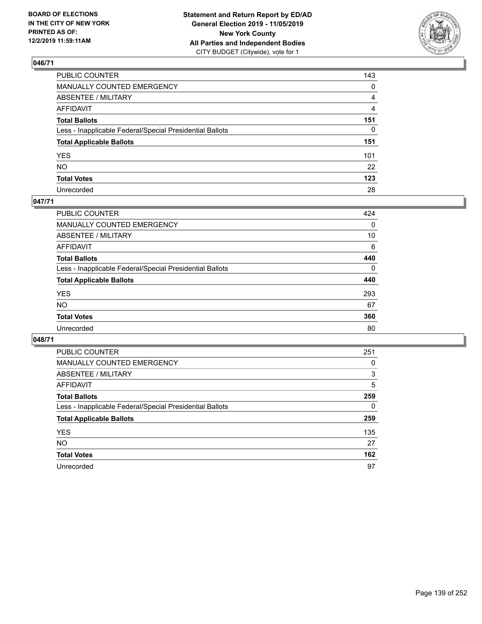

| PUBLIC COUNTER                                           | 143 |
|----------------------------------------------------------|-----|
| MANUALLY COUNTED EMERGENCY                               | 0   |
| ABSENTEE / MILITARY                                      | 4   |
| AFFIDAVIT                                                | 4   |
| Total Ballots                                            | 151 |
| Less - Inapplicable Federal/Special Presidential Ballots | 0   |
| <b>Total Applicable Ballots</b>                          | 151 |
| YES                                                      | 101 |
| NO.                                                      | 22  |
| <b>Total Votes</b>                                       | 123 |
| Unrecorded                                               | 28  |

### **047/71**

| <b>PUBLIC COUNTER</b>                                    | 424      |
|----------------------------------------------------------|----------|
| MANUALLY COUNTED EMERGENCY                               | 0        |
| ABSENTEE / MILITARY                                      | 10       |
| AFFIDAVIT                                                | 6        |
| <b>Total Ballots</b>                                     | 440      |
| Less - Inapplicable Federal/Special Presidential Ballots | $\Omega$ |
| <b>Total Applicable Ballots</b>                          | 440      |
| <b>YES</b>                                               | 293      |
| <b>NO</b>                                                | 67       |
| <b>Total Votes</b>                                       | 360      |
| Unrecorded                                               | 80       |

| <b>PUBLIC COUNTER</b>                                    | 251 |
|----------------------------------------------------------|-----|
| MANUALLY COUNTED EMERGENCY                               | 0   |
| ABSENTEE / MILITARY                                      | 3   |
| AFFIDAVIT                                                | 5   |
| <b>Total Ballots</b>                                     | 259 |
| Less - Inapplicable Federal/Special Presidential Ballots | 0   |
| <b>Total Applicable Ballots</b>                          | 259 |
| <b>YES</b>                                               | 135 |
| <b>NO</b>                                                | 27  |
| <b>Total Votes</b>                                       | 162 |
| Unrecorded                                               | 97  |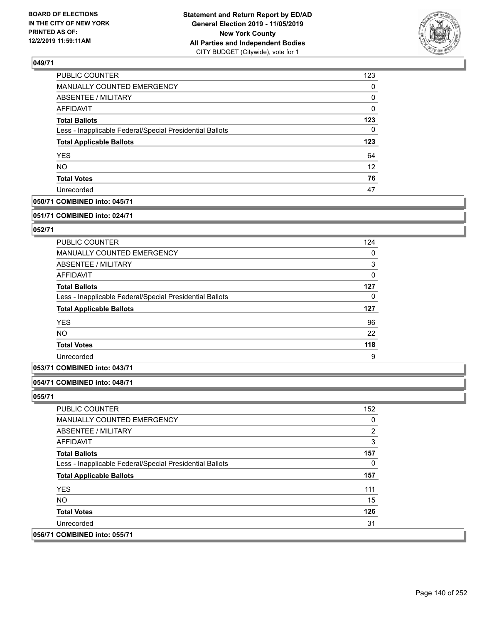

| 123      |
|----------|
| $\Omega$ |
| 0        |
| 0        |
| 123      |
| 0        |
| 123      |
| 64       |
| 12       |
| 76       |
| 47       |
|          |

## **050/71 COMBINED into: 045/71**

#### **051/71 COMBINED into: 024/71**

## **052/71**

| <b>PUBLIC COUNTER</b>                                    | 124 |
|----------------------------------------------------------|-----|
| <b>MANUALLY COUNTED EMERGENCY</b>                        | 0   |
| ABSENTEE / MILITARY                                      | 3   |
| AFFIDAVIT                                                | 0   |
| <b>Total Ballots</b>                                     | 127 |
| Less - Inapplicable Federal/Special Presidential Ballots | 0   |
| <b>Total Applicable Ballots</b>                          | 127 |
| <b>YES</b>                                               | 96  |
| <b>NO</b>                                                | 22  |
| <b>Total Votes</b>                                       | 118 |
| Unrecorded                                               | 9   |

### **053/71 COMBINED into: 043/71**

### **054/71 COMBINED into: 048/71**

| <b>PUBLIC COUNTER</b>                                    | 152 |
|----------------------------------------------------------|-----|
| <b>MANUALLY COUNTED EMERGENCY</b>                        | 0   |
| ABSENTEE / MILITARY                                      | 2   |
| <b>AFFIDAVIT</b>                                         | 3   |
| <b>Total Ballots</b>                                     | 157 |
| Less - Inapplicable Federal/Special Presidential Ballots | 0   |
| <b>Total Applicable Ballots</b>                          | 157 |
| <b>YES</b>                                               | 111 |
| NO.                                                      | 15  |
| <b>Total Votes</b>                                       | 126 |
| Unrecorded                                               | 31  |
| 056/71 COMBINED into: 055/71                             |     |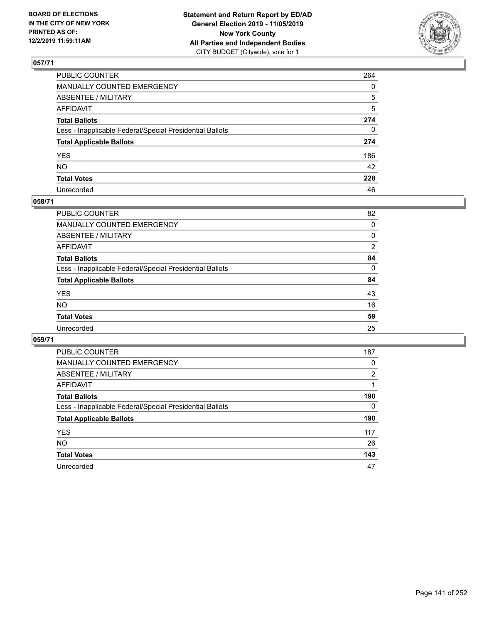

| PUBLIC COUNTER                                           | 264          |
|----------------------------------------------------------|--------------|
| MANUALLY COUNTED EMERGENCY                               | $\mathbf{0}$ |
| ABSENTEE / MILITARY                                      | 5            |
| AFFIDAVIT                                                | 5            |
| Total Ballots                                            | 274          |
| Less - Inapplicable Federal/Special Presidential Ballots | 0            |
| <b>Total Applicable Ballots</b>                          | 274          |
| YES                                                      | 186          |
| NO.                                                      | 42           |
| <b>Total Votes</b>                                       | 228          |
| Unrecorded                                               | 46           |

## **058/71**

| <b>PUBLIC COUNTER</b>                                    | 82             |
|----------------------------------------------------------|----------------|
| <b>MANUALLY COUNTED EMERGENCY</b>                        | 0              |
| ABSENTEE / MILITARY                                      | 0              |
| AFFIDAVIT                                                | $\overline{2}$ |
| <b>Total Ballots</b>                                     | 84             |
| Less - Inapplicable Federal/Special Presidential Ballots | $\Omega$       |
| <b>Total Applicable Ballots</b>                          | 84             |
| <b>YES</b>                                               | 43             |
| <b>NO</b>                                                | 16             |
| <b>Total Votes</b>                                       | 59             |
| Unrecorded                                               | 25             |

| <b>PUBLIC COUNTER</b>                                    | 187      |
|----------------------------------------------------------|----------|
| <b>MANUALLY COUNTED EMERGENCY</b>                        | 0        |
| ABSENTEE / MILITARY                                      | 2        |
| AFFIDAVIT                                                |          |
| <b>Total Ballots</b>                                     | 190      |
| Less - Inapplicable Federal/Special Presidential Ballots | $\Omega$ |
| <b>Total Applicable Ballots</b>                          | 190      |
| <b>YES</b>                                               | 117      |
| <b>NO</b>                                                | 26       |
| <b>Total Votes</b>                                       | 143      |
| Unrecorded                                               | 47       |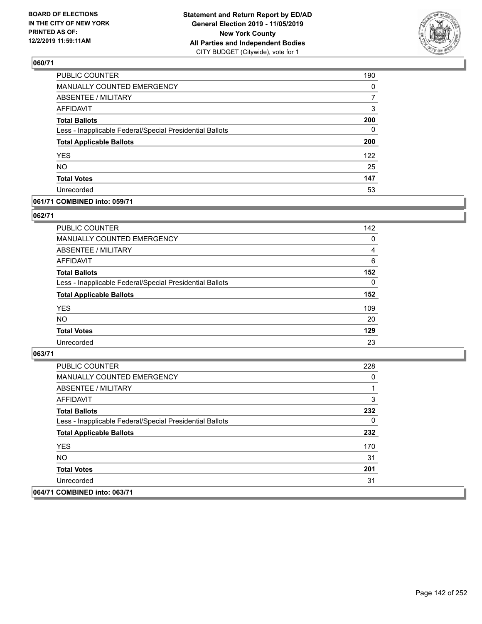

| PUBLIC COUNTER                                           | 190      |
|----------------------------------------------------------|----------|
| MANUALLY COUNTED EMERGENCY                               | 0        |
| <b>ABSENTEE / MILITARY</b>                               | 7        |
| <b>AFFIDAVIT</b>                                         | 3        |
| <b>Total Ballots</b>                                     | 200      |
| Less - Inapplicable Federal/Special Presidential Ballots | $\Omega$ |
| <b>Total Applicable Ballots</b>                          | 200      |
| <b>YES</b>                                               | 122      |
| <b>NO</b>                                                | 25       |
| <b>Total Votes</b>                                       | 147      |
| Unrecorded                                               | 53       |

### **061/71 COMBINED into: 059/71**

### **062/71**

| PUBLIC COUNTER                                           | 142      |
|----------------------------------------------------------|----------|
| MANUALLY COUNTED EMERGENCY                               | $\Omega$ |
| ABSENTEE / MILITARY                                      | 4        |
| AFFIDAVIT                                                | 6        |
| <b>Total Ballots</b>                                     | 152      |
| Less - Inapplicable Federal/Special Presidential Ballots | $\Omega$ |
| <b>Total Applicable Ballots</b>                          | 152      |
| <b>YES</b>                                               | 109      |
| <b>NO</b>                                                | 20       |
| <b>Total Votes</b>                                       | 129      |
| Unrecorded                                               | 23       |
|                                                          |          |

| <b>PUBLIC COUNTER</b>                                    | 228 |
|----------------------------------------------------------|-----|
| <b>MANUALLY COUNTED EMERGENCY</b>                        | 0   |
| ABSENTEE / MILITARY                                      |     |
| AFFIDAVIT                                                | 3   |
| <b>Total Ballots</b>                                     | 232 |
| Less - Inapplicable Federal/Special Presidential Ballots | 0   |
| <b>Total Applicable Ballots</b>                          | 232 |
| <b>YES</b>                                               | 170 |
| NO.                                                      | 31  |
| <b>Total Votes</b>                                       | 201 |
| Unrecorded                                               | 31  |
| 064/71 COMBINED into: 063/71                             |     |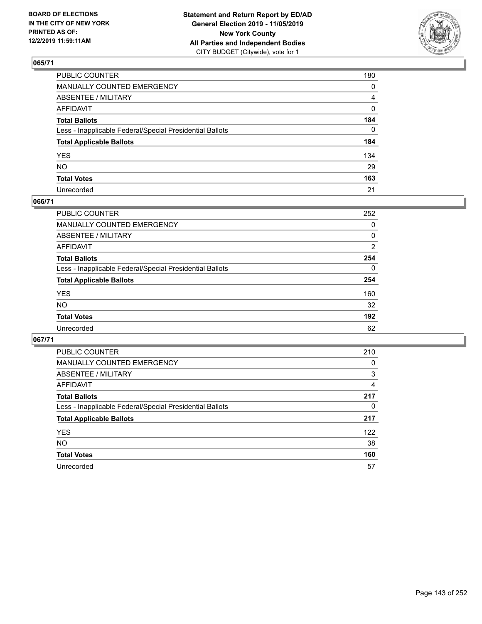

| PUBLIC COUNTER                                           | 180 |
|----------------------------------------------------------|-----|
| MANUALLY COUNTED EMERGENCY                               | 0   |
| ABSENTEE / MILITARY                                      | 4   |
| AFFIDAVIT                                                | 0   |
| Total Ballots                                            | 184 |
| Less - Inapplicable Federal/Special Presidential Ballots | 0   |
| <b>Total Applicable Ballots</b>                          | 184 |
| YES                                                      | 134 |
| NO.                                                      | 29  |
| <b>Total Votes</b>                                       | 163 |
| Unrecorded                                               | 21  |

### **066/71**

| <b>PUBLIC COUNTER</b>                                    | 252      |
|----------------------------------------------------------|----------|
| MANUALLY COUNTED EMERGENCY                               | 0        |
| ABSENTEE / MILITARY                                      | 0        |
| AFFIDAVIT                                                | 2        |
| <b>Total Ballots</b>                                     | 254      |
| Less - Inapplicable Federal/Special Presidential Ballots | $\Omega$ |
| <b>Total Applicable Ballots</b>                          | 254      |
| <b>YES</b>                                               | 160      |
| <b>NO</b>                                                | 32       |
| <b>Total Votes</b>                                       | 192      |
| Unrecorded                                               | 62       |

| <b>PUBLIC COUNTER</b>                                    | 210 |
|----------------------------------------------------------|-----|
| <b>MANUALLY COUNTED EMERGENCY</b>                        | 0   |
| ABSENTEE / MILITARY                                      | 3   |
| AFFIDAVIT                                                | 4   |
| <b>Total Ballots</b>                                     | 217 |
| Less - Inapplicable Federal/Special Presidential Ballots | 0   |
| <b>Total Applicable Ballots</b>                          | 217 |
| <b>YES</b>                                               | 122 |
| <b>NO</b>                                                | 38  |
| <b>Total Votes</b>                                       | 160 |
| Unrecorded                                               | 57  |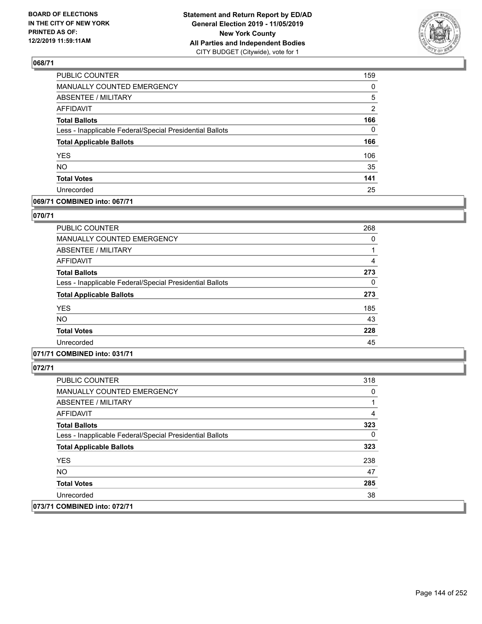

| PUBLIC COUNTER                                           | 159          |
|----------------------------------------------------------|--------------|
| MANUALLY COUNTED EMERGENCY                               | 0            |
| ABSENTEE / MILITARY                                      | 5            |
| <b>AFFIDAVIT</b>                                         | 2            |
| <b>Total Ballots</b>                                     | 166          |
| Less - Inapplicable Federal/Special Presidential Ballots | $\mathbf{0}$ |
| <b>Total Applicable Ballots</b>                          | 166          |
| <b>YES</b>                                               | 106          |
| <b>NO</b>                                                | 35           |
| <b>Total Votes</b>                                       | 141          |
| Unrecorded                                               | 25           |

## **069/71 COMBINED into: 067/71**

### **070/71**

| <b>PUBLIC COUNTER</b>                                    | 268 |
|----------------------------------------------------------|-----|
| <b>MANUALLY COUNTED EMERGENCY</b>                        | 0   |
| ABSENTEE / MILITARY                                      |     |
| AFFIDAVIT                                                | 4   |
| <b>Total Ballots</b>                                     | 273 |
| Less - Inapplicable Federal/Special Presidential Ballots | 0   |
| <b>Total Applicable Ballots</b>                          | 273 |
| <b>YES</b>                                               | 185 |
| <b>NO</b>                                                | 43  |
| <b>Total Votes</b>                                       | 228 |
| Unrecorded                                               | 45  |
|                                                          |     |

## **071/71 COMBINED into: 031/71**

| <b>PUBLIC COUNTER</b>                                    | 318 |
|----------------------------------------------------------|-----|
| <b>MANUALLY COUNTED EMERGENCY</b>                        | 0   |
| ABSENTEE / MILITARY                                      |     |
| AFFIDAVIT                                                | 4   |
| <b>Total Ballots</b>                                     | 323 |
| Less - Inapplicable Federal/Special Presidential Ballots | 0   |
| <b>Total Applicable Ballots</b>                          | 323 |
| <b>YES</b>                                               | 238 |
| NO.                                                      | 47  |
| <b>Total Votes</b>                                       | 285 |
| Unrecorded                                               | 38  |
| 073/71 COMBINED into: 072/71                             |     |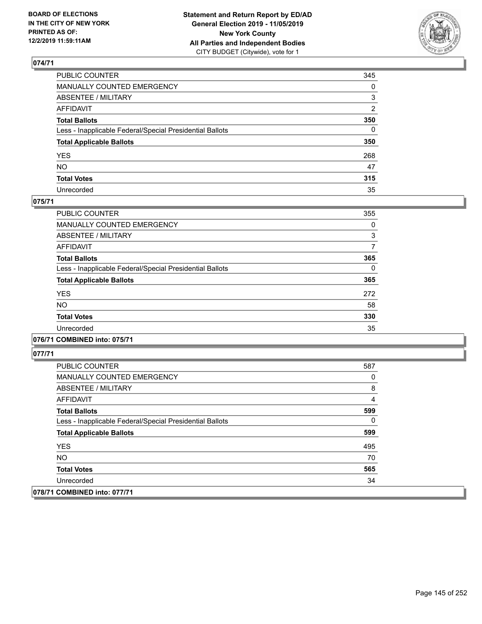

| PUBLIC COUNTER                                           | 345          |
|----------------------------------------------------------|--------------|
| MANUALLY COUNTED EMERGENCY                               | $\mathbf{0}$ |
| ABSENTEE / MILITARY                                      | 3            |
| AFFIDAVIT                                                | 2            |
| Total Ballots                                            | 350          |
| Less - Inapplicable Federal/Special Presidential Ballots | 0            |
| <b>Total Applicable Ballots</b>                          | 350          |
| YES                                                      | 268          |
| NO.                                                      | 47           |
| <b>Total Votes</b>                                       | 315          |
| Unrecorded                                               | 35           |

### **075/71**

| <b>PUBLIC COUNTER</b>                                    | 355      |
|----------------------------------------------------------|----------|
| <b>MANUALLY COUNTED EMERGENCY</b>                        | 0        |
| ABSENTEE / MILITARY                                      | 3        |
| <b>AFFIDAVIT</b>                                         | 7        |
| <b>Total Ballots</b>                                     | 365      |
| Less - Inapplicable Federal/Special Presidential Ballots | $\Omega$ |
| <b>Total Applicable Ballots</b>                          | 365      |
| <b>YES</b>                                               | 272      |
| <b>NO</b>                                                | 58       |
| <b>Total Votes</b>                                       | 330      |
| Unrecorded                                               | 35       |

### **076/71 COMBINED into: 075/71**

| <b>PUBLIC COUNTER</b>                                    | 587 |
|----------------------------------------------------------|-----|
| <b>MANUALLY COUNTED EMERGENCY</b>                        | 0   |
| ABSENTEE / MILITARY                                      | 8   |
| AFFIDAVIT                                                | 4   |
| <b>Total Ballots</b>                                     | 599 |
| Less - Inapplicable Federal/Special Presidential Ballots | 0   |
| <b>Total Applicable Ballots</b>                          | 599 |
| <b>YES</b>                                               | 495 |
| NO.                                                      | 70  |
| <b>Total Votes</b>                                       | 565 |
| Unrecorded                                               | 34  |
| 078/71 COMBINED into: 077/71                             |     |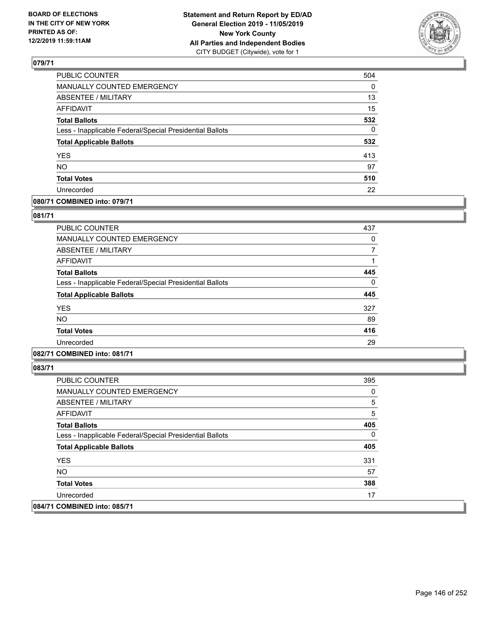

| 504 |
|-----|
| 0   |
| 13  |
| 15  |
| 532 |
| 0   |
| 532 |
| 413 |
| 97  |
| 510 |
| 22  |
|     |

## **080/71 COMBINED into: 079/71**

#### **081/71**

| PUBLIC COUNTER                                           | 437 |
|----------------------------------------------------------|-----|
| <b>MANUALLY COUNTED EMERGENCY</b>                        | 0   |
| ABSENTEE / MILITARY                                      |     |
| <b>AFFIDAVIT</b>                                         |     |
| <b>Total Ballots</b>                                     | 445 |
| Less - Inapplicable Federal/Special Presidential Ballots | 0   |
| <b>Total Applicable Ballots</b>                          | 445 |
| <b>YES</b>                                               | 327 |
| <b>NO</b>                                                | 89  |
| <b>Total Votes</b>                                       | 416 |
| Unrecorded                                               | 29  |
|                                                          |     |

## **082/71 COMBINED into: 081/71**

| <b>PUBLIC COUNTER</b>                                    | 395 |
|----------------------------------------------------------|-----|
| <b>MANUALLY COUNTED EMERGENCY</b>                        | 0   |
| ABSENTEE / MILITARY                                      | 5   |
| AFFIDAVIT                                                | 5   |
| <b>Total Ballots</b>                                     | 405 |
| Less - Inapplicable Federal/Special Presidential Ballots | 0   |
| <b>Total Applicable Ballots</b>                          | 405 |
| <b>YES</b>                                               | 331 |
| NO.                                                      | 57  |
| <b>Total Votes</b>                                       | 388 |
| Unrecorded                                               | 17  |
| 084/71 COMBINED into: 085/71                             |     |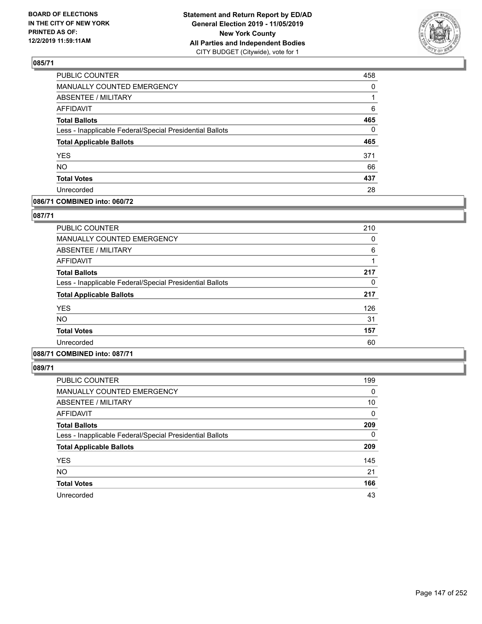

| PUBLIC COUNTER                                           | 458          |
|----------------------------------------------------------|--------------|
| MANUALLY COUNTED EMERGENCY                               | $\mathbf{0}$ |
| ABSENTEE / MILITARY                                      |              |
| <b>AFFIDAVIT</b>                                         | 6            |
| <b>Total Ballots</b>                                     | 465          |
| Less - Inapplicable Federal/Special Presidential Ballots | $\Omega$     |
| <b>Total Applicable Ballots</b>                          | 465          |
| <b>YES</b>                                               | 371          |
| <b>NO</b>                                                | 66           |
|                                                          |              |
| <b>Total Votes</b>                                       | 437          |

## **086/71 COMBINED into: 060/72**

### **087/71**

| <b>PUBLIC COUNTER</b>                                    | 210 |
|----------------------------------------------------------|-----|
| <b>MANUALLY COUNTED EMERGENCY</b>                        | 0   |
| ABSENTEE / MILITARY                                      | 6   |
| AFFIDAVIT                                                |     |
| <b>Total Ballots</b>                                     | 217 |
| Less - Inapplicable Federal/Special Presidential Ballots | 0   |
| <b>Total Applicable Ballots</b>                          | 217 |
| <b>YES</b>                                               | 126 |
| <b>NO</b>                                                | 31  |
| <b>Total Votes</b>                                       | 157 |
| Unrecorded                                               | 60  |
|                                                          |     |

# **088/71 COMBINED into: 087/71**

| <b>PUBLIC COUNTER</b>                                    | 199      |
|----------------------------------------------------------|----------|
| MANUALLY COUNTED EMERGENCY                               | 0        |
| ABSENTEE / MILITARY                                      | 10       |
| AFFIDAVIT                                                | $\Omega$ |
| <b>Total Ballots</b>                                     | 209      |
| Less - Inapplicable Federal/Special Presidential Ballots | $\Omega$ |
| <b>Total Applicable Ballots</b>                          | 209      |
| <b>YES</b>                                               | 145      |
| <b>NO</b>                                                | 21       |
| <b>Total Votes</b>                                       | 166      |
| Unrecorded                                               | 43       |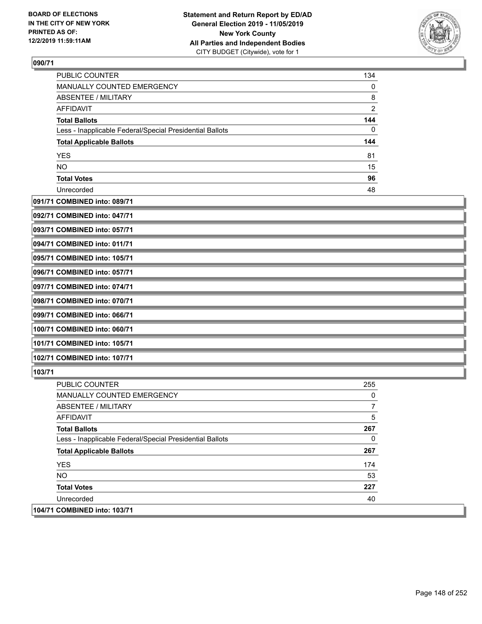

| PUBLIC COUNTER                                           | 134            |
|----------------------------------------------------------|----------------|
| <b>MANUALLY COUNTED EMERGENCY</b>                        | $\Omega$       |
| ABSENTEE / MILITARY                                      | 8              |
| <b>AFFIDAVIT</b>                                         | $\overline{2}$ |
| <b>Total Ballots</b>                                     | 144            |
| Less - Inapplicable Federal/Special Presidential Ballots | 0              |
| <b>Total Applicable Ballots</b>                          | 144            |
| <b>YES</b>                                               | 81             |
| <b>NO</b>                                                | 15             |
| <b>Total Votes</b>                                       | 96             |
| Unrecorded                                               | 48             |

## **091/71 COMBINED into: 089/71**

| 092/71 COMBINED into: 047/71 |  |
|------------------------------|--|
| 093/71 COMBINED into: 057/71 |  |
| 094/71 COMBINED into: 011/71 |  |
| 095/71 COMBINED into: 105/71 |  |
| 096/71 COMBINED into: 057/71 |  |
| 097/71 COMBINED into: 074/71 |  |
| 098/71 COMBINED into: 070/71 |  |
| 099/71 COMBINED into: 066/71 |  |
| 100/71 COMBINED into: 060/71 |  |
| 101/71 COMBINED into: 105/71 |  |
| 102/71 COMBINED into: 107/71 |  |

| <b>PUBLIC COUNTER</b>                                    | 255 |
|----------------------------------------------------------|-----|
| <b>MANUALLY COUNTED EMERGENCY</b>                        | 0   |
| ABSENTEE / MILITARY                                      |     |
| AFFIDAVIT                                                | 5   |
| <b>Total Ballots</b>                                     | 267 |
| Less - Inapplicable Federal/Special Presidential Ballots | 0   |
| <b>Total Applicable Ballots</b>                          | 267 |
| <b>YES</b>                                               | 174 |
| NO.                                                      | 53  |
| <b>Total Votes</b>                                       | 227 |
| Unrecorded                                               | 40  |
| 104/71 COMBINED into: 103/71                             |     |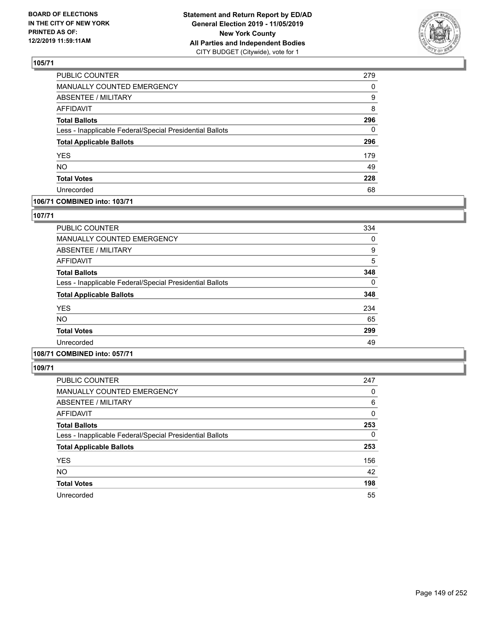

| PUBLIC COUNTER                                           | 279      |
|----------------------------------------------------------|----------|
| <b>MANUALLY COUNTED EMERGENCY</b>                        | $\Omega$ |
| <b>ABSENTEE / MILITARY</b>                               | 9        |
| <b>AFFIDAVIT</b>                                         | 8        |
| <b>Total Ballots</b>                                     | 296      |
| Less - Inapplicable Federal/Special Presidential Ballots | 0        |
| <b>Total Applicable Ballots</b>                          | 296      |
| <b>YES</b>                                               | 179      |
| <b>NO</b>                                                | 49       |
| <b>Total Votes</b>                                       | 228      |
| Unrecorded                                               | 68       |

## **106/71 COMBINED into: 103/71**

### **107/71**

| <b>PUBLIC COUNTER</b>                                    | 334 |
|----------------------------------------------------------|-----|
| MANUALLY COUNTED EMERGENCY                               | 0   |
| ABSENTEE / MILITARY                                      | 9   |
| AFFIDAVIT                                                | 5   |
| <b>Total Ballots</b>                                     | 348 |
| Less - Inapplicable Federal/Special Presidential Ballots | 0   |
| <b>Total Applicable Ballots</b>                          | 348 |
| <b>YES</b>                                               | 234 |
| <b>NO</b>                                                | 65  |
| <b>Total Votes</b>                                       | 299 |
| Unrecorded                                               | 49  |

# **108/71 COMBINED into: 057/71**

| <b>PUBLIC COUNTER</b>                                    | 247      |
|----------------------------------------------------------|----------|
| <b>MANUALLY COUNTED EMERGENCY</b>                        | 0        |
| ABSENTEE / MILITARY                                      | 6        |
| <b>AFFIDAVIT</b>                                         | $\Omega$ |
| <b>Total Ballots</b>                                     | 253      |
| Less - Inapplicable Federal/Special Presidential Ballots | $\Omega$ |
| <b>Total Applicable Ballots</b>                          | 253      |
| <b>YES</b>                                               | 156      |
| <b>NO</b>                                                | 42       |
| <b>Total Votes</b>                                       | 198      |
| Unrecorded                                               | 55       |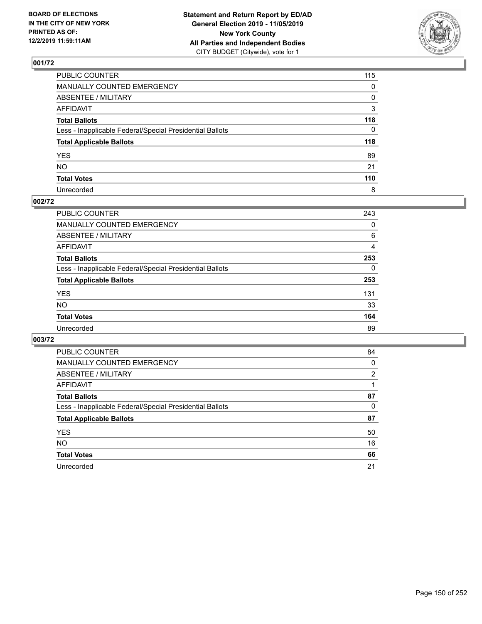

| PUBLIC COUNTER                                           | 115 |
|----------------------------------------------------------|-----|
| MANUALLY COUNTED EMERGENCY                               | 0   |
| ABSENTEE / MILITARY                                      | 0   |
| AFFIDAVIT                                                | 3   |
| Total Ballots                                            | 118 |
| Less - Inapplicable Federal/Special Presidential Ballots | 0   |
| <b>Total Applicable Ballots</b>                          | 118 |
| YES                                                      | 89  |
| NO.                                                      | 21  |
| <b>Total Votes</b>                                       | 110 |
| Unrecorded                                               | 8   |

## **002/72**

| <b>PUBLIC COUNTER</b>                                    | 243      |
|----------------------------------------------------------|----------|
| MANUALLY COUNTED EMERGENCY                               | 0        |
| ABSENTEE / MILITARY                                      | 6        |
| AFFIDAVIT                                                | 4        |
| <b>Total Ballots</b>                                     | 253      |
| Less - Inapplicable Federal/Special Presidential Ballots | $\Omega$ |
| <b>Total Applicable Ballots</b>                          | 253      |
| <b>YES</b>                                               | 131      |
| <b>NO</b>                                                | 33       |
| <b>Total Votes</b>                                       | 164      |
| Unrecorded                                               | 89       |

| 84             |
|----------------|
| 0              |
| $\overline{2}$ |
|                |
| 87             |
| 0              |
| 87             |
| 50             |
| 16             |
| 66             |
| 21             |
|                |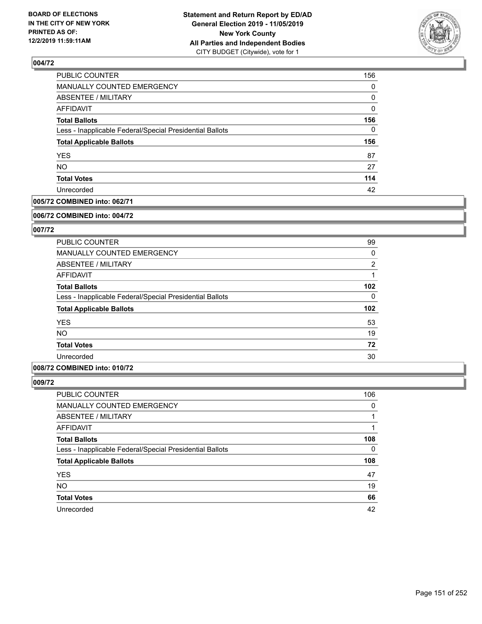

| 156      |
|----------|
| $\Omega$ |
| 0        |
| 0        |
| 156      |
| $\Omega$ |
| 156      |
| 87       |
| 27       |
| 114      |
| 42       |
|          |

### **005/72 COMBINED into: 062/71**

#### **006/72 COMBINED into: 004/72**

## **007/72**

| PUBLIC COUNTER                                           | 99             |
|----------------------------------------------------------|----------------|
| <b>MANUALLY COUNTED EMERGENCY</b>                        | 0              |
| ABSENTEE / MILITARY                                      | $\overline{2}$ |
| AFFIDAVIT                                                |                |
| <b>Total Ballots</b>                                     | 102            |
| Less - Inapplicable Federal/Special Presidential Ballots | $\Omega$       |
| <b>Total Applicable Ballots</b>                          | 102            |
| <b>YES</b>                                               | 53             |
| <b>NO</b>                                                | 19             |
| <b>Total Votes</b>                                       | 72             |
| Unrecorded                                               | 30             |

### **008/72 COMBINED into: 010/72**

| PUBLIC COUNTER                                           | 106 |
|----------------------------------------------------------|-----|
| MANUALLY COUNTED EMERGENCY                               | 0   |
| ABSENTEE / MILITARY                                      |     |
| AFFIDAVIT                                                |     |
| <b>Total Ballots</b>                                     | 108 |
| Less - Inapplicable Federal/Special Presidential Ballots | 0   |
| <b>Total Applicable Ballots</b>                          | 108 |
| <b>YES</b>                                               | 47  |
| <b>NO</b>                                                | 19  |
| <b>Total Votes</b>                                       | 66  |
| Unrecorded                                               | 42  |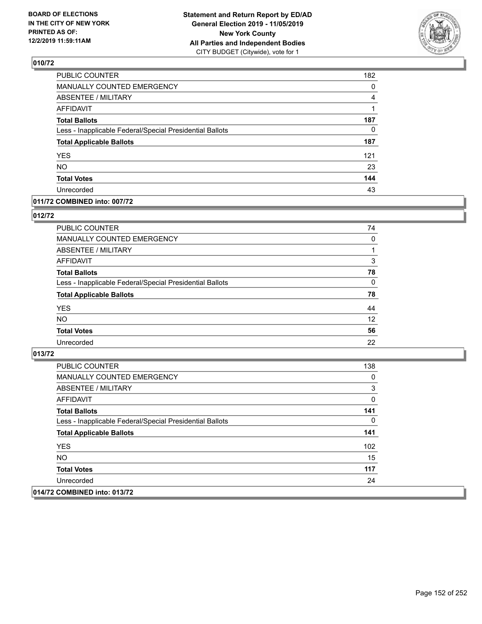

| PUBLIC COUNTER                                           | 182      |
|----------------------------------------------------------|----------|
| MANUALLY COUNTED EMERGENCY                               | 0        |
| <b>ABSENTEE / MILITARY</b>                               | 4        |
| <b>AFFIDAVIT</b>                                         | 1        |
| <b>Total Ballots</b>                                     | 187      |
| Less - Inapplicable Federal/Special Presidential Ballots | $\Omega$ |
| <b>Total Applicable Ballots</b>                          | 187      |
| <b>YES</b>                                               | 121      |
| <b>NO</b>                                                | 23       |
| <b>Total Votes</b>                                       | 144      |
| Unrecorded                                               | 43       |

### **011/72 COMBINED into: 007/72**

#### **012/72**

| PUBLIC COUNTER                                           | 74       |
|----------------------------------------------------------|----------|
| <b>MANUALLY COUNTED EMERGENCY</b>                        | 0        |
| ABSENTEE / MILITARY                                      |          |
| <b>AFFIDAVIT</b>                                         | 3        |
| <b>Total Ballots</b>                                     | 78       |
| Less - Inapplicable Federal/Special Presidential Ballots | $\Omega$ |
| <b>Total Applicable Ballots</b>                          | 78       |
| <b>YES</b>                                               | 44       |
| <b>NO</b>                                                | 12       |
| <b>Total Votes</b>                                       | 56       |
| Unrecorded                                               | 22       |

| <b>PUBLIC COUNTER</b>                                    | 138 |
|----------------------------------------------------------|-----|
| <b>MANUALLY COUNTED EMERGENCY</b>                        | 0   |
| ABSENTEE / MILITARY                                      | 3   |
| AFFIDAVIT                                                | 0   |
| <b>Total Ballots</b>                                     | 141 |
| Less - Inapplicable Federal/Special Presidential Ballots | 0   |
| <b>Total Applicable Ballots</b>                          | 141 |
| <b>YES</b>                                               | 102 |
| NO.                                                      | 15  |
| <b>Total Votes</b>                                       | 117 |
| Unrecorded                                               | 24  |
| 014/72 COMBINED into: 013/72                             |     |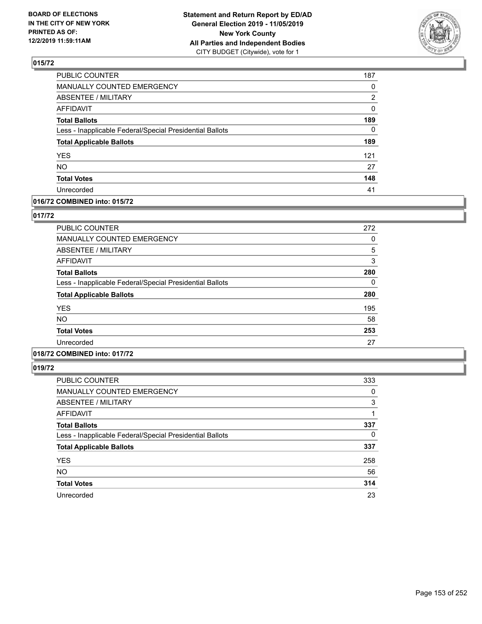

| PUBLIC COUNTER                                           | 187          |
|----------------------------------------------------------|--------------|
| <b>MANUALLY COUNTED EMERGENCY</b>                        | 0            |
| <b>ABSENTEE / MILITARY</b>                               | 2            |
| <b>AFFIDAVIT</b>                                         | 0            |
| <b>Total Ballots</b>                                     | 189          |
| Less - Inapplicable Federal/Special Presidential Ballots | $\mathbf{0}$ |
| <b>Total Applicable Ballots</b>                          | 189          |
| <b>YES</b>                                               | 121          |
| <b>NO</b>                                                | 27           |
| <b>Total Votes</b>                                       | 148          |
| Unrecorded                                               | 41           |

### **016/72 COMBINED into: 015/72**

### **017/72**

| PUBLIC COUNTER                                           | 272 |
|----------------------------------------------------------|-----|
| MANUALLY COUNTED EMERGENCY                               | 0   |
| ABSENTEE / MILITARY                                      | 5   |
| AFFIDAVIT                                                | 3   |
| <b>Total Ballots</b>                                     | 280 |
| Less - Inapplicable Federal/Special Presidential Ballots | 0   |
| <b>Total Applicable Ballots</b>                          | 280 |
| <b>YES</b>                                               | 195 |
| <b>NO</b>                                                | 58  |
| <b>Total Votes</b>                                       | 253 |
| Unrecorded                                               | 27  |

# **018/72 COMBINED into: 017/72**

| PUBLIC COUNTER                                           | 333      |
|----------------------------------------------------------|----------|
| MANUALLY COUNTED EMERGENCY                               | 0        |
| ABSENTEE / MILITARY                                      | 3        |
| AFFIDAVIT                                                |          |
| <b>Total Ballots</b>                                     | 337      |
| Less - Inapplicable Federal/Special Presidential Ballots | $\Omega$ |
| <b>Total Applicable Ballots</b>                          | 337      |
| <b>YES</b>                                               | 258      |
| <b>NO</b>                                                | 56       |
| <b>Total Votes</b>                                       | 314      |
| Unrecorded                                               | 23       |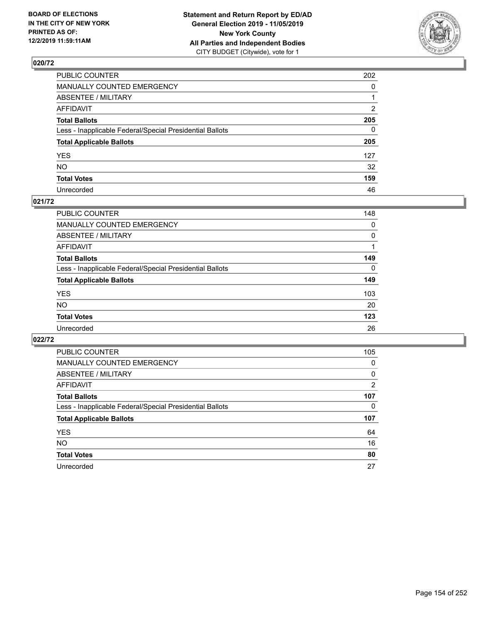

| PUBLIC COUNTER                                           | 202          |
|----------------------------------------------------------|--------------|
| MANUALLY COUNTED EMERGENCY                               | $\mathbf{0}$ |
| ABSENTEE / MILITARY                                      |              |
| AFFIDAVIT                                                | 2            |
| Total Ballots                                            | 205          |
| Less - Inapplicable Federal/Special Presidential Ballots | $\Omega$     |
| <b>Total Applicable Ballots</b>                          | 205          |
| YES                                                      | 127          |
| NO.                                                      | 32           |
| <b>Total Votes</b>                                       | 159          |
| Unrecorded                                               | 46           |

### **021/72**

| <b>PUBLIC COUNTER</b>                                    | 148      |
|----------------------------------------------------------|----------|
| MANUALLY COUNTED EMERGENCY                               | 0        |
| ABSENTEE / MILITARY                                      | $\Omega$ |
| AFFIDAVIT                                                |          |
| <b>Total Ballots</b>                                     | 149      |
| Less - Inapplicable Federal/Special Presidential Ballots | $\Omega$ |
| <b>Total Applicable Ballots</b>                          | 149      |
| <b>YES</b>                                               | 103      |
| <b>NO</b>                                                | 20       |
| <b>Total Votes</b>                                       | 123      |
| Unrecorded                                               | 26       |

| <b>PUBLIC COUNTER</b>                                    | 105            |
|----------------------------------------------------------|----------------|
| <b>MANUALLY COUNTED EMERGENCY</b>                        | 0              |
| ABSENTEE / MILITARY                                      | 0              |
| <b>AFFIDAVIT</b>                                         | $\overline{2}$ |
| <b>Total Ballots</b>                                     | 107            |
| Less - Inapplicable Federal/Special Presidential Ballots | 0              |
| <b>Total Applicable Ballots</b>                          | 107            |
| <b>YES</b>                                               | 64             |
| <b>NO</b>                                                | 16             |
|                                                          |                |
| <b>Total Votes</b>                                       | 80             |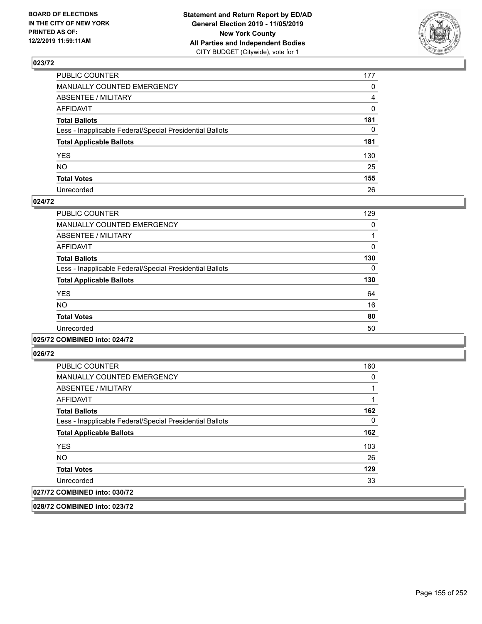

| PUBLIC COUNTER                                           | 177            |
|----------------------------------------------------------|----------------|
| MANUALLY COUNTED EMERGENCY                               | $\mathbf{0}$   |
| ABSENTEE / MILITARY                                      | $\overline{4}$ |
| AFFIDAVIT                                                | $\mathbf 0$    |
| Total Ballots                                            | 181            |
| Less - Inapplicable Federal/Special Presidential Ballots | $\mathbf{0}$   |
| <b>Total Applicable Ballots</b>                          | 181            |
| YES                                                      | 130            |
| NO.                                                      | 25             |
| <b>Total Votes</b>                                       | 155            |
| Unrecorded                                               | 26             |

### **024/72**

| PUBLIC COUNTER                                           | 129 |
|----------------------------------------------------------|-----|
| <b>MANUALLY COUNTED EMERGENCY</b>                        | 0   |
| ABSENTEE / MILITARY                                      |     |
| <b>AFFIDAVIT</b>                                         | 0   |
| <b>Total Ballots</b>                                     | 130 |
| Less - Inapplicable Federal/Special Presidential Ballots | 0   |
| <b>Total Applicable Ballots</b>                          | 130 |
| <b>YES</b>                                               | 64  |
| <b>NO</b>                                                | 16  |
| <b>Total Votes</b>                                       | 80  |
| Unrecorded                                               | 50  |
|                                                          |     |

#### **025/72 COMBINED into: 024/72**

**026/72** 

| <b>PUBLIC COUNTER</b>                                    | 160 |
|----------------------------------------------------------|-----|
| MANUALLY COUNTED EMERGENCY                               | 0   |
| ABSENTEE / MILITARY                                      |     |
| AFFIDAVIT                                                |     |
| <b>Total Ballots</b>                                     | 162 |
| Less - Inapplicable Federal/Special Presidential Ballots | 0   |
| <b>Total Applicable Ballots</b>                          | 162 |
| <b>YES</b>                                               | 103 |
| <b>NO</b>                                                | 26  |
| <b>Total Votes</b>                                       | 129 |
| Unrecorded                                               | 33  |
| 027/72 COMBINED into: 030/72                             |     |

**028/72 COMBINED into: 023/72**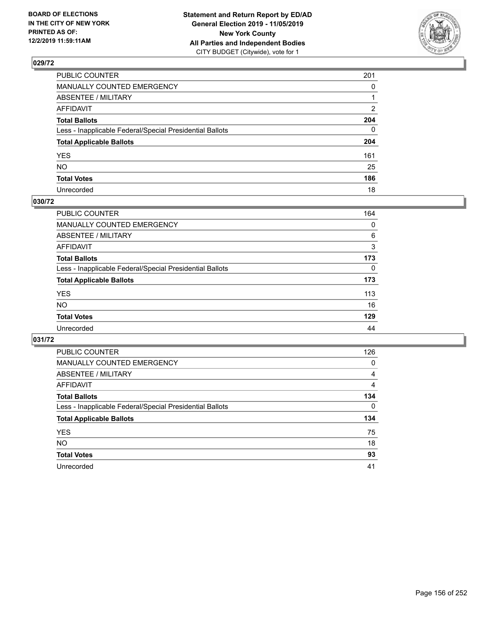

| PUBLIC COUNTER                                           | 201          |
|----------------------------------------------------------|--------------|
| MANUALLY COUNTED EMERGENCY                               | $\mathbf{0}$ |
| ABSENTEE / MILITARY                                      |              |
| AFFIDAVIT                                                | 2            |
| Total Ballots                                            | 204          |
| Less - Inapplicable Federal/Special Presidential Ballots | $\Omega$     |
| <b>Total Applicable Ballots</b>                          | 204          |
| YES                                                      | 161          |
| NO.                                                      | 25           |
| <b>Total Votes</b>                                       | 186          |
| Unrecorded                                               | 18           |

## **030/72**

| PUBLIC COUNTER                                           | 164      |
|----------------------------------------------------------|----------|
| MANUALLY COUNTED EMERGENCY                               | 0        |
| ABSENTEE / MILITARY                                      | 6        |
| AFFIDAVIT                                                | 3        |
| <b>Total Ballots</b>                                     | 173      |
| Less - Inapplicable Federal/Special Presidential Ballots | $\Omega$ |
| <b>Total Applicable Ballots</b>                          | 173      |
| <b>YES</b>                                               | 113      |
| <b>NO</b>                                                | 16       |
| <b>Total Votes</b>                                       | 129      |
| Unrecorded                                               | 44       |

| <b>PUBLIC COUNTER</b>                                    | 126      |
|----------------------------------------------------------|----------|
| <b>MANUALLY COUNTED EMERGENCY</b>                        | $\Omega$ |
| ABSENTEE / MILITARY                                      | 4        |
| AFFIDAVIT                                                | 4        |
| <b>Total Ballots</b>                                     | 134      |
| Less - Inapplicable Federal/Special Presidential Ballots | $\Omega$ |
| <b>Total Applicable Ballots</b>                          | 134      |
| <b>YES</b>                                               | 75       |
| <b>NO</b>                                                | 18       |
| <b>Total Votes</b>                                       | 93       |
| Unrecorded                                               | 41       |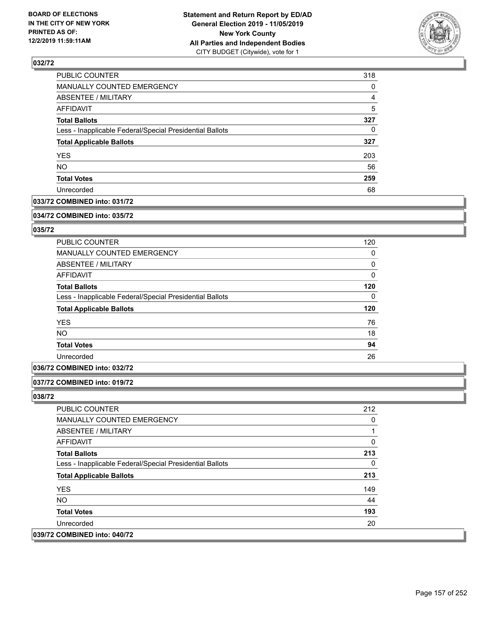

| PUBLIC COUNTER                                           | 318 |
|----------------------------------------------------------|-----|
| MANUALLY COUNTED EMERGENCY                               | 0   |
| ABSENTEE / MILITARY                                      | 4   |
| AFFIDAVIT                                                | 5   |
| <b>Total Ballots</b>                                     | 327 |
| Less - Inapplicable Federal/Special Presidential Ballots | 0   |
| <b>Total Applicable Ballots</b>                          | 327 |
| <b>YES</b>                                               | 203 |
| <b>NO</b>                                                | 56  |
| <b>Total Votes</b>                                       | 259 |
| Unrecorded                                               | 68  |

## **033/72 COMBINED into: 031/72**

#### **034/72 COMBINED into: 035/72**

## **035/72**

### **036/72 COMBINED into: 032/72**

#### **037/72 COMBINED into: 019/72**

| <b>PUBLIC COUNTER</b>                                    | 212 |
|----------------------------------------------------------|-----|
| <b>MANUALLY COUNTED EMERGENCY</b>                        | 0   |
| ABSENTEE / MILITARY                                      |     |
| AFFIDAVIT                                                | 0   |
| <b>Total Ballots</b>                                     | 213 |
| Less - Inapplicable Federal/Special Presidential Ballots | 0   |
| <b>Total Applicable Ballots</b>                          | 213 |
| <b>YES</b>                                               | 149 |
| NO.                                                      | 44  |
| <b>Total Votes</b>                                       | 193 |
| Unrecorded                                               | 20  |
| 039/72 COMBINED into: 040/72                             |     |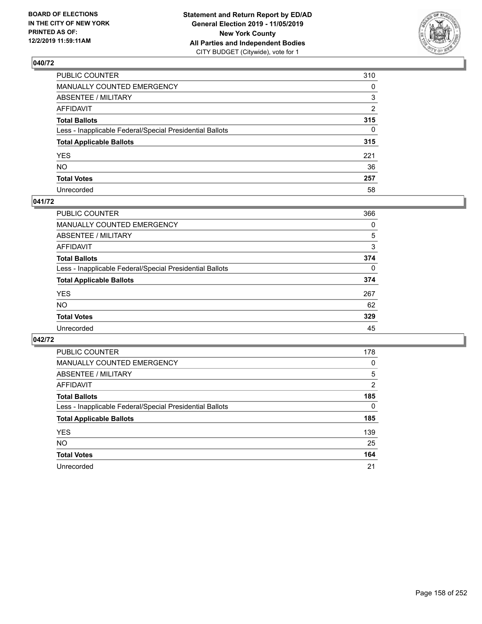

| PUBLIC COUNTER                                           | 310            |
|----------------------------------------------------------|----------------|
| MANUALLY COUNTED EMERGENCY                               | $\mathbf{0}$   |
| ABSENTEE / MILITARY                                      | 3              |
| AFFIDAVIT                                                | $\overline{2}$ |
| Total Ballots                                            | 315            |
| Less - Inapplicable Federal/Special Presidential Ballots | $\Omega$       |
| <b>Total Applicable Ballots</b>                          | 315            |
| YES                                                      | 221            |
| NO.                                                      | 36             |
| <b>Total Votes</b>                                       | 257            |
| Unrecorded                                               | 58             |

### **041/72**

| <b>PUBLIC COUNTER</b>                                    | 366      |
|----------------------------------------------------------|----------|
| <b>MANUALLY COUNTED EMERGENCY</b>                        | 0        |
| ABSENTEE / MILITARY                                      | 5        |
| AFFIDAVIT                                                | 3        |
| <b>Total Ballots</b>                                     | 374      |
| Less - Inapplicable Federal/Special Presidential Ballots | $\Omega$ |
| <b>Total Applicable Ballots</b>                          | 374      |
| <b>YES</b>                                               | 267      |
| <b>NO</b>                                                | 62       |
| <b>Total Votes</b>                                       | 329      |
| Unrecorded                                               | 45       |

| <b>PUBLIC COUNTER</b>                                    | 178            |
|----------------------------------------------------------|----------------|
| MANUALLY COUNTED EMERGENCY                               | 0              |
| ABSENTEE / MILITARY                                      | 5              |
| AFFIDAVIT                                                | $\overline{2}$ |
| <b>Total Ballots</b>                                     | 185            |
| Less - Inapplicable Federal/Special Presidential Ballots | 0              |
| <b>Total Applicable Ballots</b>                          | 185            |
| <b>YES</b>                                               | 139            |
| NO.                                                      | 25             |
| <b>Total Votes</b>                                       | 164            |
| Unrecorded                                               | 21             |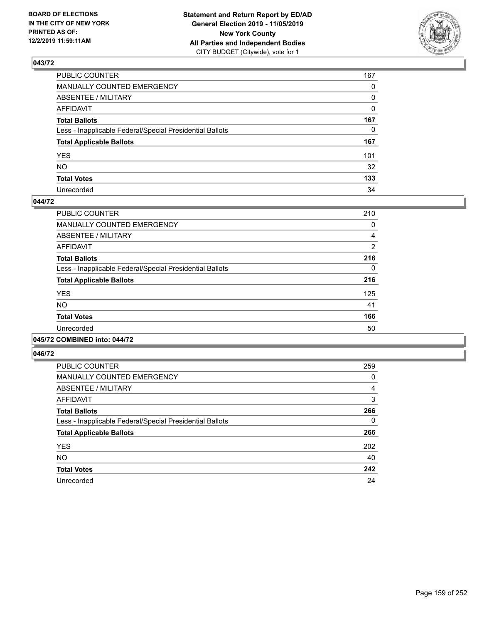

| PUBLIC COUNTER                                           | 167          |
|----------------------------------------------------------|--------------|
| MANUALLY COUNTED EMERGENCY                               | $\mathbf{0}$ |
| ABSENTEE / MILITARY                                      | 0            |
| AFFIDAVIT                                                | $\mathbf{0}$ |
| Total Ballots                                            | 167          |
| Less - Inapplicable Federal/Special Presidential Ballots | $\mathbf{0}$ |
| <b>Total Applicable Ballots</b>                          | 167          |
| YES                                                      | 101          |
| NO.                                                      | 32           |
| <b>Total Votes</b>                                       | 133          |
| Unrecorded                                               | 34           |

#### **044/72**

| <b>PUBLIC COUNTER</b>                                    | 210      |
|----------------------------------------------------------|----------|
| <b>MANUALLY COUNTED EMERGENCY</b>                        | 0        |
| ABSENTEE / MILITARY                                      | 4        |
| <b>AFFIDAVIT</b>                                         | 2        |
| <b>Total Ballots</b>                                     | 216      |
| Less - Inapplicable Federal/Special Presidential Ballots | $\Omega$ |
| <b>Total Applicable Ballots</b>                          | 216      |
| <b>YES</b>                                               | 125      |
| <b>NO</b>                                                | 41       |
| <b>Total Votes</b>                                       | 166      |
| Unrecorded                                               | 50       |
|                                                          |          |

#### **045/72 COMBINED into: 044/72**

| <b>PUBLIC COUNTER</b>                                    | 259      |
|----------------------------------------------------------|----------|
| <b>MANUALLY COUNTED EMERGENCY</b>                        | 0        |
| ABSENTEE / MILITARY                                      | 4        |
| <b>AFFIDAVIT</b>                                         | 3        |
| <b>Total Ballots</b>                                     | 266      |
| Less - Inapplicable Federal/Special Presidential Ballots | $\Omega$ |
| <b>Total Applicable Ballots</b>                          | 266      |
| <b>YES</b>                                               | 202      |
| <b>NO</b>                                                | 40       |
| <b>Total Votes</b>                                       | 242      |
| Unrecorded                                               | 24       |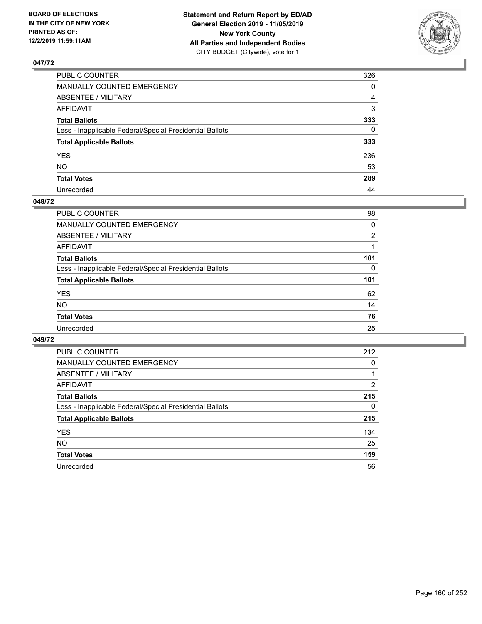

| PUBLIC COUNTER                                           | 326          |
|----------------------------------------------------------|--------------|
| MANUALLY COUNTED EMERGENCY                               | $\mathbf{0}$ |
| ABSENTEE / MILITARY                                      | 4            |
| AFFIDAVIT                                                | 3            |
| Total Ballots                                            | 333          |
| Less - Inapplicable Federal/Special Presidential Ballots | $\mathbf{0}$ |
| <b>Total Applicable Ballots</b>                          | 333          |
| YES                                                      | 236          |
| NO.                                                      | 53           |
| <b>Total Votes</b>                                       | 289          |
| Unrecorded                                               | 44           |

#### **048/72**

| <b>PUBLIC COUNTER</b>                                    | 98             |
|----------------------------------------------------------|----------------|
| <b>MANUALLY COUNTED EMERGENCY</b>                        | 0              |
| ABSENTEE / MILITARY                                      | $\overline{2}$ |
| AFFIDAVIT                                                |                |
| <b>Total Ballots</b>                                     | 101            |
| Less - Inapplicable Federal/Special Presidential Ballots | 0              |
| <b>Total Applicable Ballots</b>                          | 101            |
| <b>YES</b>                                               | 62             |
| <b>NO</b>                                                | 14             |
| <b>Total Votes</b>                                       | 76             |
| Unrecorded                                               | 25             |
|                                                          |                |

| <b>PUBLIC COUNTER</b>                                    | 212            |
|----------------------------------------------------------|----------------|
| <b>MANUALLY COUNTED EMERGENCY</b>                        | 0              |
| ABSENTEE / MILITARY                                      |                |
| AFFIDAVIT                                                | $\overline{2}$ |
| <b>Total Ballots</b>                                     | 215            |
| Less - Inapplicable Federal/Special Presidential Ballots | 0              |
| <b>Total Applicable Ballots</b>                          | 215            |
| <b>YES</b>                                               | 134            |
| NO.                                                      | 25             |
| <b>Total Votes</b>                                       | 159            |
| Unrecorded                                               | 56             |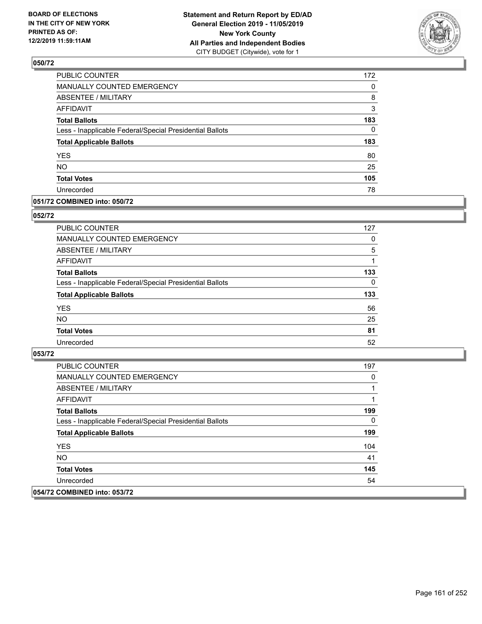

| 172 |
|-----|
| 0   |
| 8   |
| 3   |
| 183 |
| 0   |
| 183 |
| 80  |
| 25  |
| 105 |
| 78  |
|     |

### **051/72 COMBINED into: 050/72**

#### **052/72**

| PUBLIC COUNTER                                           | 127      |
|----------------------------------------------------------|----------|
| <b>MANUALLY COUNTED EMERGENCY</b>                        | 0        |
| ABSENTEE / MILITARY                                      | 5        |
| AFFIDAVIT                                                |          |
| <b>Total Ballots</b>                                     | 133      |
| Less - Inapplicable Federal/Special Presidential Ballots | $\Omega$ |
| <b>Total Applicable Ballots</b>                          | 133      |
| <b>YES</b>                                               | 56       |
| <b>NO</b>                                                | 25       |
| <b>Total Votes</b>                                       | 81       |
| Unrecorded                                               | 52       |
|                                                          |          |

| <b>PUBLIC COUNTER</b>                                    | 197 |
|----------------------------------------------------------|-----|
| MANUALLY COUNTED EMERGENCY                               | 0   |
| ABSENTEE / MILITARY                                      |     |
| AFFIDAVIT                                                |     |
| <b>Total Ballots</b>                                     | 199 |
| Less - Inapplicable Federal/Special Presidential Ballots | 0   |
| <b>Total Applicable Ballots</b>                          | 199 |
| <b>YES</b>                                               | 104 |
| NO.                                                      | 41  |
| <b>Total Votes</b>                                       | 145 |
| Unrecorded                                               | 54  |
| 054/72 COMBINED into: 053/72                             |     |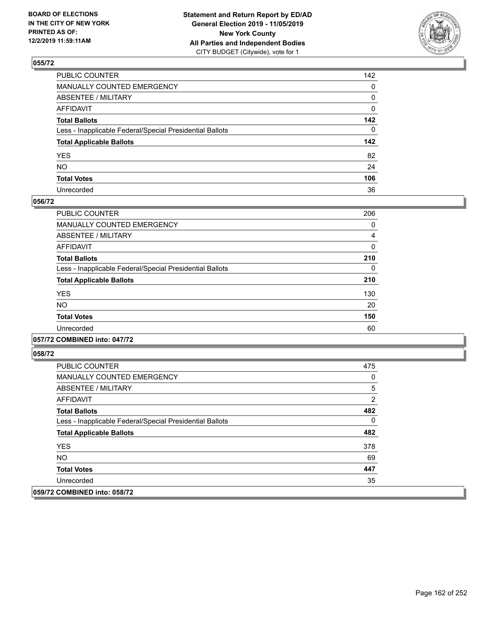

| PUBLIC COUNTER                                           | 142          |
|----------------------------------------------------------|--------------|
| MANUALLY COUNTED EMERGENCY                               | $\mathbf{0}$ |
| ABSENTEE / MILITARY                                      | 0            |
| AFFIDAVIT                                                | 0            |
| Total Ballots                                            | 142          |
| Less - Inapplicable Federal/Special Presidential Ballots | $\Omega$     |
| <b>Total Applicable Ballots</b>                          | 142          |
| YES                                                      | 82           |
| NO.                                                      | 24           |
| <b>Total Votes</b>                                       | 106          |
| Unrecorded                                               | 36           |

### **056/72**

| PUBLIC COUNTER                                           | 206 |
|----------------------------------------------------------|-----|
| <b>MANUALLY COUNTED EMERGENCY</b>                        | 0   |
| ABSENTEE / MILITARY                                      | 4   |
| <b>AFFIDAVIT</b>                                         | 0   |
| <b>Total Ballots</b>                                     | 210 |
| Less - Inapplicable Federal/Special Presidential Ballots | 0   |
| <b>Total Applicable Ballots</b>                          | 210 |
| <b>YES</b>                                               | 130 |
| <b>NO</b>                                                | 20  |
| <b>Total Votes</b>                                       | 150 |
| Unrecorded                                               | 60  |

### **057/72 COMBINED into: 047/72**

| <b>PUBLIC COUNTER</b>                                    | 475 |
|----------------------------------------------------------|-----|
| <b>MANUALLY COUNTED EMERGENCY</b>                        | 0   |
| ABSENTEE / MILITARY                                      | 5   |
| AFFIDAVIT                                                | 2   |
| <b>Total Ballots</b>                                     | 482 |
| Less - Inapplicable Federal/Special Presidential Ballots | 0   |
| <b>Total Applicable Ballots</b>                          | 482 |
| <b>YES</b>                                               | 378 |
| NO.                                                      | 69  |
| <b>Total Votes</b>                                       | 447 |
| Unrecorded                                               | 35  |
| 059/72 COMBINED into: 058/72                             |     |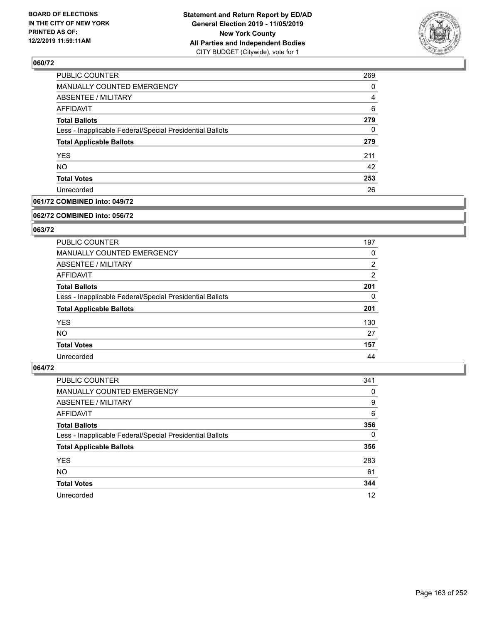

| 269 |
|-----|
| 0   |
| 4   |
| 6   |
| 279 |
| 0   |
| 279 |
| 211 |
| 42  |
| 253 |
| 26  |
|     |

## **061/72 COMBINED into: 049/72**

#### **062/72 COMBINED into: 056/72**

## **063/72**

| <b>PUBLIC COUNTER</b>                                    | 197            |
|----------------------------------------------------------|----------------|
| <b>MANUALLY COUNTED EMERGENCY</b>                        | 0              |
| ABSENTEE / MILITARY                                      | $\overline{2}$ |
| AFFIDAVIT                                                | $\overline{2}$ |
| <b>Total Ballots</b>                                     | 201            |
| Less - Inapplicable Federal/Special Presidential Ballots | 0              |
| <b>Total Applicable Ballots</b>                          | 201            |
| <b>YES</b>                                               | 130            |
| NO.                                                      | 27             |
| <b>Total Votes</b>                                       | 157            |
| Unrecorded                                               | 44             |

| <b>PUBLIC COUNTER</b>                                    | 341      |
|----------------------------------------------------------|----------|
| MANUALLY COUNTED EMERGENCY                               | 0        |
| ABSENTEE / MILITARY                                      | 9        |
| AFFIDAVIT                                                | 6        |
| <b>Total Ballots</b>                                     | 356      |
| Less - Inapplicable Federal/Special Presidential Ballots | $\Omega$ |
| <b>Total Applicable Ballots</b>                          | 356      |
| <b>YES</b>                                               | 283      |
| <b>NO</b>                                                | 61       |
| <b>Total Votes</b>                                       | 344      |
| Unrecorded                                               | 12       |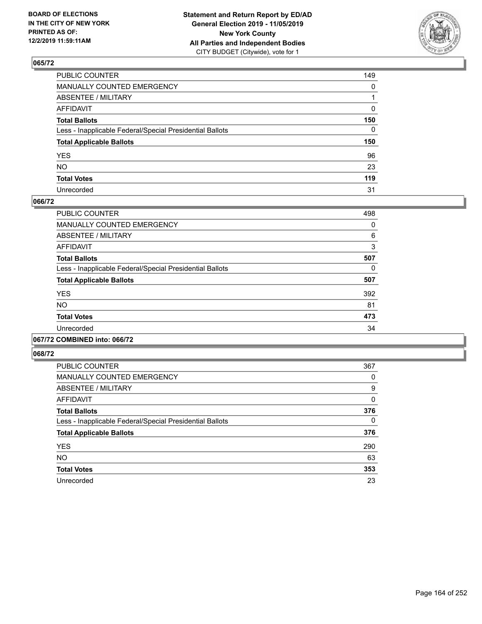

| PUBLIC COUNTER                                           | 149          |
|----------------------------------------------------------|--------------|
| MANUALLY COUNTED EMERGENCY                               | $\mathbf{0}$ |
| ABSENTEE / MILITARY                                      |              |
| AFFIDAVIT                                                | 0            |
| Total Ballots                                            | 150          |
| Less - Inapplicable Federal/Special Presidential Ballots | 0            |
| <b>Total Applicable Ballots</b>                          | 150          |
| YES                                                      | 96           |
| NO.                                                      | 23           |
| <b>Total Votes</b>                                       | 119          |
| Unrecorded                                               | 31           |

### **066/72**

| PUBLIC COUNTER                                           | 498      |
|----------------------------------------------------------|----------|
| <b>MANUALLY COUNTED EMERGENCY</b>                        | $\Omega$ |
| ABSENTEE / MILITARY                                      | 6        |
| <b>AFFIDAVIT</b>                                         | 3        |
| <b>Total Ballots</b>                                     | 507      |
| Less - Inapplicable Federal/Special Presidential Ballots | 0        |
| <b>Total Applicable Ballots</b>                          | 507      |
| <b>YES</b>                                               | 392      |
| <b>NO</b>                                                | 81       |
| <b>Total Votes</b>                                       | 473      |
| Unrecorded                                               | 34       |
|                                                          |          |

#### **067/72 COMBINED into: 066/72**

| <b>PUBLIC COUNTER</b>                                    | 367      |
|----------------------------------------------------------|----------|
| MANUALLY COUNTED EMERGENCY                               | 0        |
| ABSENTEE / MILITARY                                      | 9        |
| AFFIDAVIT                                                | 0        |
| <b>Total Ballots</b>                                     | 376      |
| Less - Inapplicable Federal/Special Presidential Ballots | $\Omega$ |
| <b>Total Applicable Ballots</b>                          | 376      |
| <b>YES</b>                                               | 290      |
| <b>NO</b>                                                | 63       |
| <b>Total Votes</b>                                       | 353      |
| Unrecorded                                               | 23       |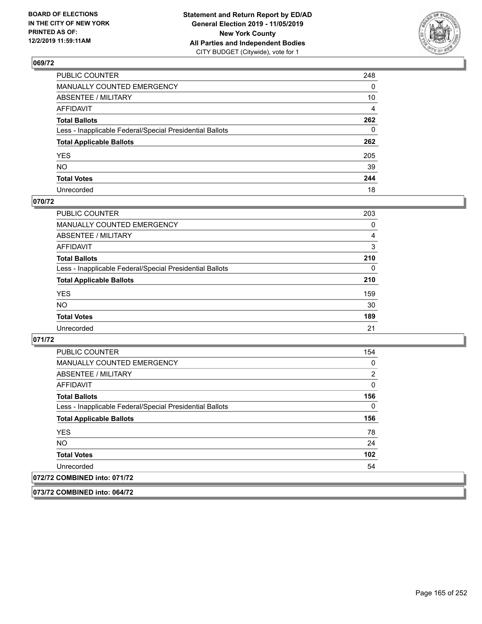

| PUBLIC COUNTER                                           | 248            |
|----------------------------------------------------------|----------------|
| MANUALLY COUNTED EMERGENCY                               | 0              |
| ABSENTEE / MILITARY                                      | 10             |
| AFFIDAVIT                                                | $\overline{4}$ |
| Total Ballots                                            | 262            |
| Less - Inapplicable Federal/Special Presidential Ballots | $\mathbf{0}$   |
| <b>Total Applicable Ballots</b>                          | 262            |
| YES                                                      | 205            |
| NO.                                                      | 39             |
| <b>Total Votes</b>                                       | 244            |
| Unrecorded                                               | 18             |

#### **070/72**

| <b>PUBLIC COUNTER</b>                                    | 203      |
|----------------------------------------------------------|----------|
| <b>MANUALLY COUNTED EMERGENCY</b>                        | 0        |
| ABSENTEE / MILITARY                                      | 4        |
| AFFIDAVIT                                                | 3        |
| <b>Total Ballots</b>                                     | 210      |
| Less - Inapplicable Federal/Special Presidential Ballots | $\Omega$ |
| <b>Total Applicable Ballots</b>                          | 210      |
| <b>YES</b>                                               | 159      |
| <b>NO</b>                                                | 30       |
| <b>Total Votes</b>                                       | 189      |
| Unrecorded                                               | 21       |

#### **071/72**

**073/72 COMBINED into: 064/72**

| <b>PUBLIC COUNTER</b>                                    | 154 |
|----------------------------------------------------------|-----|
| <b>MANUALLY COUNTED EMERGENCY</b>                        | 0   |
| ABSENTEE / MILITARY                                      | 2   |
| <b>AFFIDAVIT</b>                                         | 0   |
| <b>Total Ballots</b>                                     | 156 |
| Less - Inapplicable Federal/Special Presidential Ballots | 0   |
| <b>Total Applicable Ballots</b>                          | 156 |
| <b>YES</b>                                               | 78  |
| NO.                                                      | 24  |
| <b>Total Votes</b>                                       | 102 |
| Unrecorded                                               | 54  |
| 072/72 COMBINED into: 071/72                             |     |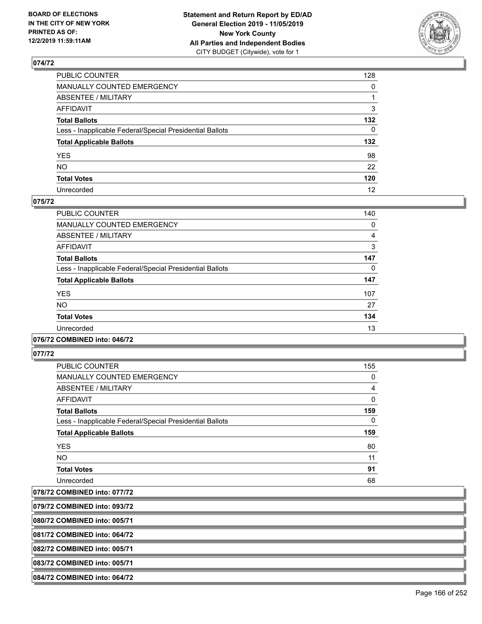

| PUBLIC COUNTER                                           | 128          |
|----------------------------------------------------------|--------------|
| MANUALLY COUNTED EMERGENCY                               | $\mathbf{0}$ |
| ABSENTEE / MILITARY                                      |              |
| AFFIDAVIT                                                | 3            |
| Total Ballots                                            | 132          |
| Less - Inapplicable Federal/Special Presidential Ballots | $\mathbf{0}$ |
| <b>Total Applicable Ballots</b>                          | 132          |
| YES                                                      | 98           |
| NO.                                                      | 22           |
| <b>Total Votes</b>                                       | 120          |
| Unrecorded                                               | 12           |

#### **075/72**

| PUBLIC COUNTER                                           | 140 |
|----------------------------------------------------------|-----|
| <b>MANUALLY COUNTED EMERGENCY</b>                        | 0   |
| ABSENTEE / MILITARY                                      | 4   |
| <b>AFFIDAVIT</b>                                         | 3   |
| <b>Total Ballots</b>                                     | 147 |
| Less - Inapplicable Federal/Special Presidential Ballots | 0   |
| <b>Total Applicable Ballots</b>                          | 147 |
| <b>YES</b>                                               | 107 |
| NO.                                                      | 27  |
| <b>Total Votes</b>                                       | 134 |
| Unrecorded                                               | 13  |
|                                                          |     |

#### **076/72 COMBINED into: 046/72**

**077/72** 

| PUBLIC COUNTER                                           | 155          |
|----------------------------------------------------------|--------------|
| <b>MANUALLY COUNTED EMERGENCY</b>                        | 0            |
| ABSENTEE / MILITARY                                      | 4            |
| AFFIDAVIT                                                | $\mathbf{0}$ |
| <b>Total Ballots</b>                                     | 159          |
| Less - Inapplicable Federal/Special Presidential Ballots | 0            |
| <b>Total Applicable Ballots</b>                          | 159          |
| <b>YES</b>                                               | 80           |
| <b>NO</b>                                                | 11           |
| <b>Total Votes</b>                                       | 91           |
| Unrecorded                                               | 68           |

**078/72 COMBINED into: 077/72**

**079/72 COMBINED into: 093/72**

**080/72 COMBINED into: 005/71**

**081/72 COMBINED into: 064/72**

**082/72 COMBINED into: 005/71**

**083/72 COMBINED into: 005/71**

**084/72 COMBINED into: 064/72**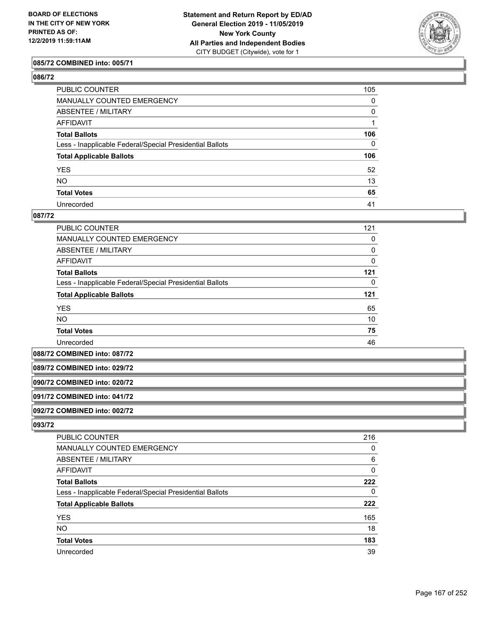

#### **085/72 COMBINED into: 005/71**

| ۰.<br>۰.<br>×<br>٧ |
|--------------------|
|--------------------|

| PUBLIC COUNTER                                           | 105          |
|----------------------------------------------------------|--------------|
| MANUALLY COUNTED EMERGENCY                               | 0            |
| ABSENTEE / MILITARY                                      | 0            |
| AFFIDAVIT                                                |              |
| Total Ballots                                            | 106          |
| Less - Inapplicable Federal/Special Presidential Ballots | $\mathbf{0}$ |
| <b>Total Applicable Ballots</b>                          | 106          |
| YES                                                      | 52           |
| NO.                                                      | 13           |
| <b>Total Votes</b>                                       | 65           |
| Unrecorded                                               | 41           |

#### **087/72**

| <b>PUBLIC COUNTER</b>                                    | 121      |
|----------------------------------------------------------|----------|
| <b>MANUALLY COUNTED EMERGENCY</b>                        | 0        |
| ABSENTEE / MILITARY                                      | $\Omega$ |
| AFFIDAVIT                                                | 0        |
| <b>Total Ballots</b>                                     | 121      |
| Less - Inapplicable Federal/Special Presidential Ballots | 0        |
| <b>Total Applicable Ballots</b>                          | 121      |
| <b>YES</b>                                               | 65       |
| <b>NO</b>                                                | 10       |
| <b>Total Votes</b>                                       | 75       |
| Unrecorded                                               | 46       |

**088/72 COMBINED into: 087/72**

#### **089/72 COMBINED into: 029/72**

**090/72 COMBINED into: 020/72**

## **091/72 COMBINED into: 041/72**

**092/72 COMBINED into: 002/72**

| PUBLIC COUNTER                                           | 216 |
|----------------------------------------------------------|-----|
| <b>MANUALLY COUNTED EMERGENCY</b>                        | 0   |
| <b>ABSENTEE / MILITARY</b>                               | 6   |
| AFFIDAVIT                                                | 0   |
| <b>Total Ballots</b>                                     | 222 |
| Less - Inapplicable Federal/Special Presidential Ballots | 0   |
| <b>Total Applicable Ballots</b>                          | 222 |
| <b>YES</b>                                               | 165 |
| <b>NO</b>                                                | 18  |
| <b>Total Votes</b>                                       | 183 |
| Unrecorded                                               | 39  |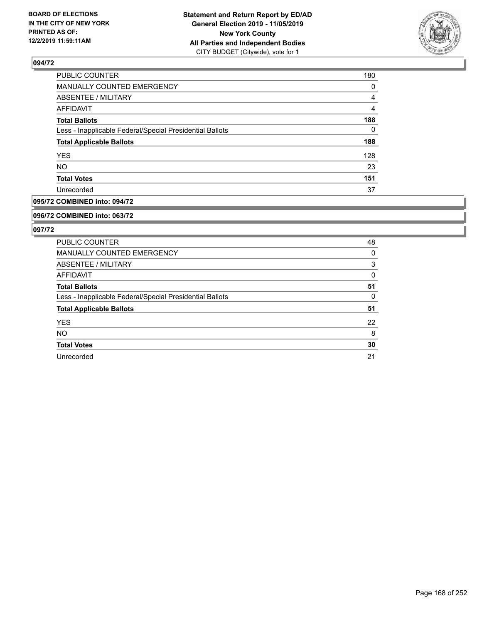

| <b>PUBLIC COUNTER</b>                                    | 180 |
|----------------------------------------------------------|-----|
| MANUALLY COUNTED EMERGENCY                               | 0   |
| ABSENTEE / MILITARY                                      | 4   |
| AFFIDAVIT                                                | 4   |
| <b>Total Ballots</b>                                     | 188 |
| Less - Inapplicable Federal/Special Presidential Ballots | 0   |
| <b>Total Applicable Ballots</b>                          | 188 |
| <b>YES</b>                                               | 128 |
| <b>NO</b>                                                | 23  |
| <b>Total Votes</b>                                       | 151 |
| Unrecorded                                               | 37  |

### **095/72 COMBINED into: 094/72**

#### **096/72 COMBINED into: 063/72**

| PUBLIC COUNTER                                           | 48 |
|----------------------------------------------------------|----|
| <b>MANUALLY COUNTED EMERGENCY</b>                        | 0  |
| ABSENTEE / MILITARY                                      | 3  |
| AFFIDAVIT                                                | 0  |
| <b>Total Ballots</b>                                     | 51 |
| Less - Inapplicable Federal/Special Presidential Ballots | 0  |
| <b>Total Applicable Ballots</b>                          | 51 |
| <b>YES</b>                                               | 22 |
| <b>NO</b>                                                | 8  |
| <b>Total Votes</b>                                       | 30 |
| Unrecorded                                               | 21 |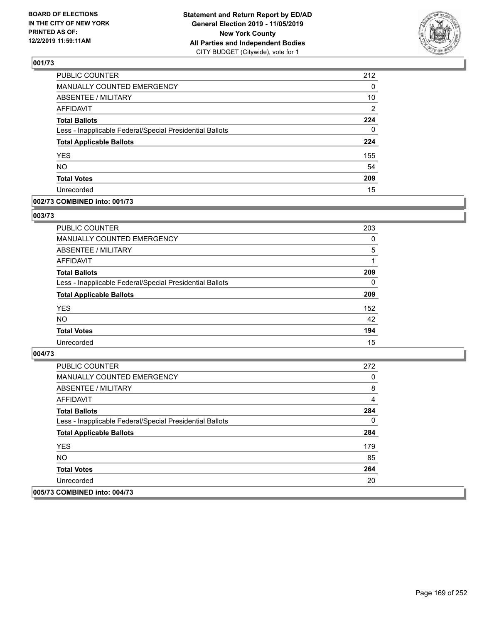

| PUBLIC COUNTER                                           | 212            |
|----------------------------------------------------------|----------------|
| MANUALLY COUNTED EMERGENCY                               | 0              |
| <b>ABSENTEE / MILITARY</b>                               | 10             |
| <b>AFFIDAVIT</b>                                         | $\overline{2}$ |
| <b>Total Ballots</b>                                     | 224            |
| Less - Inapplicable Federal/Special Presidential Ballots | 0              |
| <b>Total Applicable Ballots</b>                          | 224            |
| <b>YES</b>                                               | 155            |
| <b>NO</b>                                                | 54             |
| <b>Total Votes</b>                                       | 209            |
| Unrecorded                                               | 15             |

### **002/73 COMBINED into: 001/73**

#### **003/73**

| PUBLIC COUNTER                                           | 203      |
|----------------------------------------------------------|----------|
| <b>MANUALLY COUNTED EMERGENCY</b>                        | 0        |
| ABSENTEE / MILITARY                                      | 5        |
| AFFIDAVIT                                                |          |
| <b>Total Ballots</b>                                     | 209      |
| Less - Inapplicable Federal/Special Presidential Ballots | $\Omega$ |
| <b>Total Applicable Ballots</b>                          | 209      |
| <b>YES</b>                                               | 152      |
| <b>NO</b>                                                | 42       |
| <b>Total Votes</b>                                       | 194      |
| Unrecorded                                               | 15       |

| PUBLIC COUNTER                                           | 272 |
|----------------------------------------------------------|-----|
| <b>MANUALLY COUNTED EMERGENCY</b>                        | 0   |
| <b>ABSENTEE / MILITARY</b>                               | 8   |
| AFFIDAVIT                                                | 4   |
| <b>Total Ballots</b>                                     | 284 |
| Less - Inapplicable Federal/Special Presidential Ballots | 0   |
| <b>Total Applicable Ballots</b>                          | 284 |
| <b>YES</b>                                               | 179 |
| NO.                                                      | 85  |
| <b>Total Votes</b>                                       | 264 |
| Unrecorded                                               | 20  |
| 005/73 COMBINED into: 004/73                             |     |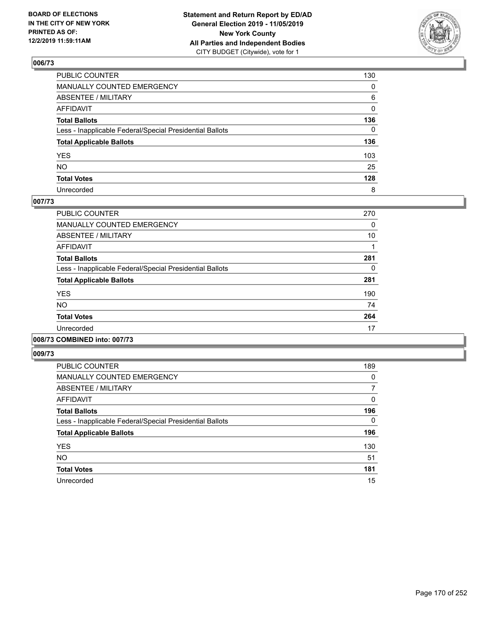

| PUBLIC COUNTER                                           | 130          |
|----------------------------------------------------------|--------------|
| MANUALLY COUNTED EMERGENCY                               | $\mathbf{0}$ |
| ABSENTEE / MILITARY                                      | 6            |
| AFFIDAVIT                                                | $\Omega$     |
| Total Ballots                                            | 136          |
| Less - Inapplicable Federal/Special Presidential Ballots | $\Omega$     |
| <b>Total Applicable Ballots</b>                          | 136          |
| YES                                                      | 103          |
| NO.                                                      | 25           |
| <b>Total Votes</b>                                       | 128          |
| Unrecorded                                               | 8            |

#### **007/73**

| PUBLIC COUNTER                                           | 270 |
|----------------------------------------------------------|-----|
| <b>MANUALLY COUNTED EMERGENCY</b>                        | 0   |
| ABSENTEE / MILITARY                                      | 10  |
| <b>AFFIDAVIT</b>                                         |     |
| <b>Total Ballots</b>                                     | 281 |
| Less - Inapplicable Federal/Special Presidential Ballots | 0   |
| <b>Total Applicable Ballots</b>                          | 281 |
| <b>YES</b>                                               | 190 |
| NO.                                                      | 74  |
| <b>Total Votes</b>                                       | 264 |
| Unrecorded                                               | 17  |
|                                                          |     |

## **008/73 COMBINED into: 007/73**

| PUBLIC COUNTER                                           | 189      |
|----------------------------------------------------------|----------|
| <b>MANUALLY COUNTED EMERGENCY</b>                        | 0        |
| ABSENTEE / MILITARY                                      | 7        |
| AFFIDAVIT                                                | 0        |
| <b>Total Ballots</b>                                     | 196      |
| Less - Inapplicable Federal/Special Presidential Ballots | $\Omega$ |
| <b>Total Applicable Ballots</b>                          | 196      |
| <b>YES</b>                                               | 130      |
| <b>NO</b>                                                | 51       |
| <b>Total Votes</b>                                       | 181      |
| Unrecorded                                               | 15       |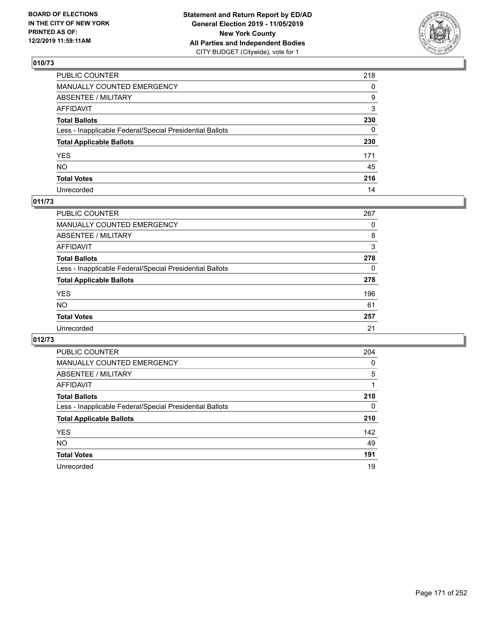

| PUBLIC COUNTER                                           | 218          |
|----------------------------------------------------------|--------------|
| MANUALLY COUNTED EMERGENCY                               | $\mathbf{0}$ |
| ABSENTEE / MILITARY                                      | 9            |
| AFFIDAVIT                                                | 3            |
| Total Ballots                                            | 230          |
| Less - Inapplicable Federal/Special Presidential Ballots | 0            |
| <b>Total Applicable Ballots</b>                          | 230          |
| YES                                                      | 171          |
| NO.                                                      | 45           |
| <b>Total Votes</b>                                       | 216          |
| Unrecorded                                               | 14           |

### **011/73**

| <b>PUBLIC COUNTER</b>                                    | 267 |
|----------------------------------------------------------|-----|
| <b>MANUALLY COUNTED EMERGENCY</b>                        | 0   |
| ABSENTEE / MILITARY                                      | 8   |
| AFFIDAVIT                                                | 3   |
| <b>Total Ballots</b>                                     | 278 |
| Less - Inapplicable Federal/Special Presidential Ballots | 0   |
| <b>Total Applicable Ballots</b>                          | 278 |
| <b>YES</b>                                               | 196 |
| <b>NO</b>                                                | 61  |
| <b>Total Votes</b>                                       | 257 |
| Unrecorded                                               | 21  |

| <b>PUBLIC COUNTER</b>                                    | 204      |
|----------------------------------------------------------|----------|
| <b>MANUALLY COUNTED EMERGENCY</b>                        | $\Omega$ |
| ABSENTEE / MILITARY                                      | 5        |
| <b>AFFIDAVIT</b>                                         |          |
| <b>Total Ballots</b>                                     | 210      |
| Less - Inapplicable Federal/Special Presidential Ballots | $\Omega$ |
| <b>Total Applicable Ballots</b>                          | 210      |
| <b>YES</b>                                               | 142      |
| <b>NO</b>                                                | 49       |
| <b>Total Votes</b>                                       | 191      |
| Unrecorded                                               | 19       |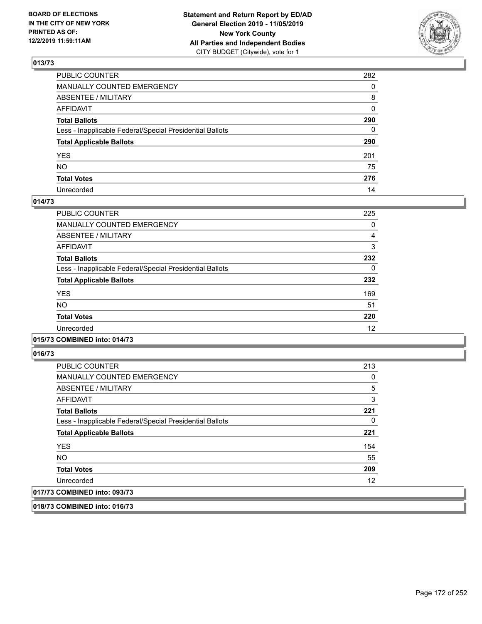

| PUBLIC COUNTER                                           | 282          |
|----------------------------------------------------------|--------------|
| MANUALLY COUNTED EMERGENCY                               | $\Omega$     |
| ABSENTEE / MILITARY                                      | 8            |
| AFFIDAVIT                                                | $\mathbf{0}$ |
| Total Ballots                                            | 290          |
| Less - Inapplicable Federal/Special Presidential Ballots | $\mathbf{0}$ |
| <b>Total Applicable Ballots</b>                          | 290          |
| YES                                                      | 201          |
| NO.                                                      | 75           |
| <b>Total Votes</b>                                       | 276          |
| Unrecorded                                               | 14           |

### **014/73**

| PUBLIC COUNTER                                           | 225      |
|----------------------------------------------------------|----------|
| <b>MANUALLY COUNTED EMERGENCY</b>                        | 0        |
| ABSENTEE / MILITARY                                      | 4        |
| <b>AFFIDAVIT</b>                                         | 3        |
| <b>Total Ballots</b>                                     | 232      |
| Less - Inapplicable Federal/Special Presidential Ballots | $\Omega$ |
| <b>Total Applicable Ballots</b>                          | 232      |
| <b>YES</b>                                               | 169      |
| <b>NO</b>                                                | 51       |
| <b>Total Votes</b>                                       | 220      |
| Unrecorded                                               | 12       |
|                                                          |          |

### **015/73 COMBINED into: 014/73**

**016/73** 

| <b>PUBLIC COUNTER</b>                                    | 213            |
|----------------------------------------------------------|----------------|
| <b>MANUALLY COUNTED EMERGENCY</b>                        | 0              |
| ABSENTEE / MILITARY                                      | $\overline{5}$ |
| AFFIDAVIT                                                | 3              |
| <b>Total Ballots</b>                                     | 221            |
| Less - Inapplicable Federal/Special Presidential Ballots | 0              |
| <b>Total Applicable Ballots</b>                          | 221            |
| <b>YES</b>                                               | 154            |
| <b>NO</b>                                                | 55             |
| <b>Total Votes</b>                                       | 209            |
| Unrecorded                                               | 12             |
| 017/73 COMBINED into: 093/73                             |                |

**018/73 COMBINED into: 016/73**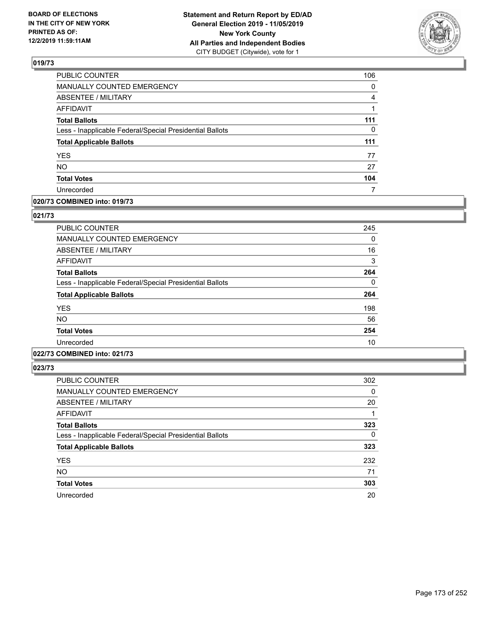

| <b>PUBLIC COUNTER</b>                                    | 106      |
|----------------------------------------------------------|----------|
| MANUALLY COUNTED EMERGENCY                               | 0        |
| ABSENTEE / MILITARY                                      | 4        |
| <b>AFFIDAVIT</b>                                         |          |
| <b>Total Ballots</b>                                     | 111      |
| Less - Inapplicable Federal/Special Presidential Ballots | $\Omega$ |
| <b>Total Applicable Ballots</b>                          | 111      |
| <b>YES</b>                                               | 77       |
| <b>NO</b>                                                | 27       |
| <b>Total Votes</b>                                       | 104      |
| Unrecorded                                               |          |

### **020/73 COMBINED into: 019/73**

### **021/73**

| PUBLIC COUNTER                                           | 245 |
|----------------------------------------------------------|-----|
| <b>MANUALLY COUNTED EMERGENCY</b>                        | 0   |
| ABSENTEE / MILITARY                                      | 16  |
| <b>AFFIDAVIT</b>                                         | 3   |
| <b>Total Ballots</b>                                     | 264 |
| Less - Inapplicable Federal/Special Presidential Ballots | 0   |
| <b>Total Applicable Ballots</b>                          | 264 |
| <b>YES</b>                                               | 198 |
| NO.                                                      | 56  |
| <b>Total Votes</b>                                       | 254 |
| Unrecorded                                               | 10  |

## **022/73 COMBINED into: 021/73**

| <b>PUBLIC COUNTER</b>                                    | 302 |
|----------------------------------------------------------|-----|
| MANUALLY COUNTED EMERGENCY                               | 0   |
| <b>ABSENTEE / MILITARY</b>                               | 20  |
| AFFIDAVIT                                                |     |
| <b>Total Ballots</b>                                     | 323 |
| Less - Inapplicable Federal/Special Presidential Ballots | 0   |
| <b>Total Applicable Ballots</b>                          | 323 |
| <b>YES</b>                                               | 232 |
| <b>NO</b>                                                | 71  |
| <b>Total Votes</b>                                       | 303 |
| Unrecorded                                               | 20  |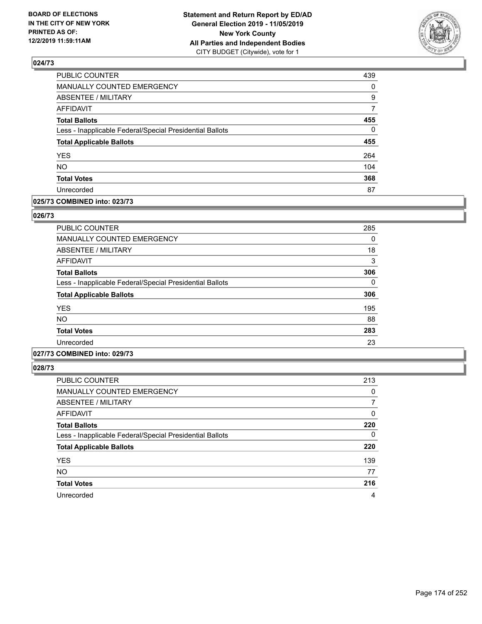

| 439          |
|--------------|
| 0            |
| 9            |
| 7            |
| 455          |
| $\mathbf{0}$ |
| 455          |
| 264          |
| 104          |
| 368          |
| 87           |
|              |

#### **025/73 COMBINED into: 023/73**

#### **026/73**

| <b>PUBLIC COUNTER</b>                                    | 285      |
|----------------------------------------------------------|----------|
| MANUALLY COUNTED EMERGENCY                               | 0        |
| ABSENTEE / MILITARY                                      | 18       |
| AFFIDAVIT                                                | 3        |
| <b>Total Ballots</b>                                     | 306      |
| Less - Inapplicable Federal/Special Presidential Ballots | $\Omega$ |
| <b>Total Applicable Ballots</b>                          | 306      |
| <b>YES</b>                                               | 195      |
| <b>NO</b>                                                | 88       |
| <b>Total Votes</b>                                       | 283      |
| Unrecorded                                               | 23       |

## **027/73 COMBINED into: 029/73**

| <b>PUBLIC COUNTER</b>                                    | 213      |
|----------------------------------------------------------|----------|
| <b>MANUALLY COUNTED EMERGENCY</b>                        | 0        |
| ABSENTEE / MILITARY                                      | 7        |
| <b>AFFIDAVIT</b>                                         | 0        |
| <b>Total Ballots</b>                                     | 220      |
| Less - Inapplicable Federal/Special Presidential Ballots | $\Omega$ |
| <b>Total Applicable Ballots</b>                          | 220      |
| <b>YES</b>                                               | 139      |
| <b>NO</b>                                                | 77       |
| <b>Total Votes</b>                                       | 216      |
| Unrecorded                                               | 4        |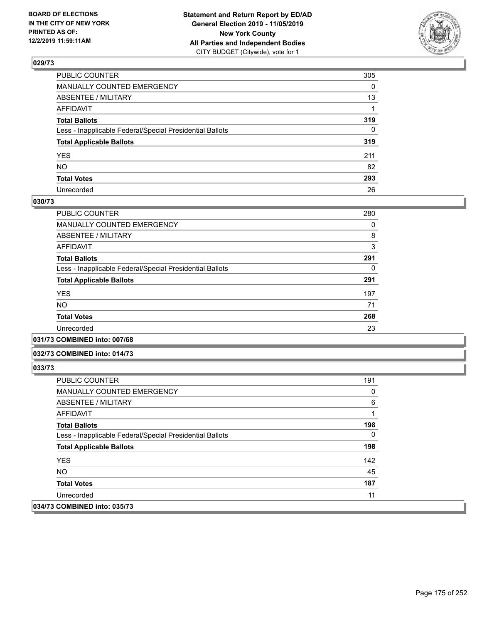

| PUBLIC COUNTER                                           | 305          |
|----------------------------------------------------------|--------------|
| MANUALLY COUNTED EMERGENCY                               | $\mathbf{0}$ |
| ABSENTEE / MILITARY                                      | 13           |
| AFFIDAVIT                                                |              |
| Total Ballots                                            | 319          |
| Less - Inapplicable Federal/Special Presidential Ballots | $\mathbf{0}$ |
| <b>Total Applicable Ballots</b>                          | 319          |
| YES                                                      | 211          |
| NΟ                                                       | 82           |
| <b>Total Votes</b>                                       | 293          |
| Unrecorded                                               | 26           |

#### **030/73**

| PUBLIC COUNTER                                           | 280 |
|----------------------------------------------------------|-----|
| <b>MANUALLY COUNTED EMERGENCY</b>                        | 0   |
| ABSENTEE / MILITARY                                      | 8   |
| AFFIDAVIT                                                | 3   |
| <b>Total Ballots</b>                                     | 291 |
| Less - Inapplicable Federal/Special Presidential Ballots | 0   |
| <b>Total Applicable Ballots</b>                          | 291 |
| <b>YES</b>                                               | 197 |
| <b>NO</b>                                                | 71  |
| <b>Total Votes</b>                                       | 268 |
| Unrecorded                                               | 23  |
|                                                          |     |

#### **031/73 COMBINED into: 007/68**

#### **032/73 COMBINED into: 014/73**

| <b>PUBLIC COUNTER</b>                                    | 191      |
|----------------------------------------------------------|----------|
| <b>MANUALLY COUNTED EMERGENCY</b>                        | 0        |
| ABSENTEE / MILITARY                                      | 6        |
| AFFIDAVIT                                                |          |
| <b>Total Ballots</b>                                     | 198      |
| Less - Inapplicable Federal/Special Presidential Ballots | $\Omega$ |
| <b>Total Applicable Ballots</b>                          | 198      |
| <b>YES</b>                                               | 142      |
| NO.                                                      | 45       |
| <b>Total Votes</b>                                       | 187      |
| Unrecorded                                               | 11       |
| 034/73 COMBINED into: 035/73                             |          |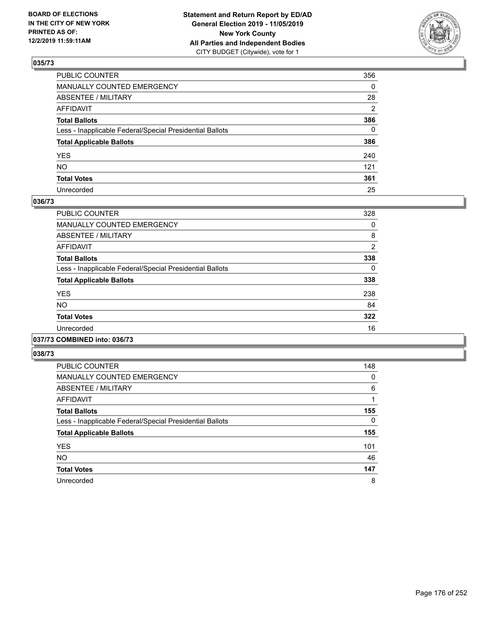

| PUBLIC COUNTER                                           | 356          |
|----------------------------------------------------------|--------------|
| MANUALLY COUNTED EMERGENCY                               | $\mathbf{0}$ |
| ABSENTEE / MILITARY                                      | 28           |
| AFFIDAVIT                                                | 2            |
| Total Ballots                                            | 386          |
| Less - Inapplicable Federal/Special Presidential Ballots | $\Omega$     |
| <b>Total Applicable Ballots</b>                          | 386          |
| YES                                                      | 240          |
| NO.                                                      | 121          |
| <b>Total Votes</b>                                       | 361          |
| Unrecorded                                               | 25           |

#### **036/73**

| PUBLIC COUNTER                                           | 328            |
|----------------------------------------------------------|----------------|
| <b>MANUALLY COUNTED EMERGENCY</b>                        | 0              |
| ABSENTEE / MILITARY                                      | 8              |
| <b>AFFIDAVIT</b>                                         | $\overline{2}$ |
| <b>Total Ballots</b>                                     | 338            |
| Less - Inapplicable Federal/Special Presidential Ballots | 0              |
| <b>Total Applicable Ballots</b>                          | 338            |
| <b>YES</b>                                               | 238            |
| <b>NO</b>                                                | 84             |
| <b>Total Votes</b>                                       | 322            |
| Unrecorded                                               | 16             |
|                                                          |                |

#### **037/73 COMBINED into: 036/73**

| PUBLIC COUNTER                                           | 148      |
|----------------------------------------------------------|----------|
| <b>MANUALLY COUNTED EMERGENCY</b>                        | 0        |
| ABSENTEE / MILITARY                                      | 6        |
| AFFIDAVIT                                                |          |
| <b>Total Ballots</b>                                     | 155      |
| Less - Inapplicable Federal/Special Presidential Ballots | $\Omega$ |
| <b>Total Applicable Ballots</b>                          | 155      |
| <b>YES</b>                                               | 101      |
| <b>NO</b>                                                | 46       |
| <b>Total Votes</b>                                       | 147      |
| Unrecorded                                               | 8        |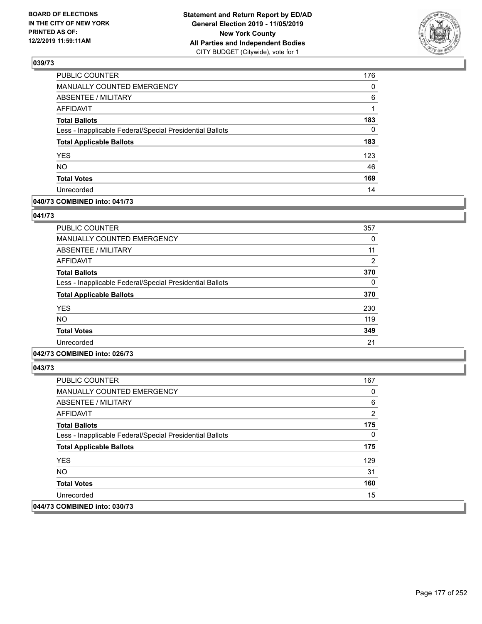

| PUBLIC COUNTER                                           | 176      |
|----------------------------------------------------------|----------|
| MANUALLY COUNTED EMERGENCY                               | 0        |
| <b>ABSENTEE / MILITARY</b>                               | 6        |
| <b>AFFIDAVIT</b>                                         | 1        |
| <b>Total Ballots</b>                                     | 183      |
| Less - Inapplicable Federal/Special Presidential Ballots | $\Omega$ |
| <b>Total Applicable Ballots</b>                          | 183      |
| <b>YES</b>                                               | 123      |
| <b>NO</b>                                                | 46       |
| <b>Total Votes</b>                                       | 169      |
| Unrecorded                                               | 14       |

### **040/73 COMBINED into: 041/73**

#### **041/73**

| PUBLIC COUNTER                                           | 357            |
|----------------------------------------------------------|----------------|
| MANUALLY COUNTED EMERGENCY                               | $\Omega$       |
| ABSENTEE / MILITARY                                      | 11             |
| AFFIDAVIT                                                | $\overline{2}$ |
| <b>Total Ballots</b>                                     | 370            |
| Less - Inapplicable Federal/Special Presidential Ballots | $\Omega$       |
| <b>Total Applicable Ballots</b>                          | 370            |
| <b>YES</b>                                               | 230            |
| <b>NO</b>                                                | 119            |
| <b>Total Votes</b>                                       | 349            |
| Unrecorded                                               | 21             |
|                                                          |                |

## **042/73 COMBINED into: 026/73**

| <b>PUBLIC COUNTER</b>                                    | 167 |
|----------------------------------------------------------|-----|
| MANUALLY COUNTED EMERGENCY                               | 0   |
| ABSENTEE / MILITARY                                      | 6   |
| AFFIDAVIT                                                | 2   |
| <b>Total Ballots</b>                                     | 175 |
| Less - Inapplicable Federal/Special Presidential Ballots | 0   |
| <b>Total Applicable Ballots</b>                          | 175 |
| <b>YES</b>                                               | 129 |
| <b>NO</b>                                                | 31  |
| <b>Total Votes</b>                                       | 160 |
| Unrecorded                                               | 15  |
| 044/73 COMBINED into: 030/73                             |     |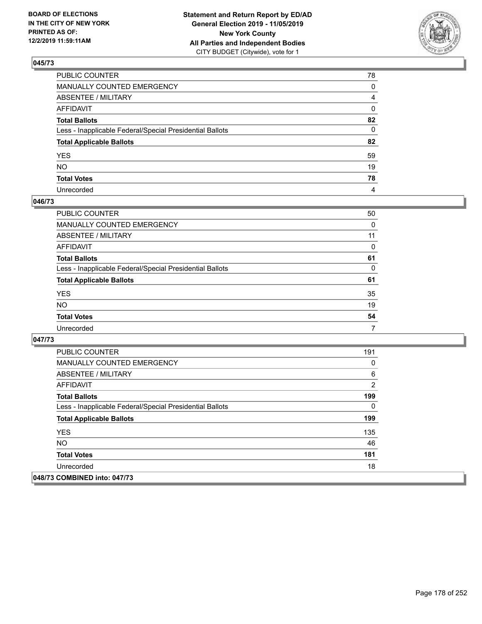

| PUBLIC COUNTER                                           | 78             |
|----------------------------------------------------------|----------------|
| MANUALLY COUNTED EMERGENCY                               | 0              |
| ABSENTEE / MILITARY                                      | $\overline{4}$ |
| AFFIDAVIT                                                | 0              |
| Total Ballots                                            | 82             |
| Less - Inapplicable Federal/Special Presidential Ballots | 0              |
| <b>Total Applicable Ballots</b>                          | 82             |
| YES                                                      | 59             |
| NO.                                                      | 19             |
| <b>Total Votes</b>                                       | 78             |
| Unrecorded                                               | 4              |

### **046/73**

| <b>PUBLIC COUNTER</b>                                    | 50       |
|----------------------------------------------------------|----------|
| <b>MANUALLY COUNTED EMERGENCY</b>                        | 0        |
| ABSENTEE / MILITARY                                      | 11       |
| AFFIDAVIT                                                | $\Omega$ |
| <b>Total Ballots</b>                                     | 61       |
| Less - Inapplicable Federal/Special Presidential Ballots | 0        |
| <b>Total Applicable Ballots</b>                          | 61       |
| <b>YES</b>                                               | 35       |
| <b>NO</b>                                                | 19       |
| <b>Total Votes</b>                                       | 54       |
| Unrecorded                                               | 7        |

| <b>PUBLIC COUNTER</b>                                    | 191 |
|----------------------------------------------------------|-----|
| <b>MANUALLY COUNTED EMERGENCY</b>                        | 0   |
| ABSENTEE / MILITARY                                      | 6   |
| AFFIDAVIT                                                | 2   |
| <b>Total Ballots</b>                                     | 199 |
| Less - Inapplicable Federal/Special Presidential Ballots | 0   |
| <b>Total Applicable Ballots</b>                          | 199 |
| <b>YES</b>                                               | 135 |
| <b>NO</b>                                                | 46  |
| <b>Total Votes</b>                                       | 181 |
| Unrecorded                                               | 18  |
| 048/73 COMBINED into: 047/73                             |     |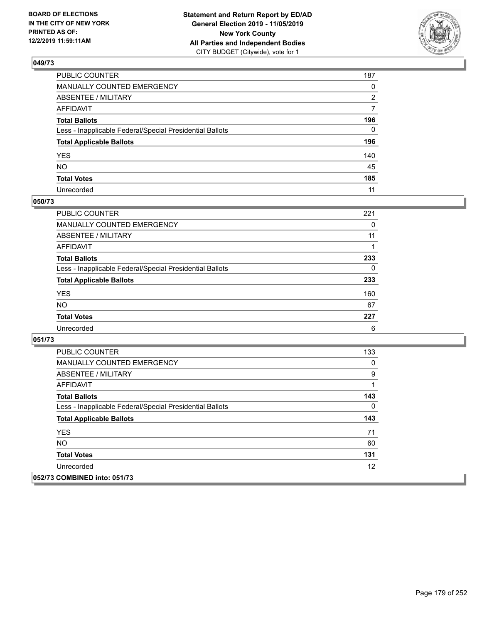

| PUBLIC COUNTER                                           | 187          |
|----------------------------------------------------------|--------------|
| MANUALLY COUNTED EMERGENCY                               | $\mathbf{0}$ |
| ABSENTEE / MILITARY                                      | 2            |
| AFFIDAVIT                                                | 7            |
| Total Ballots                                            | 196          |
| Less - Inapplicable Federal/Special Presidential Ballots | $\Omega$     |
| <b>Total Applicable Ballots</b>                          | 196          |
| YES                                                      | 140          |
| NO.                                                      | 45           |
| <b>Total Votes</b>                                       | 185          |
| Unrecorded                                               | 11           |

#### **050/73**

| <b>PUBLIC COUNTER</b>                                    | 221      |
|----------------------------------------------------------|----------|
| <b>MANUALLY COUNTED EMERGENCY</b>                        | 0        |
| ABSENTEE / MILITARY                                      | 11       |
| AFFIDAVIT                                                |          |
| <b>Total Ballots</b>                                     | 233      |
| Less - Inapplicable Federal/Special Presidential Ballots | $\Omega$ |
| <b>Total Applicable Ballots</b>                          | 233      |
| <b>YES</b>                                               | 160      |
| <b>NO</b>                                                | 67       |
| <b>Total Votes</b>                                       | 227      |
| Unrecorded                                               | 6        |

| <b>PUBLIC COUNTER</b>                                    | 133 |
|----------------------------------------------------------|-----|
| <b>MANUALLY COUNTED EMERGENCY</b>                        | 0   |
| ABSENTEE / MILITARY                                      | 9   |
| AFFIDAVIT                                                | 1   |
| <b>Total Ballots</b>                                     | 143 |
| Less - Inapplicable Federal/Special Presidential Ballots | 0   |
| <b>Total Applicable Ballots</b>                          | 143 |
| <b>YES</b>                                               | 71  |
| <b>NO</b>                                                | 60  |
| <b>Total Votes</b>                                       | 131 |
| Unrecorded                                               | 12  |
| 052/73 COMBINED into: 051/73                             |     |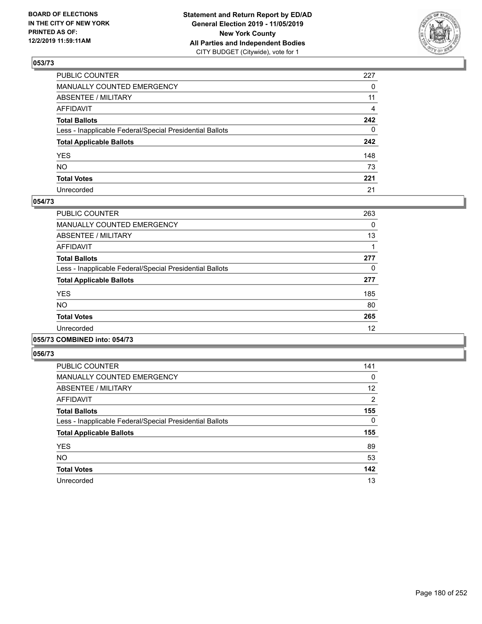

| PUBLIC COUNTER                                           | 227          |
|----------------------------------------------------------|--------------|
| MANUALLY COUNTED EMERGENCY                               | $\mathbf{0}$ |
| ABSENTEE / MILITARY                                      | 11           |
| AFFIDAVIT                                                | 4            |
| Total Ballots                                            | 242          |
| Less - Inapplicable Federal/Special Presidential Ballots | $\mathbf{0}$ |
| <b>Total Applicable Ballots</b>                          | 242          |
| YES                                                      | 148          |
| NO.                                                      | 73           |
| <b>Total Votes</b>                                       | 221          |
| Unrecorded                                               | 21           |

### **054/73**

| <b>PUBLIC COUNTER</b>                                    | 263 |
|----------------------------------------------------------|-----|
| MANUALLY COUNTED EMERGENCY                               | 0   |
| ABSENTEE / MILITARY                                      | 13  |
| AFFIDAVIT                                                |     |
| <b>Total Ballots</b>                                     | 277 |
| Less - Inapplicable Federal/Special Presidential Ballots | 0   |
| <b>Total Applicable Ballots</b>                          | 277 |
| <b>YES</b>                                               | 185 |
| <b>NO</b>                                                | 80  |
| <b>Total Votes</b>                                       | 265 |
| Unrecorded                                               | 12  |
|                                                          |     |

#### **055/73 COMBINED into: 054/73**

| PUBLIC COUNTER                                           | 141           |
|----------------------------------------------------------|---------------|
| <b>MANUALLY COUNTED EMERGENCY</b>                        | 0             |
| ABSENTEE / MILITARY                                      | 12            |
| <b>AFFIDAVIT</b>                                         | $\mathcal{P}$ |
| <b>Total Ballots</b>                                     | 155           |
| Less - Inapplicable Federal/Special Presidential Ballots | 0             |
| <b>Total Applicable Ballots</b>                          | 155           |
| <b>YES</b>                                               | 89            |
| <b>NO</b>                                                | 53            |
| <b>Total Votes</b>                                       | 142           |
| Unrecorded                                               | 13            |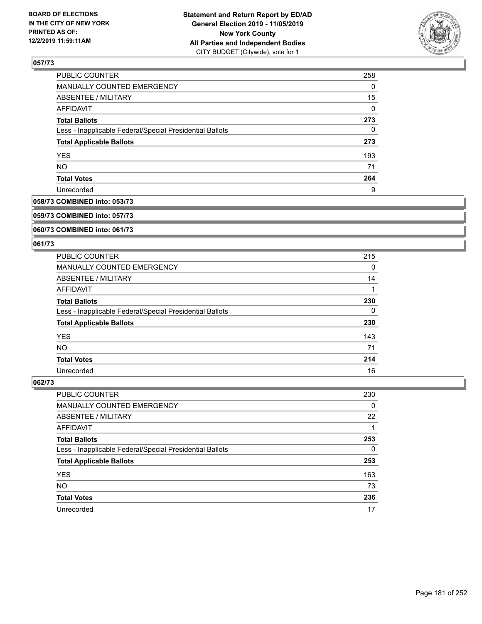

| PUBLIC COUNTER                                           | 258      |
|----------------------------------------------------------|----------|
| MANUALLY COUNTED EMERGENCY                               | 0        |
| ABSENTEE / MILITARY                                      | 15       |
| AFFIDAVIT                                                | $\Omega$ |
| <b>Total Ballots</b>                                     | 273      |
| Less - Inapplicable Federal/Special Presidential Ballots | 0        |
| <b>Total Applicable Ballots</b>                          | 273      |
| <b>YES</b>                                               | 193      |
| <b>NO</b>                                                | 71       |
| <b>Total Votes</b>                                       | 264      |
| Unrecorded                                               | 9        |

### **058/73 COMBINED into: 053/73**

#### **059/73 COMBINED into: 057/73**

### **060/73 COMBINED into: 061/73**

### **061/73**

| <b>PUBLIC COUNTER</b>                                    | 215 |
|----------------------------------------------------------|-----|
| <b>MANUALLY COUNTED EMERGENCY</b>                        | 0   |
| ABSENTEE / MILITARY                                      | 14  |
| AFFIDAVIT                                                |     |
| <b>Total Ballots</b>                                     | 230 |
| Less - Inapplicable Federal/Special Presidential Ballots | 0   |
| <b>Total Applicable Ballots</b>                          | 230 |
| <b>YES</b>                                               | 143 |
| <b>NO</b>                                                | 71  |
| <b>Total Votes</b>                                       | 214 |
| Unrecorded                                               | 16  |

| <b>PUBLIC COUNTER</b>                                    | 230 |
|----------------------------------------------------------|-----|
| MANUALLY COUNTED EMERGENCY                               | 0   |
| ABSENTEE / MILITARY                                      | 22  |
| AFFIDAVIT                                                |     |
| <b>Total Ballots</b>                                     | 253 |
| Less - Inapplicable Federal/Special Presidential Ballots | 0   |
| <b>Total Applicable Ballots</b>                          | 253 |
| <b>YES</b>                                               | 163 |
| <b>NO</b>                                                | 73  |
| <b>Total Votes</b>                                       | 236 |
| Unrecorded                                               | 17  |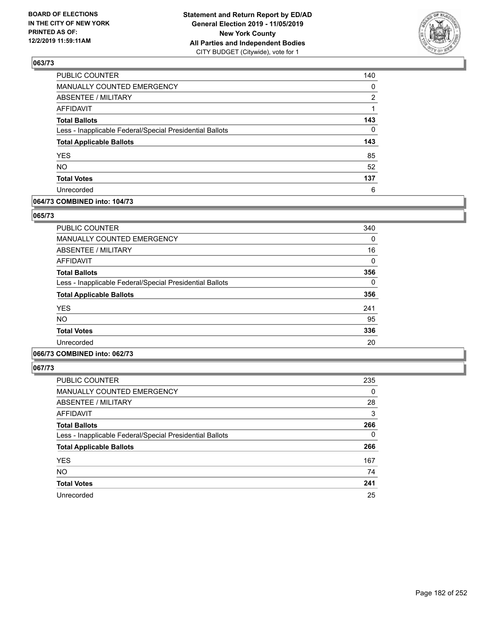

| PUBLIC COUNTER                                           | 140            |
|----------------------------------------------------------|----------------|
| MANUALLY COUNTED EMERGENCY                               | 0              |
| <b>ABSENTEE / MILITARY</b>                               | $\overline{2}$ |
| <b>AFFIDAVIT</b>                                         |                |
| <b>Total Ballots</b>                                     | 143            |
| Less - Inapplicable Federal/Special Presidential Ballots | $\Omega$       |
| <b>Total Applicable Ballots</b>                          | 143            |
| <b>YES</b>                                               | 85             |
| <b>NO</b>                                                | 52             |
| <b>Total Votes</b>                                       | 137            |
| Unrecorded                                               | 6              |

### **064/73 COMBINED into: 104/73**

#### **065/73**

| <b>PUBLIC COUNTER</b>                                    | 340 |
|----------------------------------------------------------|-----|
| <b>MANUALLY COUNTED EMERGENCY</b>                        | 0   |
| <b>ABSENTEE / MILITARY</b>                               | 16  |
| <b>AFFIDAVIT</b>                                         | 0   |
| <b>Total Ballots</b>                                     | 356 |
| Less - Inapplicable Federal/Special Presidential Ballots | 0   |
| <b>Total Applicable Ballots</b>                          | 356 |
| <b>YES</b>                                               | 241 |
| NO.                                                      | 95  |
| <b>Total Votes</b>                                       | 336 |
| Unrecorded                                               | 20  |

### **066/73 COMBINED into: 062/73**

| PUBLIC COUNTER                                           | 235 |
|----------------------------------------------------------|-----|
| MANUALLY COUNTED EMERGENCY                               | 0   |
| ABSENTEE / MILITARY                                      | 28  |
| AFFIDAVIT                                                | 3   |
| <b>Total Ballots</b>                                     | 266 |
| Less - Inapplicable Federal/Special Presidential Ballots | 0   |
| <b>Total Applicable Ballots</b>                          | 266 |
| <b>YES</b>                                               | 167 |
| <b>NO</b>                                                | 74  |
| <b>Total Votes</b>                                       | 241 |
| Unrecorded                                               | 25  |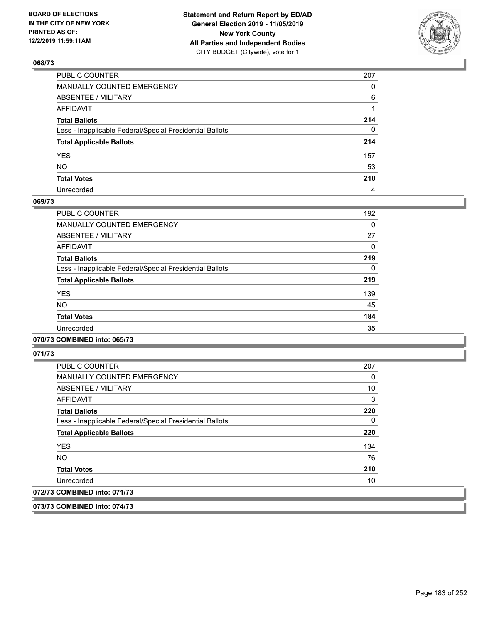

| PUBLIC COUNTER                                           | 207      |
|----------------------------------------------------------|----------|
| MANUALLY COUNTED EMERGENCY                               | $\Omega$ |
| ABSENTEE / MILITARY                                      | 6        |
| AFFIDAVIT                                                |          |
| Total Ballots                                            | 214      |
| Less - Inapplicable Federal/Special Presidential Ballots | $\Omega$ |
| <b>Total Applicable Ballots</b>                          | 214      |
| YES                                                      | 157      |
| NO.                                                      | 53       |
| <b>Total Votes</b>                                       | 210      |
| Unrecorded                                               | 4        |

### **069/73**

| <b>PUBLIC COUNTER</b>                                    | 192      |
|----------------------------------------------------------|----------|
| <b>MANUALLY COUNTED EMERGENCY</b>                        | $\Omega$ |
| ABSENTEE / MILITARY                                      | 27       |
| <b>AFFIDAVIT</b>                                         | $\Omega$ |
| <b>Total Ballots</b>                                     | 219      |
| Less - Inapplicable Federal/Special Presidential Ballots | $\Omega$ |
| <b>Total Applicable Ballots</b>                          | 219      |
| <b>YES</b>                                               | 139      |
| <b>NO</b>                                                | 45       |
| <b>Total Votes</b>                                       | 184      |
| Unrecorded                                               | 35       |
|                                                          |          |

### **070/73 COMBINED into: 065/73**

**071/73** 

| <b>PUBLIC COUNTER</b>                                    | 207 |
|----------------------------------------------------------|-----|
| <b>MANUALLY COUNTED EMERGENCY</b>                        | 0   |
| ABSENTEE / MILITARY                                      | 10  |
| AFFIDAVIT                                                | 3   |
| <b>Total Ballots</b>                                     | 220 |
| Less - Inapplicable Federal/Special Presidential Ballots | 0   |
| <b>Total Applicable Ballots</b>                          | 220 |
| <b>YES</b>                                               | 134 |
| <b>NO</b>                                                | 76  |
| <b>Total Votes</b>                                       | 210 |
| Unrecorded                                               | 10  |
| 072/73 COMBINED into: 071/73                             |     |

**073/73 COMBINED into: 074/73**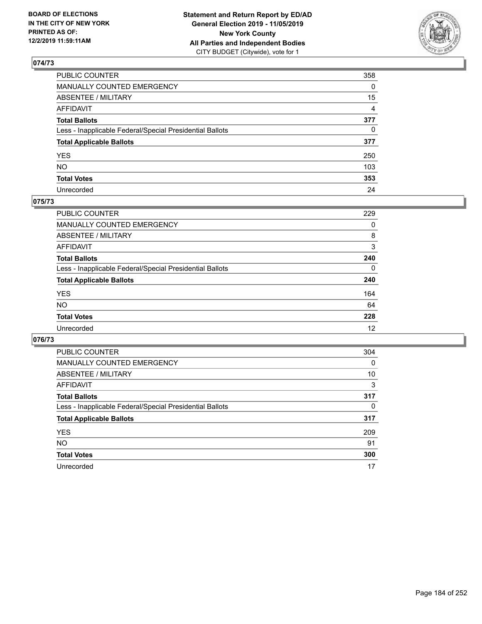

| PUBLIC COUNTER                                           | 358            |
|----------------------------------------------------------|----------------|
| MANUALLY COUNTED EMERGENCY                               | $\Omega$       |
| ABSENTEE / MILITARY                                      | 15             |
| AFFIDAVIT                                                | $\overline{4}$ |
| Total Ballots                                            | 377            |
| Less - Inapplicable Federal/Special Presidential Ballots | $\mathbf{0}$   |
| <b>Total Applicable Ballots</b>                          | 377            |
| YES                                                      | 250            |
| NO.                                                      | 103            |
| <b>Total Votes</b>                                       | 353            |
| Unrecorded                                               | 24             |

### **075/73**

| <b>PUBLIC COUNTER</b>                                    | 229      |
|----------------------------------------------------------|----------|
| MANUALLY COUNTED EMERGENCY                               | 0        |
| ABSENTEE / MILITARY                                      | 8        |
| AFFIDAVIT                                                | 3        |
| <b>Total Ballots</b>                                     | 240      |
| Less - Inapplicable Federal/Special Presidential Ballots | $\Omega$ |
| <b>Total Applicable Ballots</b>                          | 240      |
| <b>YES</b>                                               | 164      |
| <b>NO</b>                                                | 64       |
| <b>Total Votes</b>                                       | 228      |
| Unrecorded                                               | 12       |

| PUBLIC COUNTER                                           | 304      |
|----------------------------------------------------------|----------|
| <b>MANUALLY COUNTED EMERGENCY</b>                        | $\Omega$ |
| ABSENTEE / MILITARY                                      | 10       |
| AFFIDAVIT                                                | 3        |
| <b>Total Ballots</b>                                     | 317      |
| Less - Inapplicable Federal/Special Presidential Ballots | 0        |
| <b>Total Applicable Ballots</b>                          | 317      |
| <b>YES</b>                                               | 209      |
| <b>NO</b>                                                | 91       |
| <b>Total Votes</b>                                       | 300      |
| Unrecorded                                               | 17       |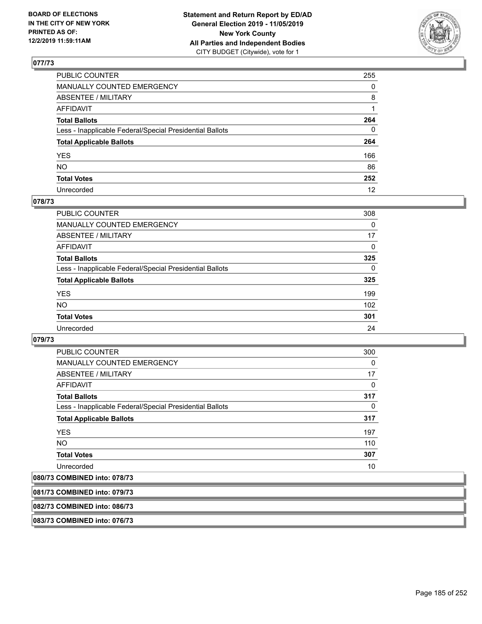

| PUBLIC COUNTER                                           | 255      |
|----------------------------------------------------------|----------|
| MANUALLY COUNTED EMERGENCY                               | $\Omega$ |
| ABSENTEE / MILITARY                                      | 8        |
| AFFIDAVIT                                                |          |
| Total Ballots                                            | 264      |
| Less - Inapplicable Federal/Special Presidential Ballots | 0        |
| <b>Total Applicable Ballots</b>                          | 264      |
| YES                                                      | 166      |
| NO.                                                      | 86       |
| <b>Total Votes</b>                                       | 252      |
| Unrecorded                                               | 12       |

### **078/73**

| <b>PUBLIC COUNTER</b>                                    | 308      |
|----------------------------------------------------------|----------|
| <b>MANUALLY COUNTED EMERGENCY</b>                        | 0        |
| <b>ABSENTEE / MILITARY</b>                               | 17       |
| AFFIDAVIT                                                | $\Omega$ |
| <b>Total Ballots</b>                                     | 325      |
| Less - Inapplicable Federal/Special Presidential Ballots | $\Omega$ |
| <b>Total Applicable Ballots</b>                          | 325      |
| <b>YES</b>                                               | 199      |
| NO                                                       | 102      |
| <b>Total Votes</b>                                       | 301      |
| Unrecorded                                               | 24       |

### **079/73**

| <b>PUBLIC COUNTER</b>                                    | 300      |
|----------------------------------------------------------|----------|
| <b>MANUALLY COUNTED EMERGENCY</b>                        | $\Omega$ |
| <b>ABSENTEE / MILITARY</b>                               | 17       |
| AFFIDAVIT                                                | $\Omega$ |
| <b>Total Ballots</b>                                     | 317      |
| Less - Inapplicable Federal/Special Presidential Ballots | $\Omega$ |
| <b>Total Applicable Ballots</b>                          | 317      |
| <b>YES</b>                                               | 197      |
| <b>NO</b>                                                | 110      |
| <b>Total Votes</b>                                       | 307      |
| Unrecorded                                               | 10       |

# **080/73 COMBINED into: 078/73**

| 081/73 COMBINED into: 079/73 |  |  |  |
|------------------------------|--|--|--|
|                              |  |  |  |
|                              |  |  |  |

# **082/73 COMBINED into: 086/73**

**083/73 COMBINED into: 076/73**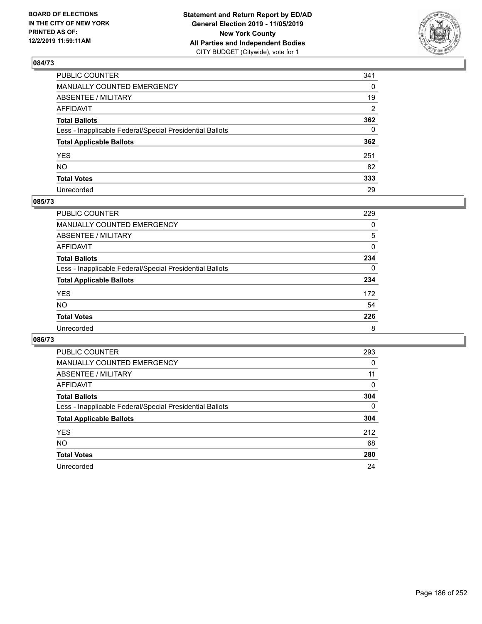

| PUBLIC COUNTER                                           | 341 |
|----------------------------------------------------------|-----|
| MANUALLY COUNTED EMERGENCY                               | 0   |
| ABSENTEE / MILITARY                                      | 19  |
| AFFIDAVIT                                                | 2   |
| Total Ballots                                            | 362 |
| Less - Inapplicable Federal/Special Presidential Ballots | 0   |
| <b>Total Applicable Ballots</b>                          | 362 |
| YES                                                      | 251 |
| NO.                                                      | 82  |
| <b>Total Votes</b>                                       | 333 |
| Unrecorded                                               | 29  |

### **085/73**

| PUBLIC COUNTER                                           | 229      |
|----------------------------------------------------------|----------|
| MANUALLY COUNTED EMERGENCY                               | 0        |
| ABSENTEE / MILITARY                                      | 5        |
| AFFIDAVIT                                                | $\Omega$ |
| <b>Total Ballots</b>                                     | 234      |
| Less - Inapplicable Federal/Special Presidential Ballots | $\Omega$ |
| <b>Total Applicable Ballots</b>                          | 234      |
| <b>YES</b>                                               | 172      |
| <b>NO</b>                                                | 54       |
| <b>Total Votes</b>                                       | 226      |
| Unrecorded                                               | 8        |

| <b>PUBLIC COUNTER</b>                                    | 293      |
|----------------------------------------------------------|----------|
| MANUALLY COUNTED EMERGENCY                               | 0        |
| ABSENTEE / MILITARY                                      | 11       |
| AFFIDAVIT                                                | $\Omega$ |
| <b>Total Ballots</b>                                     | 304      |
| Less - Inapplicable Federal/Special Presidential Ballots | $\Omega$ |
| <b>Total Applicable Ballots</b>                          | 304      |
| <b>YES</b>                                               | 212      |
| <b>NO</b>                                                | 68       |
| <b>Total Votes</b>                                       | 280      |
| Unrecorded                                               | 24       |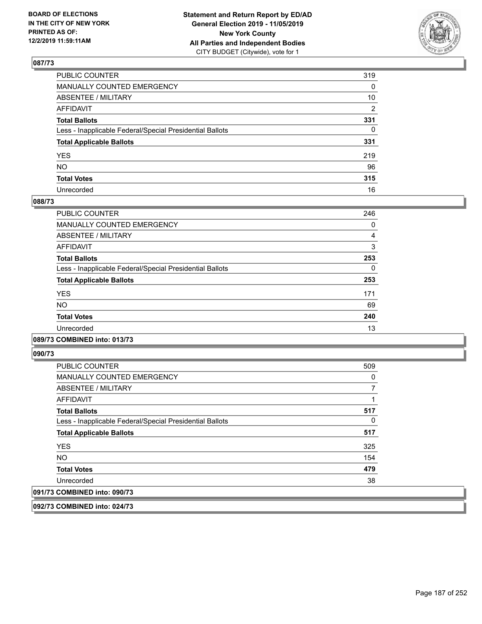

| PUBLIC COUNTER                                           | 319            |
|----------------------------------------------------------|----------------|
| MANUALLY COUNTED EMERGENCY                               | $\mathbf{0}$   |
| ABSENTEE / MILITARY                                      | 10             |
| AFFIDAVIT                                                | $\overline{2}$ |
| Total Ballots                                            | 331            |
| Less - Inapplicable Federal/Special Presidential Ballots | $\mathbf{0}$   |
| <b>Total Applicable Ballots</b>                          | 331            |
| YES                                                      | 219            |
| NO.                                                      | 96             |
| <b>Total Votes</b>                                       | 315            |
| Unrecorded                                               | 16             |

### **088/73**

| PUBLIC COUNTER                                           | 246 |
|----------------------------------------------------------|-----|
| <b>MANUALLY COUNTED EMERGENCY</b>                        | 0   |
| ABSENTEE / MILITARY                                      | 4   |
| <b>AFFIDAVIT</b>                                         | 3   |
| <b>Total Ballots</b>                                     | 253 |
| Less - Inapplicable Federal/Special Presidential Ballots | 0   |
| <b>Total Applicable Ballots</b>                          | 253 |
| <b>YES</b>                                               | 171 |
| <b>NO</b>                                                | 69  |
| <b>Total Votes</b>                                       | 240 |
| Unrecorded                                               | 13  |

### **089/73 COMBINED into: 013/73**

**090/73** 

| <b>PUBLIC COUNTER</b>                                    | 509 |
|----------------------------------------------------------|-----|
| <b>MANUALLY COUNTED EMERGENCY</b>                        | 0   |
| ABSENTEE / MILITARY                                      |     |
| AFFIDAVIT                                                |     |
| <b>Total Ballots</b>                                     | 517 |
| Less - Inapplicable Federal/Special Presidential Ballots | 0   |
| <b>Total Applicable Ballots</b>                          | 517 |
| <b>YES</b>                                               | 325 |
| <b>NO</b>                                                | 154 |
| <b>Total Votes</b>                                       | 479 |
| Unrecorded                                               | 38  |
| 091/73 COMBINED into: 090/73                             |     |

**092/73 COMBINED into: 024/73**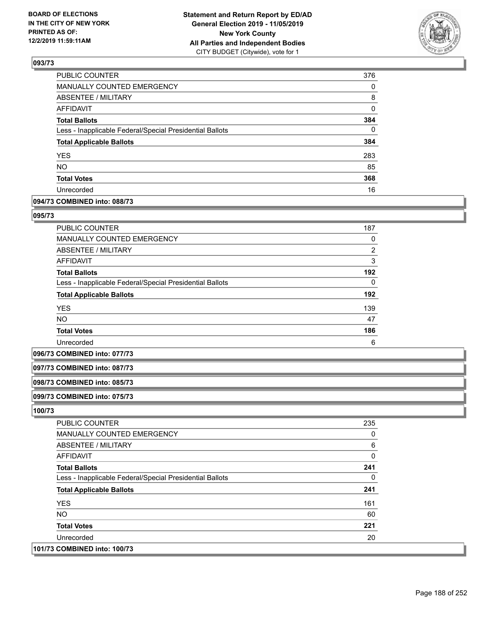

| MANUALLY COUNTED EMERGENCY<br>ABSENTEE / MILITARY<br>AFFIDAVIT<br><b>Total Ballots</b><br>Less - Inapplicable Federal/Special Presidential Ballots<br><b>Total Applicable Ballots</b><br><b>YES</b><br><b>NO</b><br><b>Total Votes</b><br>Unrecorded | <b>PUBLIC COUNTER</b> | 376      |
|------------------------------------------------------------------------------------------------------------------------------------------------------------------------------------------------------------------------------------------------------|-----------------------|----------|
|                                                                                                                                                                                                                                                      |                       | 0        |
|                                                                                                                                                                                                                                                      |                       | 8        |
|                                                                                                                                                                                                                                                      |                       | 0        |
|                                                                                                                                                                                                                                                      |                       | 384      |
|                                                                                                                                                                                                                                                      |                       | $\Omega$ |
|                                                                                                                                                                                                                                                      |                       | 384      |
|                                                                                                                                                                                                                                                      |                       | 283      |
|                                                                                                                                                                                                                                                      |                       | 85       |
|                                                                                                                                                                                                                                                      |                       | 368      |
|                                                                                                                                                                                                                                                      |                       | 16       |

### **094/73 COMBINED into: 088/73**

#### **095/73**

| <b>PUBLIC COUNTER</b>                                    | 187            |
|----------------------------------------------------------|----------------|
| <b>MANUALLY COUNTED EMERGENCY</b>                        | 0              |
| <b>ABSENTEE / MILITARY</b>                               | $\overline{2}$ |
| <b>AFFIDAVIT</b>                                         | 3              |
| <b>Total Ballots</b>                                     | 192            |
| Less - Inapplicable Federal/Special Presidential Ballots | $\Omega$       |
| <b>Total Applicable Ballots</b>                          | 192            |
| <b>YES</b>                                               | 139            |
| <b>NO</b>                                                | 47             |
| <b>Total Votes</b>                                       | 186            |
| Unrecorded                                               | 6              |

#### **096/73 COMBINED into: 077/73**

#### **097/73 COMBINED into: 087/73**

#### **098/73 COMBINED into: 085/73**

### **099/73 COMBINED into: 075/73**

| <b>PUBLIC COUNTER</b>                                    | 235 |
|----------------------------------------------------------|-----|
| <b>MANUALLY COUNTED EMERGENCY</b>                        | 0   |
| ABSENTEE / MILITARY                                      | 6   |
| AFFIDAVIT                                                | 0   |
| <b>Total Ballots</b>                                     | 241 |
| Less - Inapplicable Federal/Special Presidential Ballots | 0   |
| <b>Total Applicable Ballots</b>                          | 241 |
| <b>YES</b>                                               | 161 |
| NO.                                                      | 60  |
| <b>Total Votes</b>                                       | 221 |
| Unrecorded                                               | 20  |
| 101/73 COMBINED into: 100/73                             |     |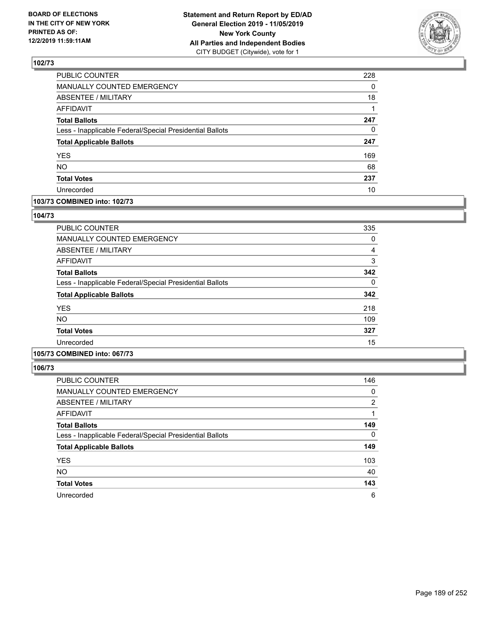

| PUBLIC COUNTER                                           | 228 |
|----------------------------------------------------------|-----|
| MANUALLY COUNTED EMERGENCY                               | 0   |
| ABSENTEE / MILITARY                                      | 18  |
| <b>AFFIDAVIT</b>                                         |     |
| <b>Total Ballots</b>                                     | 247 |
| Less - Inapplicable Federal/Special Presidential Ballots | 0   |
| <b>Total Applicable Ballots</b>                          | 247 |
| <b>YES</b>                                               | 169 |
| NO.                                                      | 68  |
| <b>Total Votes</b>                                       | 237 |
| Unrecorded                                               | 10  |

### **103/73 COMBINED into: 102/73**

### **104/73**

| PUBLIC COUNTER                                           | 335            |
|----------------------------------------------------------|----------------|
| MANUALLY COUNTED EMERGENCY                               | 0              |
| ABSENTEE / MILITARY                                      | $\overline{4}$ |
| AFFIDAVIT                                                | 3              |
| <b>Total Ballots</b>                                     | 342            |
| Less - Inapplicable Federal/Special Presidential Ballots | 0              |
| <b>Total Applicable Ballots</b>                          | 342            |
| <b>YES</b>                                               | 218            |
| NO.                                                      | 109            |
| <b>Total Votes</b>                                       | 327            |
| Unrecorded                                               | 15             |

## **105/73 COMBINED into: 067/73**

| <b>PUBLIC COUNTER</b>                                    | 146            |
|----------------------------------------------------------|----------------|
| <b>MANUALLY COUNTED EMERGENCY</b>                        | 0              |
| ABSENTEE / MILITARY                                      | $\overline{2}$ |
| AFFIDAVIT                                                |                |
| <b>Total Ballots</b>                                     | 149            |
| Less - Inapplicable Federal/Special Presidential Ballots | $\Omega$       |
| <b>Total Applicable Ballots</b>                          | 149            |
| <b>YES</b>                                               | 103            |
| <b>NO</b>                                                | 40             |
| <b>Total Votes</b>                                       | 143            |
| Unrecorded                                               | 6              |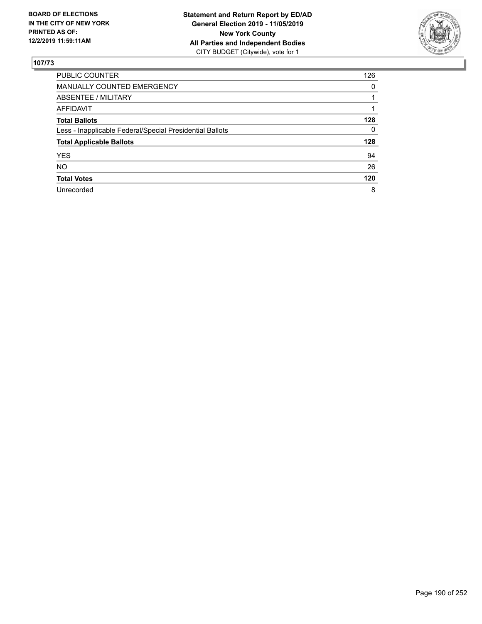

| PUBLIC COUNTER                                           | 126 |
|----------------------------------------------------------|-----|
| <b>MANUALLY COUNTED EMERGENCY</b>                        | 0   |
| ABSENTEE / MILITARY                                      |     |
| <b>AFFIDAVIT</b>                                         |     |
| <b>Total Ballots</b>                                     | 128 |
| Less - Inapplicable Federal/Special Presidential Ballots | 0   |
| <b>Total Applicable Ballots</b>                          | 128 |
| <b>YES</b>                                               | 94  |
| <b>NO</b>                                                | 26  |
| <b>Total Votes</b>                                       | 120 |
| Unrecorded                                               | 8   |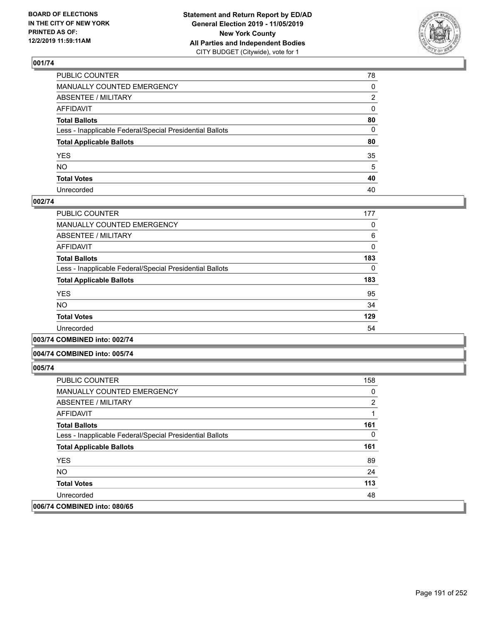

| PUBLIC COUNTER                                           | 78 |
|----------------------------------------------------------|----|
| MANUALLY COUNTED EMERGENCY                               | 0  |
| ABSENTEE / MILITARY                                      | 2  |
| AFFIDAVIT                                                | 0  |
| Total Ballots                                            | 80 |
| Less - Inapplicable Federal/Special Presidential Ballots | 0  |
| <b>Total Applicable Ballots</b>                          | 80 |
| YES                                                      | 35 |
| NO.                                                      | 5  |
| <b>Total Votes</b>                                       | 40 |
| Unrecorded                                               | 40 |

### **002/74**

| <b>PUBLIC COUNTER</b>                                    | 177 |
|----------------------------------------------------------|-----|
| MANUALLY COUNTED EMERGENCY                               | 0   |
| ABSENTEE / MILITARY                                      | 6   |
| AFFIDAVIT                                                | 0   |
| <b>Total Ballots</b>                                     | 183 |
| Less - Inapplicable Federal/Special Presidential Ballots | 0   |
| <b>Total Applicable Ballots</b>                          | 183 |
| <b>YES</b>                                               | 95  |
| <b>NO</b>                                                | 34  |
| <b>Total Votes</b>                                       | 129 |
| Unrecorded                                               | 54  |
|                                                          |     |

**003/74 COMBINED into: 002/74**

#### **004/74 COMBINED into: 005/74**

| <b>PUBLIC COUNTER</b>                                    | 158            |
|----------------------------------------------------------|----------------|
| <b>MANUALLY COUNTED EMERGENCY</b>                        | 0              |
| ABSENTEE / MILITARY                                      | $\overline{2}$ |
| AFFIDAVIT                                                |                |
| <b>Total Ballots</b>                                     | 161            |
| Less - Inapplicable Federal/Special Presidential Ballots | 0              |
| <b>Total Applicable Ballots</b>                          | 161            |
| <b>YES</b>                                               | 89             |
| NO.                                                      | 24             |
| <b>Total Votes</b>                                       | 113            |
| Unrecorded                                               | 48             |
| 006/74 COMBINED into: 080/65                             |                |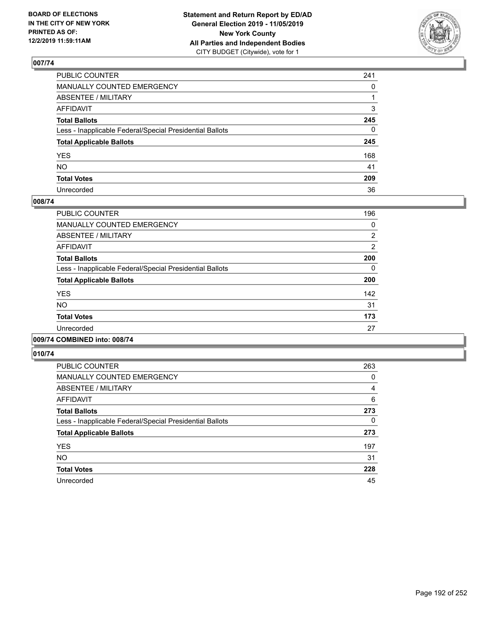

| PUBLIC COUNTER                                           | 241      |
|----------------------------------------------------------|----------|
| MANUALLY COUNTED EMERGENCY                               | $\Omega$ |
| ABSENTEE / MILITARY                                      |          |
| AFFIDAVIT                                                | 3        |
| Total Ballots                                            | 245      |
| Less - Inapplicable Federal/Special Presidential Ballots | 0        |
| <b>Total Applicable Ballots</b>                          | 245      |
| YES                                                      | 168      |
| NO.                                                      | 41       |
| <b>Total Votes</b>                                       | 209      |
| Unrecorded                                               | 36       |

### **008/74**

| PUBLIC COUNTER                                           | 196            |
|----------------------------------------------------------|----------------|
| <b>MANUALLY COUNTED EMERGENCY</b>                        | 0              |
| ABSENTEE / MILITARY                                      | 2              |
| <b>AFFIDAVIT</b>                                         | $\overline{2}$ |
| <b>Total Ballots</b>                                     | 200            |
| Less - Inapplicable Federal/Special Presidential Ballots | 0              |
| <b>Total Applicable Ballots</b>                          | 200            |
| <b>YES</b>                                               | 142            |
| <b>NO</b>                                                | 31             |
| <b>Total Votes</b>                                       | 173            |
| Unrecorded                                               | 27             |
|                                                          |                |

### **009/74 COMBINED into: 008/74**

| <b>PUBLIC COUNTER</b>                                    | 263 |
|----------------------------------------------------------|-----|
| <b>MANUALLY COUNTED EMERGENCY</b>                        | 0   |
| ABSENTEE / MILITARY                                      | 4   |
| AFFIDAVIT                                                | 6   |
| <b>Total Ballots</b>                                     | 273 |
| Less - Inapplicable Federal/Special Presidential Ballots | 0   |
| <b>Total Applicable Ballots</b>                          | 273 |
| <b>YES</b>                                               | 197 |
| <b>NO</b>                                                | 31  |
| <b>Total Votes</b>                                       | 228 |
| Unrecorded                                               | 45  |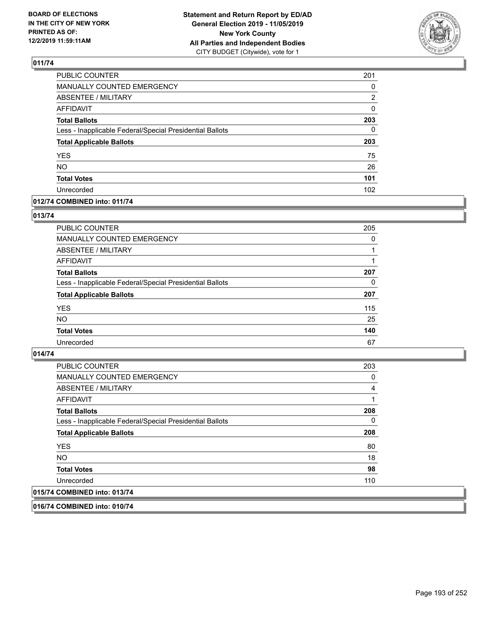

| PUBLIC COUNTER                                           | 201      |
|----------------------------------------------------------|----------|
| MANUALLY COUNTED EMERGENCY                               | 0        |
| <b>ABSENTEE / MILITARY</b>                               | 2        |
| <b>AFFIDAVIT</b>                                         | 0        |
| <b>Total Ballots</b>                                     | 203      |
| Less - Inapplicable Federal/Special Presidential Ballots | $\Omega$ |
| <b>Total Applicable Ballots</b>                          | 203      |
| <b>YES</b>                                               | 75       |
| <b>NO</b>                                                | 26       |
| <b>Total Votes</b>                                       | 101      |
| Unrecorded                                               | 102      |

### **012/74 COMBINED into: 011/74**

### **013/74**

| <b>PUBLIC COUNTER</b>                                    | 205      |
|----------------------------------------------------------|----------|
| <b>MANUALLY COUNTED EMERGENCY</b>                        | $\Omega$ |
| ABSENTEE / MILITARY                                      |          |
| AFFIDAVIT                                                |          |
| <b>Total Ballots</b>                                     | 207      |
| Less - Inapplicable Federal/Special Presidential Ballots | 0        |
| <b>Total Applicable Ballots</b>                          | 207      |
| <b>YES</b>                                               | 115      |
| <b>NO</b>                                                | 25       |
| <b>Total Votes</b>                                       | 140      |
| Unrecorded                                               | 67       |

### **014/74**

| <b>PUBLIC COUNTER</b>                                    | 203 |
|----------------------------------------------------------|-----|
| <b>MANUALLY COUNTED EMERGENCY</b>                        | 0   |
| ABSENTEE / MILITARY                                      | 4   |
| AFFIDAVIT                                                |     |
| <b>Total Ballots</b>                                     | 208 |
| Less - Inapplicable Federal/Special Presidential Ballots | 0   |
| <b>Total Applicable Ballots</b>                          | 208 |
| <b>YES</b>                                               | 80  |
| NO.                                                      | 18  |
| <b>Total Votes</b>                                       | 98  |
| Unrecorded                                               | 110 |
| 015/74 COMBINED into: 013/74                             |     |

**016/74 COMBINED into: 010/74**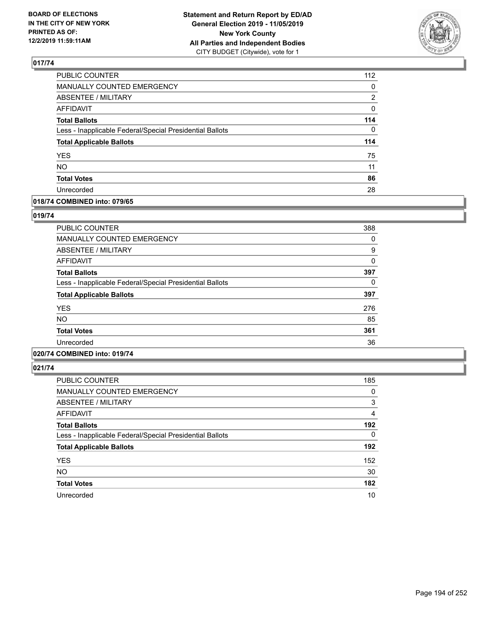

| PUBLIC COUNTER                                           | 112 |
|----------------------------------------------------------|-----|
| MANUALLY COUNTED EMERGENCY                               | 0   |
| <b>ABSENTEE / MILITARY</b>                               | 2   |
| <b>AFFIDAVIT</b>                                         | 0   |
| <b>Total Ballots</b>                                     | 114 |
| Less - Inapplicable Federal/Special Presidential Ballots | 0   |
| <b>Total Applicable Ballots</b>                          | 114 |
| <b>YES</b>                                               | 75  |
| <b>NO</b>                                                | 11  |
| <b>Total Votes</b>                                       | 86  |
| Unrecorded                                               | 28  |

### **018/74 COMBINED into: 079/65**

#### **019/74**

| <b>PUBLIC COUNTER</b>                                    | 388 |
|----------------------------------------------------------|-----|
| <b>MANUALLY COUNTED EMERGENCY</b>                        | 0   |
| <b>ABSENTEE / MILITARY</b>                               | 9   |
| <b>AFFIDAVIT</b>                                         | 0   |
| <b>Total Ballots</b>                                     | 397 |
| Less - Inapplicable Federal/Special Presidential Ballots | 0   |
| <b>Total Applicable Ballots</b>                          | 397 |
| <b>YES</b>                                               | 276 |
| <b>NO</b>                                                | 85  |
| <b>Total Votes</b>                                       | 361 |
| Unrecorded                                               | 36  |
|                                                          |     |

### **020/74 COMBINED into: 019/74**

| <b>PUBLIC COUNTER</b>                                    | 185      |
|----------------------------------------------------------|----------|
| <b>MANUALLY COUNTED EMERGENCY</b>                        | 0        |
| ABSENTEE / MILITARY                                      | 3        |
| AFFIDAVIT                                                | 4        |
| <b>Total Ballots</b>                                     | 192      |
| Less - Inapplicable Federal/Special Presidential Ballots | $\Omega$ |
| <b>Total Applicable Ballots</b>                          | 192      |
| <b>YES</b>                                               | 152      |
| <b>NO</b>                                                | 30       |
| <b>Total Votes</b>                                       | 182      |
| Unrecorded                                               | 10       |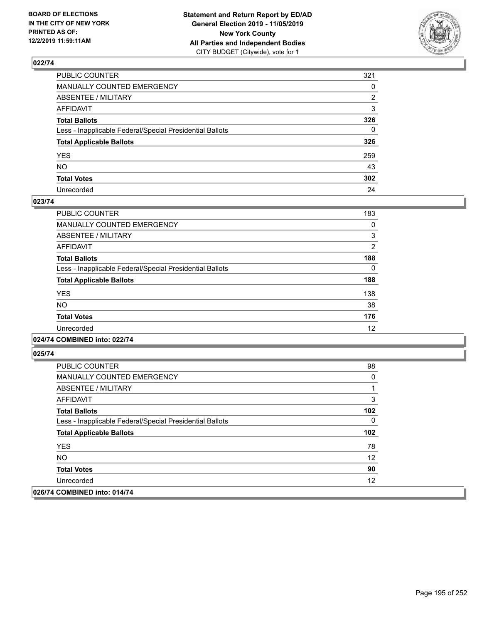

| PUBLIC COUNTER                                           | 321 |
|----------------------------------------------------------|-----|
| MANUALLY COUNTED EMERGENCY                               | 0   |
| ABSENTEE / MILITARY                                      | 2   |
| AFFIDAVIT                                                | 3   |
| Total Ballots                                            | 326 |
| Less - Inapplicable Federal/Special Presidential Ballots | 0   |
| <b>Total Applicable Ballots</b>                          | 326 |
| YES                                                      | 259 |
| NO.                                                      | 43  |
| <b>Total Votes</b>                                       | 302 |
| Unrecorded                                               | 24  |

### **023/74**

| <b>PUBLIC COUNTER</b>                                    | 183      |
|----------------------------------------------------------|----------|
| <b>MANUALLY COUNTED EMERGENCY</b>                        | 0        |
| ABSENTEE / MILITARY                                      | 3        |
| <b>AFFIDAVIT</b>                                         | 2        |
| <b>Total Ballots</b>                                     | 188      |
| Less - Inapplicable Federal/Special Presidential Ballots | $\Omega$ |
| <b>Total Applicable Ballots</b>                          | 188      |
| <b>YES</b>                                               | 138      |
| <b>NO</b>                                                | 38       |
| <b>Total Votes</b>                                       | 176      |
| Unrecorded                                               | 12       |
|                                                          |          |

### **024/74 COMBINED into: 022/74**

| <b>PUBLIC COUNTER</b>                                    | 98  |
|----------------------------------------------------------|-----|
| <b>MANUALLY COUNTED EMERGENCY</b>                        | 0   |
| ABSENTEE / MILITARY                                      |     |
| AFFIDAVIT                                                | 3   |
| <b>Total Ballots</b>                                     | 102 |
| Less - Inapplicable Federal/Special Presidential Ballots | 0   |
| <b>Total Applicable Ballots</b>                          | 102 |
| <b>YES</b>                                               | 78  |
| NO.                                                      | 12  |
| <b>Total Votes</b>                                       | 90  |
| Unrecorded                                               | 12  |
| 026/74 COMBINED into: 014/74                             |     |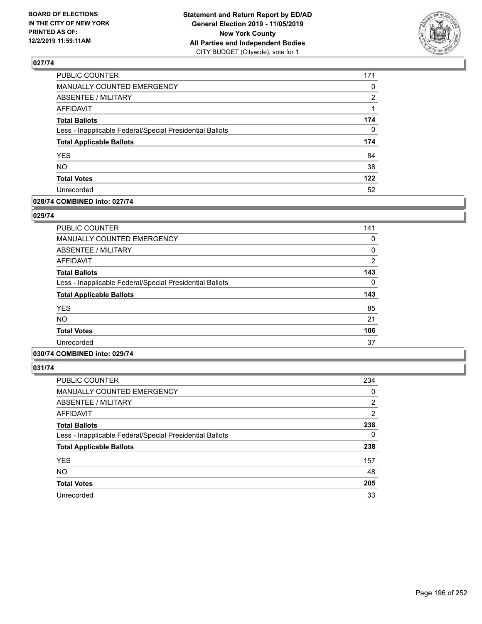

| PUBLIC COUNTER                                           | 171      |
|----------------------------------------------------------|----------|
| MANUALLY COUNTED EMERGENCY                               | 0        |
| ABSENTEE / MILITARY                                      | 2        |
| <b>AFFIDAVIT</b>                                         | 1        |
| <b>Total Ballots</b>                                     | 174      |
| Less - Inapplicable Federal/Special Presidential Ballots | $\Omega$ |
| <b>Total Applicable Ballots</b>                          | 174      |
| <b>YES</b>                                               | 84       |
| <b>NO</b>                                                | 38       |
| <b>Total Votes</b>                                       | 122      |
| Unrecorded                                               | 52       |

### **028/74 COMBINED into: 027/74**

#### **029/74**

| <b>PUBLIC COUNTER</b>                                    | 141            |
|----------------------------------------------------------|----------------|
| <b>MANUALLY COUNTED EMERGENCY</b>                        | 0              |
| ABSENTEE / MILITARY                                      | $\mathbf{0}$   |
| <b>AFFIDAVIT</b>                                         | $\overline{2}$ |
| <b>Total Ballots</b>                                     | 143            |
| Less - Inapplicable Federal/Special Presidential Ballots | 0              |
| <b>Total Applicable Ballots</b>                          | 143            |
| <b>YES</b>                                               | 85             |
| <b>NO</b>                                                | 21             |
| <b>Total Votes</b>                                       | 106            |
| Unrecorded                                               | 37             |
|                                                          |                |

### **030/74 COMBINED into: 029/74**

| <b>PUBLIC COUNTER</b>                                    | 234      |
|----------------------------------------------------------|----------|
| MANUALLY COUNTED EMERGENCY                               | 0        |
| ABSENTEE / MILITARY                                      | 2        |
| AFFIDAVIT                                                | 2        |
| <b>Total Ballots</b>                                     | 238      |
| Less - Inapplicable Federal/Special Presidential Ballots | $\Omega$ |
| <b>Total Applicable Ballots</b>                          | 238      |
| <b>YES</b>                                               | 157      |
| <b>NO</b>                                                | 48       |
| <b>Total Votes</b>                                       | 205      |
| Unrecorded                                               | 33       |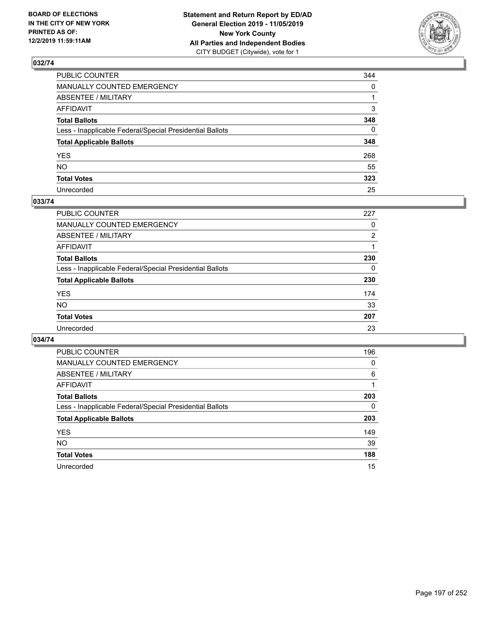

| PUBLIC COUNTER                                           | 344          |
|----------------------------------------------------------|--------------|
| MANUALLY COUNTED EMERGENCY                               | $\mathbf{0}$ |
| ABSENTEE / MILITARY                                      |              |
| AFFIDAVIT                                                | 3            |
| Total Ballots                                            | 348          |
| Less - Inapplicable Federal/Special Presidential Ballots | $\mathbf{0}$ |
| <b>Total Applicable Ballots</b>                          | 348          |
| YES                                                      | 268          |
| NO.                                                      | 55           |
| <b>Total Votes</b>                                       | 323          |
| Unrecorded                                               | 25           |

### **033/74**

| <b>PUBLIC COUNTER</b>                                    | 227            |
|----------------------------------------------------------|----------------|
| MANUALLY COUNTED EMERGENCY                               | 0              |
| ABSENTEE / MILITARY                                      | $\overline{2}$ |
| AFFIDAVIT                                                |                |
| <b>Total Ballots</b>                                     | 230            |
| Less - Inapplicable Federal/Special Presidential Ballots | $\Omega$       |
| <b>Total Applicable Ballots</b>                          | 230            |
| <b>YES</b>                                               | 174            |
| <b>NO</b>                                                | 33             |
| <b>Total Votes</b>                                       | 207            |
| Unrecorded                                               | 23             |

| <b>PUBLIC COUNTER</b>                                    | 196      |
|----------------------------------------------------------|----------|
| MANUALLY COUNTED EMERGENCY                               | $\Omega$ |
| ABSENTEE / MILITARY                                      | 6        |
| AFFIDAVIT                                                |          |
| <b>Total Ballots</b>                                     | 203      |
| Less - Inapplicable Federal/Special Presidential Ballots | 0        |
| <b>Total Applicable Ballots</b>                          | 203      |
| <b>YES</b>                                               | 149      |
| NO.                                                      | 39       |
| <b>Total Votes</b>                                       | 188      |
| Unrecorded                                               | 15       |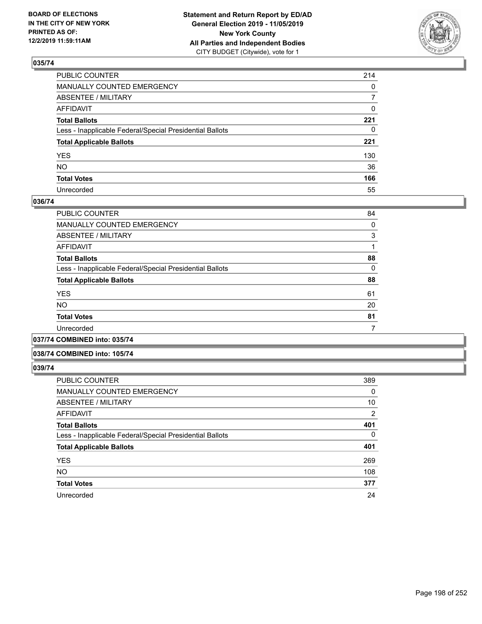

| PUBLIC COUNTER                                           | 214            |
|----------------------------------------------------------|----------------|
| MANUALLY COUNTED EMERGENCY                               | $\mathbf{0}$   |
| ABSENTEE / MILITARY                                      | $\overline{7}$ |
| AFFIDAVIT                                                | 0              |
| Total Ballots                                            | 221            |
| Less - Inapplicable Federal/Special Presidential Ballots | $\mathbf{0}$   |
| <b>Total Applicable Ballots</b>                          | 221            |
| YES                                                      | 130            |
| NO.                                                      | 36             |
| <b>Total Votes</b>                                       | 166            |
| Unrecorded                                               | 55             |

### **036/74**

| <b>PUBLIC COUNTER</b>                                    | 84 |
|----------------------------------------------------------|----|
| <b>MANUALLY COUNTED EMERGENCY</b>                        | 0  |
| ABSENTEE / MILITARY                                      | 3  |
| AFFIDAVIT                                                |    |
| <b>Total Ballots</b>                                     | 88 |
| Less - Inapplicable Federal/Special Presidential Ballots | 0  |
| <b>Total Applicable Ballots</b>                          | 88 |
| <b>YES</b>                                               | 61 |
| <b>NO</b>                                                | 20 |
| <b>Total Votes</b>                                       | 81 |
| Unrecorded                                               |    |
|                                                          |    |

**037/74 COMBINED into: 035/74**

#### **038/74 COMBINED into: 105/74**

| <b>PUBLIC COUNTER</b>                                    | 389 |
|----------------------------------------------------------|-----|
| MANUALLY COUNTED EMERGENCY                               | 0   |
| ABSENTEE / MILITARY                                      | 10  |
| AFFIDAVIT                                                | 2   |
| <b>Total Ballots</b>                                     | 401 |
| Less - Inapplicable Federal/Special Presidential Ballots | 0   |
| <b>Total Applicable Ballots</b>                          | 401 |
| <b>YES</b>                                               | 269 |
| <b>NO</b>                                                | 108 |
| <b>Total Votes</b>                                       | 377 |
| Unrecorded                                               | 24  |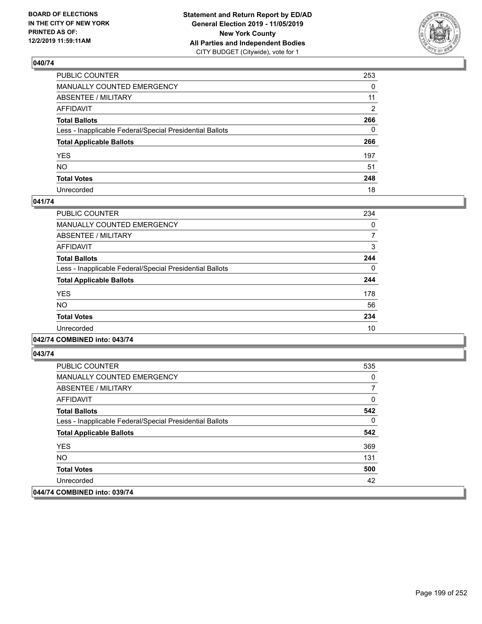

| PUBLIC COUNTER                                           | 253      |
|----------------------------------------------------------|----------|
| MANUALLY COUNTED EMERGENCY                               | $\Omega$ |
| ABSENTEE / MILITARY                                      | 11       |
| AFFIDAVIT                                                | 2        |
| Total Ballots                                            | 266      |
| Less - Inapplicable Federal/Special Presidential Ballots | $\Omega$ |
| <b>Total Applicable Ballots</b>                          | 266      |
| YES                                                      | 197      |
| NO.                                                      | 51       |
| <b>Total Votes</b>                                       | 248      |
| Unrecorded                                               | 18       |

### **041/74**

| PUBLIC COUNTER                                           | 234      |
|----------------------------------------------------------|----------|
| <b>MANUALLY COUNTED EMERGENCY</b>                        | 0        |
| ABSENTEE / MILITARY                                      | 7        |
| <b>AFFIDAVIT</b>                                         | 3        |
| <b>Total Ballots</b>                                     | 244      |
| Less - Inapplicable Federal/Special Presidential Ballots | $\Omega$ |
| <b>Total Applicable Ballots</b>                          | 244      |
| <b>YES</b>                                               | 178      |
| <b>NO</b>                                                | 56       |
| <b>Total Votes</b>                                       | 234      |
| Unrecorded                                               | 10       |
|                                                          |          |

### **042/74 COMBINED into: 043/74**

| <b>PUBLIC COUNTER</b>                                    | 535 |
|----------------------------------------------------------|-----|
| <b>MANUALLY COUNTED EMERGENCY</b>                        | 0   |
| ABSENTEE / MILITARY                                      |     |
| AFFIDAVIT                                                | 0   |
| <b>Total Ballots</b>                                     | 542 |
| Less - Inapplicable Federal/Special Presidential Ballots | 0   |
| <b>Total Applicable Ballots</b>                          | 542 |
| <b>YES</b>                                               | 369 |
| NO.                                                      | 131 |
| <b>Total Votes</b>                                       | 500 |
| Unrecorded                                               | 42  |
| 044/74 COMBINED into: 039/74                             |     |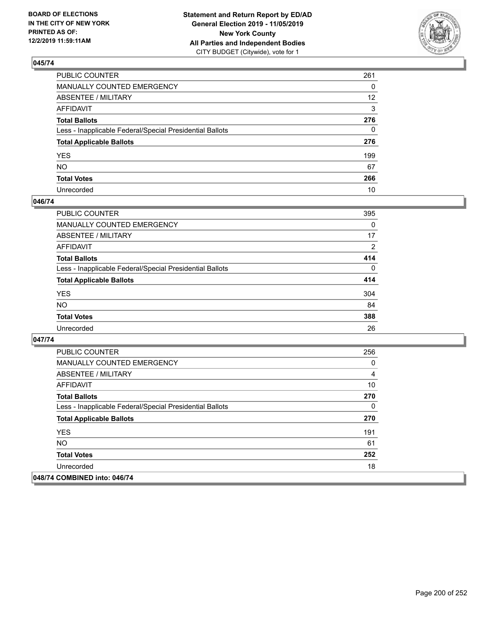

| PUBLIC COUNTER                                           | 261               |
|----------------------------------------------------------|-------------------|
| MANUALLY COUNTED EMERGENCY                               | 0                 |
| ABSENTEE / MILITARY                                      | $12 \overline{ }$ |
| AFFIDAVIT                                                | 3                 |
| Total Ballots                                            | 276               |
| Less - Inapplicable Federal/Special Presidential Ballots | 0                 |
| <b>Total Applicable Ballots</b>                          | 276               |
| YES                                                      | 199               |
| NO.                                                      | 67                |
| <b>Total Votes</b>                                       | 266               |
| Unrecorded                                               | 10                |

### **046/74**

| <b>PUBLIC COUNTER</b>                                    | 395            |
|----------------------------------------------------------|----------------|
| <b>MANUALLY COUNTED EMERGENCY</b>                        | $\Omega$       |
| ABSENTEE / MILITARY                                      | 17             |
| AFFIDAVIT                                                | $\overline{2}$ |
| <b>Total Ballots</b>                                     | 414            |
| Less - Inapplicable Federal/Special Presidential Ballots | $\Omega$       |
| <b>Total Applicable Ballots</b>                          | 414            |
| <b>YES</b>                                               | 304            |
| <b>NO</b>                                                | 84             |
| <b>Total Votes</b>                                       | 388            |
| Unrecorded                                               | 26             |

| <b>PUBLIC COUNTER</b>                                    | 256 |
|----------------------------------------------------------|-----|
| <b>MANUALLY COUNTED EMERGENCY</b>                        | 0   |
| ABSENTEE / MILITARY                                      | 4   |
| AFFIDAVIT                                                | 10  |
| <b>Total Ballots</b>                                     | 270 |
| Less - Inapplicable Federal/Special Presidential Ballots | 0   |
| <b>Total Applicable Ballots</b>                          | 270 |
| <b>YES</b>                                               | 191 |
| <b>NO</b>                                                | 61  |
| <b>Total Votes</b>                                       | 252 |
| Unrecorded                                               | 18  |
| 048/74 COMBINED into: 046/74                             |     |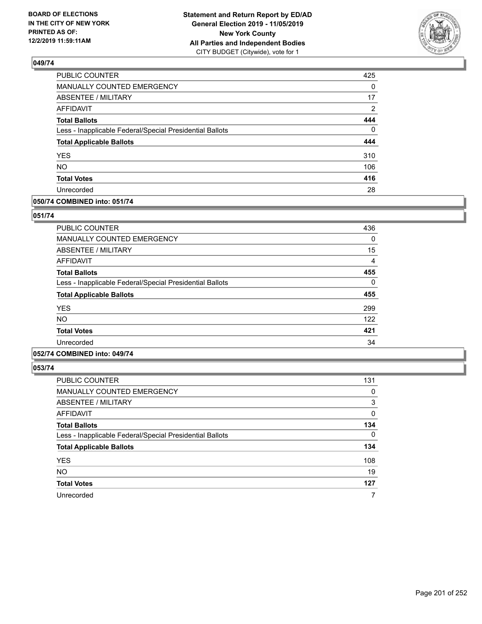

| PUBLIC COUNTER                                           | 425      |
|----------------------------------------------------------|----------|
| <b>MANUALLY COUNTED EMERGENCY</b>                        | $\Omega$ |
| <b>ABSENTEE / MILITARY</b>                               | 17       |
| <b>AFFIDAVIT</b>                                         | 2        |
| <b>Total Ballots</b>                                     | 444      |
| Less - Inapplicable Federal/Special Presidential Ballots | $\Omega$ |
| <b>Total Applicable Ballots</b>                          | 444      |
| <b>YES</b>                                               | 310      |
| <b>NO</b>                                                | 106      |
| <b>Total Votes</b>                                       | 416      |
| Unrecorded                                               | 28       |

### **050/74 COMBINED into: 051/74**

#### **051/74**

| PUBLIC COUNTER                                           | 436 |
|----------------------------------------------------------|-----|
| <b>MANUALLY COUNTED EMERGENCY</b>                        | 0   |
| <b>ABSENTEE / MILITARY</b>                               | 15  |
| <b>AFFIDAVIT</b>                                         | 4   |
| <b>Total Ballots</b>                                     | 455 |
| Less - Inapplicable Federal/Special Presidential Ballots | 0   |
| <b>Total Applicable Ballots</b>                          | 455 |
| <b>YES</b>                                               | 299 |
| NO.                                                      | 122 |
| <b>Total Votes</b>                                       | 421 |
| Unrecorded                                               | 34  |

## **052/74 COMBINED into: 049/74**

| <b>PUBLIC COUNTER</b>                                    | 131 |
|----------------------------------------------------------|-----|
| MANUALLY COUNTED EMERGENCY                               | 0   |
| ABSENTEE / MILITARY                                      | 3   |
| AFFIDAVIT                                                | 0   |
| <b>Total Ballots</b>                                     | 134 |
| Less - Inapplicable Federal/Special Presidential Ballots | 0   |
| <b>Total Applicable Ballots</b>                          | 134 |
| <b>YES</b>                                               | 108 |
| <b>NO</b>                                                | 19  |
| <b>Total Votes</b>                                       | 127 |
| Unrecorded                                               | 7   |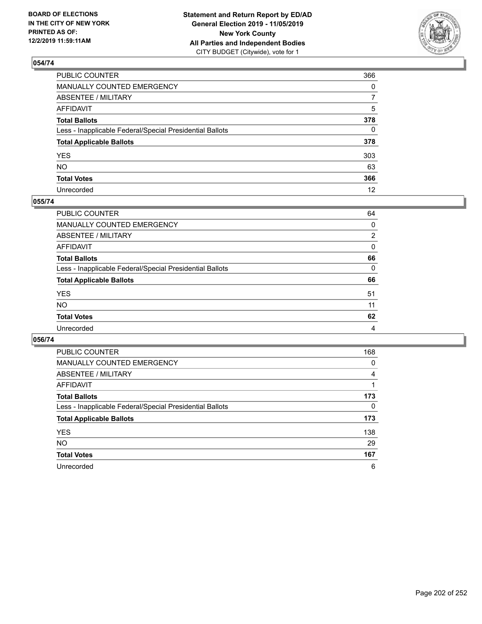

| PUBLIC COUNTER                                           | 366          |
|----------------------------------------------------------|--------------|
| MANUALLY COUNTED EMERGENCY                               | $\mathbf{0}$ |
| ABSENTEE / MILITARY                                      | 7            |
| AFFIDAVIT                                                | 5            |
| Total Ballots                                            | 378          |
| Less - Inapplicable Federal/Special Presidential Ballots | 0            |
| <b>Total Applicable Ballots</b>                          | 378          |
| YES                                                      | 303          |
| NO.                                                      | 63           |
| <b>Total Votes</b>                                       | 366          |
| Unrecorded                                               | 12           |

### **055/74**

| <b>PUBLIC COUNTER</b>                                    | 64       |
|----------------------------------------------------------|----------|
| <b>MANUALLY COUNTED EMERGENCY</b>                        | 0        |
| ABSENTEE / MILITARY                                      | 2        |
| AFFIDAVIT                                                | 0        |
| <b>Total Ballots</b>                                     | 66       |
| Less - Inapplicable Federal/Special Presidential Ballots | $\Omega$ |
| <b>Total Applicable Ballots</b>                          | 66       |
| <b>YES</b>                                               | 51       |
| <b>NO</b>                                                | 11       |
| <b>Total Votes</b>                                       | 62       |
| Unrecorded                                               | 4        |

| <b>PUBLIC COUNTER</b>                                    | 168      |
|----------------------------------------------------------|----------|
| <b>MANUALLY COUNTED EMERGENCY</b>                        | 0        |
| ABSENTEE / MILITARY                                      | 4        |
| AFFIDAVIT                                                |          |
| <b>Total Ballots</b>                                     | 173      |
| Less - Inapplicable Federal/Special Presidential Ballots | $\Omega$ |
| <b>Total Applicable Ballots</b>                          | 173      |
| <b>YES</b>                                               | 138      |
| <b>NO</b>                                                | 29       |
| <b>Total Votes</b>                                       | 167      |
| Unrecorded                                               | 6        |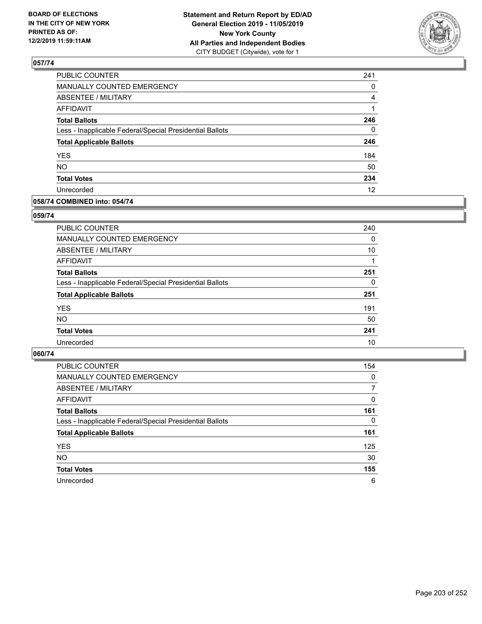

| 241          |
|--------------|
| 0            |
| 4            |
| 1            |
| 246          |
| $\mathbf{0}$ |
| 246          |
| 184          |
| 50           |
| 234          |
| 12           |
|              |

### **058/74 COMBINED into: 054/74**

### **059/74**

| PUBLIC COUNTER                                           | 240      |
|----------------------------------------------------------|----------|
| MANUALLY COUNTED EMERGENCY                               | $\Omega$ |
| <b>ABSENTEE / MILITARY</b>                               | 10       |
| AFFIDAVIT                                                |          |
| <b>Total Ballots</b>                                     | 251      |
| Less - Inapplicable Federal/Special Presidential Ballots | 0        |
| <b>Total Applicable Ballots</b>                          | 251      |
| <b>YES</b>                                               | 191      |
| <b>NO</b>                                                | 50       |
| <b>Total Votes</b>                                       | 241      |
| Unrecorded                                               | 10       |
|                                                          |          |

| <b>PUBLIC COUNTER</b>                                    | 154      |
|----------------------------------------------------------|----------|
| MANUALLY COUNTED EMERGENCY                               | $\Omega$ |
| ABSENTEE / MILITARY                                      | 7        |
| AFFIDAVIT                                                | $\Omega$ |
| <b>Total Ballots</b>                                     | 161      |
| Less - Inapplicable Federal/Special Presidential Ballots | 0        |
| <b>Total Applicable Ballots</b>                          | 161      |
| <b>YES</b>                                               | 125      |
| <b>NO</b>                                                | 30       |
| <b>Total Votes</b>                                       | 155      |
| Unrecorded                                               | 6        |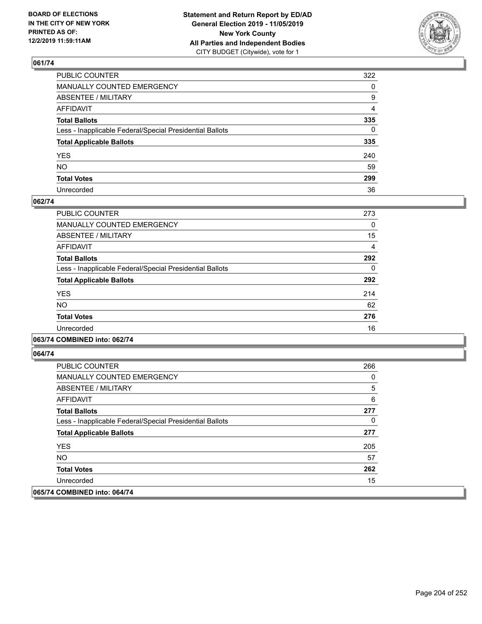

| PUBLIC COUNTER                                           | 322          |
|----------------------------------------------------------|--------------|
| MANUALLY COUNTED EMERGENCY                               | $\mathbf{0}$ |
| ABSENTEE / MILITARY                                      | 9            |
| AFFIDAVIT                                                | 4            |
| Total Ballots                                            | 335          |
| Less - Inapplicable Federal/Special Presidential Ballots | 0            |
| <b>Total Applicable Ballots</b>                          | 335          |
| YES                                                      | 240          |
| NO.                                                      | 59           |
| <b>Total Votes</b>                                       | 299          |
| Unrecorded                                               | 36           |

### **062/74**

| PUBLIC COUNTER                                           | 273      |
|----------------------------------------------------------|----------|
| <b>MANUALLY COUNTED EMERGENCY</b>                        | $\Omega$ |
| ABSENTEE / MILITARY                                      | 15       |
| <b>AFFIDAVIT</b>                                         | 4        |
| <b>Total Ballots</b>                                     | 292      |
| Less - Inapplicable Federal/Special Presidential Ballots | $\Omega$ |
| <b>Total Applicable Ballots</b>                          | 292      |
| <b>YES</b>                                               | 214      |
| <b>NO</b>                                                | 62       |
| <b>Total Votes</b>                                       | 276      |
| Unrecorded                                               | 16       |
|                                                          |          |

### **063/74 COMBINED into: 062/74**

| <b>PUBLIC COUNTER</b>                                    | 266 |
|----------------------------------------------------------|-----|
| <b>MANUALLY COUNTED EMERGENCY</b>                        | 0   |
| ABSENTEE / MILITARY                                      | 5   |
| AFFIDAVIT                                                | 6   |
| <b>Total Ballots</b>                                     | 277 |
| Less - Inapplicable Federal/Special Presidential Ballots | 0   |
| <b>Total Applicable Ballots</b>                          | 277 |
| <b>YES</b>                                               | 205 |
| NO.                                                      | 57  |
| <b>Total Votes</b>                                       | 262 |
| Unrecorded                                               | 15  |
| 065/74 COMBINED into: 064/74                             |     |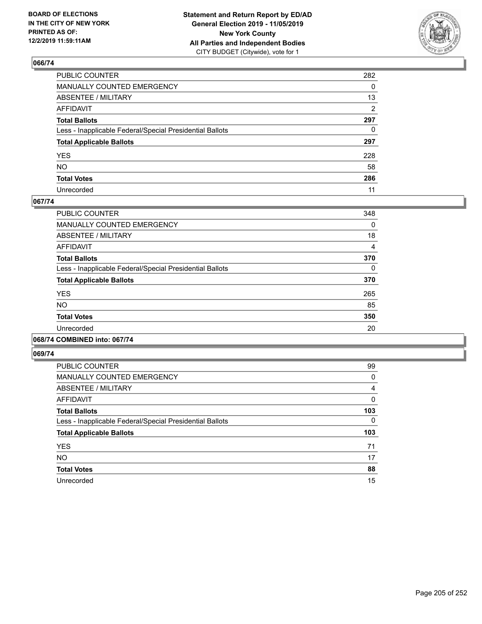

| PUBLIC COUNTER                                           | 282          |
|----------------------------------------------------------|--------------|
| MANUALLY COUNTED EMERGENCY                               | $\Omega$     |
| ABSENTEE / MILITARY                                      | 13           |
| AFFIDAVIT                                                | 2            |
| Total Ballots                                            | 297          |
| Less - Inapplicable Federal/Special Presidential Ballots | $\mathbf{0}$ |
| <b>Total Applicable Ballots</b>                          | 297          |
| YES                                                      | 228          |
| NO.                                                      | 58           |
| <b>Total Votes</b>                                       | 286          |
| Unrecorded                                               | 11           |

### **067/74**

| PUBLIC COUNTER                                           | 348      |
|----------------------------------------------------------|----------|
| <b>MANUALLY COUNTED EMERGENCY</b>                        | 0        |
| ABSENTEE / MILITARY                                      | 18       |
| <b>AFFIDAVIT</b>                                         | 4        |
| <b>Total Ballots</b>                                     | 370      |
| Less - Inapplicable Federal/Special Presidential Ballots | $\Omega$ |
| <b>Total Applicable Ballots</b>                          | 370      |
| <b>YES</b>                                               | 265      |
| <b>NO</b>                                                | 85       |
| <b>Total Votes</b>                                       | 350      |
| Unrecorded                                               | 20       |
|                                                          |          |

### **068/74 COMBINED into: 067/74**

| <b>PUBLIC COUNTER</b>                                    | 99       |
|----------------------------------------------------------|----------|
| <b>MANUALLY COUNTED EMERGENCY</b>                        | 0        |
| ABSENTEE / MILITARY                                      | 4        |
| <b>AFFIDAVIT</b>                                         | $\Omega$ |
| <b>Total Ballots</b>                                     | 103      |
| Less - Inapplicable Federal/Special Presidential Ballots | $\Omega$ |
| <b>Total Applicable Ballots</b>                          | 103      |
| <b>YES</b>                                               | 71       |
| <b>NO</b>                                                | 17       |
| <b>Total Votes</b>                                       | 88       |
| Unrecorded                                               | 15       |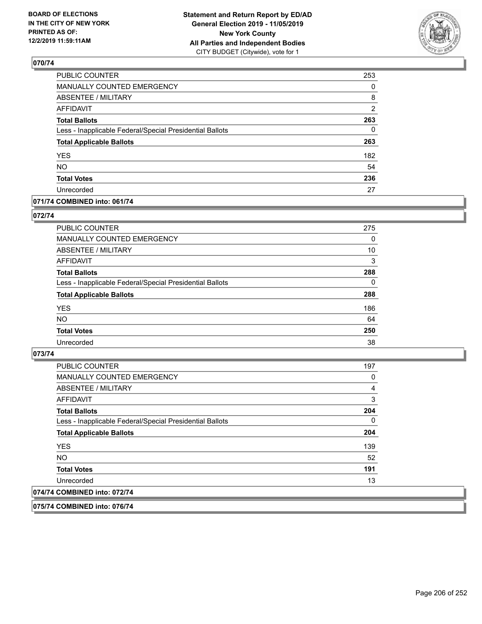

| PUBLIC COUNTER                                           | 253            |
|----------------------------------------------------------|----------------|
| MANUALLY COUNTED EMERGENCY                               | 0              |
| <b>ABSENTEE / MILITARY</b>                               | 8              |
| <b>AFFIDAVIT</b>                                         | $\overline{2}$ |
| <b>Total Ballots</b>                                     | 263            |
| Less - Inapplicable Federal/Special Presidential Ballots | 0              |
| <b>Total Applicable Ballots</b>                          | 263            |
| <b>YES</b>                                               | 182            |
| <b>NO</b>                                                | 54             |
| <b>Total Votes</b>                                       | 236            |
| Unrecorded                                               | 27             |

### **071/74 COMBINED into: 061/74**

### **072/74**

| PUBLIC COUNTER                                           | 275      |
|----------------------------------------------------------|----------|
| MANUALLY COUNTED EMERGENCY                               | 0        |
| ABSENTEE / MILITARY                                      | 10       |
| AFFIDAVIT                                                | 3        |
| <b>Total Ballots</b>                                     | 288      |
| Less - Inapplicable Federal/Special Presidential Ballots | $\Omega$ |
| <b>Total Applicable Ballots</b>                          | 288      |
| <b>YES</b>                                               | 186      |
| <b>NO</b>                                                | 64       |
| <b>Total Votes</b>                                       | 250      |
| Unrecorded                                               | 38       |

### **073/74**

| <b>PUBLIC COUNTER</b>                                    | 197 |
|----------------------------------------------------------|-----|
| <b>MANUALLY COUNTED EMERGENCY</b>                        | 0   |
| ABSENTEE / MILITARY                                      | 4   |
| <b>AFFIDAVIT</b>                                         | 3   |
| <b>Total Ballots</b>                                     | 204 |
| Less - Inapplicable Federal/Special Presidential Ballots | 0   |
| <b>Total Applicable Ballots</b>                          | 204 |
| <b>YES</b>                                               | 139 |
| NO.                                                      | 52  |
| <b>Total Votes</b>                                       | 191 |
| Unrecorded                                               | 13  |
| 074/74 COMBINED into: 072/74                             |     |
|                                                          |     |

**075/74 COMBINED into: 076/74**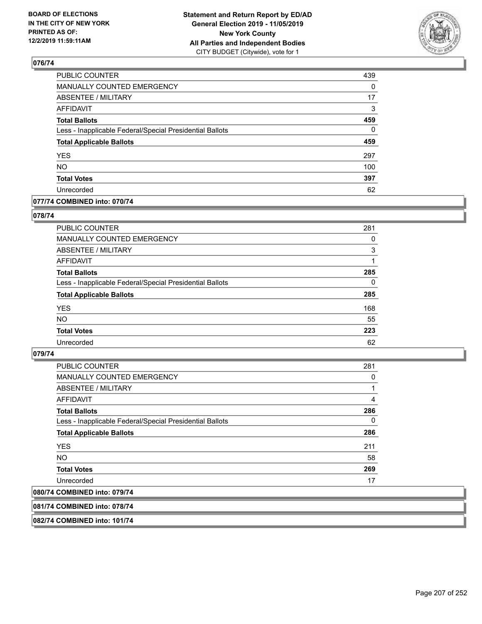

| PUBLIC COUNTER                                           | 439      |
|----------------------------------------------------------|----------|
| MANUALLY COUNTED EMERGENCY                               | 0        |
| <b>ABSENTEE / MILITARY</b>                               | 17       |
| <b>AFFIDAVIT</b>                                         | 3        |
| <b>Total Ballots</b>                                     | 459      |
| Less - Inapplicable Federal/Special Presidential Ballots | $\Omega$ |
| <b>Total Applicable Ballots</b>                          | 459      |
| <b>YES</b>                                               | 297      |
| <b>NO</b>                                                | 100      |
| <b>Total Votes</b>                                       | 397      |
| Unrecorded                                               | 62       |

### **077/74 COMBINED into: 070/74**

### **078/74**

| <b>PUBLIC COUNTER</b>                                    | 281      |
|----------------------------------------------------------|----------|
| MANUALLY COUNTED EMERGENCY                               | 0        |
| <b>ABSENTEE / MILITARY</b>                               | 3        |
| AFFIDAVIT                                                |          |
| <b>Total Ballots</b>                                     | 285      |
| Less - Inapplicable Federal/Special Presidential Ballots | $\Omega$ |
| <b>Total Applicable Ballots</b>                          | 285      |
| <b>YES</b>                                               | 168      |
| <b>NO</b>                                                | 55       |
| <b>Total Votes</b>                                       | 223      |
| Unrecorded                                               | 62       |
|                                                          |          |

### **079/74**

| <b>PUBLIC COUNTER</b>                                    | 281      |
|----------------------------------------------------------|----------|
| <b>MANUALLY COUNTED EMERGENCY</b>                        | 0        |
| ABSENTEE / MILITARY                                      |          |
| <b>AFFIDAVIT</b>                                         | 4        |
| <b>Total Ballots</b>                                     | 286      |
| Less - Inapplicable Federal/Special Presidential Ballots | $\Omega$ |
| <b>Total Applicable Ballots</b>                          | 286      |
| <b>YES</b>                                               | 211      |
| NO.                                                      | 58       |
| <b>Total Votes</b>                                       | 269      |
| Unrecorded                                               | 17       |
| 080/74 COMBINED into: 079/74                             |          |

**081/74 COMBINED into: 078/74**

**082/74 COMBINED into: 101/74**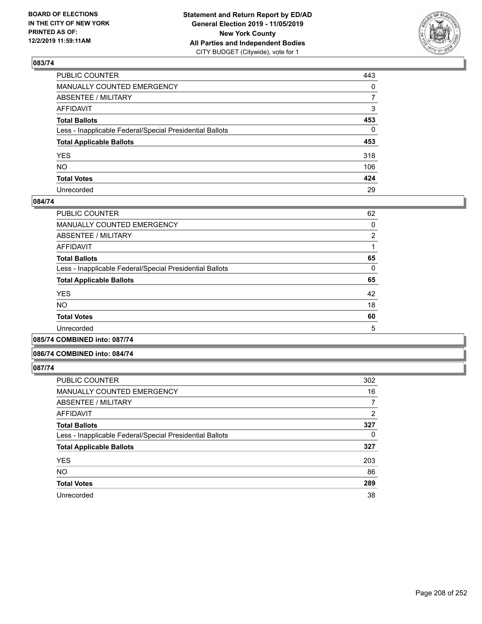

| PUBLIC COUNTER                                           | 443          |
|----------------------------------------------------------|--------------|
| MANUALLY COUNTED EMERGENCY                               | $\mathbf{0}$ |
| ABSENTEE / MILITARY                                      | 7            |
| AFFIDAVIT                                                | 3            |
| Total Ballots                                            | 453          |
| Less - Inapplicable Federal/Special Presidential Ballots | 0            |
| <b>Total Applicable Ballots</b>                          | 453          |
| YES                                                      | 318          |
| NO.                                                      | 106          |
| <b>Total Votes</b>                                       | 424          |
| Unrecorded                                               | 29           |

### **084/74**

| <b>PUBLIC COUNTER</b>                                    | 62             |
|----------------------------------------------------------|----------------|
| <b>MANUALLY COUNTED EMERGENCY</b>                        | 0              |
| ABSENTEE / MILITARY                                      | $\overline{2}$ |
| AFFIDAVIT                                                |                |
| <b>Total Ballots</b>                                     | 65             |
| Less - Inapplicable Federal/Special Presidential Ballots | 0              |
| <b>Total Applicable Ballots</b>                          | 65             |
| <b>YES</b>                                               | 42             |
| <b>NO</b>                                                | 18             |
| <b>Total Votes</b>                                       | 60             |
| Unrecorded                                               | 5              |
|                                                          |                |

**085/74 COMBINED into: 087/74**

#### **086/74 COMBINED into: 084/74**

| <b>PUBLIC COUNTER</b>                                    | 302      |
|----------------------------------------------------------|----------|
| MANUALLY COUNTED EMERGENCY                               | 16       |
| <b>ABSENTEE / MILITARY</b>                               | 7        |
| AFFIDAVIT                                                | 2        |
| <b>Total Ballots</b>                                     | 327      |
| Less - Inapplicable Federal/Special Presidential Ballots | $\Omega$ |
| <b>Total Applicable Ballots</b>                          | 327      |
| <b>YES</b>                                               | 203      |
| <b>NO</b>                                                | 86       |
| <b>Total Votes</b>                                       | 289      |
| Unrecorded                                               | 38       |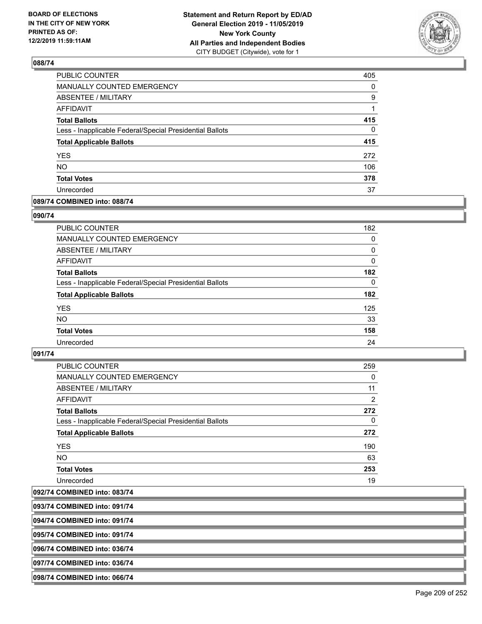

| PUBLIC COUNTER                                           | 405      |
|----------------------------------------------------------|----------|
| <b>MANUALLY COUNTED EMERGENCY</b>                        | $\Omega$ |
| <b>ABSENTEE / MILITARY</b>                               | 9        |
| <b>AFFIDAVIT</b>                                         | 1        |
| <b>Total Ballots</b>                                     | 415      |
| Less - Inapplicable Federal/Special Presidential Ballots | 0        |
| <b>Total Applicable Ballots</b>                          | 415      |
| <b>YES</b>                                               | 272      |
| <b>NO</b>                                                | 106      |
| <b>Total Votes</b>                                       | 378      |
| Unrecorded                                               | 37       |

### **089/74 COMBINED into: 088/74**

### **090/74**

| PUBLIC COUNTER                                           | 182      |
|----------------------------------------------------------|----------|
| MANUALLY COUNTED EMERGENCY                               | 0        |
| ABSENTEE / MILITARY                                      | 0        |
| AFFIDAVIT                                                | 0        |
| <b>Total Ballots</b>                                     | 182      |
| Less - Inapplicable Federal/Special Presidential Ballots | $\Omega$ |
| <b>Total Applicable Ballots</b>                          | 182      |
| <b>YES</b>                                               | 125      |
| <b>NO</b>                                                | 33       |
| <b>Total Votes</b>                                       | 158      |
| Unrecorded                                               | 24       |
|                                                          |          |

### **091/74**

| PUBLIC COUNTER                                           | 259      |
|----------------------------------------------------------|----------|
| <b>MANUALLY COUNTED EMERGENCY</b>                        | 0        |
| ABSENTEE / MILITARY                                      | 11       |
| <b>AFFIDAVIT</b>                                         | 2        |
| <b>Total Ballots</b>                                     | 272      |
| Less - Inapplicable Federal/Special Presidential Ballots | $\Omega$ |
| <b>Total Applicable Ballots</b>                          | 272      |
| <b>YES</b>                                               | 190      |
| NO.                                                      | 63       |
| <b>Total Votes</b>                                       | 253      |
| Unrecorded                                               | 19       |

**092/74 COMBINED into: 083/74**

**093/74 COMBINED into: 091/74**

**094/74 COMBINED into: 091/74**

**095/74 COMBINED into: 091/74**

**096/74 COMBINED into: 036/74**

**097/74 COMBINED into: 036/74**

**098/74 COMBINED into: 066/74**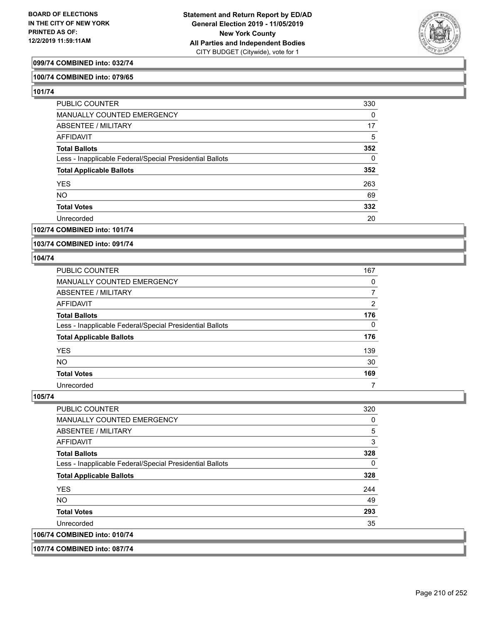

### **099/74 COMBINED into: 032/74**

### **100/74 COMBINED into: 079/65**

**101/74** 

| PUBLIC COUNTER                                           | 330      |
|----------------------------------------------------------|----------|
| <b>MANUALLY COUNTED EMERGENCY</b>                        | $\Omega$ |
| ABSENTEE / MILITARY                                      | 17       |
| <b>AFFIDAVIT</b>                                         | 5        |
| <b>Total Ballots</b>                                     | 352      |
| Less - Inapplicable Federal/Special Presidential Ballots | $\Omega$ |
| <b>Total Applicable Ballots</b>                          | 352      |
| <b>YES</b>                                               | 263      |
| <b>NO</b>                                                | 69       |
| <b>Total Votes</b>                                       | 332      |
| Unrecorded                                               | 20       |

### **102/74 COMBINED into: 101/74**

**103/74 COMBINED into: 091/74**

#### **104/74**

| <b>PUBLIC COUNTER</b>                                    | 167 |
|----------------------------------------------------------|-----|
| <b>MANUALLY COUNTED EMERGENCY</b>                        | 0   |
| ABSENTEE / MILITARY                                      |     |
| AFFIDAVIT                                                | 2   |
| <b>Total Ballots</b>                                     | 176 |
| Less - Inapplicable Federal/Special Presidential Ballots | 0   |
| <b>Total Applicable Ballots</b>                          | 176 |
| <b>YES</b>                                               | 139 |
| <b>NO</b>                                                | 30  |
| <b>Total Votes</b>                                       | 169 |
| Unrecorded                                               |     |

### **105/74**

| <b>PUBLIC COUNTER</b>                                    | 320      |
|----------------------------------------------------------|----------|
| <b>MANUALLY COUNTED EMERGENCY</b>                        | $\Omega$ |
| ABSENTEE / MILITARY                                      | 5        |
| AFFIDAVIT                                                | 3        |
| <b>Total Ballots</b>                                     | 328      |
| Less - Inapplicable Federal/Special Presidential Ballots | 0        |
| <b>Total Applicable Ballots</b>                          | 328      |
| <b>YES</b>                                               | 244      |
| NO.                                                      | 49       |
| <b>Total Votes</b>                                       | 293      |
| Unrecorded                                               | 35       |
| 106/74 COMBINED into: 010/74                             |          |
|                                                          |          |

#### **107/74 COMBINED into: 087/74**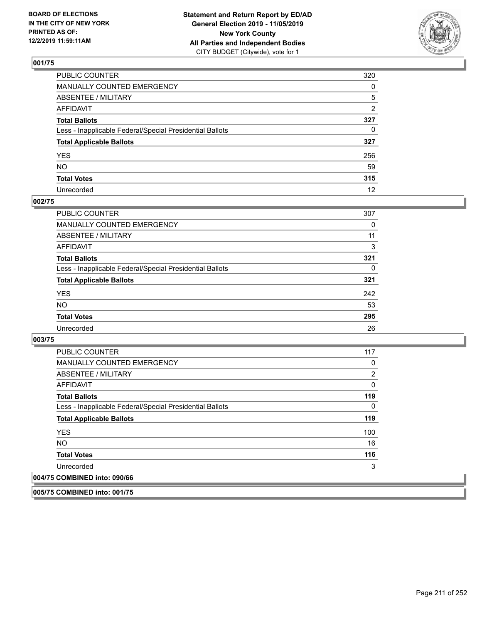

| PUBLIC COUNTER                                           | 320            |
|----------------------------------------------------------|----------------|
| MANUALLY COUNTED EMERGENCY                               | $\mathbf{0}$   |
| ABSENTEE / MILITARY                                      | 5              |
| AFFIDAVIT                                                | $\overline{2}$ |
| Total Ballots                                            | 327            |
| Less - Inapplicable Federal/Special Presidential Ballots | $\mathbf{0}$   |
| <b>Total Applicable Ballots</b>                          | 327            |
| YES                                                      | 256            |
| NO.                                                      | 59             |
| <b>Total Votes</b>                                       | 315            |
| Unrecorded                                               | 12             |

### **002/75**

| <b>PUBLIC COUNTER</b>                                    | 307 |
|----------------------------------------------------------|-----|
| <b>MANUALLY COUNTED EMERGENCY</b>                        | 0   |
| ABSENTEE / MILITARY                                      | 11  |
| AFFIDAVIT                                                | 3   |
| <b>Total Ballots</b>                                     | 321 |
| Less - Inapplicable Federal/Special Presidential Ballots | 0   |
| <b>Total Applicable Ballots</b>                          | 321 |
| <b>YES</b>                                               | 242 |
| <b>NO</b>                                                | 53  |
| <b>Total Votes</b>                                       | 295 |
| Unrecorded                                               | 26  |

### **003/75**

| <b>PUBLIC COUNTER</b>                                    | 117 |
|----------------------------------------------------------|-----|
| <b>MANUALLY COUNTED EMERGENCY</b>                        | 0   |
| ABSENTEE / MILITARY                                      | 2   |
| AFFIDAVIT                                                | 0   |
| <b>Total Ballots</b>                                     | 119 |
| Less - Inapplicable Federal/Special Presidential Ballots | 0   |
| <b>Total Applicable Ballots</b>                          | 119 |
| <b>YES</b>                                               | 100 |
| <b>NO</b>                                                | 16  |
| <b>Total Votes</b>                                       | 116 |
| Unrecorded                                               | 3   |
| 004/75 COMBINED into: 090/66                             |     |

**005/75 COMBINED into: 001/75**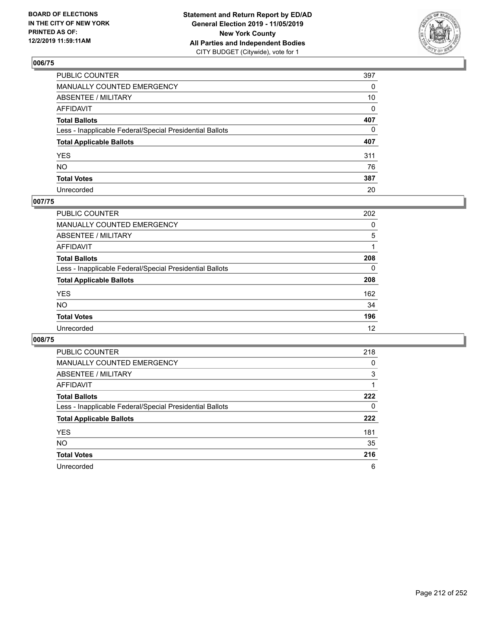

| PUBLIC COUNTER                                           | 397 |
|----------------------------------------------------------|-----|
| MANUALLY COUNTED EMERGENCY                               | 0   |
| ABSENTEE / MILITARY                                      | 10  |
| AFFIDAVIT                                                | 0   |
| Total Ballots                                            | 407 |
| Less - Inapplicable Federal/Special Presidential Ballots | 0   |
| <b>Total Applicable Ballots</b>                          | 407 |
| YES                                                      | 311 |
| NΟ                                                       | 76  |
| <b>Total Votes</b>                                       | 387 |
| Unrecorded                                               | 20  |

### **007/75**

| <b>PUBLIC COUNTER</b>                                    | 202      |
|----------------------------------------------------------|----------|
| MANUALLY COUNTED EMERGENCY                               | 0        |
| ABSENTEE / MILITARY                                      | 5        |
| AFFIDAVIT                                                |          |
| <b>Total Ballots</b>                                     | 208      |
| Less - Inapplicable Federal/Special Presidential Ballots | $\Omega$ |
| <b>Total Applicable Ballots</b>                          | 208      |
| <b>YES</b>                                               | 162      |
| <b>NO</b>                                                | 34       |
| <b>Total Votes</b>                                       | 196      |
| Unrecorded                                               | 12       |

| <b>PUBLIC COUNTER</b>                                    | 218 |
|----------------------------------------------------------|-----|
| <b>MANUALLY COUNTED EMERGENCY</b>                        | 0   |
| ABSENTEE / MILITARY                                      | 3   |
| AFFIDAVIT                                                |     |
| <b>Total Ballots</b>                                     | 222 |
| Less - Inapplicable Federal/Special Presidential Ballots | 0   |
| <b>Total Applicable Ballots</b>                          | 222 |
| <b>YES</b>                                               | 181 |
| <b>NO</b>                                                | 35  |
| <b>Total Votes</b>                                       | 216 |
| Unrecorded                                               | 6   |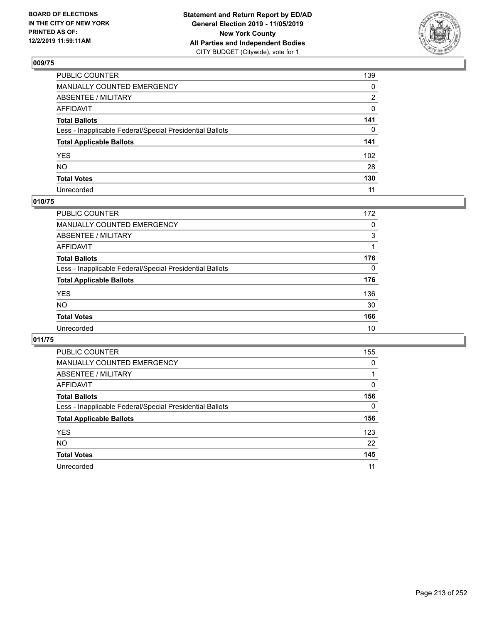

| PUBLIC COUNTER                                           | 139          |
|----------------------------------------------------------|--------------|
| MANUALLY COUNTED EMERGENCY                               | $\mathbf{0}$ |
| ABSENTEE / MILITARY                                      | 2            |
| AFFIDAVIT                                                | 0            |
| Total Ballots                                            | 141          |
| Less - Inapplicable Federal/Special Presidential Ballots | $\mathbf{0}$ |
| <b>Total Applicable Ballots</b>                          | 141          |
| YES                                                      | 102          |
| NO.                                                      | 28           |
| <b>Total Votes</b>                                       | 130          |
| Unrecorded                                               | 11           |

### **010/75**

| 172      |
|----------|
| 0        |
| 3        |
|          |
| 176      |
| $\Omega$ |
| 176      |
| 136      |
| 30       |
| 166      |
| 10       |
|          |

| <b>PUBLIC COUNTER</b>                                    | 155      |
|----------------------------------------------------------|----------|
| <b>MANUALLY COUNTED EMERGENCY</b>                        | $\Omega$ |
| ABSENTEE / MILITARY                                      |          |
| AFFIDAVIT                                                | $\Omega$ |
| <b>Total Ballots</b>                                     | 156      |
| Less - Inapplicable Federal/Special Presidential Ballots | $\Omega$ |
| <b>Total Applicable Ballots</b>                          | 156      |
| <b>YES</b>                                               | 123      |
| <b>NO</b>                                                | 22       |
| <b>Total Votes</b>                                       | 145      |
| Unrecorded                                               | 11       |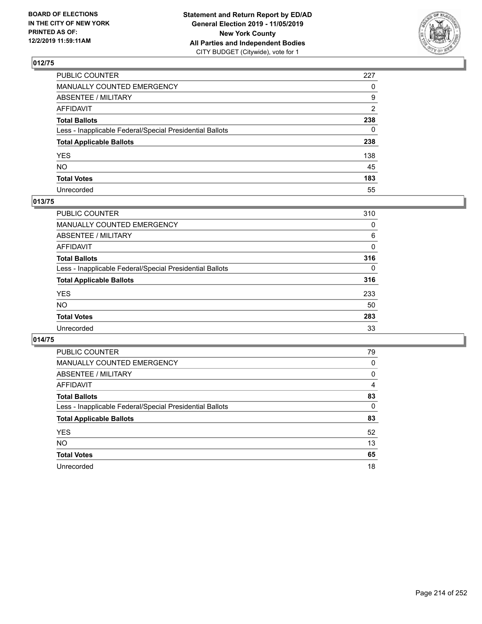

| PUBLIC COUNTER                                           | 227          |
|----------------------------------------------------------|--------------|
| MANUALLY COUNTED EMERGENCY                               | $\Omega$     |
| ABSENTEE / MILITARY                                      | 9            |
| AFFIDAVIT                                                | 2            |
| Total Ballots                                            | 238          |
| Less - Inapplicable Federal/Special Presidential Ballots | $\mathbf{0}$ |
| <b>Total Applicable Ballots</b>                          | 238          |
| YES                                                      | 138          |
| NO.                                                      | 45           |
| <b>Total Votes</b>                                       | 183          |
| Unrecorded                                               | 55           |

### **013/75**

| <b>PUBLIC COUNTER</b>                                    | 310          |
|----------------------------------------------------------|--------------|
| <b>MANUALLY COUNTED EMERGENCY</b>                        | 0            |
| ABSENTEE / MILITARY                                      | 6            |
| AFFIDAVIT                                                | 0            |
| <b>Total Ballots</b>                                     | 316          |
| Less - Inapplicable Federal/Special Presidential Ballots | $\mathbf{0}$ |
| <b>Total Applicable Ballots</b>                          | 316          |
| <b>YES</b>                                               | 233          |
| <b>NO</b>                                                | 50           |
| <b>Total Votes</b>                                       | 283          |
| Unrecorded                                               | 33           |

| <b>PUBLIC COUNTER</b>                                    | 79       |
|----------------------------------------------------------|----------|
| <b>MANUALLY COUNTED EMERGENCY</b>                        | 0        |
| ABSENTEE / MILITARY                                      | 0        |
| AFFIDAVIT                                                | 4        |
| <b>Total Ballots</b>                                     | 83       |
| Less - Inapplicable Federal/Special Presidential Ballots | $\Omega$ |
| <b>Total Applicable Ballots</b>                          | 83       |
| <b>YES</b>                                               | 52       |
| NO.                                                      | 13       |
| <b>Total Votes</b>                                       | 65       |
| Unrecorded                                               | 18       |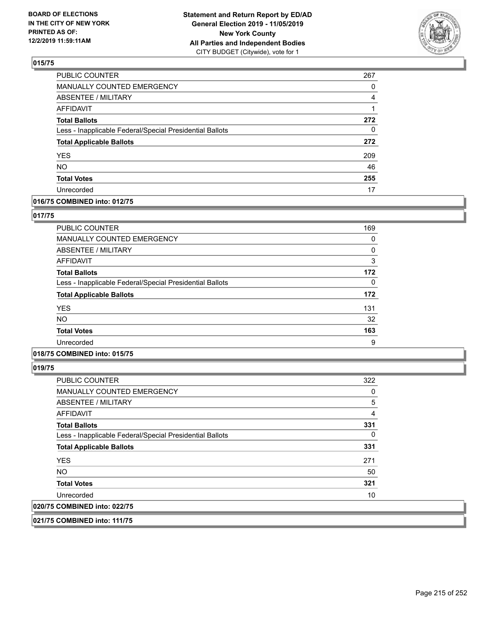

| PUBLIC COUNTER                                           | 267 |
|----------------------------------------------------------|-----|
| <b>MANUALLY COUNTED EMERGENCY</b>                        | 0   |
| <b>ABSENTEE / MILITARY</b>                               | 4   |
| <b>AFFIDAVIT</b>                                         |     |
| <b>Total Ballots</b>                                     | 272 |
| Less - Inapplicable Federal/Special Presidential Ballots | 0   |
| <b>Total Applicable Ballots</b>                          | 272 |
| <b>YES</b>                                               | 209 |
| <b>NO</b>                                                | 46  |
| <b>Total Votes</b>                                       | 255 |
| Unrecorded                                               | 17  |

### **016/75 COMBINED into: 012/75**

### **017/75**

| PUBLIC COUNTER                                           | 169      |
|----------------------------------------------------------|----------|
| MANUALLY COUNTED EMERGENCY                               | 0        |
| ABSENTEE / MILITARY                                      | 0        |
| AFFIDAVIT                                                | 3        |
| <b>Total Ballots</b>                                     | 172      |
| Less - Inapplicable Federal/Special Presidential Ballots | $\Omega$ |
| <b>Total Applicable Ballots</b>                          | 172      |
| <b>YES</b>                                               | 131      |
| <b>NO</b>                                                | 32       |
| <b>Total Votes</b>                                       | 163      |
| Unrecorded                                               | 9        |

### **018/75 COMBINED into: 015/75**

**019/75** 

| <b>PUBLIC COUNTER</b>                                    | 322 |
|----------------------------------------------------------|-----|
| <b>MANUALLY COUNTED EMERGENCY</b>                        | 0   |
| ABSENTEE / MILITARY                                      | 5   |
| AFFIDAVIT                                                | 4   |
| <b>Total Ballots</b>                                     | 331 |
| Less - Inapplicable Federal/Special Presidential Ballots | 0   |
| <b>Total Applicable Ballots</b>                          | 331 |
| <b>YES</b>                                               | 271 |
| <b>NO</b>                                                | 50  |
| <b>Total Votes</b>                                       | 321 |
| Unrecorded                                               | 10  |
| 020/75 COMBINED into: 022/75                             |     |

**021/75 COMBINED into: 111/75**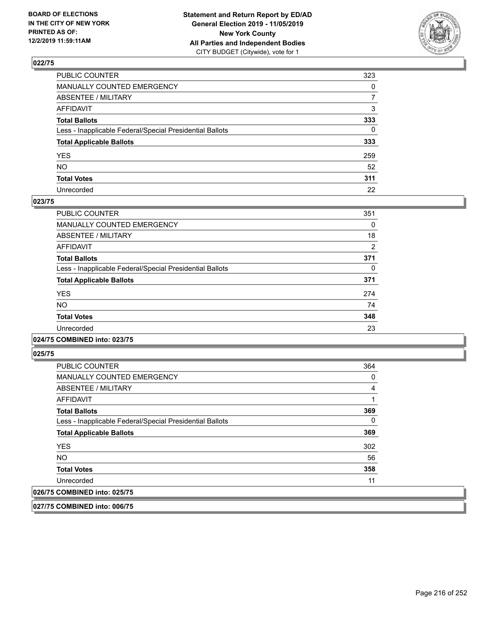

| PUBLIC COUNTER                                           | 323          |
|----------------------------------------------------------|--------------|
| MANUALLY COUNTED EMERGENCY                               | $\mathbf{0}$ |
| ABSENTEE / MILITARY                                      | 7            |
| AFFIDAVIT                                                | 3            |
| Total Ballots                                            | 333          |
| Less - Inapplicable Federal/Special Presidential Ballots | $\Omega$     |
| <b>Total Applicable Ballots</b>                          | 333          |
| YES                                                      | 259          |
| NO.                                                      | 52           |
| <b>Total Votes</b>                                       | 311          |
| Unrecorded                                               | 22           |

### **023/75**

| <b>PUBLIC COUNTER</b>                                    | 351      |
|----------------------------------------------------------|----------|
| MANUALLY COUNTED EMERGENCY                               | $\Omega$ |
| ABSENTEE / MILITARY                                      | 18       |
| AFFIDAVIT                                                | 2        |
| <b>Total Ballots</b>                                     | 371      |
| Less - Inapplicable Federal/Special Presidential Ballots | 0        |
| <b>Total Applicable Ballots</b>                          | 371      |
| <b>YES</b>                                               | 274      |
| NO.                                                      | 74       |
| <b>Total Votes</b>                                       | 348      |
| Unrecorded                                               | 23       |
|                                                          |          |

#### **024/75 COMBINED into: 023/75**

**025/75** 

| <b>PUBLIC COUNTER</b>                                    | 364 |
|----------------------------------------------------------|-----|
| <b>MANUALLY COUNTED EMERGENCY</b>                        | 0   |
| ABSENTEE / MILITARY                                      | 4   |
| AFFIDAVIT                                                |     |
| <b>Total Ballots</b>                                     | 369 |
| Less - Inapplicable Federal/Special Presidential Ballots | 0   |
| <b>Total Applicable Ballots</b>                          | 369 |
| <b>YES</b>                                               | 302 |
| <b>NO</b>                                                | 56  |
| <b>Total Votes</b>                                       | 358 |
| Unrecorded                                               | 11  |
| 026/75 COMBINED into: 025/75                             |     |

**027/75 COMBINED into: 006/75**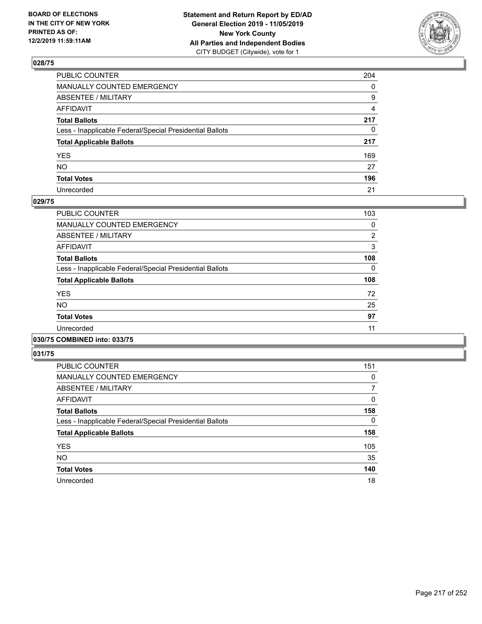

| PUBLIC COUNTER                                           | 204          |
|----------------------------------------------------------|--------------|
| MANUALLY COUNTED EMERGENCY                               | $\mathbf{0}$ |
| ABSENTEE / MILITARY                                      | 9            |
| AFFIDAVIT                                                | 4            |
| Total Ballots                                            | 217          |
| Less - Inapplicable Federal/Special Presidential Ballots | $\mathbf{0}$ |
| <b>Total Applicable Ballots</b>                          | 217          |
| YES                                                      | 169          |
| NO.                                                      | 27           |
| <b>Total Votes</b>                                       | 196          |
| Unrecorded                                               | 21           |

### **029/75**

| <b>PUBLIC COUNTER</b>                                    | 103            |
|----------------------------------------------------------|----------------|
| MANUALLY COUNTED EMERGENCY                               | 0              |
| ABSENTEE / MILITARY                                      | $\overline{2}$ |
| AFFIDAVIT                                                | 3              |
| <b>Total Ballots</b>                                     | 108            |
| Less - Inapplicable Federal/Special Presidential Ballots | $\Omega$       |
| <b>Total Applicable Ballots</b>                          | 108            |
| <b>YES</b>                                               | 72             |
| <b>NO</b>                                                | 25             |
| <b>Total Votes</b>                                       | 97             |
| Unrecorded                                               | 11             |
|                                                          |                |

#### **030/75 COMBINED into: 033/75**

| PUBLIC COUNTER                                           | 151      |
|----------------------------------------------------------|----------|
| <b>MANUALLY COUNTED EMERGENCY</b>                        | 0        |
| ABSENTEE / MILITARY                                      | 7        |
| AFFIDAVIT                                                | 0        |
| <b>Total Ballots</b>                                     | 158      |
| Less - Inapplicable Federal/Special Presidential Ballots | $\Omega$ |
| <b>Total Applicable Ballots</b>                          | 158      |
| <b>YES</b>                                               | 105      |
| <b>NO</b>                                                | 35       |
| <b>Total Votes</b>                                       | 140      |
| Unrecorded                                               | 18       |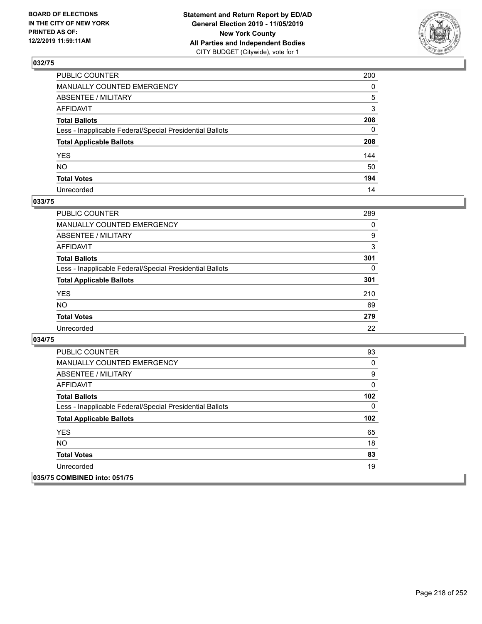

| PUBLIC COUNTER                                           | 200          |
|----------------------------------------------------------|--------------|
| MANUALLY COUNTED EMERGENCY                               | $\mathbf{0}$ |
| ABSENTEE / MILITARY                                      | 5            |
| AFFIDAVIT                                                | 3            |
| Total Ballots                                            | 208          |
| Less - Inapplicable Federal/Special Presidential Ballots | $\Omega$     |
| <b>Total Applicable Ballots</b>                          | 208          |
| YES                                                      | 144          |
| NO.                                                      | 50           |
| <b>Total Votes</b>                                       | 194          |
| Unrecorded                                               | 14           |

### **033/75**

| <b>PUBLIC COUNTER</b>                                    | 289 |
|----------------------------------------------------------|-----|
| <b>MANUALLY COUNTED EMERGENCY</b>                        | 0   |
| ABSENTEE / MILITARY                                      | 9   |
| AFFIDAVIT                                                | 3   |
| <b>Total Ballots</b>                                     | 301 |
| Less - Inapplicable Federal/Special Presidential Ballots | 0   |
| <b>Total Applicable Ballots</b>                          | 301 |
| <b>YES</b>                                               | 210 |
| <b>NO</b>                                                | 69  |
| <b>Total Votes</b>                                       | 279 |
| Unrecorded                                               | 22  |

| <b>PUBLIC COUNTER</b>                                    | 93  |
|----------------------------------------------------------|-----|
| <b>MANUALLY COUNTED EMERGENCY</b>                        | 0   |
| ABSENTEE / MILITARY                                      | 9   |
| AFFIDAVIT                                                | 0   |
| <b>Total Ballots</b>                                     | 102 |
| Less - Inapplicable Federal/Special Presidential Ballots | 0   |
| <b>Total Applicable Ballots</b>                          | 102 |
| <b>YES</b>                                               | 65  |
| <b>NO</b>                                                | 18  |
| <b>Total Votes</b>                                       | 83  |
| Unrecorded                                               | 19  |
| 035/75 COMBINED into: 051/75                             |     |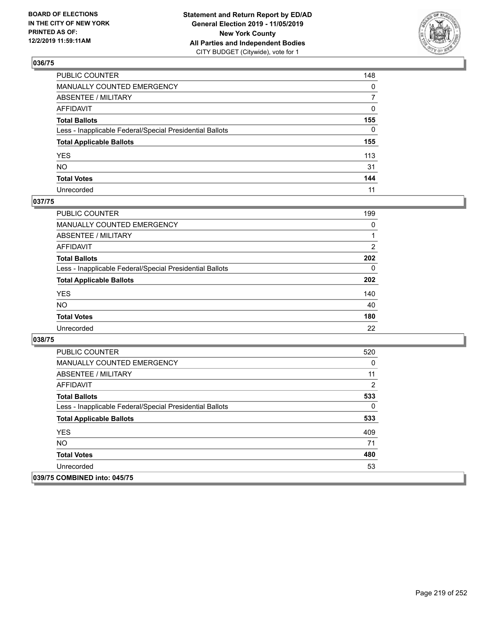

| PUBLIC COUNTER                                           | 148            |
|----------------------------------------------------------|----------------|
| MANUALLY COUNTED EMERGENCY                               | $\mathbf{0}$   |
| ABSENTEE / MILITARY                                      | $\overline{7}$ |
| AFFIDAVIT                                                | $\mathbf{0}$   |
| Total Ballots                                            | 155            |
| Less - Inapplicable Federal/Special Presidential Ballots | $\Omega$       |
| <b>Total Applicable Ballots</b>                          | 155            |
| YES                                                      | 113            |
| NΟ                                                       | 31             |
| <b>Total Votes</b>                                       | 144            |
| Unrecorded                                               | 11             |

### **037/75**

| <b>PUBLIC COUNTER</b>                                    | 199            |
|----------------------------------------------------------|----------------|
| <b>MANUALLY COUNTED EMERGENCY</b>                        | 0              |
| ABSENTEE / MILITARY                                      |                |
| AFFIDAVIT                                                | $\overline{2}$ |
| <b>Total Ballots</b>                                     | 202            |
| Less - Inapplicable Federal/Special Presidential Ballots | 0              |
| <b>Total Applicable Ballots</b>                          | 202            |
| <b>YES</b>                                               | 140            |
| <b>NO</b>                                                | 40             |
| <b>Total Votes</b>                                       | 180            |
| Unrecorded                                               | 22             |

| <b>PUBLIC COUNTER</b>                                    | 520      |
|----------------------------------------------------------|----------|
| <b>MANUALLY COUNTED EMERGENCY</b>                        | 0        |
| ABSENTEE / MILITARY                                      | 11       |
| AFFIDAVIT                                                | 2        |
| <b>Total Ballots</b>                                     | 533      |
| Less - Inapplicable Federal/Special Presidential Ballots | $\Omega$ |
| <b>Total Applicable Ballots</b>                          | 533      |
| <b>YES</b>                                               | 409      |
| NO.                                                      | 71       |
| <b>Total Votes</b>                                       | 480      |
| Unrecorded                                               | 53       |
| 039/75 COMBINED into: 045/75                             |          |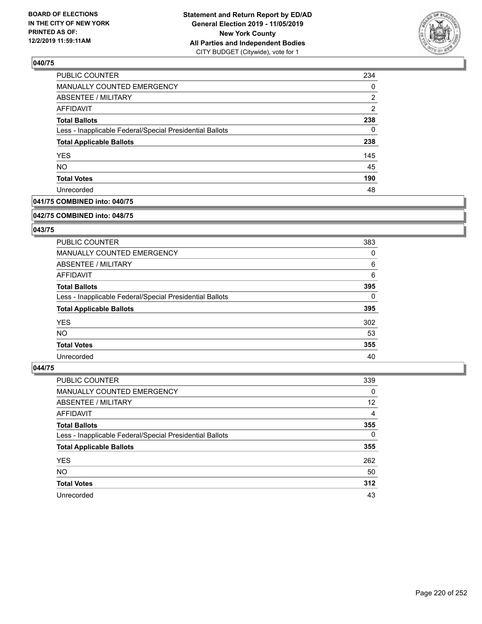

| 234 |
|-----|
| 0   |
| 2   |
| 2   |
| 238 |
| 0   |
| 238 |
| 145 |
| 45  |
| 190 |
| 48  |
|     |

## **041/75 COMBINED into: 040/75**

#### **042/75 COMBINED into: 048/75**

## **043/75**

| PUBLIC COUNTER                                           | 383 |
|----------------------------------------------------------|-----|
| <b>MANUALLY COUNTED EMERGENCY</b>                        | 0   |
| ABSENTEE / MILITARY                                      | 6   |
| AFFIDAVIT                                                | 6   |
| <b>Total Ballots</b>                                     | 395 |
| Less - Inapplicable Federal/Special Presidential Ballots | 0   |
| <b>Total Applicable Ballots</b>                          | 395 |
| <b>YES</b>                                               | 302 |
| NO.                                                      | 53  |
| <b>Total Votes</b>                                       | 355 |
| Unrecorded                                               | 40  |

| <b>PUBLIC COUNTER</b>                                    | 339      |
|----------------------------------------------------------|----------|
| MANUALLY COUNTED EMERGENCY                               | 0        |
| ABSENTEE / MILITARY                                      | 12       |
| AFFIDAVIT                                                | 4        |
| <b>Total Ballots</b>                                     | 355      |
| Less - Inapplicable Federal/Special Presidential Ballots | $\Omega$ |
| <b>Total Applicable Ballots</b>                          | 355      |
| <b>YES</b>                                               | 262      |
| <b>NO</b>                                                | 50       |
| <b>Total Votes</b>                                       | 312      |
| Unrecorded                                               | 43       |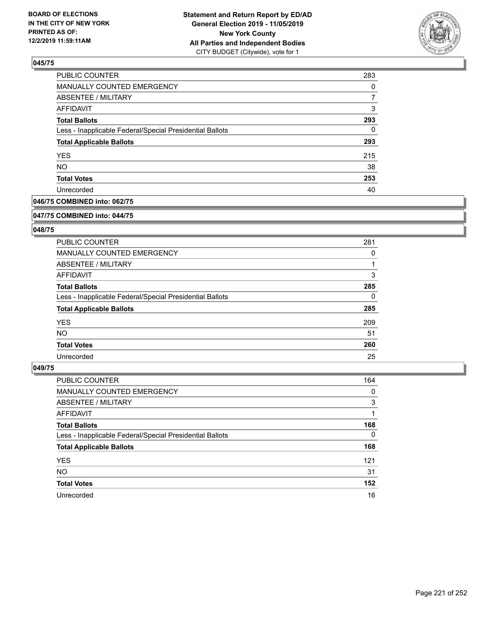

| PUBLIC COUNTER                                           | 283 |
|----------------------------------------------------------|-----|
| MANUALLY COUNTED EMERGENCY                               | 0   |
| <b>ABSENTEE / MILITARY</b>                               |     |
| <b>AFFIDAVIT</b>                                         | 3   |
| <b>Total Ballots</b>                                     | 293 |
| Less - Inapplicable Federal/Special Presidential Ballots | 0   |
| <b>Total Applicable Ballots</b>                          | 293 |
| <b>YES</b>                                               | 215 |
| <b>NO</b>                                                | 38  |
| <b>Total Votes</b>                                       | 253 |
| Unrecorded                                               | 40  |

## **046/75 COMBINED into: 062/75**

#### **047/75 COMBINED into: 044/75**

## **048/75**

| <b>PUBLIC COUNTER</b>                                    | 281 |
|----------------------------------------------------------|-----|
| <b>MANUALLY COUNTED EMERGENCY</b>                        | 0   |
| ABSENTEE / MILITARY                                      |     |
| AFFIDAVIT                                                | 3   |
| <b>Total Ballots</b>                                     | 285 |
| Less - Inapplicable Federal/Special Presidential Ballots | 0   |
| <b>Total Applicable Ballots</b>                          | 285 |
| <b>YES</b>                                               | 209 |
| NO.                                                      | 51  |
| <b>Total Votes</b>                                       | 260 |
| Unrecorded                                               | 25  |

| <b>PUBLIC COUNTER</b>                                    | 164      |
|----------------------------------------------------------|----------|
| <b>MANUALLY COUNTED EMERGENCY</b>                        | 0        |
| ABSENTEE / MILITARY                                      | 3        |
| AFFIDAVIT                                                |          |
| <b>Total Ballots</b>                                     | 168      |
| Less - Inapplicable Federal/Special Presidential Ballots | $\Omega$ |
| <b>Total Applicable Ballots</b>                          | 168      |
| <b>YES</b>                                               | 121      |
| <b>NO</b>                                                | 31       |
| <b>Total Votes</b>                                       | 152      |
| Unrecorded                                               | 16       |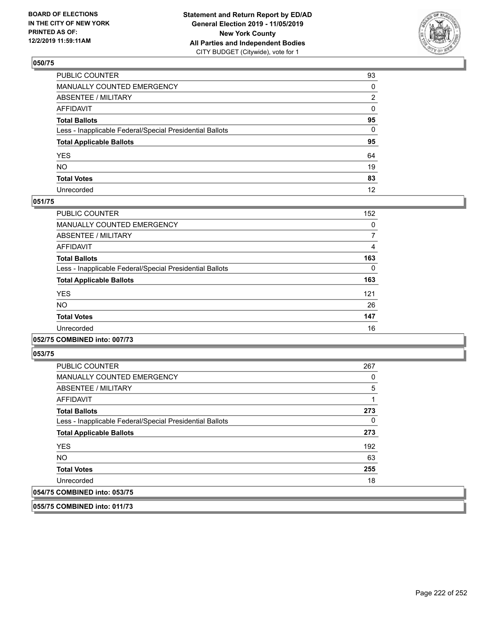

| PUBLIC COUNTER                                           | 93 |
|----------------------------------------------------------|----|
| MANUALLY COUNTED EMERGENCY                               | 0  |
| ABSENTEE / MILITARY                                      | 2  |
| AFFIDAVIT                                                | 0  |
| Total Ballots                                            | 95 |
| Less - Inapplicable Federal/Special Presidential Ballots | 0  |
| <b>Total Applicable Ballots</b>                          | 95 |
| YES                                                      | 64 |
| NO.                                                      | 19 |
| <b>Total Votes</b>                                       | 83 |
| Unrecorded                                               | 12 |

### **051/75**

| PUBLIC COUNTER                                           | 152      |
|----------------------------------------------------------|----------|
| <b>MANUALLY COUNTED EMERGENCY</b>                        | 0        |
| ABSENTEE / MILITARY                                      | 7        |
| <b>AFFIDAVIT</b>                                         | 4        |
| <b>Total Ballots</b>                                     | 163      |
| Less - Inapplicable Federal/Special Presidential Ballots | $\Omega$ |
| <b>Total Applicable Ballots</b>                          | 163      |
| <b>YES</b>                                               | 121      |
| <b>NO</b>                                                | 26       |
| <b>Total Votes</b>                                       | 147      |
| Unrecorded                                               | 16       |
|                                                          |          |

#### **052/75 COMBINED into: 007/73**

**053/75** 

| <b>PUBLIC COUNTER</b>                                    | 267 |
|----------------------------------------------------------|-----|
| MANUALLY COUNTED EMERGENCY                               | 0   |
| ABSENTEE / MILITARY                                      | 5   |
| AFFIDAVIT                                                |     |
| <b>Total Ballots</b>                                     | 273 |
| Less - Inapplicable Federal/Special Presidential Ballots | 0   |
| <b>Total Applicable Ballots</b>                          | 273 |
| <b>YES</b>                                               | 192 |
| <b>NO</b>                                                | 63  |
| <b>Total Votes</b>                                       | 255 |
| Unrecorded                                               | 18  |
| 054/75 COMBINED into: 053/75                             |     |

**055/75 COMBINED into: 011/73**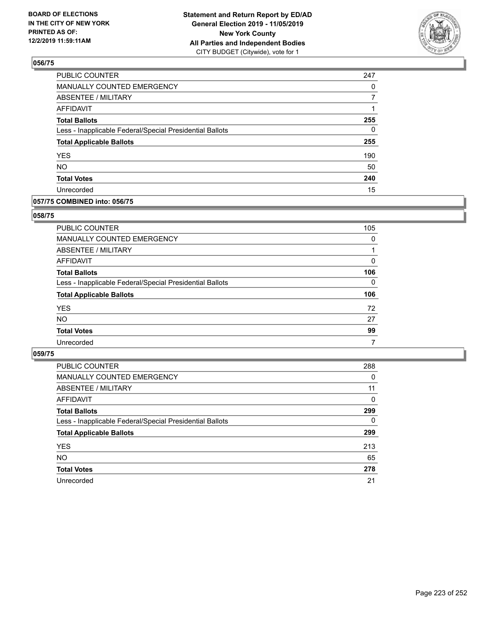

| PUBLIC COUNTER                                           | 247 |
|----------------------------------------------------------|-----|
| MANUALLY COUNTED EMERGENCY                               | 0   |
| <b>ABSENTEE / MILITARY</b>                               |     |
| <b>AFFIDAVIT</b>                                         |     |
| <b>Total Ballots</b>                                     | 255 |
| Less - Inapplicable Federal/Special Presidential Ballots | 0   |
| <b>Total Applicable Ballots</b>                          | 255 |
| <b>YES</b>                                               | 190 |
| <b>NO</b>                                                | 50  |
| <b>Total Votes</b>                                       | 240 |
| Unrecorded                                               | 15  |

### **057/75 COMBINED into: 056/75**

### **058/75**

| PUBLIC COUNTER                                           | 105          |
|----------------------------------------------------------|--------------|
| MANUALLY COUNTED EMERGENCY                               | 0            |
| ABSENTEE / MILITARY                                      |              |
| AFFIDAVIT                                                | $\Omega$     |
| <b>Total Ballots</b>                                     | 106          |
| Less - Inapplicable Federal/Special Presidential Ballots | $\mathbf{0}$ |
| <b>Total Applicable Ballots</b>                          | 106          |
| <b>YES</b>                                               | 72           |
| <b>NO</b>                                                | 27           |
| <b>Total Votes</b>                                       | 99           |
| Unrecorded                                               | 7            |

| <b>PUBLIC COUNTER</b>                                    | 288      |
|----------------------------------------------------------|----------|
| MANUALLY COUNTED EMERGENCY                               | 0        |
| ABSENTEE / MILITARY                                      | 11       |
| AFFIDAVIT                                                | $\Omega$ |
| <b>Total Ballots</b>                                     | 299      |
| Less - Inapplicable Federal/Special Presidential Ballots | $\Omega$ |
| <b>Total Applicable Ballots</b>                          | 299      |
| <b>YES</b>                                               | 213      |
| <b>NO</b>                                                | 65       |
| <b>Total Votes</b>                                       | 278      |
| Unrecorded                                               | 21       |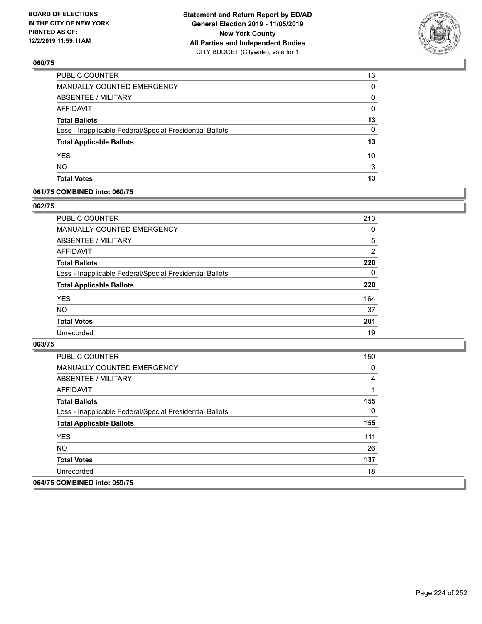

| PUBLIC COUNTER                                           | 13       |
|----------------------------------------------------------|----------|
| <b>MANUALLY COUNTED EMERGENCY</b>                        | 0        |
| ABSENTEE / MILITARY                                      | 0        |
| <b>AFFIDAVIT</b>                                         | 0        |
| <b>Total Ballots</b>                                     | 13       |
| Less - Inapplicable Federal/Special Presidential Ballots | $\Omega$ |
| <b>Total Applicable Ballots</b>                          | 13       |
| <b>YES</b>                                               | 10       |
| <b>NO</b>                                                | 3        |
| <b>Total Votes</b>                                       | 13       |

### **061/75 COMBINED into: 060/75**

## **062/75**

| PUBLIC COUNTER                                           | 213            |
|----------------------------------------------------------|----------------|
| <b>MANUALLY COUNTED EMERGENCY</b>                        | 0              |
| ABSENTEE / MILITARY                                      | 5              |
| AFFIDAVIT                                                | $\overline{2}$ |
| <b>Total Ballots</b>                                     | 220            |
| Less - Inapplicable Federal/Special Presidential Ballots | 0              |
| <b>Total Applicable Ballots</b>                          | 220            |
| <b>YES</b>                                               | 164            |
| <b>NO</b>                                                | 37             |
| <b>Total Votes</b>                                       | 201            |
| Unrecorded                                               | 19             |
|                                                          |                |

| <b>PUBLIC COUNTER</b>                                    | 150          |
|----------------------------------------------------------|--------------|
| <b>MANUALLY COUNTED EMERGENCY</b>                        | 0            |
| ABSENTEE / MILITARY                                      | 4            |
| AFFIDAVIT                                                |              |
| <b>Total Ballots</b>                                     | 155          |
| Less - Inapplicable Federal/Special Presidential Ballots | $\mathbf{0}$ |
| <b>Total Applicable Ballots</b>                          | 155          |
| <b>YES</b>                                               | 111          |
| NO.                                                      | 26           |
| <b>Total Votes</b>                                       | 137          |
| Unrecorded                                               | 18           |
| 064/75 COMBINED into: 059/75                             |              |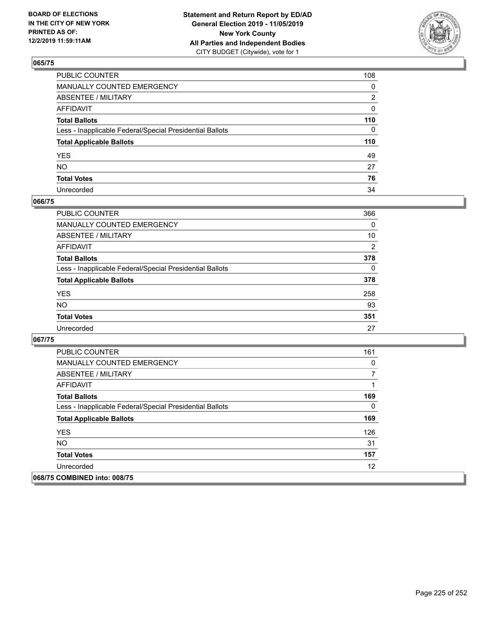

| PUBLIC COUNTER                                           | 108 |
|----------------------------------------------------------|-----|
| MANUALLY COUNTED EMERGENCY                               | 0   |
| ABSENTEE / MILITARY                                      | 2   |
| AFFIDAVIT                                                | 0   |
| Total Ballots                                            | 110 |
| Less - Inapplicable Federal/Special Presidential Ballots | 0   |
| <b>Total Applicable Ballots</b>                          | 110 |
| YES                                                      | 49  |
| NO.                                                      | 27  |
| <b>Total Votes</b>                                       | 76  |
| Unrecorded                                               | 34  |

### **066/75**

| <b>PUBLIC COUNTER</b>                                    | 366            |
|----------------------------------------------------------|----------------|
| <b>MANUALLY COUNTED EMERGENCY</b>                        | $\Omega$       |
| ABSENTEE / MILITARY                                      | 10             |
| AFFIDAVIT                                                | $\overline{2}$ |
| <b>Total Ballots</b>                                     | 378            |
| Less - Inapplicable Federal/Special Presidential Ballots | $\Omega$       |
| <b>Total Applicable Ballots</b>                          | 378            |
| <b>YES</b>                                               | 258            |
| <b>NO</b>                                                | 93             |
| <b>Total Votes</b>                                       | 351            |
| Unrecorded                                               | 27             |

| <b>PUBLIC COUNTER</b>                                    | 161 |
|----------------------------------------------------------|-----|
| <b>MANUALLY COUNTED EMERGENCY</b>                        | 0   |
| ABSENTEE / MILITARY                                      |     |
| AFFIDAVIT                                                |     |
| <b>Total Ballots</b>                                     | 169 |
| Less - Inapplicable Federal/Special Presidential Ballots | 0   |
| <b>Total Applicable Ballots</b>                          | 169 |
| <b>YES</b>                                               | 126 |
| <b>NO</b>                                                | 31  |
| <b>Total Votes</b>                                       | 157 |
| Unrecorded                                               | 12  |
| 068/75 COMBINED into: 008/75                             |     |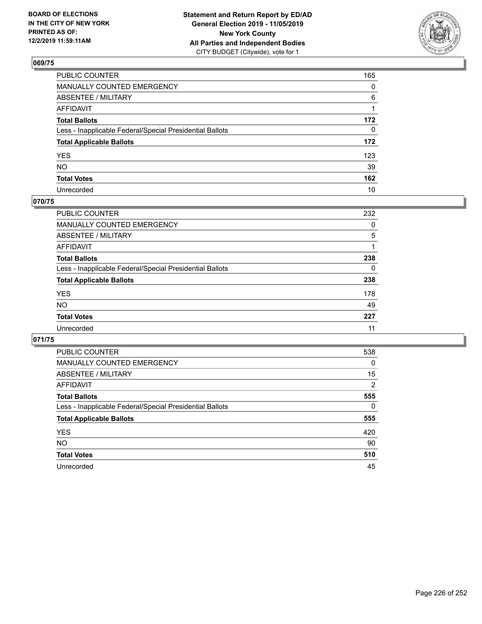

| PUBLIC COUNTER                                           | 165          |
|----------------------------------------------------------|--------------|
| MANUALLY COUNTED EMERGENCY                               | $\mathbf{0}$ |
| ABSENTEE / MILITARY                                      | 6            |
| AFFIDAVIT                                                |              |
| Total Ballots                                            | 172          |
| Less - Inapplicable Federal/Special Presidential Ballots | $\mathbf{0}$ |
| <b>Total Applicable Ballots</b>                          | 172          |
| YES                                                      | 123          |
| NO.                                                      | 39           |
| <b>Total Votes</b>                                       | 162          |
| Unrecorded                                               | 10           |

## **070/75**

| <b>PUBLIC COUNTER</b>                                    | 232      |
|----------------------------------------------------------|----------|
| <b>MANUALLY COUNTED EMERGENCY</b>                        | 0        |
| ABSENTEE / MILITARY                                      | 5        |
| AFFIDAVIT                                                |          |
| <b>Total Ballots</b>                                     | 238      |
| Less - Inapplicable Federal/Special Presidential Ballots | $\Omega$ |
| <b>Total Applicable Ballots</b>                          | 238      |
| <b>YES</b>                                               | 178      |
| <b>NO</b>                                                | 49       |
| <b>Total Votes</b>                                       | 227      |
| Unrecorded                                               | 11       |

| <b>PUBLIC COUNTER</b>                                    | 538            |
|----------------------------------------------------------|----------------|
| <b>MANUALLY COUNTED EMERGENCY</b>                        | $\Omega$       |
| ABSENTEE / MILITARY                                      | 15             |
| AFFIDAVIT                                                | $\overline{2}$ |
| <b>Total Ballots</b>                                     | 555            |
| Less - Inapplicable Federal/Special Presidential Ballots | 0              |
| <b>Total Applicable Ballots</b>                          | 555            |
| <b>YES</b>                                               | 420            |
| NO.                                                      | 90             |
| <b>Total Votes</b>                                       | 510            |
| Unrecorded                                               | 45             |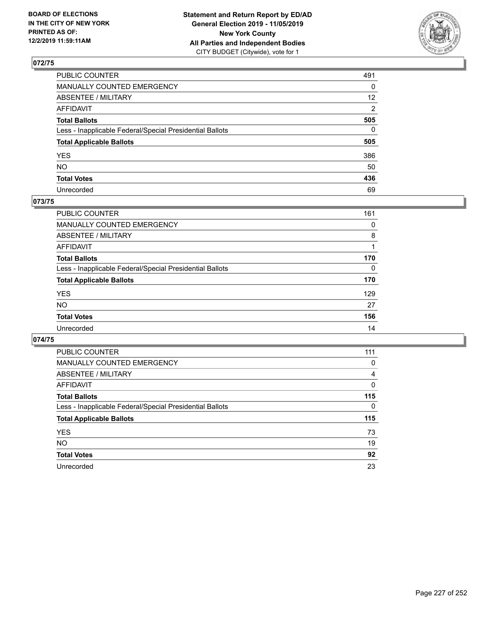

| PUBLIC COUNTER                                           | 491             |
|----------------------------------------------------------|-----------------|
| MANUALLY COUNTED EMERGENCY                               | $\mathbf{0}$    |
| ABSENTEE / MILITARY                                      | 12 <sup>2</sup> |
| AFFIDAVIT                                                | 2               |
| Total Ballots                                            | 505             |
| Less - Inapplicable Federal/Special Presidential Ballots | $\Omega$        |
| <b>Total Applicable Ballots</b>                          | 505             |
| YES                                                      | 386             |
| NO.                                                      | 50              |
| <b>Total Votes</b>                                       | 436             |
| Unrecorded                                               | 69              |

### **073/75**

| PUBLIC COUNTER                                           | 161      |
|----------------------------------------------------------|----------|
| MANUALLY COUNTED EMERGENCY                               | 0        |
| ABSENTEE / MILITARY                                      | 8        |
| AFFIDAVIT                                                |          |
| <b>Total Ballots</b>                                     | 170      |
| Less - Inapplicable Federal/Special Presidential Ballots | $\Omega$ |
| <b>Total Applicable Ballots</b>                          | 170      |
| <b>YES</b>                                               | 129      |
| <b>NO</b>                                                | 27       |
| <b>Total Votes</b>                                       | 156      |
| Unrecorded                                               | 14       |

|                                                          | 111      |
|----------------------------------------------------------|----------|
| PUBLIC COUNTER                                           |          |
| <b>MANUALLY COUNTED EMERGENCY</b>                        | 0        |
| ABSENTEE / MILITARY                                      | 4        |
| AFFIDAVIT                                                | 0        |
| <b>Total Ballots</b>                                     | 115      |
| Less - Inapplicable Federal/Special Presidential Ballots | $\Omega$ |
| <b>Total Applicable Ballots</b>                          | 115      |
| <b>YES</b>                                               | 73       |
| <b>NO</b>                                                | 19       |
| <b>Total Votes</b>                                       | 92       |
| Unrecorded                                               | 23       |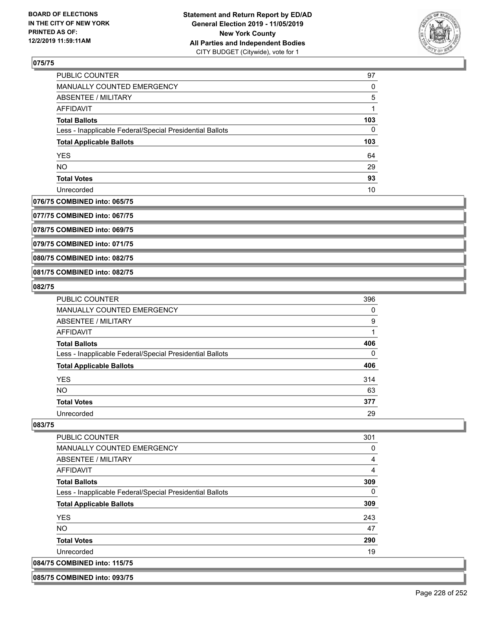

| <b>PUBLIC COUNTER</b>                                    | 97  |
|----------------------------------------------------------|-----|
| MANUALLY COUNTED EMERGENCY                               | 0   |
| ABSENTEE / MILITARY                                      | 5   |
| AFFIDAVIT                                                |     |
| <b>Total Ballots</b>                                     | 103 |
| Less - Inapplicable Federal/Special Presidential Ballots | 0   |
| <b>Total Applicable Ballots</b>                          | 103 |
| <b>YES</b>                                               | 64  |
| <b>NO</b>                                                | 29  |
| <b>Total Votes</b>                                       | 93  |
| Unrecorded                                               | 10  |

#### **076/75 COMBINED into: 065/75**

**077/75 COMBINED into: 067/75**

**078/75 COMBINED into: 069/75**

**079/75 COMBINED into: 071/75**

**080/75 COMBINED into: 082/75**

#### **081/75 COMBINED into: 082/75**

#### **082/75**

| <b>PUBLIC COUNTER</b>                                    | 396 |
|----------------------------------------------------------|-----|
| MANUALLY COUNTED EMERGENCY                               | 0   |
| ABSENTEE / MILITARY                                      | 9   |
| AFFIDAVIT                                                |     |
| <b>Total Ballots</b>                                     | 406 |
| Less - Inapplicable Federal/Special Presidential Ballots | 0   |
| <b>Total Applicable Ballots</b>                          | 406 |
| <b>YES</b>                                               | 314 |
| <b>NO</b>                                                | 63  |
| <b>Total Votes</b>                                       | 377 |
| Unrecorded                                               | 29  |

#### **083/75**

| <b>PUBLIC COUNTER</b>                                    | 301 |
|----------------------------------------------------------|-----|
| <b>MANUALLY COUNTED EMERGENCY</b>                        | 0   |
| ABSENTEE / MILITARY                                      | 4   |
| AFFIDAVIT                                                | 4   |
| <b>Total Ballots</b>                                     | 309 |
| Less - Inapplicable Federal/Special Presidential Ballots | 0   |
| <b>Total Applicable Ballots</b>                          | 309 |
| <b>YES</b>                                               | 243 |
| NO.                                                      | 47  |
| <b>Total Votes</b>                                       | 290 |
| Unrecorded                                               | 19  |
| 084/75 COMBINED into: 115/75                             |     |

**085/75 COMBINED into: 093/75**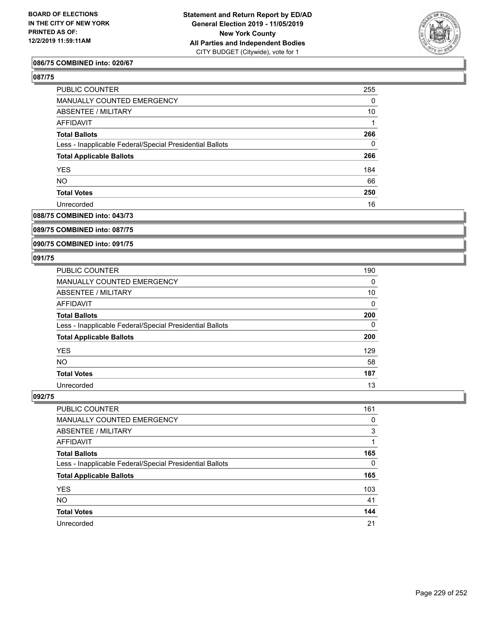

### **086/75 COMBINED into: 020/67**

### **087/75**

| PUBLIC COUNTER                                           | 255      |
|----------------------------------------------------------|----------|
| <b>MANUALLY COUNTED EMERGENCY</b>                        | 0        |
| <b>ABSENTEE / MILITARY</b>                               | 10       |
| AFFIDAVIT                                                |          |
| <b>Total Ballots</b>                                     | 266      |
| Less - Inapplicable Federal/Special Presidential Ballots | $\Omega$ |
| <b>Total Applicable Ballots</b>                          | 266      |
| <b>YES</b>                                               | 184      |
| <b>NO</b>                                                | 66       |
| <b>Total Votes</b>                                       | 250      |
| Unrecorded                                               | 16       |

# **088/75 COMBINED into: 043/73**

## **089/75 COMBINED into: 087/75**

#### **090/75 COMBINED into: 091/75**

#### **091/75**

| <b>PUBLIC COUNTER</b>                                    | 190 |
|----------------------------------------------------------|-----|
| MANUALLY COUNTED EMERGENCY                               | 0   |
| ABSENTEE / MILITARY                                      | 10  |
| AFFIDAVIT                                                | 0   |
| <b>Total Ballots</b>                                     | 200 |
| Less - Inapplicable Federal/Special Presidential Ballots | 0   |
| <b>Total Applicable Ballots</b>                          | 200 |
| <b>YES</b>                                               | 129 |
| <b>NO</b>                                                | 58  |
| <b>Total Votes</b>                                       | 187 |
| Unrecorded                                               | 13  |

| PUBLIC COUNTER                                           | 161      |
|----------------------------------------------------------|----------|
| MANUALLY COUNTED EMERGENCY                               | 0        |
| <b>ABSENTEE / MILITARY</b>                               | 3        |
| AFFIDAVIT                                                |          |
| <b>Total Ballots</b>                                     | 165      |
| Less - Inapplicable Federal/Special Presidential Ballots | $\Omega$ |
| <b>Total Applicable Ballots</b>                          | 165      |
| <b>YES</b>                                               | 103      |
| <b>NO</b>                                                | 41       |
| <b>Total Votes</b>                                       | 144      |
| Unrecorded                                               | 21       |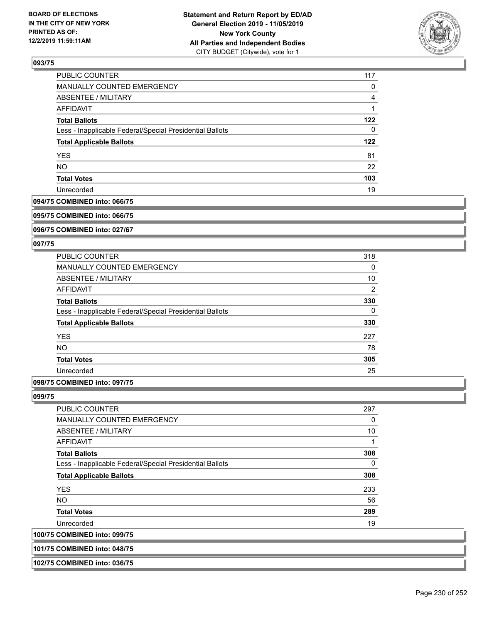

| PUBLIC COUNTER                                           | 117 |
|----------------------------------------------------------|-----|
| MANUALLY COUNTED EMERGENCY                               | 0   |
| <b>ABSENTEE / MILITARY</b>                               | 4   |
| <b>AFFIDAVIT</b>                                         |     |
| <b>Total Ballots</b>                                     | 122 |
| Less - Inapplicable Federal/Special Presidential Ballots | 0   |
| <b>Total Applicable Ballots</b>                          | 122 |
| <b>YES</b>                                               | 81  |
| <b>NO</b>                                                | 22  |
| <b>Total Votes</b>                                       | 103 |
| Unrecorded                                               | 19  |

#### **094/75 COMBINED into: 066/75**

#### **095/75 COMBINED into: 066/75**

**096/75 COMBINED into: 027/67**

#### **097/75**

| <b>PUBLIC COUNTER</b>                                    | 318            |
|----------------------------------------------------------|----------------|
| <b>MANUALLY COUNTED EMERGENCY</b>                        | 0              |
| ABSENTEE / MILITARY                                      | 10             |
| <b>AFFIDAVIT</b>                                         | $\overline{2}$ |
| <b>Total Ballots</b>                                     | 330            |
| Less - Inapplicable Federal/Special Presidential Ballots | 0              |
| <b>Total Applicable Ballots</b>                          | 330            |
| <b>YES</b>                                               | 227            |
| <b>NO</b>                                                | 78             |
| <b>Total Votes</b>                                       | 305            |
| Unrecorded                                               | 25             |
|                                                          |                |

# **098/75 COMBINED into: 097/75**

#### **099/75**

**100/75 COMBINED into: 099/75**

| <b>PUBLIC COUNTER</b>                                    | 297 |
|----------------------------------------------------------|-----|
| <b>MANUALLY COUNTED EMERGENCY</b>                        | 0   |
| ABSENTEE / MILITARY                                      | 10  |
| AFFIDAVIT                                                | 1   |
| <b>Total Ballots</b>                                     | 308 |
| Less - Inapplicable Federal/Special Presidential Ballots | 0   |
| <b>Total Applicable Ballots</b>                          | 308 |
| <b>YES</b>                                               | 233 |
| <b>NO</b>                                                | 56  |
| <b>Total Votes</b>                                       | 289 |
| Unrecorded                                               | 19  |
| <b>COMBINED into: 099/75</b>                             |     |

# **101/75 COMBINED into: 048/75**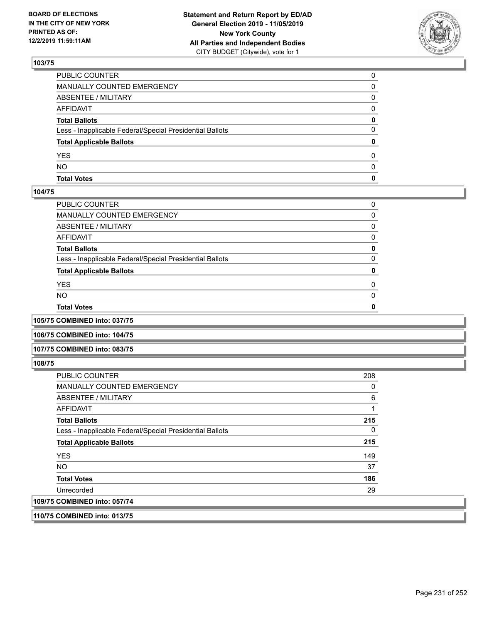

| <b>Total Votes</b>                                       | 0        |
|----------------------------------------------------------|----------|
| <b>NO</b>                                                | $\Omega$ |
| YES                                                      | 0        |
| <b>Total Applicable Ballots</b>                          | 0        |
| Less - Inapplicable Federal/Special Presidential Ballots | 0        |
| <b>Total Ballots</b>                                     | 0        |
| AFFIDAVIT                                                | 0        |
| <b>ABSENTEE / MILITARY</b>                               | 0        |
| <b>MANUALLY COUNTED EMERGENCY</b>                        | $\Omega$ |
| PUBLIC COUNTER                                           | $\Omega$ |

### **104/75**

| PUBLIC COUNTER                                           | 0 |
|----------------------------------------------------------|---|
| MANUALLY COUNTED EMERGENCY                               | 0 |
| ABSENTEE / MILITARY                                      | 0 |
| AFFIDAVIT                                                | 0 |
| <b>Total Ballots</b>                                     | 0 |
| Less - Inapplicable Federal/Special Presidential Ballots | 0 |
| <b>Total Applicable Ballots</b>                          | 0 |
| YES                                                      | 0 |
| NO.                                                      | O |
| <b>Total Votes</b>                                       |   |
|                                                          |   |

**105/75 COMBINED into: 037/75**

**106/75 COMBINED into: 104/75**

#### **107/75 COMBINED into: 083/75**

**108/75** 

| <b>PUBLIC COUNTER</b>                                    | 208 |
|----------------------------------------------------------|-----|
| MANUALLY COUNTED EMERGENCY                               | 0   |
| ABSENTEE / MILITARY                                      | 6   |
| AFFIDAVIT                                                |     |
| <b>Total Ballots</b>                                     | 215 |
| Less - Inapplicable Federal/Special Presidential Ballots |     |
| <b>Total Applicable Ballots</b>                          | 215 |
| <b>YES</b>                                               | 149 |
| <b>NO</b>                                                | 37  |
| <b>Total Votes</b>                                       | 186 |
| Unrecorded                                               | 29  |
| 109/75 COMBINED into: 057/74                             |     |

**110/75 COMBINED into: 013/75**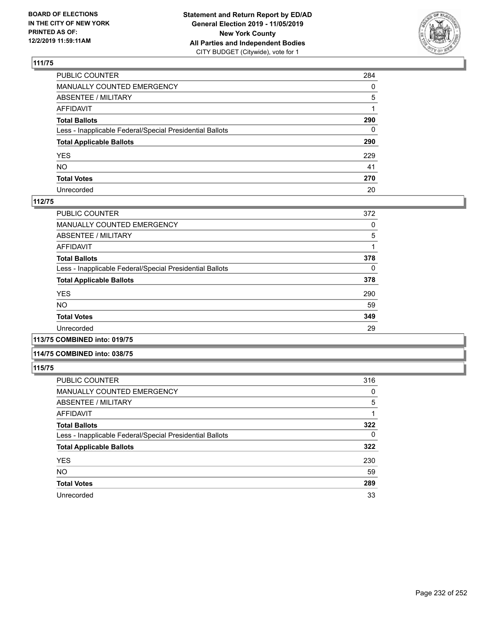

| PUBLIC COUNTER                                           | 284          |
|----------------------------------------------------------|--------------|
| MANUALLY COUNTED EMERGENCY                               | $\mathbf{0}$ |
| ABSENTEE / MILITARY                                      | 5            |
| AFFIDAVIT                                                |              |
| Total Ballots                                            | 290          |
| Less - Inapplicable Federal/Special Presidential Ballots | 0            |
| <b>Total Applicable Ballots</b>                          | 290          |
| YES                                                      | 229          |
| NO.                                                      | 41           |
| <b>Total Votes</b>                                       | 270          |
| Unrecorded                                               | 20           |

### **112/75**

| <b>PUBLIC COUNTER</b>                                    | 372 |
|----------------------------------------------------------|-----|
| MANUALLY COUNTED EMERGENCY                               | 0   |
| ABSENTEE / MILITARY                                      | 5   |
| AFFIDAVIT                                                |     |
| <b>Total Ballots</b>                                     | 378 |
| Less - Inapplicable Federal/Special Presidential Ballots | 0   |
| <b>Total Applicable Ballots</b>                          | 378 |
| <b>YES</b>                                               | 290 |
| <b>NO</b>                                                | 59  |
| <b>Total Votes</b>                                       | 349 |
| Unrecorded                                               | 29  |
|                                                          |     |

**113/75 COMBINED into: 019/75**

### **114/75 COMBINED into: 038/75**

| <b>PUBLIC COUNTER</b>                                    | 316 |
|----------------------------------------------------------|-----|
| <b>MANUALLY COUNTED EMERGENCY</b>                        | 0   |
| ABSENTEE / MILITARY                                      | 5   |
| <b>AFFIDAVIT</b>                                         |     |
| <b>Total Ballots</b>                                     | 322 |
| Less - Inapplicable Federal/Special Presidential Ballots | 0   |
| <b>Total Applicable Ballots</b>                          | 322 |
| <b>YES</b>                                               | 230 |
| <b>NO</b>                                                | 59  |
| <b>Total Votes</b>                                       | 289 |
| Unrecorded                                               | 33  |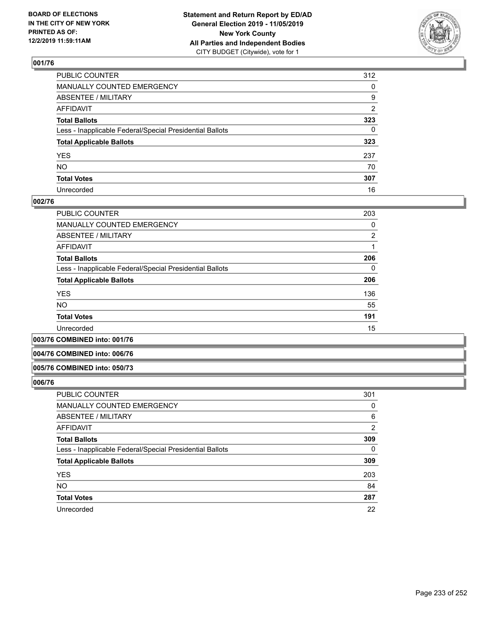

| PUBLIC COUNTER                                           | 312          |
|----------------------------------------------------------|--------------|
| MANUALLY COUNTED EMERGENCY                               | $\mathbf{0}$ |
| ABSENTEE / MILITARY                                      | 9            |
| AFFIDAVIT                                                | 2            |
| Total Ballots                                            | 323          |
| Less - Inapplicable Federal/Special Presidential Ballots | 0            |
| <b>Total Applicable Ballots</b>                          | 323          |
| YES                                                      | 237          |
| NO.                                                      | 70           |
| <b>Total Votes</b>                                       | 307          |
| Unrecorded                                               | 16           |

### **002/76**

| <b>PUBLIC COUNTER</b>                                    | 203            |
|----------------------------------------------------------|----------------|
| MANUALLY COUNTED EMERGENCY                               | 0              |
| ABSENTEE / MILITARY                                      | $\overline{2}$ |
| AFFIDAVIT                                                |                |
| <b>Total Ballots</b>                                     | 206            |
| Less - Inapplicable Federal/Special Presidential Ballots | 0              |
| <b>Total Applicable Ballots</b>                          | 206            |
| <b>YES</b>                                               | 136            |
| <b>NO</b>                                                | 55             |
| <b>Total Votes</b>                                       | 191            |
| Unrecorded                                               | 15             |
|                                                          |                |

**003/76 COMBINED into: 001/76**

#### **004/76 COMBINED into: 006/76**

#### **005/76 COMBINED into: 050/73**

| <b>PUBLIC COUNTER</b>                                    | 301      |
|----------------------------------------------------------|----------|
| MANUALLY COUNTED EMERGENCY                               | 0        |
| ABSENTEE / MILITARY                                      | 6        |
| AFFIDAVIT                                                | 2        |
| <b>Total Ballots</b>                                     | 309      |
| Less - Inapplicable Federal/Special Presidential Ballots | $\Omega$ |
| <b>Total Applicable Ballots</b>                          | 309      |
| <b>YES</b>                                               | 203      |
| <b>NO</b>                                                | 84       |
| <b>Total Votes</b>                                       | 287      |
| Unrecorded                                               | 22       |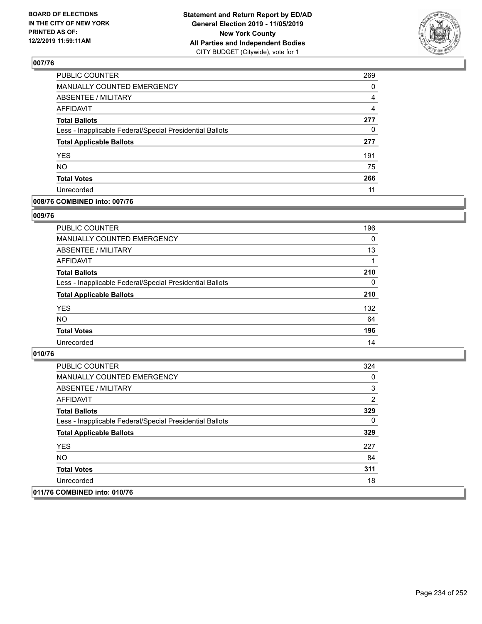

| PUBLIC COUNTER                                           | 269            |
|----------------------------------------------------------|----------------|
| MANUALLY COUNTED EMERGENCY                               | 0              |
| <b>ABSENTEE / MILITARY</b>                               | 4              |
| <b>AFFIDAVIT</b>                                         | $\overline{4}$ |
| <b>Total Ballots</b>                                     | 277            |
| Less - Inapplicable Federal/Special Presidential Ballots | 0              |
| <b>Total Applicable Ballots</b>                          | 277            |
| <b>YES</b>                                               | 191            |
| <b>NO</b>                                                | 75             |
| <b>Total Votes</b>                                       | 266            |
| Unrecorded                                               | 11             |

### **008/76 COMBINED into: 007/76**

### **009/76**

| PUBLIC COUNTER                                           | 196      |
|----------------------------------------------------------|----------|
| <b>MANUALLY COUNTED EMERGENCY</b>                        | 0        |
| ABSENTEE / MILITARY                                      | 13       |
| AFFIDAVIT                                                |          |
| <b>Total Ballots</b>                                     | 210      |
| Less - Inapplicable Federal/Special Presidential Ballots | $\Omega$ |
| <b>Total Applicable Ballots</b>                          | 210      |
| <b>YES</b>                                               | 132      |
| <b>NO</b>                                                | 64       |
| <b>Total Votes</b>                                       | 196      |
| Unrecorded                                               | 14       |

| <b>PUBLIC COUNTER</b>                                    | 324 |
|----------------------------------------------------------|-----|
| <b>MANUALLY COUNTED EMERGENCY</b>                        | 0   |
| ABSENTEE / MILITARY                                      | 3   |
| AFFIDAVIT                                                | 2   |
| <b>Total Ballots</b>                                     | 329 |
| Less - Inapplicable Federal/Special Presidential Ballots | 0   |
| <b>Total Applicable Ballots</b>                          | 329 |
| <b>YES</b>                                               | 227 |
| NO.                                                      | 84  |
| <b>Total Votes</b>                                       | 311 |
| Unrecorded                                               | 18  |
| 011/76 COMBINED into: 010/76                             |     |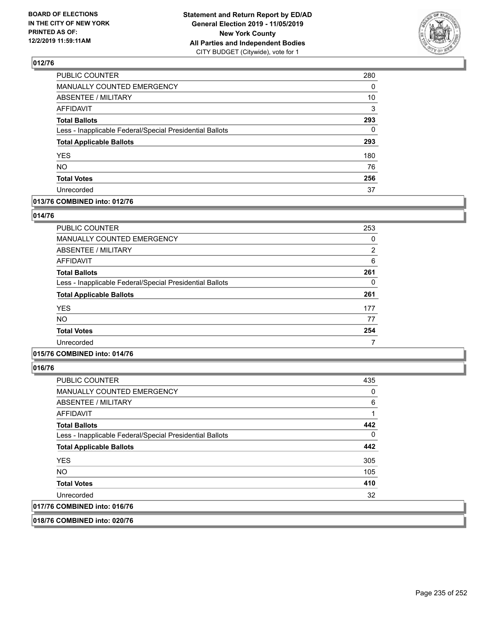

| PUBLIC COUNTER                                           | 280 |
|----------------------------------------------------------|-----|
| <b>MANUALLY COUNTED EMERGENCY</b>                        | 0   |
| <b>ABSENTEE / MILITARY</b>                               | 10  |
| <b>AFFIDAVIT</b>                                         | 3   |
| <b>Total Ballots</b>                                     | 293 |
| Less - Inapplicable Federal/Special Presidential Ballots | 0   |
| <b>Total Applicable Ballots</b>                          | 293 |
| <b>YES</b>                                               | 180 |
| <b>NO</b>                                                | 76  |
| <b>Total Votes</b>                                       | 256 |
| Unrecorded                                               | 37  |

### **013/76 COMBINED into: 012/76**

### **014/76**

| <b>PUBLIC COUNTER</b>                                    | 253 |
|----------------------------------------------------------|-----|
| MANUALLY COUNTED EMERGENCY                               | 0   |
| ABSENTEE / MILITARY                                      | 2   |
| AFFIDAVIT                                                | 6   |
| <b>Total Ballots</b>                                     | 261 |
| Less - Inapplicable Federal/Special Presidential Ballots | 0   |
| <b>Total Applicable Ballots</b>                          | 261 |
| <b>YES</b>                                               | 177 |
| <b>NO</b>                                                | 77  |
| <b>Total Votes</b>                                       | 254 |
| Unrecorded                                               | 7   |

## **015/76 COMBINED into: 014/76**

**016/76** 

| <b>PUBLIC COUNTER</b>                                    | 435      |
|----------------------------------------------------------|----------|
| <b>MANUALLY COUNTED EMERGENCY</b>                        | 0        |
| ABSENTEE / MILITARY                                      | 6        |
| AFFIDAVIT                                                |          |
| <b>Total Ballots</b>                                     | 442      |
| Less - Inapplicable Federal/Special Presidential Ballots | $\Omega$ |
| <b>Total Applicable Ballots</b>                          | 442      |
| <b>YES</b>                                               | 305      |
| NO.                                                      | 105      |
| <b>Total Votes</b>                                       | 410      |
| Unrecorded                                               | 32       |
| 017/76 COMBINED into: 016/76                             |          |

**018/76 COMBINED into: 020/76**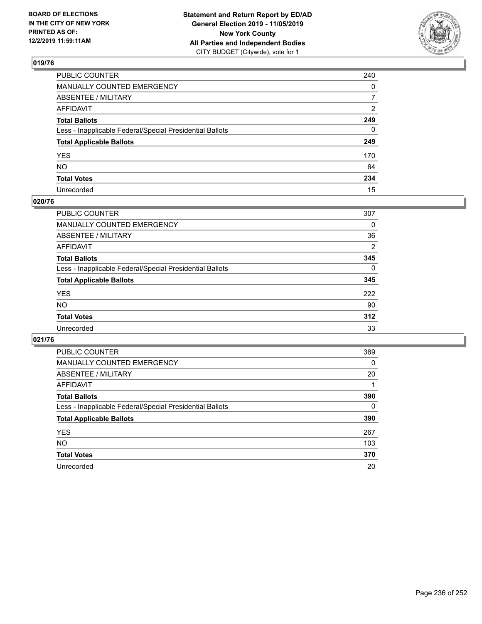

| PUBLIC COUNTER                                           | 240            |
|----------------------------------------------------------|----------------|
| MANUALLY COUNTED EMERGENCY                               | $\mathbf{0}$   |
| ABSENTEE / MILITARY                                      | $\overline{7}$ |
| AFFIDAVIT                                                | $\overline{2}$ |
| Total Ballots                                            | 249            |
| Less - Inapplicable Federal/Special Presidential Ballots | $\mathbf{0}$   |
| <b>Total Applicable Ballots</b>                          | 249            |
| YES                                                      | 170            |
| NO.                                                      | 64             |
| <b>Total Votes</b>                                       | 234            |
| Unrecorded                                               | 15             |

### **020/76**

| <b>PUBLIC COUNTER</b>                                    | 307            |
|----------------------------------------------------------|----------------|
| MANUALLY COUNTED EMERGENCY                               | 0              |
| ABSENTEE / MILITARY                                      | 36             |
| AFFIDAVIT                                                | $\overline{2}$ |
| <b>Total Ballots</b>                                     | 345            |
| Less - Inapplicable Federal/Special Presidential Ballots | $\Omega$       |
| <b>Total Applicable Ballots</b>                          | 345            |
| <b>YES</b>                                               | 222            |
| <b>NO</b>                                                | 90             |
| <b>Total Votes</b>                                       | 312            |
| Unrecorded                                               | 33             |

| PUBLIC COUNTER                                           | 369      |
|----------------------------------------------------------|----------|
| <b>MANUALLY COUNTED EMERGENCY</b>                        | $\Omega$ |
| ABSENTEE / MILITARY                                      | 20       |
| <b>AFFIDAVIT</b>                                         |          |
| <b>Total Ballots</b>                                     | 390      |
| Less - Inapplicable Federal/Special Presidential Ballots | $\Omega$ |
| <b>Total Applicable Ballots</b>                          | 390      |
| <b>YES</b>                                               | 267      |
| <b>NO</b>                                                | 103      |
| <b>Total Votes</b>                                       | 370      |
| Unrecorded                                               | 20       |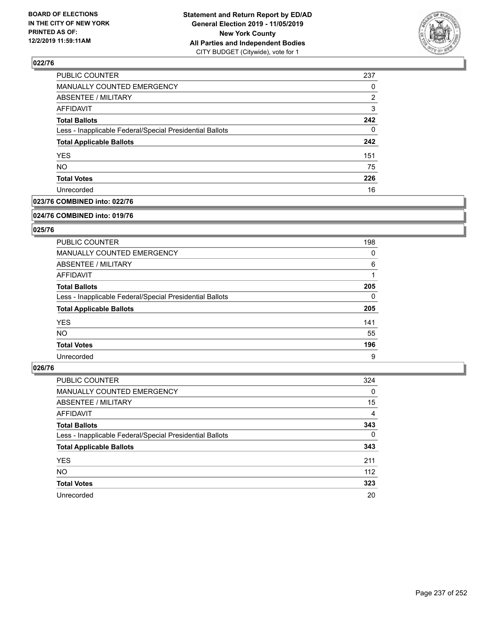

| 237 |
|-----|
| 0   |
| 2   |
| 3   |
| 242 |
| 0   |
| 242 |
| 151 |
| 75  |
| 226 |
| 16  |
|     |

## **023/76 COMBINED into: 022/76**

#### **024/76 COMBINED into: 019/76**

## **025/76**

| <b>PUBLIC COUNTER</b>                                    | 198      |
|----------------------------------------------------------|----------|
| <b>MANUALLY COUNTED EMERGENCY</b>                        | 0        |
| ABSENTEE / MILITARY                                      | 6        |
| AFFIDAVIT                                                |          |
| <b>Total Ballots</b>                                     | 205      |
| Less - Inapplicable Federal/Special Presidential Ballots | $\Omega$ |
| <b>Total Applicable Ballots</b>                          | 205      |
| <b>YES</b>                                               | 141      |
| NO.                                                      | 55       |
| <b>Total Votes</b>                                       | 196      |
| Unrecorded                                               | 9        |

| PUBLIC COUNTER                                           | 324      |
|----------------------------------------------------------|----------|
| MANUALLY COUNTED EMERGENCY                               | 0        |
| ABSENTEE / MILITARY                                      | 15       |
| AFFIDAVIT                                                | 4        |
| <b>Total Ballots</b>                                     | 343      |
| Less - Inapplicable Federal/Special Presidential Ballots | $\Omega$ |
| <b>Total Applicable Ballots</b>                          | 343      |
| <b>YES</b>                                               | 211      |
| <b>NO</b>                                                | 112      |
| <b>Total Votes</b>                                       | 323      |
| Unrecorded                                               | 20       |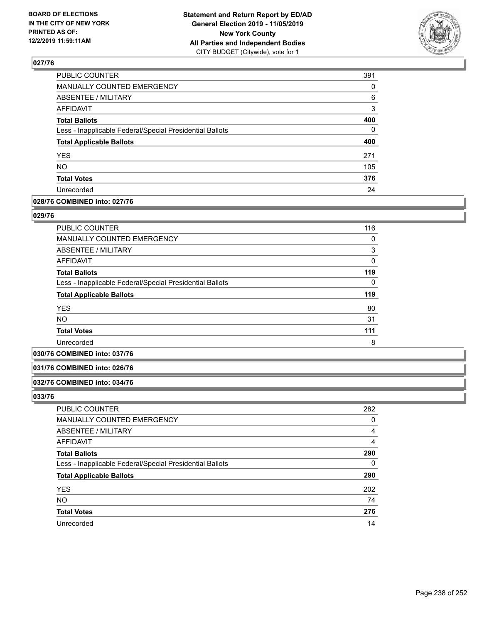

| MANUALLY COUNTED EMERGENCY<br>ABSENTEE / MILITARY<br><b>AFFIDAVIT</b> | 0<br>6<br>3 |
|-----------------------------------------------------------------------|-------------|
|                                                                       |             |
|                                                                       |             |
|                                                                       |             |
| <b>Total Ballots</b>                                                  | 400         |
| Less - Inapplicable Federal/Special Presidential Ballots              | 0           |
| <b>Total Applicable Ballots</b>                                       | 400         |
| <b>YES</b>                                                            | 271         |
|                                                                       | 105         |
| NO.                                                                   |             |
| <b>Total Votes</b>                                                    | 376         |

### **028/76 COMBINED into: 027/76**

### **029/76**

| <b>PUBLIC COUNTER</b>                                    | 116 |
|----------------------------------------------------------|-----|
| MANUALLY COUNTED EMERGENCY                               | 0   |
| ABSENTEE / MILITARY                                      | 3   |
| AFFIDAVIT                                                | 0   |
| <b>Total Ballots</b>                                     | 119 |
| Less - Inapplicable Federal/Special Presidential Ballots | 0   |
| <b>Total Applicable Ballots</b>                          | 119 |
| <b>YES</b>                                               | 80  |
| <b>NO</b>                                                | 31  |
| <b>Total Votes</b>                                       | 111 |
| Unrecorded                                               | 8   |

### **030/76 COMBINED into: 037/76**

### **031/76 COMBINED into: 026/76**

#### **032/76 COMBINED into: 034/76**

| <b>PUBLIC COUNTER</b>                                    | 282 |
|----------------------------------------------------------|-----|
| MANUALLY COUNTED EMERGENCY                               | 0   |
| ABSENTEE / MILITARY                                      | 4   |
| AFFIDAVIT                                                | 4   |
| <b>Total Ballots</b>                                     | 290 |
| Less - Inapplicable Federal/Special Presidential Ballots | 0   |
| <b>Total Applicable Ballots</b>                          | 290 |
| <b>YES</b>                                               | 202 |
| <b>NO</b>                                                | 74  |
| <b>Total Votes</b>                                       | 276 |
| Unrecorded                                               | 14  |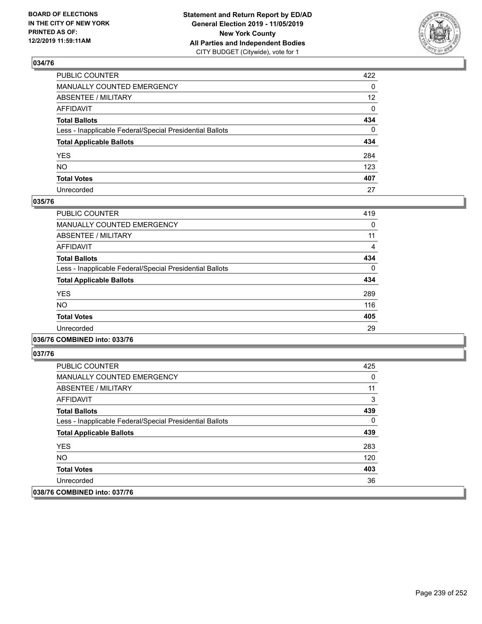

| PUBLIC COUNTER                                           | 422             |
|----------------------------------------------------------|-----------------|
| MANUALLY COUNTED EMERGENCY                               | $\mathbf{0}$    |
| ABSENTEE / MILITARY                                      | 12 <sup>2</sup> |
| AFFIDAVIT                                                | $\mathbf 0$     |
| Total Ballots                                            | 434             |
| Less - Inapplicable Federal/Special Presidential Ballots | $\Omega$        |
| <b>Total Applicable Ballots</b>                          | 434             |
| YES                                                      | 284             |
| NO.                                                      | 123             |
| <b>Total Votes</b>                                       | 407             |
| Unrecorded                                               | 27              |

### **035/76**

| <b>PUBLIC COUNTER</b>                                    | 419      |
|----------------------------------------------------------|----------|
| <b>MANUALLY COUNTED EMERGENCY</b>                        | 0        |
| <b>ABSENTEE / MILITARY</b>                               | 11       |
| <b>AFFIDAVIT</b>                                         | 4        |
| <b>Total Ballots</b>                                     | 434      |
| Less - Inapplicable Federal/Special Presidential Ballots | $\Omega$ |
| <b>Total Applicable Ballots</b>                          | 434      |
| <b>YES</b>                                               | 289      |
| <b>NO</b>                                                | 116      |
| <b>Total Votes</b>                                       | 405      |
| Unrecorded                                               | 29       |
|                                                          |          |

## **036/76 COMBINED into: 033/76**

| <b>PUBLIC COUNTER</b>                                    | 425 |
|----------------------------------------------------------|-----|
| <b>MANUALLY COUNTED EMERGENCY</b>                        | 0   |
| ABSENTEE / MILITARY                                      | 11  |
| AFFIDAVIT                                                | 3   |
| <b>Total Ballots</b>                                     | 439 |
| Less - Inapplicable Federal/Special Presidential Ballots | 0   |
| <b>Total Applicable Ballots</b>                          | 439 |
| <b>YES</b>                                               | 283 |
| NO.                                                      | 120 |
| <b>Total Votes</b>                                       | 403 |
| Unrecorded                                               | 36  |
| 038/76 COMBINED into: 037/76                             |     |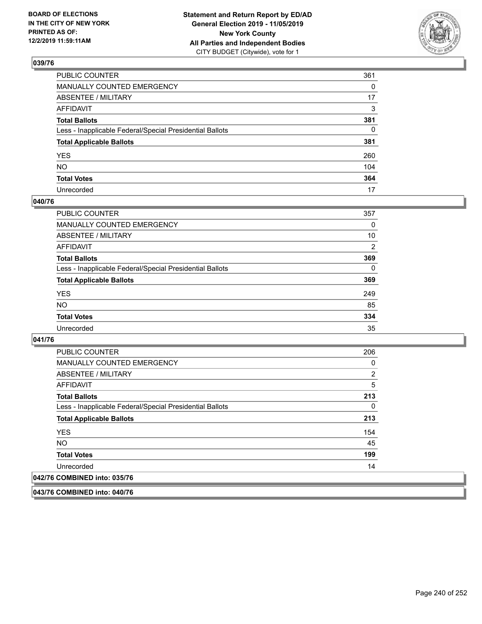

| PUBLIC COUNTER                                           | 361          |
|----------------------------------------------------------|--------------|
| MANUALLY COUNTED EMERGENCY                               | $\Omega$     |
| ABSENTEE / MILITARY                                      | 17           |
| AFFIDAVIT                                                | 3            |
| Total Ballots                                            | 381          |
| Less - Inapplicable Federal/Special Presidential Ballots | $\mathbf{0}$ |
| <b>Total Applicable Ballots</b>                          | 381          |
| YES                                                      | 260          |
| NO.                                                      | 104          |
| <b>Total Votes</b>                                       | 364          |
| Unrecorded                                               | 17           |

### **040/76**

| <b>PUBLIC COUNTER</b>                                    | 357            |
|----------------------------------------------------------|----------------|
| <b>MANUALLY COUNTED EMERGENCY</b>                        | 0              |
| ABSENTEE / MILITARY                                      | 10             |
| AFFIDAVIT                                                | $\overline{2}$ |
| <b>Total Ballots</b>                                     | 369            |
| Less - Inapplicable Federal/Special Presidential Ballots | 0              |
| <b>Total Applicable Ballots</b>                          | 369            |
| <b>YES</b>                                               | 249            |
| <b>NO</b>                                                | 85             |
| <b>Total Votes</b>                                       | 334            |
| Unrecorded                                               | 35             |

### **041/76**

| <b>PUBLIC COUNTER</b>                                    | 206 |
|----------------------------------------------------------|-----|
| <b>MANUALLY COUNTED EMERGENCY</b>                        | 0   |
| ABSENTEE / MILITARY                                      | 2   |
| AFFIDAVIT                                                | 5   |
| <b>Total Ballots</b>                                     | 213 |
| Less - Inapplicable Federal/Special Presidential Ballots | 0   |
| <b>Total Applicable Ballots</b>                          | 213 |
| <b>YES</b>                                               | 154 |
| <b>NO</b>                                                | 45  |
| <b>Total Votes</b>                                       | 199 |
| Unrecorded                                               | 14  |
| 042/76 COMBINED into: 035/76                             |     |

**043/76 COMBINED into: 040/76**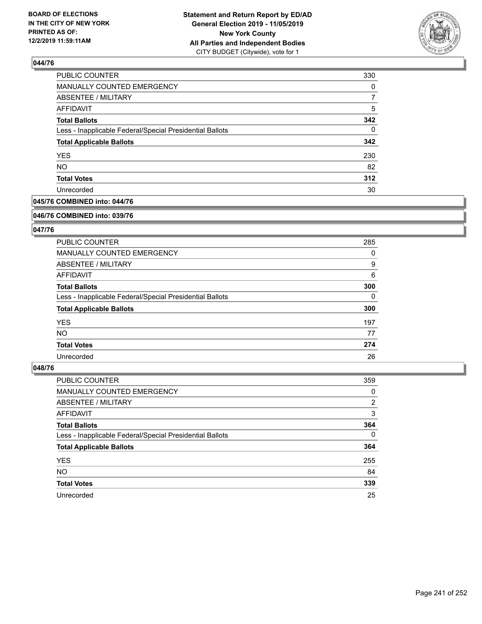

| <b>PUBLIC COUNTER</b>                                    | 330 |
|----------------------------------------------------------|-----|
| MANUALLY COUNTED EMERGENCY                               | 0   |
| ABSENTEE / MILITARY                                      |     |
| AFFIDAVIT                                                | 5   |
| <b>Total Ballots</b>                                     | 342 |
| Less - Inapplicable Federal/Special Presidential Ballots | 0   |
| <b>Total Applicable Ballots</b>                          | 342 |
| <b>YES</b>                                               | 230 |
| <b>NO</b>                                                | 82  |
| <b>Total Votes</b>                                       | 312 |
| Unrecorded                                               | 30  |

## **045/76 COMBINED into: 044/76**

#### **046/76 COMBINED into: 039/76**

## **047/76**

| <b>PUBLIC COUNTER</b>                                    | 285      |
|----------------------------------------------------------|----------|
| <b>MANUALLY COUNTED EMERGENCY</b>                        | 0        |
| ABSENTEE / MILITARY                                      | 9        |
| AFFIDAVIT                                                | 6        |
| <b>Total Ballots</b>                                     | 300      |
| Less - Inapplicable Federal/Special Presidential Ballots | $\Omega$ |
| <b>Total Applicable Ballots</b>                          | 300      |
| <b>YES</b>                                               | 197      |
| NO.                                                      | 77       |
| <b>Total Votes</b>                                       | 274      |
| Unrecorded                                               | 26       |

| <b>PUBLIC COUNTER</b>                                    | 359            |
|----------------------------------------------------------|----------------|
| MANUALLY COUNTED EMERGENCY                               | 0              |
| ABSENTEE / MILITARY                                      | $\overline{2}$ |
| AFFIDAVIT                                                | 3              |
| <b>Total Ballots</b>                                     | 364            |
| Less - Inapplicable Federal/Special Presidential Ballots | $\Omega$       |
| <b>Total Applicable Ballots</b>                          | 364            |
| <b>YES</b>                                               | 255            |
| <b>NO</b>                                                | 84             |
| <b>Total Votes</b>                                       | 339            |
| Unrecorded                                               | 25             |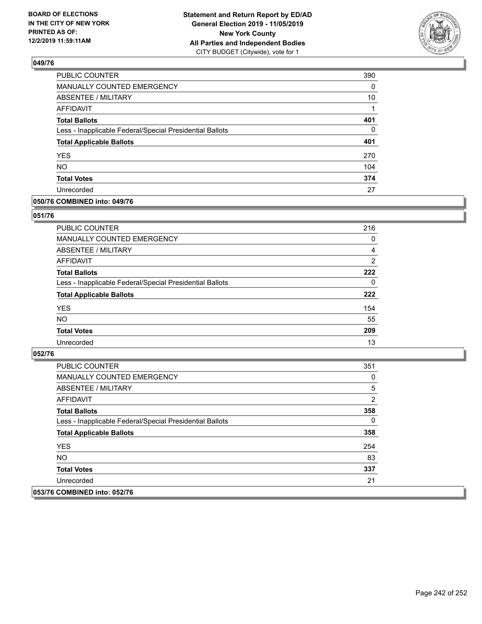

| PUBLIC COUNTER                                           | 390      |
|----------------------------------------------------------|----------|
| MANUALLY COUNTED EMERGENCY                               | 0        |
| <b>ABSENTEE / MILITARY</b>                               | 10       |
| <b>AFFIDAVIT</b>                                         | 1        |
| <b>Total Ballots</b>                                     | 401      |
| Less - Inapplicable Federal/Special Presidential Ballots | $\Omega$ |
| <b>Total Applicable Ballots</b>                          | 401      |
| <b>YES</b>                                               | 270      |
| <b>NO</b>                                                | 104      |
| <b>Total Votes</b>                                       | 374      |
| Unrecorded                                               | 27       |

### **050/76 COMBINED into: 049/76**

### **051/76**

| <b>PUBLIC COUNTER</b>                                    | 216            |
|----------------------------------------------------------|----------------|
| <b>MANUALLY COUNTED EMERGENCY</b>                        | 0              |
| ABSENTEE / MILITARY                                      | 4              |
| AFFIDAVIT                                                | $\overline{2}$ |
| <b>Total Ballots</b>                                     | 222            |
| Less - Inapplicable Federal/Special Presidential Ballots | $\Omega$       |
| <b>Total Applicable Ballots</b>                          | 222            |
| <b>YES</b>                                               | 154            |
| <b>NO</b>                                                | 55             |
| <b>Total Votes</b>                                       | 209            |
| Unrecorded                                               | 13             |

| <b>PUBLIC COUNTER</b>                                    | 351 |
|----------------------------------------------------------|-----|
| MANUALLY COUNTED EMERGENCY                               | 0   |
| ABSENTEE / MILITARY                                      | 5   |
| AFFIDAVIT                                                | 2   |
| <b>Total Ballots</b>                                     | 358 |
| Less - Inapplicable Federal/Special Presidential Ballots | 0   |
| <b>Total Applicable Ballots</b>                          | 358 |
| <b>YES</b>                                               | 254 |
| NO.                                                      | 83  |
| <b>Total Votes</b>                                       | 337 |
| Unrecorded                                               | 21  |
| 053/76 COMBINED into: 052/76                             |     |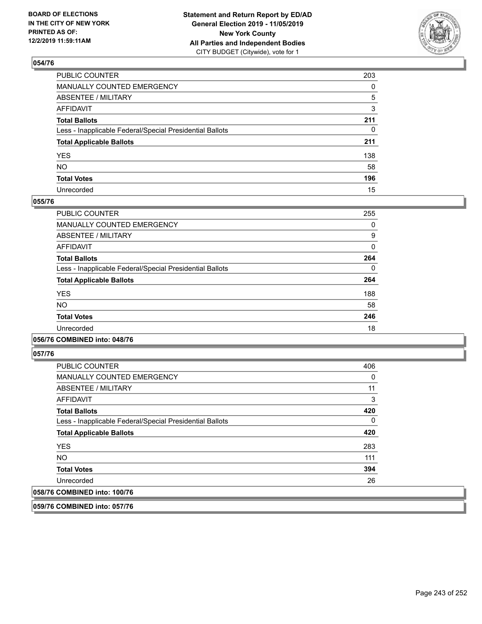

| PUBLIC COUNTER                                           | 203          |
|----------------------------------------------------------|--------------|
| MANUALLY COUNTED EMERGENCY                               | $\mathbf{0}$ |
| ABSENTEE / MILITARY                                      | 5            |
| AFFIDAVIT                                                | 3            |
| Total Ballots                                            | 211          |
| Less - Inapplicable Federal/Special Presidential Ballots | 0            |
| <b>Total Applicable Ballots</b>                          | 211          |
| YES                                                      | 138          |
| NO.                                                      | 58           |
| <b>Total Votes</b>                                       | 196          |
| Unrecorded                                               | 15           |

### **055/76**

| PUBLIC COUNTER                                           | 255 |
|----------------------------------------------------------|-----|
| <b>MANUALLY COUNTED EMERGENCY</b>                        | 0   |
| ABSENTEE / MILITARY                                      | 9   |
| <b>AFFIDAVIT</b>                                         | 0   |
| <b>Total Ballots</b>                                     | 264 |
| Less - Inapplicable Federal/Special Presidential Ballots | 0   |
| <b>Total Applicable Ballots</b>                          | 264 |
| <b>YES</b>                                               | 188 |
| <b>NO</b>                                                | 58  |
| <b>Total Votes</b>                                       | 246 |
| Unrecorded                                               | 18  |
|                                                          |     |

### **056/76 COMBINED into: 048/76**

**057/76** 

| <b>PUBLIC COUNTER</b>                                    | 406 |
|----------------------------------------------------------|-----|
| MANUALLY COUNTED EMERGENCY                               | 0   |
| ABSENTEE / MILITARY                                      | 11  |
| AFFIDAVIT                                                | 3   |
| <b>Total Ballots</b>                                     | 420 |
| Less - Inapplicable Federal/Special Presidential Ballots | 0   |
| <b>Total Applicable Ballots</b>                          | 420 |
| <b>YES</b>                                               | 283 |
| <b>NO</b>                                                | 111 |
| <b>Total Votes</b>                                       | 394 |
| Unrecorded                                               | 26  |
| 058/76 COMBINED into: 100/76                             |     |

**059/76 COMBINED into: 057/76**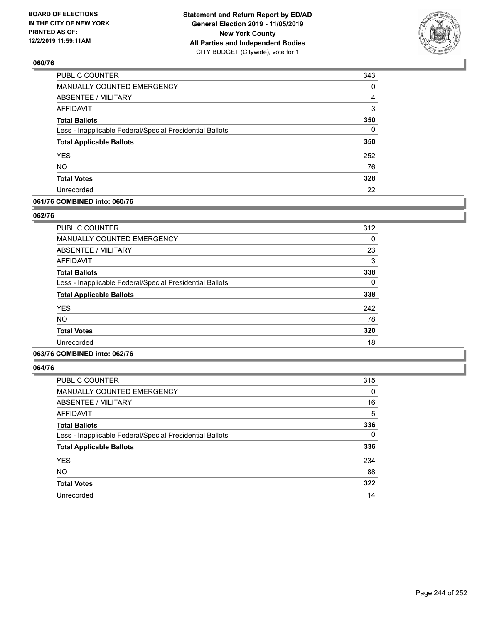

| PUBLIC COUNTER                                           | 343      |
|----------------------------------------------------------|----------|
| <b>MANUALLY COUNTED EMERGENCY</b>                        | 0        |
| <b>ABSENTEE / MILITARY</b>                               | 4        |
| <b>AFFIDAVIT</b>                                         | 3        |
| <b>Total Ballots</b>                                     | 350      |
| Less - Inapplicable Federal/Special Presidential Ballots | $\Omega$ |
| <b>Total Applicable Ballots</b>                          | 350      |
| <b>YES</b>                                               | 252      |
| <b>NO</b>                                                | 76       |
| <b>Total Votes</b>                                       | 328      |
| Unrecorded                                               | 22       |

### **061/76 COMBINED into: 060/76**

### **062/76**

| <b>PUBLIC COUNTER</b>                                    | 312 |
|----------------------------------------------------------|-----|
| <b>MANUALLY COUNTED EMERGENCY</b>                        | 0   |
| ABSENTEE / MILITARY                                      | 23  |
| AFFIDAVIT                                                | 3   |
| <b>Total Ballots</b>                                     | 338 |
| Less - Inapplicable Federal/Special Presidential Ballots | 0   |
| <b>Total Applicable Ballots</b>                          | 338 |
| <b>YES</b>                                               | 242 |
| <b>NO</b>                                                | 78  |
| <b>Total Votes</b>                                       | 320 |
| Unrecorded                                               | 18  |
|                                                          |     |

# **063/76 COMBINED into: 062/76**

| <b>PUBLIC COUNTER</b>                                    | 315 |
|----------------------------------------------------------|-----|
| MANUALLY COUNTED EMERGENCY                               | 0   |
| ABSENTEE / MILITARY                                      | 16  |
| AFFIDAVIT                                                | 5   |
| <b>Total Ballots</b>                                     | 336 |
| Less - Inapplicable Federal/Special Presidential Ballots | 0   |
| <b>Total Applicable Ballots</b>                          | 336 |
| <b>YES</b>                                               | 234 |
| <b>NO</b>                                                | 88  |
| <b>Total Votes</b>                                       | 322 |
| Unrecorded                                               | 14  |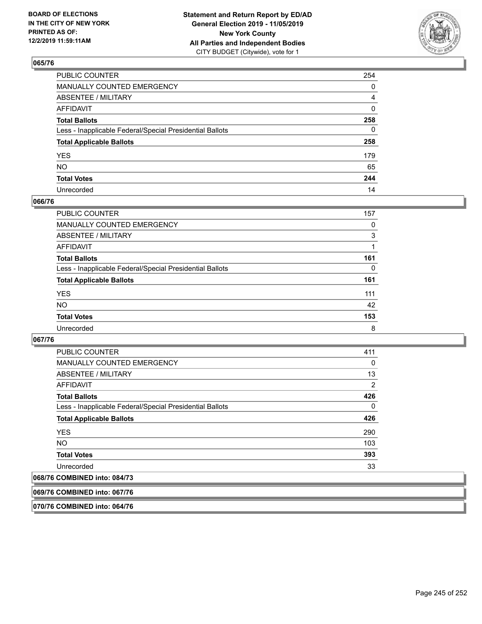

| PUBLIC COUNTER                                           | 254          |
|----------------------------------------------------------|--------------|
| MANUALLY COUNTED EMERGENCY                               | 0            |
| ABSENTEE / MILITARY                                      | 4            |
| AFFIDAVIT                                                | $\mathbf{0}$ |
| Total Ballots                                            | 258          |
| Less - Inapplicable Federal/Special Presidential Ballots | $\mathbf{0}$ |
| <b>Total Applicable Ballots</b>                          | 258          |
| YES                                                      | 179          |
| NO.                                                      | 65           |
| <b>Total Votes</b>                                       | 244          |
| Unrecorded                                               | 14           |

### **066/76**

| <b>PUBLIC COUNTER</b>                                    | 157 |
|----------------------------------------------------------|-----|
| <b>MANUALLY COUNTED EMERGENCY</b>                        | 0   |
| ABSENTEE / MILITARY                                      | 3   |
| AFFIDAVIT                                                |     |
| <b>Total Ballots</b>                                     | 161 |
| Less - Inapplicable Federal/Special Presidential Ballots | 0   |
| <b>Total Applicable Ballots</b>                          | 161 |
| <b>YES</b>                                               | 111 |
| <b>NO</b>                                                | 42  |
| <b>Total Votes</b>                                       | 153 |
| Unrecorded                                               | 8   |

### **067/76**

| <b>PUBLIC COUNTER</b>                                    | 411      |
|----------------------------------------------------------|----------|
| MANUALLY COUNTED EMERGENCY                               | 0        |
| ABSENTEE / MILITARY                                      | 13       |
| AFFIDAVIT                                                | 2        |
| <b>Total Ballots</b>                                     | 426      |
| Less - Inapplicable Federal/Special Presidential Ballots | $\Omega$ |
| <b>Total Applicable Ballots</b>                          | 426      |
| <b>YES</b>                                               | 290      |
| <b>NO</b>                                                | 103      |
| <b>Total Votes</b>                                       | 393      |
| Unrecorded                                               | 33       |
|                                                          |          |

# **068/76 COMBINED into: 084/73**

**069/76 COMBINED into: 067/76**

**070/76 COMBINED into: 064/76**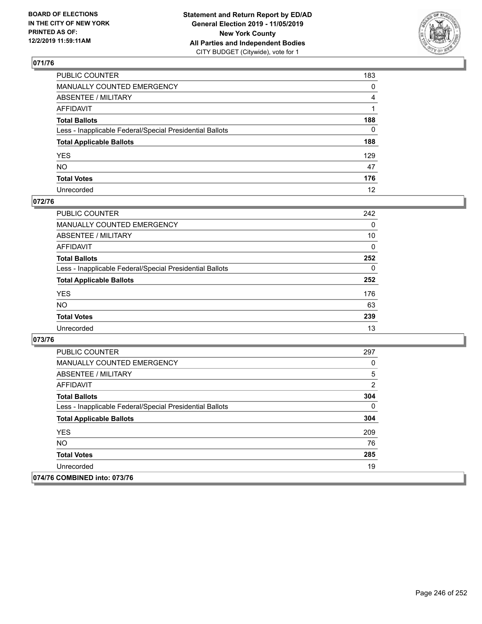

| PUBLIC COUNTER                                           | 183            |
|----------------------------------------------------------|----------------|
| MANUALLY COUNTED EMERGENCY                               | $\mathbf{0}$   |
| ABSENTEE / MILITARY                                      | $\overline{4}$ |
| AFFIDAVIT                                                |                |
| Total Ballots                                            | 188            |
| Less - Inapplicable Federal/Special Presidential Ballots | $\mathbf{0}$   |
| <b>Total Applicable Ballots</b>                          | 188            |
| YES                                                      | 129            |
| NO.                                                      | 47             |
| <b>Total Votes</b>                                       | 176            |
| Unrecorded                                               | 12             |

### **072/76**

| <b>PUBLIC COUNTER</b>                                    | 242      |
|----------------------------------------------------------|----------|
| <b>MANUALLY COUNTED EMERGENCY</b>                        | $\Omega$ |
| ABSENTEE / MILITARY                                      | 10       |
| AFFIDAVIT                                                | $\Omega$ |
| <b>Total Ballots</b>                                     | 252      |
| Less - Inapplicable Federal/Special Presidential Ballots | $\Omega$ |
| <b>Total Applicable Ballots</b>                          | 252      |
| <b>YES</b>                                               | 176      |
| <b>NO</b>                                                | 63       |
| <b>Total Votes</b>                                       | 239      |
| Unrecorded                                               | 13       |

| <b>PUBLIC COUNTER</b>                                    | 297          |
|----------------------------------------------------------|--------------|
| <b>MANUALLY COUNTED EMERGENCY</b>                        | 0            |
| ABSENTEE / MILITARY                                      | 5            |
| AFFIDAVIT                                                | 2            |
| <b>Total Ballots</b>                                     | 304          |
| Less - Inapplicable Federal/Special Presidential Ballots | $\mathbf{0}$ |
| <b>Total Applicable Ballots</b>                          | 304          |
| <b>YES</b>                                               | 209          |
| NO.                                                      | 76           |
| <b>Total Votes</b>                                       | 285          |
| Unrecorded                                               | 19           |
| 074/76 COMBINED into: 073/76                             |              |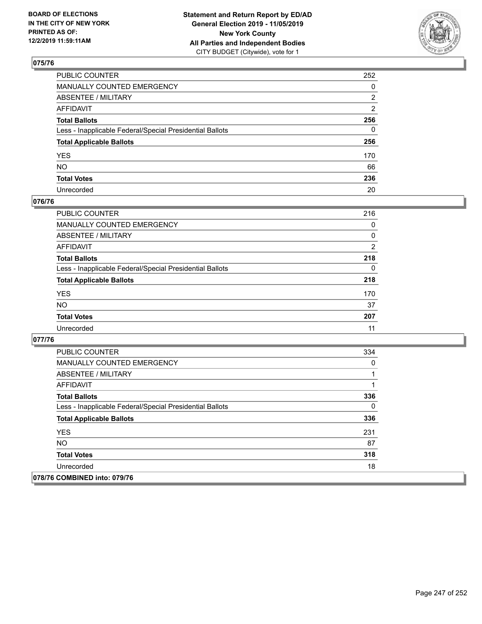

| PUBLIC COUNTER                                           | 252          |
|----------------------------------------------------------|--------------|
| MANUALLY COUNTED EMERGENCY                               | $\mathbf{0}$ |
| ABSENTEE / MILITARY                                      | 2            |
| AFFIDAVIT                                                | 2            |
| Total Ballots                                            | 256          |
| Less - Inapplicable Federal/Special Presidential Ballots | $\Omega$     |
| <b>Total Applicable Ballots</b>                          | 256          |
| YES                                                      | 170          |
| NO.                                                      | 66           |
| <b>Total Votes</b>                                       | 236          |
| Unrecorded                                               | 20           |

### **076/76**

| <b>PUBLIC COUNTER</b>                                    | 216            |
|----------------------------------------------------------|----------------|
| MANUALLY COUNTED EMERGENCY                               | $\Omega$       |
| ABSENTEE / MILITARY                                      | 0              |
| AFFIDAVIT                                                | $\overline{2}$ |
| <b>Total Ballots</b>                                     | 218            |
| Less - Inapplicable Federal/Special Presidential Ballots | $\Omega$       |
| <b>Total Applicable Ballots</b>                          | 218            |
| <b>YES</b>                                               | 170            |
| <b>NO</b>                                                | 37             |
| <b>Total Votes</b>                                       | 207            |
| Unrecorded                                               | 11             |

| <b>PUBLIC COUNTER</b>                                    | 334 |
|----------------------------------------------------------|-----|
| <b>MANUALLY COUNTED EMERGENCY</b>                        | 0   |
| ABSENTEE / MILITARY                                      |     |
| AFFIDAVIT                                                |     |
| <b>Total Ballots</b>                                     | 336 |
| Less - Inapplicable Federal/Special Presidential Ballots | 0   |
| <b>Total Applicable Ballots</b>                          | 336 |
| <b>YES</b>                                               | 231 |
| <b>NO</b>                                                | 87  |
| <b>Total Votes</b>                                       | 318 |
| Unrecorded                                               | 18  |
| 078/76 COMBINED into: 079/76                             |     |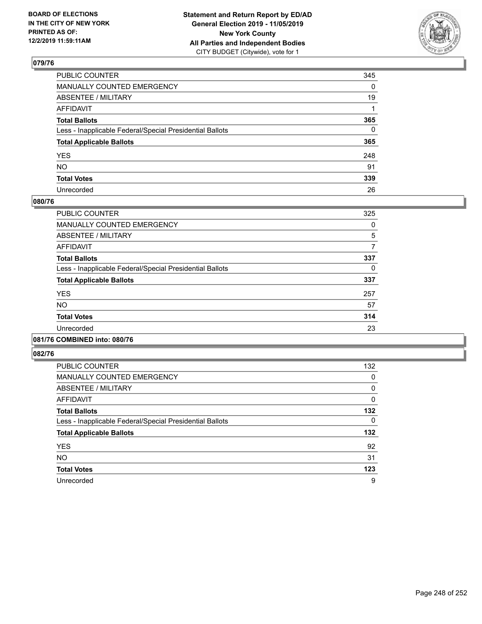

| PUBLIC COUNTER                                           | 345          |
|----------------------------------------------------------|--------------|
| MANUALLY COUNTED EMERGENCY                               | $\mathbf{0}$ |
| ABSENTEE / MILITARY                                      | 19           |
| AFFIDAVIT                                                |              |
| Total Ballots                                            | 365          |
| Less - Inapplicable Federal/Special Presidential Ballots | $\mathbf{0}$ |
| <b>Total Applicable Ballots</b>                          | 365          |
| YES                                                      | 248          |
| NO.                                                      | 91           |
| <b>Total Votes</b>                                       | 339          |
| Unrecorded                                               | 26           |

### **080/76**

| <b>PUBLIC COUNTER</b>                                    | 325 |
|----------------------------------------------------------|-----|
| <b>MANUALLY COUNTED EMERGENCY</b>                        | 0   |
| ABSENTEE / MILITARY                                      | 5   |
| <b>AFFIDAVIT</b>                                         |     |
| <b>Total Ballots</b>                                     | 337 |
| Less - Inapplicable Federal/Special Presidential Ballots | 0   |
| <b>Total Applicable Ballots</b>                          | 337 |
| <b>YES</b>                                               | 257 |
| <b>NO</b>                                                | 57  |
| <b>Total Votes</b>                                       | 314 |
| Unrecorded                                               | 23  |
|                                                          |     |

#### **081/76 COMBINED into: 080/76**

| <b>PUBLIC COUNTER</b>                                    | 132      |
|----------------------------------------------------------|----------|
| <b>MANUALLY COUNTED EMERGENCY</b>                        | 0        |
| ABSENTEE / MILITARY                                      | $\Omega$ |
| AFFIDAVIT                                                | 0        |
| <b>Total Ballots</b>                                     | 132      |
| Less - Inapplicable Federal/Special Presidential Ballots | 0        |
| <b>Total Applicable Ballots</b>                          | 132      |
| <b>YES</b>                                               | 92       |
| <b>NO</b>                                                | 31       |
| <b>Total Votes</b>                                       | 123      |
| Unrecorded                                               | 9        |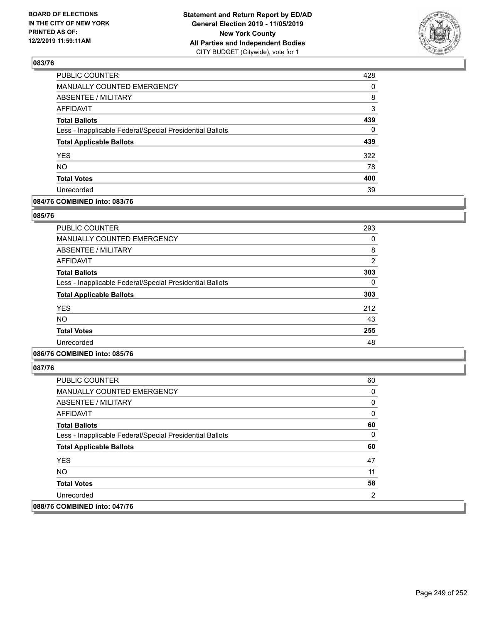

| 428      |
|----------|
| 0        |
| 8        |
| 3        |
| 439      |
| $\Omega$ |
| 439      |
| 322      |
| 78       |
| 400      |
| 39       |
|          |

### **084/76 COMBINED into: 083/76**

#### **085/76**

| <b>PUBLIC COUNTER</b>                                    | 293           |
|----------------------------------------------------------|---------------|
| <b>MANUALLY COUNTED EMERGENCY</b>                        | 0             |
| <b>ABSENTEE / MILITARY</b>                               | 8             |
| <b>AFFIDAVIT</b>                                         | $\mathcal{P}$ |
| <b>Total Ballots</b>                                     | 303           |
| Less - Inapplicable Federal/Special Presidential Ballots | 0             |
| <b>Total Applicable Ballots</b>                          | 303           |
| <b>YES</b>                                               | 212           |
| NO.                                                      | 43            |
| <b>Total Votes</b>                                       | 255           |
| Unrecorded                                               | 48            |

# **086/76 COMBINED into: 085/76**

| <b>PUBLIC COUNTER</b>                                    | 60 |
|----------------------------------------------------------|----|
| MANUALLY COUNTED EMERGENCY                               | 0  |
| ABSENTEE / MILITARY                                      | 0  |
| AFFIDAVIT                                                | 0  |
| <b>Total Ballots</b>                                     | 60 |
| Less - Inapplicable Federal/Special Presidential Ballots | 0  |
| <b>Total Applicable Ballots</b>                          | 60 |
| <b>YES</b>                                               | 47 |
| <b>NO</b>                                                | 11 |
| <b>Total Votes</b>                                       | 58 |
| Unrecorded                                               | 2  |
| 088/76 COMBINED into: 047/76                             |    |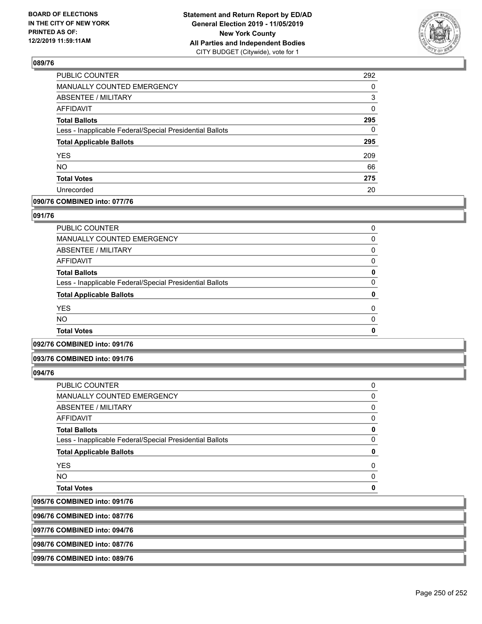

| 292      |
|----------|
| 0        |
| 3        |
| 0        |
| 295      |
| $\Omega$ |
| 295      |
| 209      |
| 66       |
| 275      |
| 20       |
|          |

### **090/76 COMBINED into: 077/76**

### **091/76**

| <b>Total Votes</b>                                       | 0        |
|----------------------------------------------------------|----------|
| <b>NO</b>                                                | $\Omega$ |
| <b>YES</b>                                               | 0        |
| <b>Total Applicable Ballots</b>                          | 0        |
| Less - Inapplicable Federal/Special Presidential Ballots | 0        |
| <b>Total Ballots</b>                                     | 0        |
| AFFIDAVIT                                                | 0        |
| <b>ABSENTEE / MILITARY</b>                               | 0        |
| <b>MANUALLY COUNTED EMERGENCY</b>                        | 0        |
| PUBLIC COUNTER                                           | 0        |

# **092/76 COMBINED into: 091/76**

### **093/76 COMBINED into: 091/76**

### **094/76**

095/76 096/76

| <b>COMBINED into: 087/76</b>                             |          |
|----------------------------------------------------------|----------|
| <b>COMBINED into: 091/76</b>                             |          |
| <b>Total Votes</b>                                       | ŋ        |
| <b>NO</b>                                                | 0        |
| <b>YES</b>                                               | 0        |
| <b>Total Applicable Ballots</b>                          | 0        |
| Less - Inapplicable Federal/Special Presidential Ballots | $\Omega$ |
| <b>Total Ballots</b>                                     | 0        |
| <b>AFFIDAVIT</b>                                         | 0        |
| <b>ABSENTEE / MILITARY</b>                               | 0        |
| <b>MANUALLY COUNTED EMERGENCY</b>                        | 0        |
| PUBLIC COUNTER                                           | 0        |

**097/76 COMBINED into: 094/76**

**098/76 COMBINED into: 087/76**

# **099/76 COMBINED into: 089/76**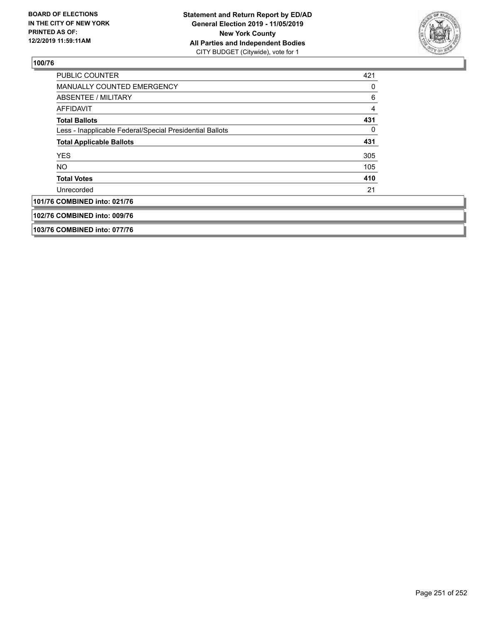

| <b>PUBLIC COUNTER</b>                                    | 421 |
|----------------------------------------------------------|-----|
| MANUALLY COUNTED EMERGENCY                               | 0   |
| ABSENTEE / MILITARY                                      | 6   |
| AFFIDAVIT                                                | 4   |
| <b>Total Ballots</b>                                     | 431 |
| Less - Inapplicable Federal/Special Presidential Ballots | 0   |
| <b>Total Applicable Ballots</b>                          | 431 |
| <b>YES</b>                                               | 305 |
| <b>NO</b>                                                | 105 |
| <b>Total Votes</b>                                       | 410 |
| Unrecorded                                               | 21  |
| 101/76 COMBINED into: 021/76                             |     |
| 102/76 COMBINED into: 009/76                             |     |
| 103/76 COMBINED into: 077/76                             |     |